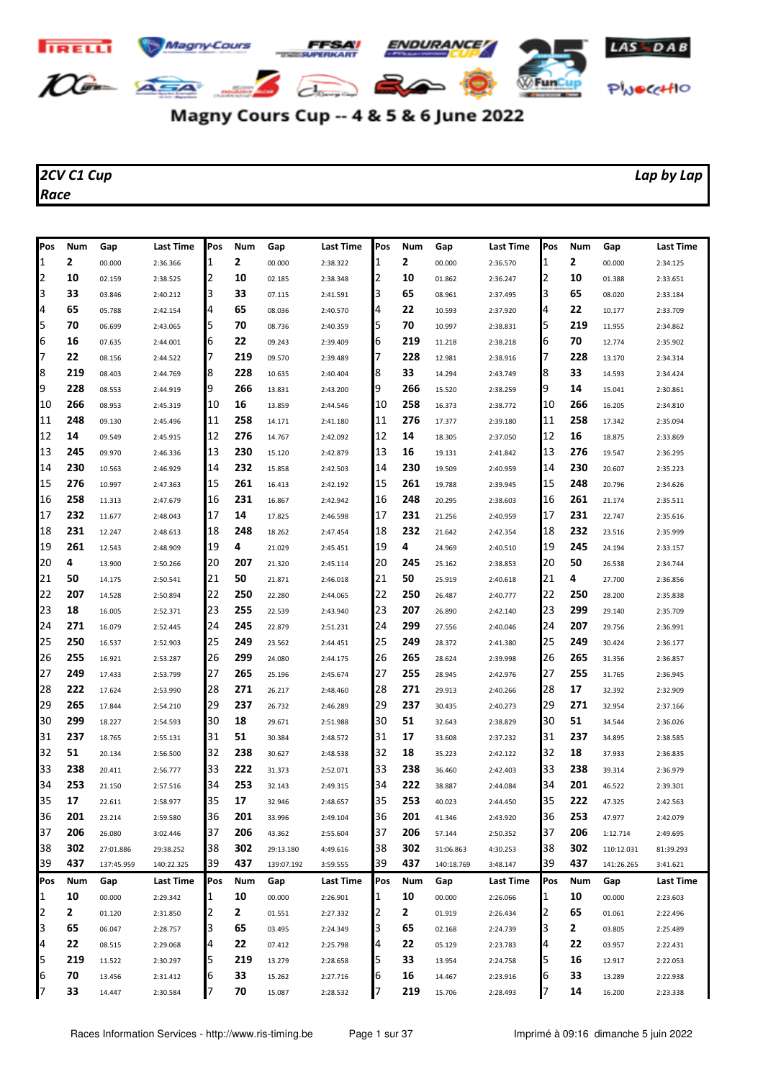

## Magny Cours Cup -- 4 & 5 & 6 June 2022

## *2CV C1 Cup Lap by Lap Race*

| Pos | Num          | Gap        | Last Time  | Pos      | Num | Gap        | Last Time            | Pos | Num | Gap        | Last Time        | Pos      | Num | Gap        | <b>Last Time</b> |
|-----|--------------|------------|------------|----------|-----|------------|----------------------|-----|-----|------------|------------------|----------|-----|------------|------------------|
| 1   | 2            | 00.000     | 2:36.366   | 1        | 2   | 00.000     | 2:38.322             | 1   | 2   | 00.000     | 2:36.570         | 1        | 2   | 00.000     | 2:34.125         |
| 2   | 10           | 02.159     | 2:38.525   | 2        | 10  | 02.185     | 2:38.348             | 2   | 10  | 01.862     | 2:36.247         | 2        | 10  | 01.388     | 2:33.651         |
| 3   | 33           | 03.846     | 2:40.212   | 3        | 33  | 07.115     | 2:41.591             | 3   | 65  | 08.961     | 2:37.495         | 3        | 65  | 08.020     | 2:33.184         |
| 4   | 65           | 05.788     | 2:42.154   | 4        | 65  | 08.036     | 2:40.570             | 4   | 22  | 10.593     | 2:37.920         | 4        | 22  | 10.177     | 2:33.709         |
| 5   | 70           | 06.699     | 2:43.065   | 5        | 70  | 08.736     | 2:40.359             | 5   | 70  | 10.997     | 2:38.831         | 5        | 219 | 11.955     | 2:34.862         |
| 6   | 16           | 07.635     | 2:44.001   | 6        | 22  | 09.243     | 2:39.409             | 6   | 219 | 11.218     | 2:38.218         | 6        | 70  | 12.774     | 2:35.902         |
| 7   | 22           | 08.156     | 2:44.522   | 7        | 219 | 09.570     | 2:39.489             | 17  | 228 | 12.981     | 2:38.916         | 7        | 228 | 13.170     | 2:34.314         |
| 8   | 219          | 08.403     | 2:44.769   | 8        | 228 | 10.635     | 2:40.404             | 8   | 33  | 14.294     | 2:43.749         | 8        | 33  | 14.593     | 2:34.424         |
| 9   | 228          | 08.553     | 2:44.919   | 9        | 266 | 13.831     | 2:43.200             | 9   | 266 | 15.520     | 2:38.259         | 9        | 14  | 15.041     | 2:30.861         |
| 10  | 266          | 08.953     | 2:45.319   | 10       | 16  | 13.859     | 2:44.546             | 10  | 258 | 16.373     | 2:38.772         | 10       | 266 | 16.205     | 2:34.810         |
| 11  | 248          | 09.130     | 2:45.496   | 11       | 258 | 14.171     | 2:41.180             | 11  | 276 | 17.377     | 2:39.180         | 11       | 258 | 17.342     | 2:35.094         |
| 12  | 14           | 09.549     | 2:45.915   | 12       | 276 | 14.767     | 2:42.092             | 12  | 14  | 18.305     | 2:37.050         | 12       | 16  | 18.875     | 2:33.869         |
| 13  | 245          | 09.970     | 2:46.336   | 13       | 230 | 15.120     | 2:42.879             | 13  | 16  | 19.131     | 2:41.842         | 13       | 276 | 19.547     | 2:36.295         |
| 14  | 230          | 10.563     | 2:46.929   | 14       | 232 | 15.858     | 2:42.503             | 14  | 230 | 19.509     | 2:40.959         | 14       | 230 | 20.607     | 2:35.223         |
| 15  | 276          | 10.997     | 2:47.363   | 15       | 261 | 16.413     | 2:42.192             | 15  | 261 | 19.788     | 2:39.945         | 15       | 248 | 20.796     | 2:34.626         |
| 16  | 258          | 11.313     | 2:47.679   | 16       | 231 | 16.867     | 2:42.942             | 16  | 248 | 20.295     | 2:38.603         | 16       | 261 | 21.174     | 2:35.511         |
| 17  | 232          | 11.677     | 2:48.043   | 17       | 14  | 17.825     | 2:46.598             | 17  | 231 | 21.256     | 2:40.959         | 17       | 231 | 22.747     | 2:35.616         |
| 18  | 231          | 12.247     | 2:48.613   | 18       | 248 | 18.262     | 2:47.454             | 18  | 232 | 21.642     | 2:42.354         | 18       | 232 | 23.516     | 2:35.999         |
| 19  | 261          | 12.543     | 2:48.909   | 19       | 4   | 21.029     | 2:45.451             | 19  | 4   | 24.969     | 2:40.510         | 19       | 245 | 24.194     | 2:33.157         |
| 20  | 4            | 13.900     | 2:50.266   | 20       | 207 | 21.320     | 2:45.114             | 20  | 245 | 25.162     | 2:38.853         | 20       | 50  | 26.538     | 2:34.744         |
| 21  | 50           | 14.175     | 2:50.541   | 21       | 50  | 21.871     | 2:46.018             | 21  | 50  | 25.919     | 2:40.618         | 21       | 4   | 27.700     | 2:36.856         |
| 22  | 207          | 14.528     | 2:50.894   | 22       | 250 | 22.280     | 2:44.065             | 22  | 250 | 26.487     | 2:40.777         | 22       | 250 | 28.200     | 2:35.838         |
| 23  | 18           | 16.005     | 2:52.371   | 23       | 255 | 22.539     | 2:43.940             | 23  | 207 | 26.890     | 2:42.140         | 23       | 299 | 29.140     | 2:35.709         |
| 24  | 271          | 16.079     | 2:52.445   | 24       | 245 | 22.879     | 2:51.231             | 24  | 299 | 27.556     | 2:40.046         | 24       | 207 | 29.756     | 2:36.991         |
| 25  | 250          | 16.537     | 2:52.903   | 25       | 249 | 23.562     | 2:44.451             | 25  | 249 | 28.372     | 2:41.380         | 25       | 249 | 30.424     | 2:36.177         |
| 26  | 255          | 16.921     | 2:53.287   | 26       | 299 | 24.080     | 2:44.175             | 26  | 265 | 28.624     | 2:39.998         | 26       | 265 | 31.356     | 2:36.857         |
| 27  | 249          | 17.433     | 2:53.799   | 27       | 265 | 25.196     | 2:45.674             | 27  | 255 | 28.945     | 2:42.976         | 27       | 255 | 31.765     | 2:36.945         |
| 28  | 222          | 17.624     | 2:53.990   | 28       | 271 | 26.217     | 2:48.460             | 28  | 271 | 29.913     | 2:40.266         | 28       | 17  | 32.392     | 2:32.909         |
| 29  | 265          | 17.844     | 2:54.210   | 29       | 237 | 26.732     | 2:46.289             | 29  | 237 | 30.435     | 2:40.273         | 29       | 271 | 32.954     | 2:37.166         |
| 30  | 299          | 18.227     | 2:54.593   | 30       | 18  | 29.671     | 2:51.988             | 30  | 51  | 32.643     | 2:38.829         | 30       | 51  | 34.544     | 2:36.026         |
| 31  | 237          | 18.765     | 2:55.131   | 31       | 51  | 30.384     | 2:48.572             | 31  | 17  | 33.608     | 2:37.232         | 31       | 237 | 34.895     | 2:38.585         |
| 32  | 51           | 20.134     | 2:56.500   | 32       | 238 | 30.627     | 2:48.538             | 32  | 18  | 35.223     | 2:42.122         | 32       | 18  | 37.933     | 2:36.835         |
| 33  | 238          | 20.411     | 2:56.777   | 33       | 222 | 31.373     | 2:52.071             | 33  | 238 | 36.460     | 2:42.403         | 33       | 238 | 39.314     | 2:36.979         |
| 34  | 253          | 21.150     | 2:57.516   | 34       | 253 | 32.143     | 2:49.315             | 34  | 222 | 38.887     | 2:44.084         | 34       | 201 | 46.522     | 2:39.301         |
| 35  | 17           | 22.611     | 2:58.977   | 35       | 17  | 32.946     | 2:48.657             | 35  | 253 | 40.023     | 2:44.450         | 35       | 222 | 47.325     | 2:42.563         |
| 36  | 201          | 23.214     | 2:59.580   | 36       | 201 | 33.996     |                      | 36  | 201 | 41.346     |                  | 36       | 253 | 47.977     | 2:42.079         |
| 37  | 206          |            |            | 37       | 206 |            | 2:49.104<br>2:55.604 | 37  | 206 |            | 2:43.920         | 37       | 206 |            |                  |
| 38  | 302          | 26.080     | 3:02.446   |          | 302 | 43.362     |                      | 38  | 302 | 57.144     | 2:50.352         |          | 302 | 1:12.714   | 2:49.695         |
| 39  | 437          | 27:01.886  | 29:38.252  | 38<br>39 | 437 | 29:13.180  | 4:49.616             | 39  | 437 | 31:06.863  | 4:30.253         | 38<br>39 | 437 | 110:12.031 | 81:39.293        |
|     |              | 137:45.959 | 140:22.325 |          |     | 139:07.192 | 3:59.555             |     |     | 140:18.769 | 3:48.147         |          |     | 141:26.265 | 3:41.621         |
| Pos | Num          | Gap        | Last Time  | Pos      | Num | Gap        | Last Time            | Pos | Num | Gap        | <b>Last Time</b> | Pos      | Num | Gap        | <b>Last Time</b> |
| 1   | 10           | 00.000     | 2:29.342   | 1        | 10  | 00.000     | 2:26.901             | 1   | 10  | 00.000     | 2:26.066         | 1        | 10  | 00.000     | 2:23.603         |
| 2   | $\mathbf{2}$ | 01.120     | 2:31.850   | 2        | 2   | 01.551     | 2:27.332             | 2   | 2   | 01.919     | 2:26.434         | 2        | 65  | 01.061     | 2:22.496         |
| 3   | 65           | 06.047     | 2:28.757   | 3        | 65  | 03.495     | 2:24.349             | 3   | 65  | 02.168     | 2:24.739         | 3        | 2   | 03.805     | 2:25.489         |
| 4   | 22           | 08.515     | 2:29.068   | 4        | 22  | 07.412     | 2:25.798             | 4   | 22  | 05.129     | 2:23.783         | 14       | 22  | 03.957     | 2:22.431         |
| 5   | 219          | 11.522     | 2:30.297   | 5        | 219 | 13.279     | 2:28.658             | 5   | 33  | 13.954     | 2:24.758         | 5        | 16  | 12.917     | 2:22.053         |

 **70** 13.456 2:31.412 6 **33** 15.262 2:27.716 6 **16** 14.467 2:23.916 6 **33** 13.289 2:22.938 **33** 14.447 2:30.584 7 **70** 15.087 2:28.532 7 **219** 15.706 2:28.493 7 **14** 16.200 2:23.338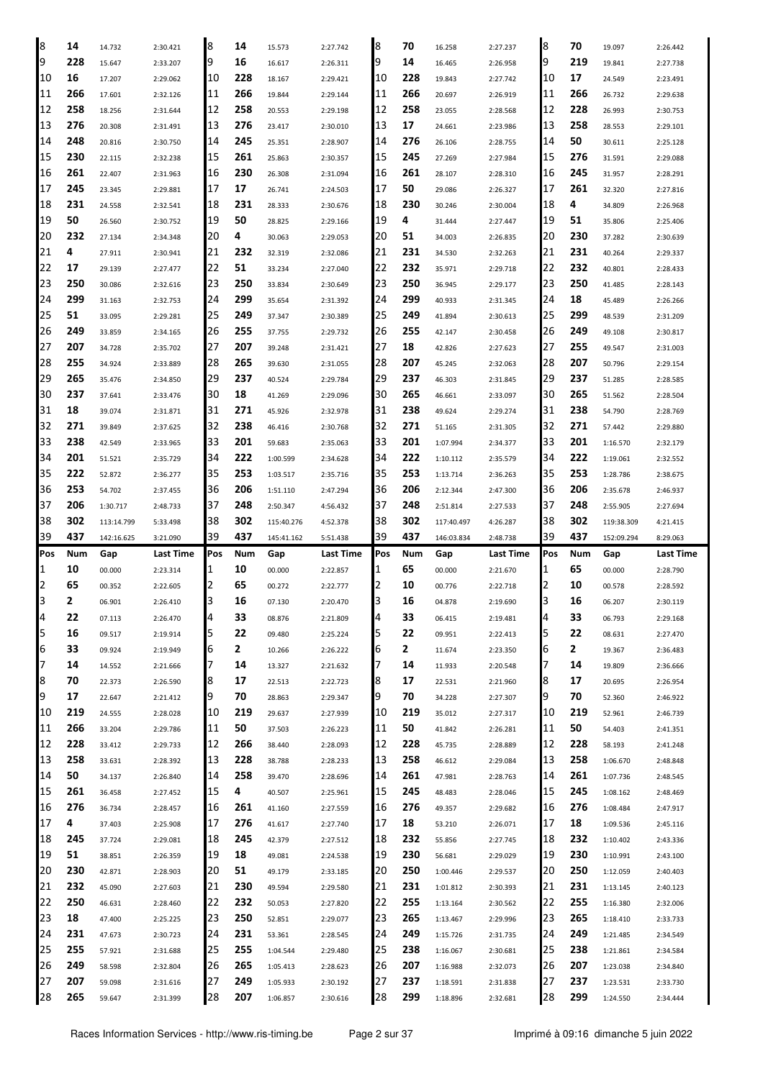| 8   | 14  | 14.732     | 2:30.421  | 8   | 14  | 15.573     | 2:27.742  | 8   | 70  | 16.258     | 2:27.237  | 8   | 70  | 19.097     | 2:26.442  |
|-----|-----|------------|-----------|-----|-----|------------|-----------|-----|-----|------------|-----------|-----|-----|------------|-----------|
| 9   | 228 | 15.647     | 2:33.207  | 9   | 16  | 16.617     | 2:26.311  | 9   | 14  | 16.465     | 2:26.958  | 9   | 219 | 19.841     | 2:27.738  |
| 10  | 16  | 17.207     | 2:29.062  | 10  | 228 | 18.167     | 2:29.421  | 10  | 228 | 19.843     | 2:27.742  | 10  | 17  | 24.549     | 2:23.491  |
| 11  | 266 | 17.601     | 2:32.126  | 11  | 266 | 19.844     | 2:29.144  | 11  | 266 | 20.697     | 2:26.919  | 11  | 266 | 26.732     | 2:29.638  |
| 12  | 258 | 18.256     | 2:31.644  | 12  | 258 | 20.553     | 2:29.198  | 12  | 258 | 23.055     | 2:28.568  | 12  | 228 | 26.993     | 2:30.753  |
| 13  | 276 | 20.308     | 2:31.491  | 13  | 276 | 23.417     | 2:30.010  | 13  | 17  | 24.661     | 2:23.986  | 13  | 258 | 28.553     | 2:29.101  |
| 14  | 248 | 20.816     | 2:30.750  | 14  | 245 | 25.351     | 2:28.907  | 14  | 276 | 26.106     | 2:28.755  | 14  | 50  | 30.611     | 2:25.128  |
| 15  | 230 | 22.115     | 2:32.238  | 15  | 261 | 25.863     | 2:30.357  | 15  | 245 | 27.269     | 2:27.984  | 15  | 276 | 31.591     | 2:29.088  |
| 16  | 261 | 22.407     | 2:31.963  | 16  | 230 | 26.308     | 2:31.094  | 16  | 261 | 28.107     | 2:28.310  | 16  | 245 | 31.957     | 2:28.291  |
| 17  | 245 | 23.345     | 2:29.881  | 17  | 17  | 26.741     | 2:24.503  | 17  | 50  | 29.086     | 2:26.327  | 17  | 261 | 32.320     | 2:27.816  |
| 18  | 231 | 24.558     | 2:32.541  | 18  | 231 | 28.333     | 2:30.676  | 18  | 230 | 30.246     | 2:30.004  | 18  | 4   | 34.809     | 2:26.968  |
| 19  | 50  | 26.560     | 2:30.752  | 19  | 50  | 28.825     | 2:29.166  | 19  | 4   | 31.444     | 2:27.447  | 19  | 51  | 35.806     | 2:25.406  |
| 20  | 232 | 27.134     | 2:34.348  | 20  | 4   | 30.063     | 2:29.053  | 20  | 51  | 34.003     | 2:26.835  | 20  | 230 | 37.282     | 2:30.639  |
| 21  | 4   | 27.911     | 2:30.941  | 21  | 232 | 32.319     | 2:32.086  | 21  | 231 | 34.530     | 2:32.263  | 21  | 231 | 40.264     | 2:29.337  |
| 22  | 17  | 29.139     | 2:27.477  | 22  | 51  | 33.234     | 2:27.040  | 22  | 232 | 35.971     | 2:29.718  | 22  | 232 | 40.801     | 2:28.433  |
| 23  | 250 | 30.086     | 2:32.616  | 23  | 250 | 33.834     | 2:30.649  | 23  | 250 | 36.945     | 2:29.177  | 23  | 250 | 41.485     | 2:28.143  |
| 24  | 299 | 31.163     | 2:32.753  | 24  | 299 | 35.654     | 2:31.392  | 24  | 299 | 40.933     | 2:31.345  | 24  | 18  | 45.489     | 2:26.266  |
| 25  | 51  | 33.095     | 2:29.281  | 25  | 249 | 37.347     | 2:30.389  | 25  | 249 | 41.894     | 2:30.613  | 25  | 299 | 48.539     | 2:31.209  |
| 26  | 249 | 33.859     | 2:34.165  | 26  | 255 | 37.755     | 2:29.732  | 26  | 255 | 42.147     | 2:30.458  | 126 | 249 | 49.108     | 2:30.817  |
| 27  | 207 | 34.728     | 2:35.702  | 27  | 207 | 39.248     | 2:31.421  | 27  | 18  | 42.826     | 2:27.623  | 27  | 255 | 49.547     | 2:31.003  |
| 28  | 255 | 34.924     | 2:33.889  | 28  | 265 | 39.630     | 2:31.055  | 28  | 207 | 45.245     | 2:32.063  | 28  | 207 | 50.796     | 2:29.154  |
| 29  | 265 | 35.476     | 2:34.850  | 29  | 237 | 40.524     | 2:29.784  | 29  | 237 | 46.303     | 2:31.845  | 29  | 237 | 51.285     | 2:28.585  |
| 30  | 237 | 37.641     |           | 30  | 18  | 41.269     |           | 30  | 265 |            | 2:33.097  | 30  | 265 |            |           |
| 31  | 18  |            | 2:33.476  | 31  | 271 |            | 2:29.096  | 31  | 238 | 46.661     |           | 31  | 238 | 51.562     | 2:28.504  |
| 32  | 271 | 39.074     | 2:31.871  | 32  | 238 | 45.926     | 2:32.978  | 32  | 271 | 49.624     | 2:29.274  | 32  | 271 | 54.790     | 2:28.769  |
| 33  | 238 | 39.849     | 2:37.625  | 33  | 201 | 46.416     | 2:30.768  | 33  | 201 | 51.165     | 2:31.305  | 33  | 201 | 57.442     | 2:29.880  |
|     | 201 | 42.549     | 2:33.965  |     |     | 59.683     | 2:35.063  |     |     | 1:07.994   | 2:34.377  | 34  |     | 1:16.570   | 2:32.179  |
| 34  |     | 51.521     | 2:35.729  | 34  | 222 | 1:00.599   | 2:34.628  | 34  | 222 | 1:10.112   | 2:35.579  |     | 222 | 1:19.061   | 2:32.552  |
| 35  | 222 | 52.872     | 2:36.277  | 35  | 253 | 1:03.517   | 2:35.716  | 35  | 253 | 1:13.714   | 2:36.263  | 35  | 253 | 1:28.786   | 2:38.675  |
| 36  | 253 | 54.702     | 2:37.455  | 36  | 206 | 1:51.110   | 2:47.294  | 36  | 206 | 2:12.344   | 2:47.300  | 36  | 206 | 2:35.678   | 2:46.937  |
| 37  | 206 | 1:30.717   | 2:48.733  | 37  | 248 | 2:50.347   | 4:56.432  | 37  | 248 | 2:51.814   | 2:27.533  | 37  | 248 | 2:55.905   | 2:27.694  |
| 38  | 302 | 113:14.799 | 5:33.498  | 38  | 302 | 115:40.276 | 4:52.378  | 38  | 302 | 117:40.497 | 4:26.287  | 38  | 302 | 119:38.309 | 4:21.415  |
|     |     |            |           |     |     |            |           |     |     |            |           |     |     |            |           |
| 39  | 437 | 142:16.625 | 3:21.090  | 39  | 437 | 145:41.162 | 5:51.438  | 39  | 437 | 146:03.834 | 2:48.738  | 39  | 437 | 152:09.294 | 8:29.063  |
| Pos | Num | Gap        | Last Time | Pos | Num | Gap        | Last Time | Pos | Num | Gap        | Last Time | Pos | Num | Gap        | Last Time |
| 1   | 10  | 00.000     | 2:23.314  | 1   | 10  | 00.000     | 2:22.857  | 1   | 65  | 00.000     | 2:21.670  | 1   | 65  | 00.000     | 2:28.790  |
| 2   | 65  | 00.352     | 2:22.605  | 2   | 65  | 00.272     | 2:22.777  | 2   | 10  | 00.776     | 2:22.718  | 2   | 10  | 00.578     | 2:28.592  |
| 3   | 2   | 06.901     | 2:26.410  | 3   | 16  | 07.130     | 2:20.470  | 3   | 16  | 04.878     | 2:19.690  | 3   | 16  | 06.207     | 2:30.119  |
| 14  | 22  | 07.113     | 2:26.470  | 4   | 33  | 08.876     | 2:21.809  | 4   | 33  | 06.415     | 2:19.481  | 4   | 33  | 06.793     | 2:29.168  |
| 5   | 16  | 09.517     | 2:19.914  | 5   | 22  | 09.480     | 2:25.224  | 5   | 22  | 09.951     | 2:22.413  | 5   | 22  | 08.631     | 2:27.470  |
| 6   | 33  | 09.924     | 2:19.949  | 6   | 2   | 10.266     | 2:26.222  | 6   | 2   | 11.674     | 2:23.350  | 6   | 2   | 19.367     | 2:36.483  |
| 7   | 14  | 14.552     | 2:21.666  | 7   | 14  | 13.327     | 2:21.632  | 7   | 14  | 11.933     | 2:20.548  | 7   | 14  | 19.809     | 2:36.666  |
| 8   | 70  | 22.373     | 2:26.590  | 8   | 17  | 22.513     | 2:22.723  | 8   | 17  | 22.531     | 2:21.960  | 8   | 17  | 20.695     | 2:26.954  |
| 9   | 17  | 22.647     | 2:21.412  | 9   | 70  | 28.863     | 2:29.347  | 9   | 70  | 34.228     | 2:27.307  | 9   | 70  | 52.360     | 2:46.922  |
| 10  | 219 | 24.555     | 2:28.028  | 10  | 219 | 29.637     | 2:27.939  | 10  | 219 | 35.012     | 2:27.317  | 10  | 219 | 52.961     | 2:46.739  |
| 11  | 266 | 33.204     | 2:29.786  | 11  | 50  | 37.503     | 2:26.223  | 11  | 50  | 41.842     | 2:26.281  | 11  | 50  | 54.403     | 2:41.351  |
| 12  | 228 | 33.412     | 2:29.733  | 12  | 266 | 38.440     | 2:28.093  | 12  | 228 | 45.735     | 2:28.889  | 12  | 228 | 58.193     | 2:41.248  |
| 13  | 258 | 33.631     | 2:28.392  | 13  | 228 | 38.788     | 2:28.233  | 13  | 258 | 46.612     | 2:29.084  | 13  | 258 | 1:06.670   | 2:48.848  |
| 14  | 50  | 34.137     | 2:26.840  | 14  | 258 | 39.470     | 2:28.696  | 14  | 261 | 47.981     | 2:28.763  | 14  | 261 | 1:07.736   | 2:48.545  |
| 15  | 261 | 36.458     | 2:27.452  | 15  | 4   | 40.507     | 2:25.961  | 15  | 245 | 48.483     | 2:28.046  | 15  | 245 | 1:08.162   | 2:48.469  |
| 16  | 276 | 36.734     | 2:28.457  | 16  | 261 | 41.160     | 2:27.559  | 16  | 276 | 49.357     | 2:29.682  | 16  | 276 | 1:08.484   | 2:47.917  |
| 17  | 4   | 37.403     | 2:25.908  | 17  | 276 | 41.617     | 2:27.740  | 17  | 18  | 53.210     | 2:26.071  | 17  | 18  | 1:09.536   | 2:45.116  |
| 18  | 245 | 37.724     | 2:29.081  | 18  | 245 | 42.379     | 2:27.512  | 18  | 232 | 55.856     | 2:27.745  | 18  | 232 | 1:10.402   | 2:43.336  |
| 19  | 51  | 38.851     | 2:26.359  | 19  | 18  | 49.081     | 2:24.538  | 19  | 230 | 56.681     | 2:29.029  | 19  | 230 | 1:10.991   | 2:43.100  |
| 20  | 230 | 42.871     | 2:28.903  | 20  | 51  | 49.179     | 2:33.185  | 20  | 250 | 1:00.446   | 2:29.537  | 20  | 250 | 1:12.059   | 2:40.403  |
| 21  | 232 | 45.090     | 2:27.603  | 21  | 230 | 49.594     | 2:29.580  | 21  | 231 | 1:01.812   | 2:30.393  | 21  | 231 | 1:13.145   | 2:40.123  |
| 22  | 250 | 46.631     | 2:28.460  | 22  | 232 | 50.053     | 2:27.820  | 22  | 255 | 1:13.164   | 2:30.562  | 22  | 255 | 1:16.380   | 2:32.006  |
| 23  | 18  | 47.400     | 2:25.225  | 23  | 250 | 52.851     | 2:29.077  | 23  | 265 | 1:13.467   | 2:29.996  | 23  | 265 | 1:18.410   | 2:33.733  |
| 24  | 231 | 47.673     | 2:30.723  | 24  | 231 | 53.361     | 2:28.545  | 24  | 249 | 1:15.726   | 2:31.735  | 24  | 249 | 1:21.485   | 2:34.549  |
| 25  | 255 | 57.921     | 2:31.688  | 25  | 255 | 1:04.544   | 2:29.480  | 25  | 238 | 1:16.067   | 2:30.681  | 25  | 238 | 1:21.861   | 2:34.584  |
| 26  | 249 | 58.598     | 2:32.804  | 26  | 265 | 1:05.413   | 2:28.623  | 26  | 207 | 1:16.988   | 2:32.073  | 26  | 207 | 1:23.038   | 2:34.840  |
| 27  | 207 | 59.098     | 2:31.616  | 27  | 249 | 1:05.933   | 2:30.192  | 27  | 237 | 1:18.591   | 2:31.838  | 27  | 237 | 1:23.531   | 2:33.730  |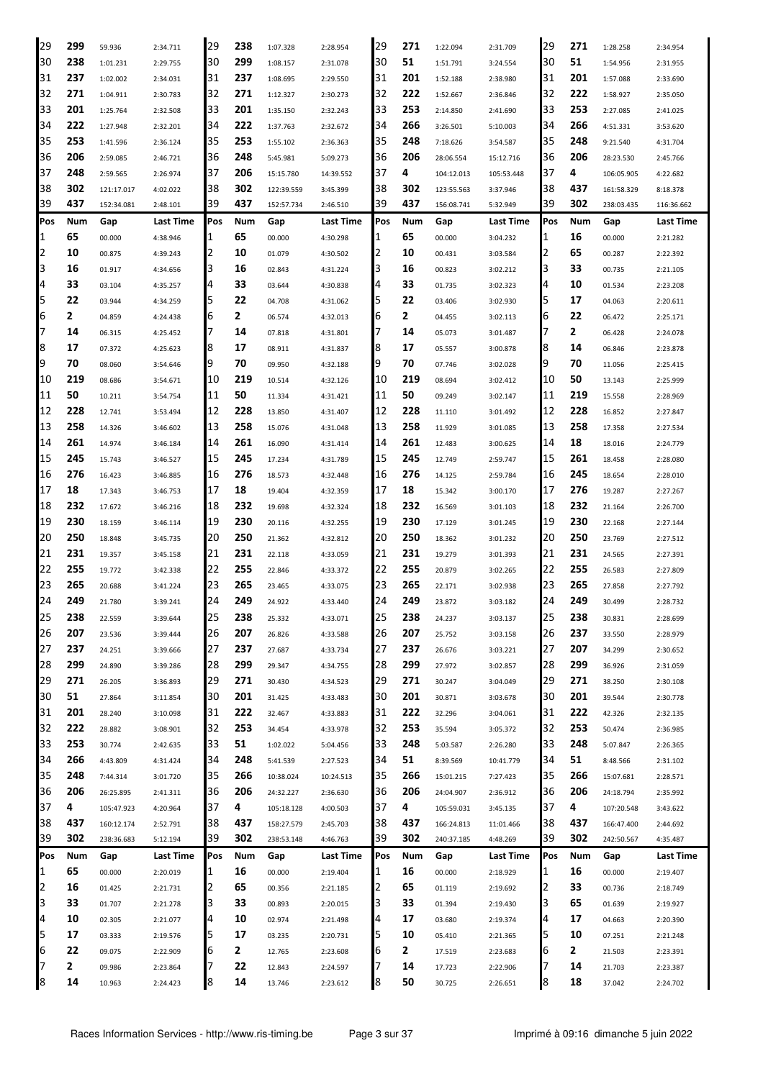| 29  | 299 | 59.936     | 2:34.711  | 29  | 238 | 1:07.328   | 2:28.954  | 29  | 271 | 1:22.094   | 2:31.709   | 29  | 271 | 1:28.258   | 2:34.954   |
|-----|-----|------------|-----------|-----|-----|------------|-----------|-----|-----|------------|------------|-----|-----|------------|------------|
| 30  | 238 | 1:01.231   | 2:29.755  | 30  | 299 | 1:08.157   | 2:31.078  | 30  | 51  | 1:51.791   | 3:24.554   | 30  | 51  | 1:54.956   | 2:31.955   |
| 31  | 237 | 1:02.002   | 2:34.031  | 131 | 237 | 1:08.695   | 2:29.550  | 31  | 201 | 1:52.188   | 2:38.980   | 31  | 201 | 1:57.088   | 2:33.690   |
| 32  | 271 | 1:04.911   | 2:30.783  | 32  | 271 | 1:12.327   | 2:30.273  | 32  | 222 | 1:52.667   | 2:36.846   | 32  | 222 | 1:58.927   | 2:35.050   |
| 33  | 201 | 1:25.764   | 2:32.508  | 33  | 201 | 1:35.150   | 2:32.243  | 33  | 253 | 2:14.850   | 2:41.690   | 33  | 253 | 2:27.085   | 2:41.025   |
| 34  | 222 | 1:27.948   | 2:32.201  | 34  | 222 | 1:37.763   | 2:32.672  | 34  | 266 | 3:26.501   | 5:10.003   | 34  | 266 | 4:51.331   | 3:53.620   |
| 35  | 253 | 1:41.596   | 2:36.124  | 35  | 253 | 1:55.102   | 2:36.363  | 35  | 248 | 7:18.626   | 3:54.587   | 35  | 248 | 9:21.540   | 4:31.704   |
| 36  | 206 |            |           | 36  | 248 |            |           | 36  | 206 |            |            | 36  | 206 |            |            |
| 37  | 248 | 2:59.085   | 2:46.721  | 37  |     | 5:45.981   | 5:09.273  | 37  | 4   | 28:06.554  | 15:12.716  | 37  | 4   | 28:23.530  | 2:45.766   |
|     |     | 2:59.565   | 2:26.974  |     | 206 | 15:15.780  | 14:39.552 |     |     | 104:12.013 | 105:53.448 |     |     | 106:05.905 | 4:22.682   |
| 38  | 302 | 121:17.017 | 4:02.022  | 38  | 302 | 122:39.559 | 3:45.399  | 38  | 302 | 123:55.563 | 3:37.946   | 38  | 437 | 161:58.329 | 8:18.378   |
| 39  | 437 | 152:34.081 | 2:48.101  | 39  | 437 | 152:57.734 | 2:46.510  | 39  | 437 | 156:08.741 | 5:32.949   | 39  | 302 | 238:03.435 | 116:36.662 |
| Pos | Num | Gap        | Last Time | Pos | Num | Gap        | Last Time | Pos | Num | Gap        | Last Time  | Pos | Num | Gap        | Last Time  |
| 1   | 65  | 00.000     | 4:38.946  | 11  | 65  | 00.000     | 4:30.298  | 1   | 65  | 00.000     | 3:04.232   | 1   | 16  | 00.000     | 2:21.282   |
| 2   | 10  | 00.875     | 4:39.243  | 12  | 10  | 01.079     | 4:30.502  | 2   | 10  | 00.431     | 3:03.584   | 2   | 65  | 00.287     | 2:22.392   |
| 3   | 16  | 01.917     | 4:34.656  | IЗ  | 16  | 02.843     | 4:31.224  | 3   | 16  | 00.823     | 3:02.212   | 3   | 33  | 00.735     | 2:21.105   |
| 4   | 33  | 03.104     | 4:35.257  | 14  | 33  | 03.644     | 4:30.838  | 4   | 33  | 01.735     | 3:02.323   | 4   | 10  | 01.534     | 2:23.208   |
| 5   | 22  | 03.944     | 4:34.259  | 5   | 22  | 04.708     | 4:31.062  | 5   | 22  | 03.406     | 3:02.930   | 5   | 17  | 04.063     | 2:20.611   |
| 6   | 2   | 04.859     | 4:24.438  | 6   | 2   | 06.574     | 4:32.013  | 6   | 2   | 04.455     | 3:02.113   | 6   | 22  | 06.472     | 2:25.171   |
| 7   | 14  | 06.315     | 4:25.452  | 17  | 14  | 07.818     | 4:31.801  | 7   | 14  | 05.073     | 3:01.487   | 7   | 2   | 06.428     | 2:24.078   |
| 8   | 17  | 07.372     | 4:25.623  | 18  | 17  | 08.911     | 4:31.837  | 8   | 17  | 05.557     | 3:00.878   | 8   | 14  | 06.846     | 2:23.878   |
| 9   | 70  | 08.060     | 3:54.646  | 19  | 70  | 09.950     | 4:32.188  | 9   | 70  | 07.746     | 3:02.028   | 9   | 70  | 11.056     | 2:25.415   |
| 10  | 219 | 08.686     | 3:54.671  | 10  | 219 | 10.514     | 4:32.126  | 10  | 219 | 08.694     | 3:02.412   | 10  | 50  | 13.143     | 2:25.999   |
| 11  | 50  | 10.211     | 3:54.754  | 11  | 50  | 11.334     | 4:31.421  | 11  | 50  | 09.249     | 3:02.147   | 11  | 219 | 15.558     | 2:28.969   |
| 12  | 228 | 12.741     | 3:53.494  | 12  | 228 | 13.850     | 4:31.407  | 12  | 228 | 11.110     | 3:01.492   | 12  | 228 | 16.852     | 2:27.847   |
| 13  | 258 | 14.326     | 3:46.602  | 13  | 258 | 15.076     | 4:31.048  | 13  | 258 | 11.929     | 3:01.085   | 13  | 258 | 17.358     | 2:27.534   |
| 14  | 261 | 14.974     | 3:46.184  | 14  | 261 | 16.090     | 4:31.414  | 14  | 261 | 12.483     | 3:00.625   | 14  | 18  | 18.016     | 2:24.779   |
| 15  | 245 |            |           | 15  | 245 |            |           | 15  | 245 |            |            | 15  | 261 |            |            |
| 16  | 276 | 15.743     | 3:46.527  |     | 276 | 17.234     | 4:31.789  |     | 276 | 12.749     | 2:59.747   | 16  | 245 | 18.458     | 2:28.080   |
|     |     | 16.423     | 3:46.885  | 16  |     | 18.573     | 4:32.448  | 16  |     | 14.125     | 2:59.784   |     |     | 18.654     | 2:28.010   |
| 17  | 18  | 17.343     | 3:46.753  | 17  | 18  | 19.404     | 4:32.359  | 17  | 18  | 15.342     | 3:00.170   | 17  | 276 | 19.287     | 2:27.267   |
| 18  | 232 | 17.672     | 3:46.216  | 18  | 232 | 19.698     | 4:32.324  | 18  | 232 | 16.569     | 3:01.103   | 18  | 232 | 21.164     | 2:26.700   |
| 19  | 230 | 18.159     | 3:46.114  | 19  | 230 | 20.116     | 4:32.255  | 19  | 230 | 17.129     | 3:01.245   | 19  | 230 | 22.168     | 2:27.144   |
| 20  | 250 | 18.848     | 3:45.735  | 120 | 250 | 21.362     | 4:32.812  | 20  | 250 | 18.362     | 3:01.232   | 20  | 250 | 23.769     | 2:27.512   |
| 21  | 231 | 19.357     | 3:45.158  | 21  | 231 | 22.118     | 4:33.059  | 21  | 231 | 19.279     | 3:01.393   | 21  | 231 | 24.565     | 2:27.391   |
| 22  | 255 | 19.772     | 3:42.338  | 22  | 255 | 22.846     | 4:33.372  | 22  | 255 | 20.879     | 3:02.265   | 22  | 255 | 26.583     | 2:27.809   |
| 23  | 265 | 20.688     | 3:41.224  | 23  | 265 | 23.465     | 4:33.075  | 23  | 265 | 22.171     | 3:02.938   | 23  | 265 | 27.858     | 2:27.792   |
| 24  | 249 | 21.780     | 3:39.241  | 24  | 249 | 24.922     | 4:33.440  | 24  | 249 | 23.872     | 3:03.182   | 24  | 249 | 30.499     | 2:28.732   |
| 25  | 238 | 22.559     | 3:39.644  | 25  | 238 | 25.332     | 4:33.071  | 25  | 238 | 24.237     | 3:03.137   | 25  | 238 | 30.831     | 2:28.699   |
| 26  | 207 | 23.536     | 3:39.444  | 26  | 207 | 26.826     | 4:33.588  | 26  | 207 | 25.752     | 3:03.158   | 26  | 237 | 33.550     | 2:28.979   |
| 27  | 237 | 24.251     | 3:39.666  | 27  | 237 | 27.687     | 4:33.734  | 27  | 237 | 26.676     | 3:03.221   | 27  | 207 | 34.299     | 2:30.652   |
| 28  | 299 | 24.890     | 3:39.286  | 28  | 299 | 29.347     | 4:34.755  | 28  | 299 | 27.972     | 3:02.857   | 28  | 299 | 36.926     | 2:31.059   |
| 29  | 271 | 26.205     | 3:36.893  | 29  | 271 | 30.430     | 4:34.523  | 29  | 271 | 30.247     | 3:04.049   | 29  | 271 | 38.250     | 2:30.108   |
| 30  | 51  | 27.864     | 3:11.854  | 30  | 201 | 31.425     | 4:33.483  | 30  | 201 | 30.871     | 3:03.678   | 30  | 201 | 39.544     | 2:30.778   |
| 31  | 201 | 28.240     | 3:10.098  | 31  | 222 | 32.467     | 4:33.883  | 31  | 222 | 32.296     | 3:04.061   | 31  | 222 | 42.326     | 2:32.135   |
| 32  | 222 | 28.882     | 3:08.901  | 32  | 253 | 34.454     | 4:33.978  | 32  | 253 | 35.594     | 3:05.372   | 32  | 253 | 50.474     | 2:36.985   |
| 33  | 253 | 30.774     | 2:42.635  | 33  | 51  | 1:02.022   | 5:04.456  | 33  | 248 | 5:03.587   | 2:26.280   | 33  | 248 | 5:07.847   | 2:26.365   |
| 34  | 266 | 4:43.809   | 4:31.424  | 34  | 248 | 5:41.539   | 2:27.523  | 34  | 51  | 8:39.569   | 10:41.779  | 34  | 51  | 8:48.566   | 2:31.102   |
| 35  | 248 | 7:44.314   | 3:01.720  | 35  | 266 | 10:38.024  | 10:24.513 | 35  | 266 | 15:01.215  | 7:27.423   | 35  | 266 | 15:07.681  | 2:28.571   |
| 36  | 206 | 26:25.895  | 2:41.311  | 36  | 206 | 24:32.227  | 2:36.630  | 36  | 206 | 24:04.907  | 2:36.912   | 36  | 206 | 24:18.794  | 2:35.992   |
| 37  | 4   | 105:47.923 | 4:20.964  | 37  | 4   | 105:18.128 | 4:00.503  | 37  | 4   | 105:59.031 | 3:45.135   | 37  | 4   | 107:20.548 | 3:43.622   |
| 38  | 437 | 160:12.174 | 2:52.791  | 38  | 437 | 158:27.579 | 2:45.703  | 38  | 437 | 166:24.813 | 11:01.466  | 38  | 437 | 166:47.400 | 2:44.692   |
| 39  | 302 | 238:36.683 | 5:12.194  | 39  | 302 | 238:53.148 |           | 39  | 302 | 240:37.185 | 4:48.269   | 39  | 302 | 242:50.567 | 4:35.487   |
|     |     |            |           |     |     |            | 4:46.763  |     |     |            |            |     |     |            |            |
| Pos | Num | Gap        | Last Time | Pos | Num | Gap        | Last Time | Pos | Num | Gap        | Last Time  | Pos | Num | Gap        | Last Time  |
| 1   | 65  | 00.000     | 2:20.019  | 1   | 16  | 00.000     | 2:19.404  | 1   | 16  | 00.000     | 2:18.929   | 1   | 16  | 00.000     | 2:19.407   |
| 2   | 16  | 01.425     | 2:21.731  | 12  | 65  | 00.356     | 2:21.185  | 2   | 65  | 01.119     | 2:19.692   | 2   | 33  | 00.736     | 2:18.749   |
| 3   | 33  | 01.707     | 2:21.278  | 3   | 33  | 00.893     | 2:20.015  | 3   | 33  | 01.394     | 2:19.430   | 3   | 65  | 01.639     | 2:19.927   |
| 4   | 10  | 02.305     | 2:21.077  | 4   | 10  | 02.974     | 2:21.498  | 4   | 17  | 03.680     | 2:19.374   | 4   | 17  | 04.663     | 2:20.390   |
| 5   | 17  | 03.333     | 2:19.576  | 5   | 17  | 03.235     | 2:20.731  | 5   | 10  | 05.410     | 2:21.365   | 5   | 10  | 07.251     | 2:21.248   |
| 6   | 22  | 09.075     | 2:22.909  | 6   | 2   | 12.765     | 2:23.608  | 6   | 2   | 17.519     | 2:23.683   | 6   | 2   | 21.503     | 2:23.391   |
| 7   | 2   | 09.986     | 2:23.864  | 17  | 22  | 12.843     | 2:24.597  | 7   | 14  | 17.723     | 2:22.906   | 7   | 14  | 21.703     | 2:23.387   |
| 8   | 14  | 10.963     | 2:24.423  | 8   | 14  | 13.746     | 2:23.612  | 8   | 50  | 30.725     | 2:26.651   | 8   | 18  | 37.042     | 2:24.702   |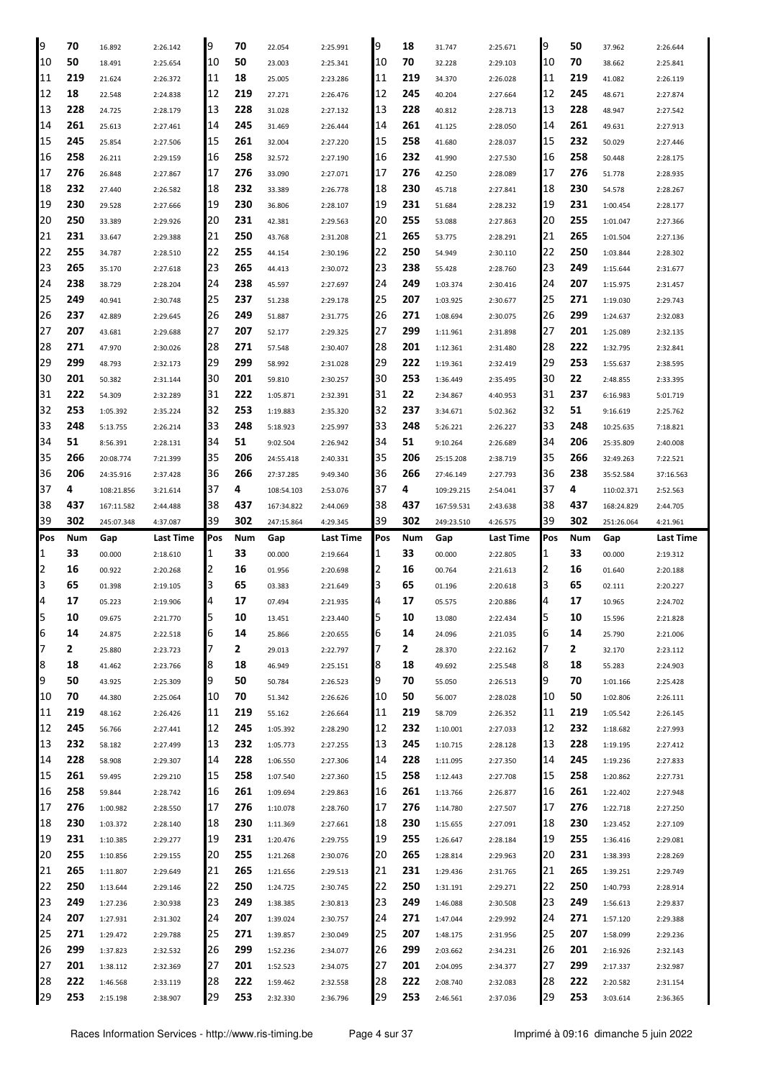| 9            | 70         | 16.892     | 2:26.142  | 9        | 70         | 22.054     | 2:25.991  | 9        | 18         | 31.747     | 2:25.671         | 9        | 50         | 37.962     | 2:26.644  |
|--------------|------------|------------|-----------|----------|------------|------------|-----------|----------|------------|------------|------------------|----------|------------|------------|-----------|
| 10           | 50         | 18.491     | 2:25.654  | 10       | 50         | 23.003     | 2:25.341  | 10       | 70         | 32.228     | 2:29.103         | 10       | 70         | 38.662     | 2:25.841  |
| 11           | 219        | 21.624     | 2:26.372  | 11       | 18         | 25.005     | 2:23.286  | 11       | 219        | 34.370     | 2:26.028         | 11       | 219        | 41.082     | 2:26.119  |
| 12           | 18         | 22.548     | 2:24.838  | 12       | 219        | 27.271     | 2:26.476  | 12       | 245        | 40.204     | 2:27.664         | 12       | 245        | 48.671     | 2:27.874  |
| 13           | 228        | 24.725     | 2:28.179  | 13       | 228        | 31.028     | 2:27.132  | 13       | 228        | 40.812     | 2:28.713         | 13       | 228        | 48.947     | 2:27.542  |
| 14           | 261        | 25.613     | 2:27.461  | 14       | 245        | 31.469     | 2:26.444  | 14       | 261        | 41.125     | 2:28.050         | 14       | 261        | 49.631     | 2:27.913  |
| 15           | 245        | 25.854     | 2:27.506  | 15       | 261        | 32.004     | 2:27.220  | 15       | 258        | 41.680     | 2:28.037         | 15       | 232        | 50.029     | 2:27.446  |
| 16           | 258        | 26.211     | 2:29.159  | 16       | 258        | 32.572     | 2:27.190  | 16       | 232        | 41.990     | 2:27.530         | 16       | 258        | 50.448     | 2:28.175  |
| 17           | 276        | 26.848     | 2:27.867  | 17       | 276        | 33.090     | 2:27.071  | 17       | 276        | 42.250     | 2:28.089         | 17       | 276        | 51.778     | 2:28.935  |
| 18           | 232        | 27.440     | 2:26.582  | 18       | 232        | 33.389     | 2:26.778  | 18       | 230        | 45.718     | 2:27.841         | 18       | 230        | 54.578     | 2:28.267  |
| 19           | 230        | 29.528     | 2:27.666  | 19       | 230        | 36.806     | 2:28.107  | 19       | 231        | 51.684     | 2:28.232         | 19       | 231        | 1:00.454   | 2:28.177  |
| 20           | 250        |            |           | 20       | 231        |            |           | 20       | 255        |            |                  | 20       | 255        |            |           |
| 21           | 231        | 33.389     | 2:29.926  | 21       | 250        | 42.381     | 2:29.563  | 21       | 265        | 53.088     | 2:27.863         | 21       | 265        | 1:01.047   | 2:27.366  |
| 22           | 255        | 33.647     | 2:29.388  | 22       | 255        | 43.768     | 2:31.208  | 22       | 250        | 53.775     | 2:28.291         | 22       | 250        | 1:01.504   | 2:27.136  |
| 23           | 265        | 34.787     | 2:28.510  | 23       | 265        | 44.154     | 2:30.196  | 23       | 238        | 54.949     | 2:30.110         | 23       | 249        | 1:03.844   | 2:28.302  |
|              | 238        | 35.170     | 2:27.618  | 24       | 238        | 44.413     | 2:30.072  | 24       | 249        | 55.428     | 2:28.760         | 24       | 207        | 1:15.644   | 2:31.677  |
| 24<br>25     | 249        | 38.729     | 2:28.204  |          |            | 45.597     | 2:27.697  | 25       |            | 1:03.374   | 2:30.416         |          |            | 1:15.975   | 2:31.457  |
|              |            | 40.941     | 2:30.748  | 25       | 237        | 51.238     | 2:29.178  |          | 207        | 1:03.925   | 2:30.677         | 25       | 271        | 1:19.030   | 2:29.743  |
| 26           | 237        | 42.889     | 2:29.645  | 26       | 249        | 51.887     | 2:31.775  | 26<br>27 | 271        | 1:08.694   | 2:30.075         | 26       | 299        | 1:24.637   | 2:32.083  |
| 27           | 207        | 43.681     | 2:29.688  | 27       | 207        | 52.177     | 2:29.325  |          | 299        | 1:11.961   | 2:31.898         | 27       | 201        | 1:25.089   | 2:32.135  |
| 28           | 271        | 47.970     | 2:30.026  | 28       | 271        | 57.548     | 2:30.407  | 28       | 201        | 1:12.361   | 2:31.480         | 28       | 222        | 1:32.795   | 2:32.841  |
| 29           | 299        | 48.793     | 2:32.173  | 29       | 299        | 58.992     | 2:31.028  | 29       | 222        | 1:19.361   | 2:32.419         | 29       | 253        | 1:55.637   | 2:38.595  |
| 30           | 201        | 50.382     | 2:31.144  | 30       | 201        | 59.810     | 2:30.257  | 30       | 253        | 1:36.449   | 2:35.495         | 30       | 22         | 2:48.855   | 2:33.395  |
| 31           | 222        | 54.309     | 2:32.289  | 31       | 222        | 1:05.871   | 2:32.391  | 31       | 22         | 2:34.867   | 4:40.953         | 31       | 237        | 6:16.983   | 5:01.719  |
| 32           | 253        | 1:05.392   | 2:35.224  | 32       | 253        | 1:19.883   | 2:35.320  | 32       | 237        | 3:34.671   | 5:02.362         | 32       | 51         | 9:16.619   | 2:25.762  |
| 33           | 248        | 5:13.755   | 2:26.214  | 33       | 248        | 5:18.923   | 2:25.997  | 33       | 248        | 5:26.221   | 2:26.227         | 33       | 248        | 10:25.635  | 7:18.821  |
| 34           | 51         | 8:56.391   | 2:28.131  | 34       | 51         | 9:02.504   | 2:26.942  | 34       | 51         | 9:10.264   | 2:26.689         | 34       | 206        | 25:35.809  | 2:40.008  |
| 35           | 266        | 20:08.774  | 7:21.399  | 35       | 206        | 24:55.418  | 2:40.331  | 35       | 206        | 25:15.208  | 2:38.719         | 35       | 266        | 32:49.263  | 7:22.521  |
| 36           | 206        | 24:35.916  | 2:37.428  | 36       | 266        | 27:37.285  | 9:49.340  | 36       | 266        | 27:46.149  | 2:27.793         | 36       | 238        | 35:52.584  | 37:16.563 |
| 37           | 4          | 108:21.856 | 3:21.614  | 37       | 4          | 108:54.103 | 2:53.076  | 37       | 4          | 109:29.215 | 2:54.041         | 37       | 4          | 110:02.371 | 2:52.563  |
| 38           | 437        | 167:11.582 | 2:44.488  | 38       | 437        | 167:34.822 | 2:44.069  | 38       | 437        | 167:59.531 | 2:43.638         | 38       | 437        | 168:24.829 | 2:44.705  |
|              |            |            |           |          |            |            |           |          |            |            |                  |          |            |            |           |
| 39           | 302        | 245:07.348 | 4:37.087  | 39       | 302        | 247:15.864 | 4:29.345  | 39       | 302        | 249:23.510 | 4:26.575         | 39       | 302        | 251:26.064 | 4:21.961  |
| Pos          | Num        | Gap        | Last Time | Pos      | Num        | Gap        | Last Time | Pos      | Num        | Gap        | <b>Last Time</b> | Pos      | Num        | Gap        | Last Time |
| $\mathbf{1}$ | 33         | 00.000     | 2:18.610  | 1        | 33         | 00.000     | 2:19.664  | 1        | 33         | 00.000     | 2:22.805         | 1        | 33         | 00.000     | 2:19.312  |
| 2            | 16         | 00.922     | 2:20.268  | 2        | 16         | 01.956     | 2:20.698  | 2        | 16         | 00.764     | 2:21.613         | 2        | 16         | 01.640     | 2:20.188  |
| 3            | 65         | 01.398     | 2:19.105  | 3        | 65         | 03.383     | 2:21.649  | З        | 65         | 01.196     | 2:20.618         | З        | 65         | 02.111     | 2:20.227  |
| 4            | 17         | 05.223     | 2:19.906  | 4        | 17         | 07.494     | 2:21.935  | 4        | 17         | 05.575     | 2:20.886         | 4        | 17         | 10.965     | 2:24.702  |
| 5            | 10         | 09.675     | 2:21.770  | 5        | 10         | 13.451     | 2:23.440  | 5        | 10         | 13.080     | 2:22.434         | 5        | 10         | 15.596     | 2:21.828  |
| 6            | 14         | 24.875     | 2:22.518  | 6        | 14         | 25.866     | 2:20.655  | 6        | 14         | 24.096     | 2:21.035         | 6        | 14         | 25.790     | 2:21.006  |
| 17           | 2          | 25.880     | 2:23.723  | 7        | 2          | 29.013     | 2:22.797  | 7        | 2          | 28.370     | 2:22.162         | 17       | 2          | 32.170     | 2:23.112  |
| 8            | 18         | 41.462     | 2:23.766  | 8        | 18         | 46.949     | 2:25.151  | 8        | 18         | 49.692     | 2:25.548         | 8        | 18         | 55.283     | 2:24.903  |
| 9            | 50         | 43.925     | 2:25.309  | 9        | 50         | 50.784     | 2:26.523  | 9        | 70         | 55.050     | 2:26.513         | 9        | 70         | 1:01.166   | 2:25.428  |
| 10           | 70         | 44.380     | 2:25.064  | 10       | 70         | 51.342     | 2:26.626  | 10       | 50         | 56.007     | 2:28.028         | 10       | 50         | 1:02.806   | 2:26.111  |
| 11           | 219        | 48.162     | 2:26.426  | 11       | 219        | 55.162     | 2:26.664  | 11       | 219        | 58.709     | 2:26.352         | 11       | 219        | 1:05.542   | 2:26.145  |
| 12           | 245        | 56.766     | 2:27.441  | 12       | 245        | 1:05.392   | 2:28.290  | 12       | 232        | 1:10.001   | 2:27.033         | 12       | 232        | 1:18.682   | 2:27.993  |
| 13           | 232        | 58.182     | 2:27.499  | 13       | 232        | 1:05.773   | 2:27.255  | 13       | 245        | 1:10.715   | 2:28.128         | 13       | 228        | 1:19.195   | 2:27.412  |
| 14           | 228        | 58.908     | 2:29.307  | 14       | 228        | 1:06.550   | 2:27.306  | 14       | 228        | 1:11.095   | 2:27.350         | 14       | 245        | 1:19.236   | 2:27.833  |
| 15           | 261        | 59.495     | 2:29.210  | 15       | 258        | 1:07.540   | 2:27.360  | 15       | 258        | 1:12.443   | 2:27.708         | 15       | 258        | 1:20.862   | 2:27.731  |
| 16           | 258        | 59.844     | 2:28.742  | 16       | 261        | 1:09.694   | 2:29.863  | 16       | 261        | 1:13.766   | 2:26.877         | 16       | 261        | 1:22.402   | 2:27.948  |
| 17           | 276        | 1:00.982   | 2:28.550  | 17       | 276        | 1:10.078   | 2:28.760  | 17       | 276        | 1:14.780   | 2:27.507         | 17       | 276        | 1:22.718   | 2:27.250  |
| 18           | 230        | 1:03.372   | 2:28.140  | 18       | 230        | 1:11.369   | 2:27.661  | 18       | 230        | 1:15.655   | 2:27.091         | 18       | 230        | 1:23.452   | 2:27.109  |
| 19           | 231        | 1:10.385   | 2:29.277  | 19       | 231        | 1:20.476   | 2:29.755  | 19       | 255        | 1:26.647   | 2:28.184         | 19       | 255        | 1:36.416   | 2:29.081  |
| 20           | 255        | 1:10.856   | 2:29.155  | 20       | 255        | 1:21.268   | 2:30.076  | 20       | 265        | 1:28.814   | 2:29.963         | 120      | 231        | 1:38.393   | 2:28.269  |
| 21           | 265        | 1:11.807   | 2:29.649  | 21       | 265        | 1:21.656   | 2:29.513  | 21       | 231        | 1:29.436   | 2:31.765         | 21       | 265        | 1:39.251   | 2:29.749  |
| 22           | 250        | 1:13.644   | 2:29.146  | 22       | 250        | 1:24.725   | 2:30.745  | 22       | 250        | 1:31.191   | 2:29.271         | 22       | 250        | 1:40.793   | 2:28.914  |
| 23           | 249        | 1:27.236   | 2:30.938  | 23       | 249        | 1:38.385   | 2:30.813  | 23       | 249        | 1:46.088   | 2:30.508         | 23       | 249        | 1:56.613   | 2:29.837  |
| 24           | 207        | 1:27.931   | 2:31.302  | 24       | 207        | 1:39.024   | 2:30.757  | 24       | 271        | 1:47.044   | 2:29.992         | 24       | 271        | 1:57.120   | 2:29.388  |
| 25           | 271        | 1:29.472   | 2:29.788  | 25       | 271        | 1:39.857   | 2:30.049  | 25       | 207        | 1:48.175   | 2:31.956         | 25       | 207        | 1:58.099   | 2:29.236  |
| 26           | 299        | 1:37.823   | 2:32.532  | 26       | 299        | 1:52.236   | 2:34.077  | 26       | 299        | 2:03.662   | 2:34.231         | 26       | 201        | 2:16.926   | 2:32.143  |
| 27           | 201        | 1:38.112   | 2:32.369  | 27       | 201        | 1:52.523   | 2:34.075  | 27       | 201        | 2:04.095   | 2:34.377         | 27       | 299        | 2:17.337   | 2:32.987  |
| 28<br>29     | 222<br>253 | 1:46.568   | 2:33.119  | 28<br>29 | 222<br>253 | 1:59.462   | 2:32.558  | 28<br>29 | 222<br>253 | 2:08.740   | 2:32.083         | 28<br>29 | 222<br>253 | 2:20.582   | 2:31.154  |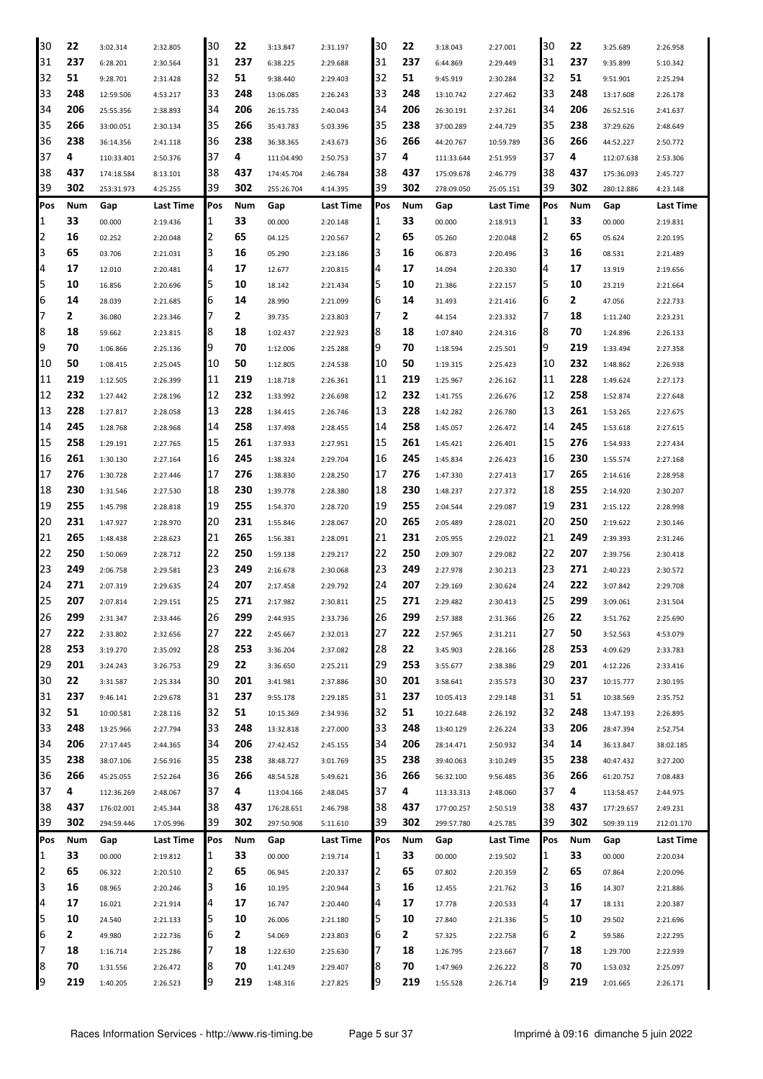| 30  | 22  | 3:02.314   | 2:32.805  | 30  | 22  | 3:13.847   | 2:31.197  | 30  | 22  | 3:18.043   | 2:27.001  | 30         | 22  | 3:25.689   | 2:26.958   |
|-----|-----|------------|-----------|-----|-----|------------|-----------|-----|-----|------------|-----------|------------|-----|------------|------------|
| 31  | 237 | 6:28.201   | 2:30.564  | 31  | 237 | 6:38.225   | 2:29.688  | 31  | 237 | 6:44.869   | 2:29.449  | 31         | 237 | 9:35.899   | 5:10.342   |
| 32  | 51  | 9:28.701   | 2:31.428  | 32  | 51  | 9:38.440   | 2:29.403  | 32  | 51  | 9:45.919   | 2:30.284  | 32         | 51  | 9:51.901   | 2:25.294   |
| 33  | 248 | 12:59.506  | 4:53.217  | 33  | 248 | 13:06.085  | 2:26.243  | 33  | 248 | 13:10.742  | 2:27.462  | 33         | 248 | 13:17.608  | 2:26.178   |
| 34  | 206 | 25:55.356  | 2:38.893  | 34  | 206 | 26:15.735  | 2:40.043  | 34  | 206 | 26:30.191  | 2:37.261  | 34         | 206 | 26:52.516  | 2:41.637   |
| 35  | 266 | 33:00.051  | 2:30.134  | 35  | 266 | 35:43.783  | 5:03.396  | 35  | 238 | 37:00.289  | 2:44.729  | 35         | 238 | 37:29.626  | 2:48.649   |
| 36  | 238 | 36:14.356  | 2:41.118  | 36  | 238 | 36:38.365  | 2:43.673  | 36  | 266 | 44:20.767  | 10:59.789 | 36         | 266 | 44:52.227  | 2:50.772   |
| 37  | 4   | 110:33.401 | 2:50.376  | 37  | 4   | 111:04.490 | 2:50.753  | 37  | 4   | 111:33.644 | 2:51.959  | 37         | 4   | 112:07.638 | 2:53.306   |
| 38  | 437 | 174:18.584 | 8:13.101  | 38  | 437 | 174:45.704 | 2:46.784  | 38  | 437 | 175:09.678 | 2:46.779  | 38         | 437 | 175:36.093 | 2:45.727   |
| 39  | 302 | 253:31.973 | 4:25.255  | 39  | 302 | 255:26.704 | 4:14.395  | 39  | 302 | 278:09.050 | 25:05.151 | 39         | 302 | 280:12.886 | 4:23.148   |
| Pos | Num | Gap        | Last Time | Pos | Num | Gap        | Last Time | Pos | Num |            |           | <b>Pos</b> | Num | Gap        | Last Time  |
|     |     |            |           |     |     |            |           |     |     | Gap        | Last Time |            | 33  |            |            |
| 1   | 33  | 00.000     | 2:19.436  | 1   | 33  | 00.000     | 2:20.148  | 1   | 33  | 00.000     | 2:18.913  | 11         |     | 00.000     | 2:19.831   |
| 2   | 16  | 02.252     | 2:20.048  | 2   | 65  | 04.125     | 2:20.567  | 2   | 65  | 05.260     | 2:20.048  | 2          | 65  | 05.624     | 2:20.195   |
| 3   | 65  | 03.706     | 2:21.031  | 3   | 16  | 05.290     | 2:23.186  | 3   | 16  | 06.873     | 2:20.496  | 3          | 16  | 08.531     | 2:21.489   |
| 4   | 17  | 12.010     | 2:20.481  | 4   | 17  | 12.677     | 2:20.815  | 4   | 17  | 14.094     | 2:20.330  | 4          | 17  | 13.919     | 2:19.656   |
| 5   | 10  | 16.856     | 2:20.696  | 5   | 10  | 18.142     | 2:21.434  | 5   | 10  | 21.386     | 2:22.157  | 15         | 10  | 23.219     | 2:21.664   |
| 6   | 14  | 28.039     | 2:21.685  | 6   | 14  | 28.990     | 2:21.099  | 16  | 14  | 31.493     | 2:21.416  | 6          | 2   | 47.056     | 2:22.733   |
| 7   | 2   | 36.080     | 2:23.346  | 7   | 2   | 39.735     | 2:23.803  | 7   | 2   | 44.154     | 2:23.332  | 17         | 18  | 1:11.240   | 2:23.231   |
| 8   | 18  | 59.662     | 2:23.815  | 8   | 18  | 1:02.437   | 2:22.923  | 8   | 18  | 1:07.840   | 2:24.316  | 8          | 70  | 1:24.896   | 2:26.133   |
| 9   | 70  | 1:06.866   | 2:25.136  | 9   | 70  | 1:12.006   | 2:25.288  | 9   | 70  | 1:18.594   | 2:25.501  | 19         | 219 | 1:33.494   | 2:27.358   |
| 10  | 50  | 1:08.415   | 2:25.045  | 10  | 50  | 1:12.805   | 2:24.538  | 10  | 50  | 1:19.315   | 2:25.423  | 10         | 232 | 1:48.862   | 2:26.938   |
| 11  | 219 | 1:12.505   | 2:26.399  | 11  | 219 | 1:18.718   | 2:26.361  | 11  | 219 | 1:25.967   | 2:26.162  | 11         | 228 | 1:49.624   | 2:27.173   |
| 12  | 232 | 1:27.442   | 2:28.196  | 12  | 232 | 1:33.992   | 2:26.698  | 12  | 232 | 1:41.755   | 2:26.676  | 12         | 258 | 1:52.874   | 2:27.648   |
| 13  | 228 | 1:27.817   | 2:28.058  | 13  | 228 | 1:34.415   | 2:26.746  | 13  | 228 | 1:42.282   | 2:26.780  | 13         | 261 | 1:53.265   | 2:27.675   |
| 14  | 245 | 1:28.768   | 2:28.968  | 14  | 258 | 1:37.498   | 2:28.455  | 14  | 258 | 1:45.057   | 2:26.472  | 14         | 245 | 1:53.618   | 2:27.615   |
| 15  | 258 | 1:29.191   | 2:27.765  | 15  | 261 | 1:37.933   | 2:27.951  | 15  | 261 | 1:45.421   | 2:26.401  | 15         | 276 | 1:54.933   | 2:27.434   |
| 16  | 261 | 1:30.130   | 2:27.164  | 16  | 245 | 1:38.324   | 2:29.704  | 16  | 245 | 1:45.834   | 2:26.423  | 16         | 230 | 1:55.574   | 2:27.168   |
| 17  | 276 | 1:30.728   | 2:27.446  | 17  | 276 | 1:38.830   | 2:28.250  | 17  | 276 | 1:47.330   | 2:27.413  | 17         | 265 | 2:14.616   | 2:28.958   |
| 18  | 230 | 1:31.546   | 2:27.530  | 18  | 230 | 1:39.778   | 2:28.380  | 18  | 230 | 1:48.237   | 2:27.372  | 18         | 255 | 2:14.920   | 2:30.207   |
| 19  | 255 | 1:45.798   | 2:28.818  | 19  | 255 | 1:54.370   | 2:28.720  | 19  | 255 | 2:04.544   | 2:29.087  | 19         | 231 | 2:15.122   | 2:28.998   |
| 20  | 231 | 1:47.927   | 2:28.970  | 20  | 231 | 1:55.846   | 2:28.067  | 20  | 265 | 2:05.489   | 2:28.021  | 20         | 250 | 2:19.622   | 2:30.146   |
| 21  | 265 | 1:48.438   | 2:28.623  | 21  | 265 | 1:56.381   | 2:28.091  | 21  | 231 | 2:05.955   | 2:29.022  | 21         | 249 | 2:39.393   | 2:31.246   |
| 22  | 250 |            |           | 22  | 250 |            |           | 22  | 250 | 2:09.307   |           | 22         | 207 |            |            |
| 23  | 249 | 1:50.069   | 2:28.712  | 23  | 249 | 1:59.138   | 2:29.217  |     | 249 |            | 2:29.082  | 23         | 271 | 2:39.756   | 2:30.418   |
|     |     | 2:06.758   | 2:29.581  |     |     | 2:16.678   | 2:30.068  | 23  |     | 2:27.978   | 2:30.213  |            |     | 2:40.223   | 2:30.572   |
| 24  | 271 | 2:07.319   | 2:29.635  | 24  | 207 | 2:17.458   | 2:29.792  | 24  | 207 | 2:29.169   | 2:30.624  | 24         | 222 | 3:07.842   | 2:29.708   |
| 25  | 207 | 2:07.814   | 2:29.151  | 25  | 271 | 2:17.982   | 2:30.811  | 25  | 271 | 2:29.482   | 2:30.413  | 25         | 299 | 3:09.061   | 2:31.504   |
| 26  | 299 | 2:31.347   | 2:33.446  | 26  | 299 | 2:44.935   | 2:33.736  | 26  | 299 | 2:57.388   | 2:31.366  | 26         | 22  | 3:51.762   | 2:25.690   |
| 27  | 222 | 2:33.802   | 2:32.656  | 27  | 222 | 2:45.667   | 2:32.013  | 27  | 222 | 2:57.965   | 2:31.211  | 27         | 50  | 3:52.563   | 4:53.079   |
| 28  | 253 | 3:19.270   | 2:35.092  | 28  | 253 | 3:36.204   | 2:37.082  | 28  | 22  | 3:45.903   | 2:28.166  | 28         | 253 | 4:09.629   | 2:33.783   |
| 29  | 201 | 3:24.243   | 3:26.753  | 29  | 22  | 3:36.650   | 2:25.211  | 29  | 253 | 3:55.677   | 2:38.386  | 29         | 201 | 4:12.226   | 2:33.416   |
| 30  | 22  | 3:31.587   | 2:25.334  | 30  | 201 | 3:41.981   | 2:37.886  | 30  | 201 | 3:58.641   | 2:35.573  | 30         | 237 | 10:15.777  | 2:30.195   |
| 31  | 237 | 9:46.141   | 2:29.678  | 31  | 237 | 9:55.178   | 2:29.185  | 31  | 237 | 10:05.413  | 2:29.148  | 31         | 51  | 10:38.569  | 2:35.752   |
| 32  | 51  | 10:00.581  | 2:28.116  | 32  | 51  | 10:15.369  | 2:34.936  | 32  | 51  | 10:22.648  | 2:26.192  | 32         | 248 | 13:47.193  | 2:26.895   |
| 33  | 248 | 13:25.966  | 2:27.794  | 33  | 248 | 13:32.818  | 2:27.000  | 33  | 248 | 13:40.129  | 2:26.224  | 33         | 206 | 28:47.394  | 2:52.754   |
| 34  | 206 | 27:17.445  | 2:44.365  | 34  | 206 | 27:42.452  | 2:45.155  | 34  | 206 | 28:14.471  | 2:50.932  | 34         | 14  | 36:13.847  | 38:02.185  |
| 35  | 238 | 38:07.106  | 2:56.916  | 35  | 238 | 38:48.727  | 3:01.769  | 35  | 238 | 39:40.063  | 3:10.249  | 35         | 238 | 40:47.432  | 3:27.200   |
| 36  | 266 | 45:25.055  | 2:52.264  | 36  | 266 | 48:54.528  | 5:49.621  | 36  | 266 | 56:32.100  | 9:56.485  | 36         | 266 | 61:20.752  | 7:08.483   |
| 37  | 4   | 112:36.269 | 2:48.067  | 37  | 4   | 113:04.166 | 2:48.045  | 37  | 4   | 113:33.313 | 2:48.060  | 37         | 4   | 113:58.457 | 2:44.975   |
| 38  | 437 | 176:02.001 | 2:45.344  | 38  | 437 | 176:28.651 | 2:46.798  | 38  | 437 | 177:00.257 | 2:50.519  | 38         | 437 | 177:29.657 | 2:49.231   |
| 39  | 302 | 294:59.446 | 17:05.996 | 39  | 302 | 297:50.908 | 5:11.610  | 39  | 302 | 299:57.780 | 4:25.785  | 39         | 302 | 509:39.119 | 212:01.170 |
| Pos | Num | Gap        | Last Time | Pos | Num | Gap        | Last Time | Pos | Num | Gap        | Last Time | Pos        | Num | Gap        | Last Time  |
| 1   | 33  | 00.000     | 2:19.812  | 1   | 33  | 00.000     | 2:19.714  | 1   | 33  | 00.000     | 2:19.502  | 1          | 33  | 00.000     | 2:20.034   |
| 2   | 65  | 06.322     | 2:20.510  | 2   | 65  | 06.945     | 2:20.337  | 2   | 65  | 07.802     | 2:20.359  | 2          | 65  | 07.864     | 2:20.096   |
| 3   | 16  | 08.965     | 2:20.246  | 3   | 16  | 10.195     | 2:20.944  | 3   | 16  | 12.455     | 2:21.762  | 3          | 16  | 14.307     | 2:21.886   |
| 4   | 17  | 16.021     | 2:21.914  | 4   | 17  | 16.747     | 2:20.440  | 4   | 17  | 17.778     | 2:20.533  | 4          | 17  | 18.131     | 2:20.387   |
| 5   | 10  | 24.540     | 2:21.133  | 5   | 10  | 26.006     | 2:21.180  | 5   | 10  | 27.840     | 2:21.336  | 5          | 10  | 29.502     | 2:21.696   |
| 6   | 2   | 49.980     |           | 6   | 2   |            |           | 6   | 2   |            |           | 6          | 2   |            |            |
| 7   | 18  |            | 2:22.736  | 7   | 18  | 54.069     | 2:23.803  | 7   | 18  | 57.325     | 2:22.758  | 17         | 18  | 59.586     | 2:22.295   |
| 8   | 70  | 1:16.714   | 2:25.286  |     |     | 1:22.630   | 2:25.630  |     | 70  | 1:26.795   | 2:23.667  | 8          | 70  | 1:29.700   | 2:22.939   |
|     |     | 1:31.556   | 2:26.472  | 8   | 70  | 1:41.249   | 2:29.407  | 8   |     | 1:47.969   | 2:26.222  |            |     | 1:53.032   | 2:25.097   |
| 9   | 219 | 1:40.205   | 2:26.523  | 9   | 219 | 1:48.316   | 2:27.825  | 9   | 219 | 1:55.528   | 2:26.714  | 9          | 219 | 2:01.665   | 2:26.171   |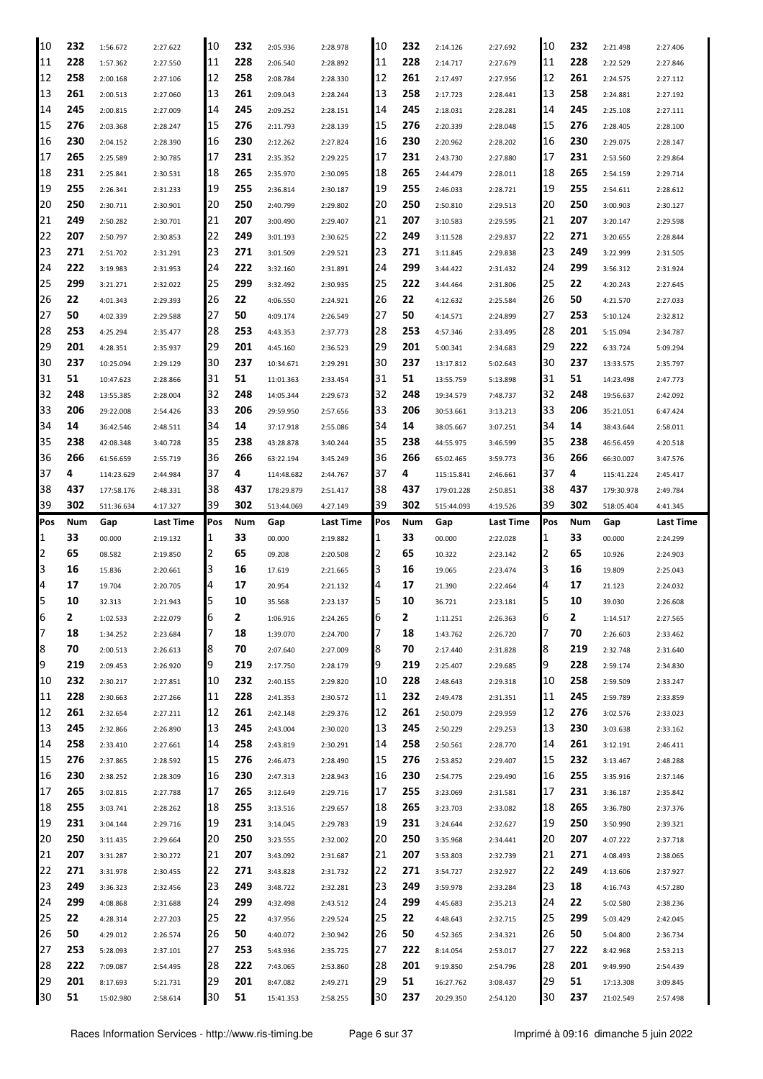| 10       | 232       | 1:56.672              | 2:27.622             | 10       | 232       | 2:05.936              | 2:28.978             | 10       | 232       | 2:14.126               | 2:27.692             | 10       | 232       | 2:21.498               | 2:27.406             |
|----------|-----------|-----------------------|----------------------|----------|-----------|-----------------------|----------------------|----------|-----------|------------------------|----------------------|----------|-----------|------------------------|----------------------|
| 11       | 228       | 1:57.362              | 2:27.550             | 11       | 228       | 2:06.540              | 2:28.892             | 11       | 228       | 2:14.717               | 2:27.679             | 11       | 228       | 2:22.529               | 2:27.846             |
| 12       | 258       | 2:00.168              | 2:27.106             | 12       | 258       | 2:08.784              | 2:28.330             | 12       | 261       | 2:17.497               | 2:27.956             | 12       | 261       | 2:24.575               | 2:27.112             |
| 13       | 261       | 2:00.513              | 2:27.060             | 13       | 261       | 2:09.043              | 2:28.244             | 13       | 258       | 2:17.723               | 2:28.441             | 13       | 258       | 2:24.881               | 2:27.192             |
| 14       | 245       | 2:00.815              | 2:27.009             | 14       | 245       | 2:09.252              | 2:28.151             | 14       | 245       | 2:18.031               | 2:28.281             | 14       | 245       | 2:25.108               | 2:27.111             |
| 15       | 276       | 2:03.368              | 2:28.247             | 15       | 276       | 2:11.793              | 2:28.139             | 15       | 276       | 2:20.339               | 2:28.048             | 15       | 276       | 2:28.405               | 2:28.100             |
| 16       | 230       | 2:04.152              | 2:28.390             | 16       | 230       | 2:12.262              | 2:27.824             | 16       | 230       | 2:20.962               | 2:28.202             | 16       | 230       | 2:29.075               | 2:28.147             |
| 17       | 265       | 2:25.589              | 2:30.785             | 17       | 231       | 2:35.352              | 2:29.225             | 17       | 231       | 2:43.730               | 2:27.880             | 17       | 231       | 2:53.560               | 2:29.864             |
| 18       | 231       | 2:25.841              | 2:30.531             | 18       | 265       | 2:35.970              | 2:30.095             | 18       | 265       | 2:44.479               | 2:28.011             | 18       | 265       | 2:54.159               | 2:29.714             |
| 19       | 255       |                       |                      | 19       | 255       |                       |                      | 19       | 255       |                        |                      | 19       | 255       |                        |                      |
|          | 250       | 2:26.341              | 2:31.233             |          | 250       | 2:36.814              | 2:30.187             | 20       |           | 2:46.033               | 2:28.721             | 20       | 250       | 2:54.611               | 2:28.612             |
| 20       |           | 2:30.711              | 2:30.901             | 20       |           | 2:40.799              | 2:29.802             |          | 250       | 2:50.810               | 2:29.513             |          |           | 3:00.903               | 2:30.127             |
| 21       | 249       | 2:50.282              | 2:30.701             | 21       | 207       | 3:00.490              | 2:29.407             | 21       | 207       | 3:10.583               | 2:29.595             | 21       | 207       | 3:20.147               | 2:29.598             |
| 22       | 207       | 2:50.797              | 2:30.853             | 22       | 249       | 3:01.193              | 2:30.625             | 22       | 249       | 3:11.528               | 2:29.837             | 22       | 271       | 3:20.655               | 2:28.844             |
| 23       | 271       | 2:51.702              | 2:31.291             | 23       | 271       | 3:01.509              | 2:29.521             | 23       | 271       | 3:11.845               | 2:29.838             | 23       | 249       | 3:22.999               | 2:31.505             |
| 24       | 222       | 3:19.983              | 2:31.953             | 24       | 222       | 3:32.160              | 2:31.891             | 24       | 299       | 3:44.422               | 2:31.432             | 24       | 299       | 3:56.312               | 2:31.924             |
| 25       | 299       | 3:21.271              | 2:32.022             | 25       | 299       | 3:32.492              | 2:30.935             | 25       | 222       | 3:44.464               | 2:31.806             | 25       | 22        | 4:20.243               | 2:27.645             |
| 26       | 22        | 4:01.343              | 2:29.393             | 26       | 22        | 4:06.550              | 2:24.921             | 26       | 22        | 4:12.632               | 2:25.584             | 26       | 50        | 4:21.570               | 2:27.033             |
| 27       | 50        | 4:02.339              | 2:29.588             | 27       | 50        | 4:09.174              | 2:26.549             | 27       | 50        | 4:14.571               | 2:24.899             | 27       | 253       | 5:10.124               | 2:32.812             |
| 28       | 253       | 4:25.294              | 2:35.477             | 28       | 253       | 4:43.353              | 2:37.773             | 28       | 253       | 4:57.346               | 2:33.495             | 28       | 201       | 5:15.094               | 2:34.787             |
| 29       | 201       | 4:28.351              | 2:35.937             | 29       | 201       | 4:45.160              | 2:36.523             | 29       | 201       | 5:00.341               | 2:34.683             | 29       | 222       | 6:33.724               | 5:09.294             |
| 30       | 237       | 10:25.094             | 2:29.129             | 30       | 237       | 10:34.671             | 2:29.291             | 30       | 237       | 13:17.812              | 5:02.643             | 30       | 237       | 13:33.575              | 2:35.797             |
| 31       | 51        | 10:47.623             | 2:28.866             | 31       | 51        | 11:01.363             | 2:33.454             | 31       | 51        | 13:55.759              | 5:13.898             | 31       | 51        | 14:23.498              | 2:47.773             |
| 32       | 248       | 13:55.385             | 2:28.004             | 32       | 248       | 14:05.344             | 2:29.673             | 32       | 248       | 19:34.579              | 7:48.737             | 32       | 248       | 19:56.637              | 2:42.092             |
| 33       | 206       | 29:22.008             | 2:54.426             | 33       | 206       | 29:59.950             | 2:57.656             | 33       | 206       | 30:53.661              | 3:13.213             | 33       | 206       | 35:21.051              | 6:47.424             |
| 34       | 14        | 36:42.546             | 2:48.511             | 34       | 14        | 37:17.918             | 2:55.086             | 34       | 14        | 38:05.667              | 3:07.251             | 34       | 14        | 38:43.644              | 2:58.011             |
| 35       | 238       | 42:08.348             | 3:40.728             | 35       | 238       | 43:28.878             | 3:40.244             | 35       | 238       | 44:55.975              | 3:46.599             | 35       | 238       | 46:56.459              | 4:20.518             |
| 36       | 266       | 61:56.659             | 2:55.719             | 36       | 266       | 63:22.194             | 3:45.249             | 36       | 266       | 65:02.465              | 3:59.773             | 36       | 266       | 66:30.007              | 3:47.576             |
| 37       | 4         | 114:23.629            | 2:44.984             | 37       | 4         | 114:48.682            | 2:44.767             | 37       | 4         | 115:15.841             | 2:46.661             | 37       | 4         | 115:41.224             | 2:45.417             |
| 38       | 437       | 177:58.176            | 2:48.331             | 38       | 437       | 178:29.879            | 2:51.417             | 38       | 437       | 179:01.228             | 2:50.851             | 38       | 437       | 179:30.978             | 2:49.784             |
| 39       | 302       | 511:36.634            | 4:17.327             | 39       | 302       | 513:44.069            | 4:27.149             | 39       | 302       | 515:44.093             | 4:19.526             | 39       | 302       | 518:05.404             | 4:41.345             |
|          |           |                       |                      |          |           |                       |                      |          |           |                        |                      |          |           |                        |                      |
|          |           |                       |                      |          |           |                       |                      |          |           |                        |                      |          |           |                        |                      |
| Pos      | Num       | Gap                   | Last Time            | Pos      | Num       | Gap                   | Last Time            | Pos<br>1 | Num       | Gap                    | Last Time            | Pos      | Num       | Gap                    | Last Time            |
| 1        | 33        | 00.000                | 2:19.132             | 1        | 33        | 00.000                | 2:19.882             |          | 33        | 00.000                 | 2:22.028             | 11       | 33        | 00.000                 | 2:24.299             |
| 2        | 65        | 08.582                | 2:19.850             | 2        | 65        | 09.208                | 2:20.508             | 2        | 65        | 10.322                 | 2:23.142             | 2        | 65        | 10.926                 | 2:24.903             |
| 3        | 16        | 15.836                | 2:20.661             | 3        | 16        | 17.619                | 2:21.665             | З        | 16        | 19.065                 | 2:23.474             | IЗ       | 16        | 19.809                 | 2:25.043             |
| 4        | 17        | 19.704                | 2:20.705             | 4        | 17        | 20.954                | 2:21.132             | 4        | 17        | 21.390                 | 2:22.464             | 4        | 17        | 21.123                 | 2:24.032             |
| 5        | 10        | 32.313                | 2:21.943             | 5        | 10        | 35.568                | 2:23.137             | 5        | 10        | 36.721                 | 2:23.181             | 5        | 10        | 39.030                 | 2:26.608             |
| IЮ       | 2         | 1:02.533              | 2:22.079             | ь        | 2         | 1:06.916              | 2:24.265             | ь        | 2         | 1:11.251               | 2:26.363             | Iр       | 2         | 1:14.517               | 2:27.565             |
| 7        | 18        | 1:34.252              | 2:23.684             | 7        | 18        | 1:39.070              | 2:24.700             | 7        | 18        | 1:43.762               | 2:26.720             | 17       | 70        | 2:26.603               | 2:33.462             |
| 8        | 70        | 2:00.513              | 2:26.613             | 8        | 70        | 2:07.640              | 2:27.009             | 8        | 70        | 2:17.440               | 2:31.828             | 8        | 219       | 2:32.748               | 2:31.640             |
| 9        | 219       | 2:09.453              | 2:26.920             | 9        | 219       | 2:17.750              | 2:28.179             | 9        | 219       | 2:25.407               | 2:29.685             | 9        | 228       | 2:59.174               | 2:34.830             |
| 10       | 232       | 2:30.217              | 2:27.851             | 10       | 232       | 2:40.155              | 2:29.820             | 10       | 228       | 2:48.643               | 2:29.318             | 10       | 258       | 2:59.509               | 2:33.247             |
| 11       | 228       | 2:30.663              | 2:27.266             | 11       | 228       | 2:41.353              | 2:30.572             | 11       | 232       | 2:49.478               | 2:31.351             | 11       | 245       | 2:59.789               | 2:33.859             |
| 12       | 261       | 2:32.654              | 2:27.211             | 12       | 261       | 2:42.148              | 2:29.376             | 12       | 261       | 2:50.079               | 2:29.959             | 12       | 276       | 3:02.576               | 2:33.023             |
| 13       | 245       | 2:32.866              | 2:26.890             | 13       | 245       | 2:43.004              | 2:30.020             | 13       | 245       | 2:50.229               | 2:29.253             | 13       | 230       | 3:03.638               | 2:33.162             |
| 14       | 258       | 2:33.410              | 2:27.661             | 14       | 258       | 2:43.819              | 2:30.291             | 14       | 258       | 2:50.561               | 2:28.770             | 14       | 261       | 3:12.191               | 2:46.411             |
| 15       | 276       | 2:37.865              | 2:28.592             | 15       | 276       | 2:46.473              | 2:28.490             | 15       | 276       | 2:53.852               | 2:29.407             | 15       | 232       | 3:13.467               | 2:48.288             |
| 16       | 230       | 2:38.252              | 2:28.309             | 16       | 230       | 2:47.313              | 2:28.943             | 16       | 230       | 2:54.775               | 2:29.490             | 16       | 255       | 3:35.916               | 2:37.146             |
| 17       | 265       | 3:02.815              | 2:27.788             | 17       | 265       | 3:12.649              | 2:29.716             | 17       | 255       | 3:23.069               | 2:31.581             | 17       | 231       | 3:36.187               | 2:35.842             |
| 18       | 255       | 3:03.741              | 2:28.262             | 18       | 255       | 3:13.516              | 2:29.657             | 18       | 265       | 3:23.703               | 2:33.082             | 18       | 265       | 3:36.780               | 2:37.376             |
| 19       | 231       | 3:04.144              | 2:29.716             | 19       | 231       | 3:14.045              | 2:29.783             | 19       | 231       | 3:24.644               | 2:32.627             | 19       | 250       | 3:50.990               | 2:39.321             |
| 20       | 250       | 3:11.435              | 2:29.664             | 20       | 250       | 3:23.555              | 2:32.002             | 20       | 250       | 3:35.968               | 2:34.441             | 120      | 207       | 4:07.222               | 2:37.718             |
| 21       | 207       | 3:31.287              | 2:30.272             | 21       | 207       | 3:43.092              | 2:31.687             | 21       | 207       | 3:53.803               | 2:32.739             | 21       | 271       | 4:08.493               | 2:38.065             |
| 22       | 271       | 3:31.978              | 2:30.455             | 22       | 271       | 3:43.828              | 2:31.732             | 22       | 271       | 3:54.727               | 2:32.927             | 22       | 249       | 4:13.606               | 2:37.927             |
| 23       | 249       | 3:36.323              | 2:32.456             | 23       | 249       | 3:48.722              | 2:32.281             | 23       | 249       | 3:59.978               | 2:33.284             | 23       | 18        | 4:16.743               | 4:57.280             |
| 24       | 299       | 4:08.868              |                      | 24       | 299       | 4:32.498              |                      | 24       | 299       | 4:45.683               |                      | 24       | 22        | 5:02.580               | 2:38.236             |
|          | 22        |                       | 2:31.688             |          |           |                       | 2:43.512             | 25       |           |                        | 2:35.213             | 25       | 299       |                        |                      |
| 25       |           | 4:28.314              | 2:27.203             | 25       | 22        | 4:37.956              | 2:29.524             |          | 22        | 4:48.643               | 2:32.715             |          |           | 5:03.429               | 2:42.045             |
| 26       | 50        | 4:29.012              | 2:26.574             | 26       | 50        | 4:40.072              | 2:30.942             | 26       | 50        | 4:52.365               | 2:34.321             | 26       | 50        | 5:04.800               | 2:36.734             |
| 27       | 253       | 5:28.093              | 2:37.101             | 27       | 253       | 5:43.936              | 2:35.725             | 27       | 222       | 8:14.054               | 2:53.017             | 27       | 222       | 8:42.968               | 2:53.213             |
| 28       | 222       | 7:09.087              | 2:54.495             | 28       | 222       | 7:43.065              | 2:53.860             | 28       | 201       | 9:19.850               | 2:54.796             | 28       | 201       | 9:49.990               | 2:54.439             |
| 29<br>30 | 201<br>51 | 8:17.693<br>15:02.980 | 5:21.731<br>2:58.614 | 29<br>30 | 201<br>51 | 8:47.082<br>15:41.353 | 2:49.271<br>2:58.255 | 29<br>30 | 51<br>237 | 16:27.762<br>20:29.350 | 3:08.437<br>2:54.120 | 29<br>30 | 51<br>237 | 17:13.308<br>21:02.549 | 3:09.845<br>2:57.498 |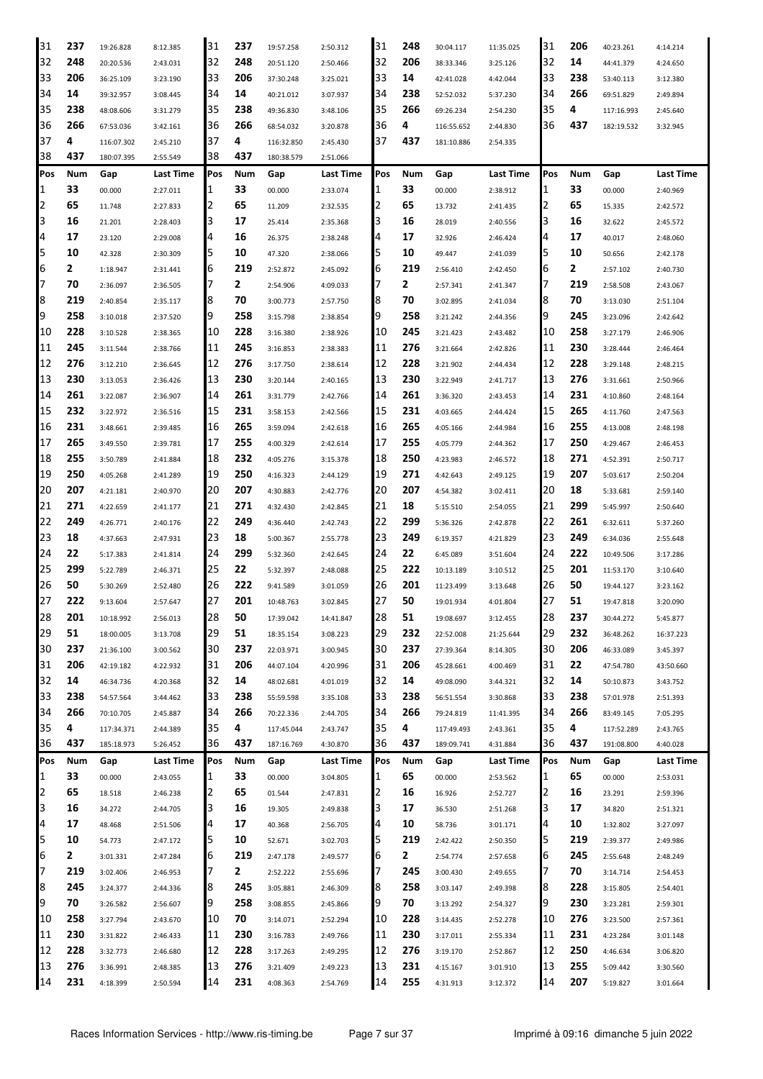| 31       | 237        | 19:26.828                | 8:12.385             | 31       | 237          | 19:57.258                | 2:50.312             | 31       | 248       | 30:04.117                | 11:35.025             | 31       | 206        | 40:23.261              | 4:14.214             |
|----------|------------|--------------------------|----------------------|----------|--------------|--------------------------|----------------------|----------|-----------|--------------------------|-----------------------|----------|------------|------------------------|----------------------|
| 32       | 248        | 20:20.536                | 2:43.031             | 32       | 248          | 20:51.120                | 2:50.466             | 32       | 206       | 38:33.346                | 3:25.126              | 32       | 14         | 44:41.379              | 4:24.650             |
| 33       | 206        | 36:25.109                | 3:23.190             | 33       | 206          | 37:30.248                | 3:25.021             | 33       | 14        | 42:41.028                | 4:42.044              | 33       | 238        | 53:40.113              | 3:12.380             |
| 34       | 14         | 39:32.957                | 3:08.445             | 34       | 14           | 40:21.012                | 3:07.937             | 34       | 238       | 52:52.032                | 5:37.230              | 34       | 266        | 69:51.829              | 2:49.894             |
| 35       | 238        | 48:08.606                | 3:31.279             | 35       | 238          | 49:36.830                | 3:48.106             | 35       | 266       | 69:26.234                | 2:54.230              | 35       | 4          | 117:16.993             | 2:45.640             |
| 36       | 266        | 67:53.036                | 3:42.161             | 36       | 266          | 68:54.032                | 3:20.878             | 36       | 4         | 116:55.652               | 2:44.830              | 36       | 437        | 182:19.532             | 3:32.945             |
| 37       | 4          | 116:07.302               | 2:45.210             | 37       | 4            | 116:32.850               | 2:45.430             | 37       | 437       | 181:10.886               | 2:54.335              |          |            |                        |                      |
| 38       | 437        | 180:07.395               | 2:55.549             | 38       | 437          | 180:38.579               | 2:51.066             |          |           |                          |                       |          |            |                        |                      |
| Pos      | <b>Num</b> | Gap                      | Last Time            | Pos      | Num          | Gap                      | Last Time            | Pos      | Num       | Gap                      | <b>Last Time</b>      | Pos      | Num        | Gap                    | <b>Last Time</b>     |
| 1        | 33         | 00.000                   | 2:27.011             | 1        | 33           | 00.000                   | 2:33.074             | 1        | 33        | 00.000                   | 2:38.912              | 1        | 33         | 00.000                 | 2:40.969             |
| 2        | 65         | 11.748                   | 2:27.833             | 2        | 65           | 11.209                   | 2:32.535             | 2        | 65        | 13.732                   | 2:41.435              | 2        | 65         | 15.335                 | 2:42.572             |
| 3        | 16         | 21.201                   | 2:28.403             | 3        | 17           | 25.414                   | 2:35.368             | 3        | 16        | 28.019                   | 2:40.556              | 3        | 16         | 32.622                 | 2:45.572             |
| 4        | 17         | 23.120                   | 2:29.008             | 4        | 16           | 26.375                   | 2:38.248             | 4        | 17        | 32.926                   | 2:46.424              | 4        | 17         | 40.017                 | 2:48.060             |
| 5        | 10         | 42.328                   | 2:30.309             | 5        | 10           | 47.320                   | 2:38.066             | 5        | 10        | 49.447                   | 2:41.039              | 5        | 10         | 50.656                 | 2:42.178             |
| 6        | 2          | 1:18.947                 | 2:31.441             | 6        | 219          | 2:52.872                 | 2:45.092             | 6        | 219       | 2:56.410                 | 2:42.450              | 6        | 2          | 2:57.102               | 2:40.730             |
| 7        | 70         | 2:36.097                 | 2:36.505             | 7        | 2            | 2:54.906                 | 4:09.033             | 7        | 2         | 2:57.341                 | 2:41.347              | 7        | 219        | 2:58.508               | 2:43.067             |
| 8        | 219        | 2:40.854                 | 2:35.117             | 8        | 70           | 3:00.773                 | 2:57.750             | 8        | 70        | 3:02.895                 | 2:41.034              | 8        | 70         | 3:13.030               | 2:51.104             |
| 9        | 258        | 3:10.018                 | 2:37.520             | 9        | 258          | 3:15.798                 | 2:38.854             | 9        | 258       | 3:21.242                 | 2:44.356              | 9        | 245        | 3:23.096               | 2:42.642             |
| 10       | 228        | 3:10.528                 | 2:38.365             | 10       | 228          | 3:16.380                 | 2:38.926             | 10       | 245       | 3:21.423                 | 2:43.482              | 10       | 258        | 3:27.179               | 2:46.906             |
| 11       | 245        | 3:11.544                 | 2:38.766             | 11       | 245          | 3:16.853                 | 2:38.383             | 11       | 276       | 3:21.664                 | 2:42.826              | 11       | 230        | 3:28.444               | 2:46.464             |
| 12       | 276        | 3:12.210                 | 2:36.645             | 12       | 276          | 3:17.750                 | 2:38.614             | 12       | 228       | 3:21.902                 | 2:44.434              | 12       | 228        | 3:29.148               | 2:48.215             |
| 13       | 230        | 3:13.053                 | 2:36.426             | 13       | 230          | 3:20.144                 | 2:40.165             | 13       | 230       | 3:22.949                 | 2:41.717              | 13       | 276        | 3:31.661               | 2:50.966             |
| 14       | 261        | 3:22.087                 | 2:36.907             | 14       | 261          | 3:31.779                 | 2:42.766             | 14       | 261       | 3:36.320                 | 2:43.453              | 14       | 231        | 4:10.860               | 2:48.164             |
| 15       | 232        | 3:22.972                 | 2:36.516             | 15       | 231          | 3:58.153                 |                      | 15       | 231       | 4:03.665                 |                       | 15       | 265        | 4:11.760               |                      |
| 16       | 231        |                          |                      | 16       | 265          |                          | 2:42.566             | 16       | 265       |                          | 2:44.424              | 16       | 255        |                        | 2:47.563             |
| 17       | 265        | 3:48.661                 | 2:39.485             | 17       | 255          | 3:59.094                 | 2:42.618             | 17       | 255       | 4:05.166                 | 2:44.984              | 17       | 250        | 4:13.008               | 2:48.198             |
| 18       | 255        | 3:49.550                 | 2:39.781             | 18       | 232          | 4:00.329                 | 2:42.614             | 18       | 250       | 4:05.779                 | 2:44.362              | 18       | 271        | 4:29.467               | 2:46.453             |
| 19       | 250        | 3:50.789                 | 2:41.884             | 19       | 250          | 4:05.276                 | 3:15.378             | 19       | 271       | 4:23.983                 | 2:46.572              | 19       | 207        | 4:52.391               | 2:50.717             |
| 20       | 207        | 4:05.268                 | 2:41.289             | 20       | 207          | 4:16.323                 | 2:44.129             | 20       | 207       | 4:42.643                 | 2:49.125              | 20       | 18         | 5:03.617               | 2:50.204             |
| 21       | 271        | 4:21.181                 | 2:40.970             | 21       | 271          | 4:30.883                 | 2:42.776             | 21       | 18        | 4:54.382                 | 3:02.411              | 21       | 299        | 5:33.681               | 2:59.140             |
|          | 249        | 4:22.659                 | 2:41.177             |          | 249          | 4:32.430                 | 2:42.845             |          | 299       | 5:15.510                 | 2:54.055              | 22       |            | 5:45.997               | 2:50.640             |
| 22       | 18         | 4:26.771                 | 2:40.176             | 22<br>23 |              | 4:36.440                 | 2:42.743             | 22<br>23 | 249       | 5:36.326                 | 2:42.878              | 23       | 261        | 6:32.611               | 5:37.260             |
| 23       | 22         | 4:37.663                 | 2:47.931             |          | 18           | 5:00.367                 | 2:55.778             |          |           | 6:19.357                 | 4:21.829              |          | 249<br>222 | 6:34.036               | 2:55.648             |
| 24       | 299        | 5:17.383                 | 2:41.814             | 24       | 299          | 5:32.360                 | 2:42.645             | 24       | 22<br>222 | 6:45.089                 | 3:51.604              | 24<br>25 |            | 10:49.506              | 3:17.286             |
| 25       | 50         | 5:22.789                 | 2:46.371             | 25<br>26 | 22           | 5:32.397                 | 2:48.088             | 25       |           | 10:13.189                | 3:10.512              | 26       | 201<br>50  | 11:53.170              | 3:10.640             |
| 26<br>27 | 222        | 5:30.269                 | 2:52.480             | 27       | 222          | 9:41.589                 | 3:01.059             | 26<br>27 | 201<br>50 | 11:23.499                | 3:13.648              | 27       |            | 19:44.127              | 3:23.162             |
|          |            | 9:13.604                 | 2:57.647             |          | 201          | 10:48.763                | 3:02.845             |          |           | 19:01.934                | 4:01.804              | 28       | 51         | 19:47.818              | 3:20.090             |
| 28<br>29 | 201<br>51  | 10:18.992                | 2:56.013             | 28<br>29 | 50<br>51     | 17:39.042                | 14:41.847            | 28<br>29 | 51<br>232 | 19:08.697                | 3:12.455              | 29       | 237<br>232 | 30:44.272              | 5:45.877             |
| 30       | 237        | 18:00.005                | 3:13.708             | 30       | 237          | 18:35.154                | 3:08.223             | 30       | 237       | 22:52.008                | 21:25.644             | 30       | 206        | 36:48.262              | 16:37.223            |
| 31       | 206        | 21:36.100                | 3:00.562             | 31       | 206          | 22:03.971                | 3:00.945             | 31       | 206       | 27:39.364                | 8:14.305              | 31       | 22         | 46:33.089              | 3:45.397             |
| 32       | 14         | 42:19.182                | 4:22.932             | 32       | 14           | 44:07.104                | 4:20.996             | 32       | 14        | 45:28.661                | 4:00.469              | 32       | 14         | 47:54.780              | 43:50.660            |
|          |            | 46:34.736                | 4:20.368             |          |              | 48:02.681                | 4:01.019             |          | 238       | 49:08.090                | 3:44.321              | 33       |            | 50:10.873              | 3:43.752             |
| 33<br>34 | 238<br>266 | 54:57.564<br>70:10.705   | 3:44.462<br>2:45.887 | 33<br>34 | 238<br>266   | 55:59.598<br>70:22.336   | 3:35.108             | 33<br>34 | 266       | 56:51.554<br>79:24.819   | 3:30.868<br>11:41.395 | 34       | 238<br>266 | 57:01.978<br>83:49.145 | 2:51.393<br>7:05.295 |
| 35       | 4          |                          |                      | 35       | 4            |                          | 2:44.705             | 35       | 4         |                          |                       | 35       | 4          | 117:52.289             |                      |
| 36       | 437        | 117:34.371<br>185:18.973 | 2:44.389<br>5:26.452 | 36       | 437          | 117:45.044<br>187:16.769 | 2:43.747<br>4:30.870 | 36       | 437       | 117:49.493<br>189:09.741 | 2:43.361<br>4:31.884  | 36       | 437        | 191:08.800             | 2:43.765<br>4:40.028 |
| Pos      | Num        | Gap                      | <b>Last Time</b>     | Pos      | Num          | Gap                      | <b>Last Time</b>     | Pos      | Num       | Gap                      | Last Time             | Pos      | Num        | Gap                    | Last Time            |
| 1        | 33         | 00.000                   | 2:43.055             | 1        | 33           | 00.000                   | 3:04.805             | 1        | 65        | 00.000                   | 2:53.562              | 1        | 65         | 00.000                 | 2:53.031             |
| 2        | 65         | 18.518                   | 2:46.238             | 2        | 65           | 01.544                   | 2:47.831             | 2        | 16        | 16.926                   | 2:52.727              | 2        | 16         | 23.291                 | 2:59.396             |
| 3        | 16         | 34.272                   | 2:44.705             | 3        | 16           | 19.305                   | 2:49.838             | 3        | 17        | 36.530                   | 2:51.268              | 3        | 17         | 34.820                 | 2:51.321             |
| 4        | 17         | 48.468                   | 2:51.506             | 4        | 17           | 40.368                   | 2:56.705             | 4        | 10        | 58.736                   | 3:01.171              | 4        | 10         | 1:32.802               | 3:27.097             |
| 5        | 10         | 54.773                   | 2:47.172             | 5        | 10           | 52.671                   | 3:02.703             | 5        | 219       | 2:42.422                 | 2:50.350              | 5        | 219        | 2:39.377               | 2:49.986             |
| 6        | 2          | 3:01.331                 | 2:47.284             | 6        | 219          | 2:47.178                 | 2:49.577             | 6        | 2         | 2:54.774                 | 2:57.658              | 6        | 245        | 2:55.648               | 2:48.249             |
| 7        | 219        | 3:02.406                 | 2:46.953             | 7        | $\mathbf{2}$ | 2:52.222                 | 2:55.696             | 7        | 245       | 3:00.430                 | 2:49.655              | 7        | 70         | 3:14.714               | 2:54.453             |
| 8        | 245        | 3:24.377                 | 2:44.336             | 8        | 245          | 3:05.881                 | 2:46.309             | 8        | 258       | 3:03.147                 | 2:49.398              | 8        | 228        | 3:15.805               | 2:54.401             |
| 9        | 70         | 3:26.582                 | 2:56.607             | 9        | 258          | 3:08.855                 | 2:45.866             | 9        | 70        | 3:13.292                 | 2:54.327              | 9        | 230        | 3:23.281               | 2:59.301             |
| 10       | 258        | 3:27.794                 | 2:43.670             | 10       | 70           | 3:14.071                 | 2:52.294             | 10       | 228       | 3:14.435                 | 2:52.278              | 10       | 276        | 3:23.500               | 2:57.361             |
| 11       | 230        |                          |                      | 11       | 230          |                          |                      | 11       | 230       |                          |                       | 11       | 231        |                        |                      |
| 12       | 228        | 3:31.822                 | 2:46.433             | 12       | 228          | 3:16.783                 | 2:49.766             | 12       | 276       | 3:17.011                 | 2:55.334              | 12       | 250        | 4:23.284               | 3:01.148             |
| 13       | 276        | 3:32.773<br>3:36.991     | 2:46.680<br>2:48.385 | 13       | 276          | 3:17.263<br>3:21.409     | 2:49.295             | 13       | 231       | 3:19.170<br>4:15.167     | 2:52.867              | 13       | 255        | 4:46.634<br>5:09.442   | 3:06.820             |
| 14       | 231        |                          |                      | 14       | 231          |                          | 2:49.223             | 14       | 255       |                          | 3:01.910              | 14       | 207        |                        | 3:30.560             |
|          |            | 4:18.399                 | 2:50.594             |          |              | 4:08.363                 | 2:54.769             |          |           | 4:31.913                 | 3:12.372              |          |            | 5:19.827               | 3:01.664             |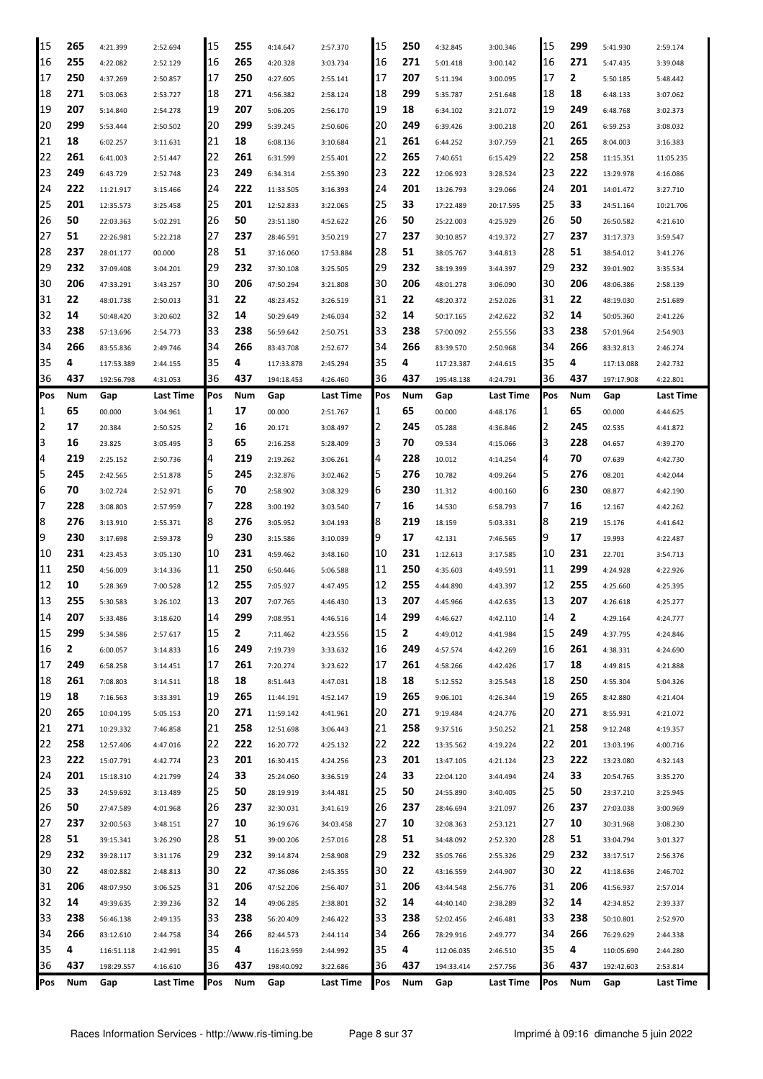| 15          | 265 | 4:21.399   | 2:52.694  | 15  | 255 | 4:14.647   | 2:57.370  | 15  | 250 | 4:32.845   | 3:00.346  | 15  | 299 | 5:41.930   | 2:59.174         |
|-------------|-----|------------|-----------|-----|-----|------------|-----------|-----|-----|------------|-----------|-----|-----|------------|------------------|
| 16          | 255 | 4:22.082   | 2:52.129  | 16  | 265 | 4:20.328   | 3:03.734  | 16  | 271 | 5:01.418   | 3:00.142  | 16  | 271 | 5:47.435   | 3:39.048         |
| 17          | 250 | 4:37.269   | 2:50.857  | 17  | 250 | 4:27.605   | 2:55.141  | 17  | 207 | 5:11.194   | 3:00.095  | 17  | 2   | 5:50.185   | 5:48.442         |
| 18          | 271 | 5:03.063   | 2:53.727  | 18  | 271 | 4:56.382   | 2:58.124  | 18  | 299 | 5:35.787   | 2:51.648  | 18  | 18  | 6:48.133   | 3:07.062         |
| 19          | 207 | 5:14.840   | 2:54.278  | 19  | 207 | 5:06.205   | 2:56.170  | 19  | 18  | 6:34.102   | 3:21.072  | 19  | 249 | 6:48.768   | 3:02.373         |
| 20          | 299 | 5:53.444   | 2:50.502  | 20  | 299 | 5:39.245   | 2:50.606  | 20  | 249 | 6:39.426   | 3:00.218  | 20  | 261 | 6:59.253   | 3:08.032         |
| 21          | 18  | 6:02.257   | 3:11.631  | 21  | 18  | 6:08.136   | 3:10.684  | 21  | 261 | 6:44.252   | 3:07.759  | 21  | 265 | 8:04.003   | 3:16.383         |
| 22          | 261 | 6:41.003   | 2:51.447  | 22  | 261 | 6:31.599   | 2:55.401  | 22  | 265 | 7:40.651   | 6:15.429  | 22  | 258 | 11:15.351  | 11:05.235        |
| 23          | 249 | 6:43.729   | 2:52.748  | 23  | 249 | 6:34.314   | 2:55.390  | 23  | 222 | 12:06.923  | 3:28.524  | 23  | 222 | 13:29.978  | 4:16.086         |
| 24          | 222 | 11:21.917  | 3:15.466  | 24  | 222 | 11:33.505  | 3:16.393  | 24  | 201 | 13:26.793  | 3:29.066  | 24  | 201 | 14:01.472  | 3:27.710         |
| 25          | 201 | 12:35.573  | 3:25.458  | 25  | 201 | 12:52.833  | 3:22.065  | 25  | 33  | 17:22.489  | 20:17.595 | 25  | 33  | 24:51.164  | 10:21.706        |
| 26          | 50  | 22:03.363  | 5:02.291  | 26  | 50  | 23:51.180  | 4:52.622  | 26  | 50  | 25:22.003  | 4:25.929  | 26  | 50  | 26:50.582  | 4:21.610         |
| 27          | 51  | 22:26.981  | 5:22.218  | 27  | 237 | 28:46.591  | 3:50.219  | 27  | 237 | 30:10.857  | 4:19.372  | 27  | 237 | 31:17.373  | 3:59.547         |
| 28          | 237 | 28:01.177  | 00.000    | 28  | 51  | 37:16.060  | 17:53.884 | 28  | 51  | 38:05.767  | 3:44.813  | 28  | 51  | 38:54.012  | 3:41.276         |
| 29          | 232 | 37:09.408  | 3:04.201  | 29  | 232 | 37:30.108  | 3:25.505  | 29  | 232 | 38:19.399  | 3:44.397  | 29  | 232 | 39:01.902  | 3:35.534         |
| 30          | 206 | 47:33.291  | 3:43.257  | 30  | 206 | 47:50.294  | 3:21.808  | 30  | 206 | 48:01.278  | 3:06.090  | 30  | 206 | 48:06.386  | 2:58.139         |
| 31          | 22  | 48:01.738  | 2:50.013  | 31  | 22  | 48:23.452  | 3:26.519  | 31  | 22  | 48:20.372  | 2:52.026  | 31  | 22  | 48:19.030  | 2:51.689         |
| 32          | 14  | 50:48.420  | 3:20.602  | 32  | 14  | 50:29.649  | 2:46.034  | 32  | 14  | 50:17.165  | 2:42.622  | 32  | 14  | 50:05.360  | 2:41.226         |
| 33          | 238 | 57:13.696  | 2:54.773  | 33  | 238 | 56:59.642  | 2:50.751  | 33  | 238 | 57:00.092  | 2:55.556  | 33  | 238 | 57:01.964  | 2:54.903         |
| 34          | 266 | 83:55.836  | 2:49.746  | 34  | 266 | 83:43.708  | 2:52.677  | 34  | 266 | 83:39.570  | 2:50.968  | 34  | 266 | 83:32.813  | 2:46.274         |
| 35          | 4   | 117:53.389 | 2:44.155  | 35  | 4   | 117:33.878 | 2:45.294  | 35  | 4   | 117:23.387 | 2:44.615  | 35  | 4   | 117:13.088 | 2:42.732         |
| 36          | 437 | 192:56.798 | 4:31.053  | 36  | 437 | 194:18.453 | 4:26.460  | 36  | 437 | 195:48.138 | 4:24.791  | 36  | 437 | 197:17.908 | 4:22.801         |
| Pos         | Num | Gap        | Last Time | Pos | Num | Gap        | Last Time | Pos | Num | Gap        | Last Time | Pos | Num | Gap        | Last Time        |
| $\mathbf 1$ | 65  | 00.000     | 3:04.961  | 1   | 17  | 00.000     | 2:51.767  | 11  | 65  | 00.000     | 4:48.176  | 1   | 65  | 00.000     | 4:44.625         |
| 2           | 17  | 20.384     | 2:50.525  | 2   | 16  | 20.171     | 3:08.497  | 12  | 245 | 05.288     | 4:36.846  | 2   | 245 | 02.535     | 4:41.872         |
| 3           | 16  | 23.825     | 3:05.495  | 3   | 65  | 2:16.258   | 5:28.409  | 13  | 70  | 09.534     | 4:15.066  | 3   | 228 | 04.657     | 4:39.270         |
| 4           | 219 | 2:25.152   | 2:50.736  | 4   | 219 | 2:19.262   | 3:06.261  | 14  | 228 | 10.012     | 4:14.254  | 4   | 70  | 07.639     | 4:42.730         |
| 5           | 245 | 2:42.565   | 2:51.878  | 5   | 245 | 2:32.876   | 3:02.462  | I5  | 276 | 10.782     | 4:09.264  | 5   | 276 | 08.201     | 4:42.044         |
| 6           | 70  | 3:02.724   | 2:52.971  | 6   | 70  | 2:58.902   | 3:08.329  | 6   | 230 | 11.312     | 4:00.160  | 6   | 230 | 08.877     | 4:42.190         |
| 7           | 228 | 3:08.803   | 2:57.959  | 7   | 228 | 3:00.192   | 3:03.540  |     | 16  | 14.530     | 6:58.793  |     | 16  | 12.167     | 4:42.262         |
| 8           | 276 | 3:13.910   | 2:55.371  | 8   | 276 | 3:05.952   | 3:04.193  | 18  | 219 | 18.159     | 5:03.331  | 8   | 219 | 15.176     | 4:41.642         |
| 9           | 230 | 3:17.698   | 2:59.378  | 9   | 230 | 3:15.586   | 3:10.039  | 19  | 17  | 42.131     | 7:46.565  | 9   | 17  | 19.993     | 4:22.487         |
| 10          | 231 | 4:23.453   | 3:05.130  | 10  | 231 | 4:59.462   | 3:48.160  | 10  | 231 | 1:12.613   | 3:17.585  | 10  | 231 | 22.701     | 3:54.713         |
| 11          | 250 | 4:56.009   | 3:14.336  | 11  | 250 | 6:50.446   | 5:06.588  | 11  | 250 | 4:35.603   | 4:49.591  | 11  | 299 | 4:24.928   | 4:22.926         |
| 12          | 10  | 5:28.369   | 7:00.528  | 12  | 255 | 7:05.927   | 4:47.495  | 12  | 255 | 4:44.890   | 4:43.397  | 12  | 255 | 4:25.660   | 4:25.395         |
| 13          | 255 | 5:30.583   | 3:26.102  | 13  | 207 | 7:07.765   | 4:46.430  | 13  | 207 | 4:45.966   | 4:42.635  | 13  | 207 | 4:26.618   | 4:25.277         |
| 14          | 207 | 5:33.486   | 3:18.620  | 14  | 299 | 7:08.951   | 4:46.516  | 14  | 299 | 4:46.627   | 4:42.110  | 14  | 2   | 4:29.164   | 4:24.777         |
| 15          | 299 | 5:34.586   | 2:57.617  | 15  | 2   | 7:11.462   | 4:23.556  | 15  | 2   | 4:49.012   | 4:41.984  | 15  | 249 | 4:37.795   | 4:24.846         |
| 16          | 2   | 6:00.057   | 3:14.833  | 16  | 249 | 7:19.739   | 3:33.632  | 16  | 249 | 4:57.574   | 4:42.269  | 16  | 261 | 4:38.331   | 4:24.690         |
| 17          | 249 | 6:58.258   | 3:14.451  | 17  | 261 | 7:20.274   | 3:23.622  | 17  | 261 | 4:58.266   | 4:42.426  | 17  | 18  | 4:49.815   | 4:21.888         |
| 18          | 261 | 7:08.803   | 3:14.511  | 18  | 18  | 8:51.443   | 4:47.031  | 18  | 18  | 5:12.552   | 3:25.543  | 18  | 250 | 4:55.304   | 5:04.326         |
| 19          | 18  | 7:16.563   | 3:33.391  | 19  | 265 | 11:44.191  | 4:52.147  | 19  | 265 | 9:06.101   | 4:26.344  | 19  | 265 | 8:42.880   | 4:21.404         |
| 20          | 265 | 10:04.195  | 5:05.153  | 20  | 271 | 11:59.142  | 4:41.961  | 20  | 271 | 9:19.484   | 4:24.776  | 20  | 271 | 8:55.931   | 4:21.072         |
| 21          | 271 | 10:29.332  | 7:46.858  | 21  | 258 | 12:51.698  | 3:06.443  | 21  | 258 | 9:37.516   | 3:50.252  | 21  | 258 | 9:12.248   | 4:19.357         |
| 22          | 258 | 12:57.406  | 4:47.016  | 22  | 222 | 16:20.772  | 4:25.132  | 22  | 222 | 13:35.562  | 4:19.224  | 22  | 201 | 13:03.196  | 4:00.716         |
| 23          | 222 | 15:07.791  | 4:42.774  | 23  | 201 | 16:30.415  | 4:24.256  | 23  | 201 | 13:47.105  | 4:21.124  | 23  | 222 | 13:23.080  | 4:32.143         |
| 24          | 201 | 15:18.310  | 4:21.799  | 24  | 33  | 25:24.060  | 3:36.519  | 24  | 33  | 22:04.120  | 3:44.494  | 24  | 33  | 20:54.765  | 3:35.270         |
| 25          | 33  | 24:59.692  | 3:13.489  | 25  | 50  | 28:19.919  | 3:44.481  | 25  | 50  | 24:55.890  | 3:40.405  | 25  | 50  | 23:37.210  | 3:25.945         |
| 26          | 50  | 27:47.589  | 4:01.968  | 26  | 237 | 32:30.031  | 3:41.619  | 26  | 237 | 28:46.694  | 3:21.097  | 26  | 237 | 27:03.038  | 3:00.969         |
| 27          | 237 | 32:00.563  | 3:48.151  | 27  | 10  | 36:19.676  | 34:03.458 | 27  | 10  | 32:08.363  | 2:53.121  | 27  | 10  | 30:31.968  | 3:08.230         |
| 28          | 51  | 39:15.341  | 3:26.290  | 28  | 51  | 39:00.206  | 2:57.016  | 28  | 51  | 34:48.092  | 2:52.320  | 28  | 51  | 33:04.794  | 3:01.327         |
| 29          | 232 | 39:28.117  | 3:31.176  | 29  | 232 | 39:14.874  | 2:58.908  | 29  | 232 | 35:05.766  | 2:55.326  | 29  | 232 | 33:17.517  | 2:56.376         |
| 30          | 22  | 48:02.882  | 2:48.813  | 30  | 22  | 47:36.086  | 2:45.355  | 30  | 22  | 43:16.559  | 2:44.907  | 30  | 22  | 41:18.636  | 2:46.702         |
| 31          | 206 | 48:07.950  | 3:06.525  | 31  | 206 | 47:52.206  | 2:56.407  | 31  | 206 | 43:44.548  | 2:56.776  | 31  | 206 | 41:56.937  | 2:57.014         |
| 32          | 14  | 49:39.635  | 2:39.236  | 32  | 14  | 49:06.285  | 2:38.801  | 32  | 14  | 44:40.140  | 2:38.289  | 32  | 14  | 42:34.852  | 2:39.337         |
| 33          | 238 | 56:46.138  | 2:49.135  | 33  | 238 | 56:20.409  | 2:46.422  | 33  | 238 | 52:02.456  | 2:46.481  | 33  | 238 | 50:10.801  | 2:52.970         |
| 34          | 266 | 83:12.610  | 2:44.758  | 34  | 266 | 82:44.573  | 2:44.114  | 34  | 266 | 78:29.916  | 2:49.777  | 34  | 266 | 76:29.629  | 2:44.338         |
| 35          | 4   | 116:51.118 | 2:42.991  | 35  | 4   | 116:23.959 | 2:44.992  | 35  | 4   | 112:06.035 | 2:46.510  | 35  | 4   | 110:05.690 | 2:44.280         |
| 36          | 437 | 198:29.557 | 4:16.610  | 36  | 437 | 198:40.092 | 3:22.686  | 36  | 437 | 194:33.414 | 2:57.756  | 36  | 437 | 192:42.603 | 2:53.814         |
| Pos         | Num | Gap        | Last Time | Pos | Num | Gap        | Last Time | Pos | Num | Gap        | Last Time | Pos | Num | Gap        | <b>Last Time</b> |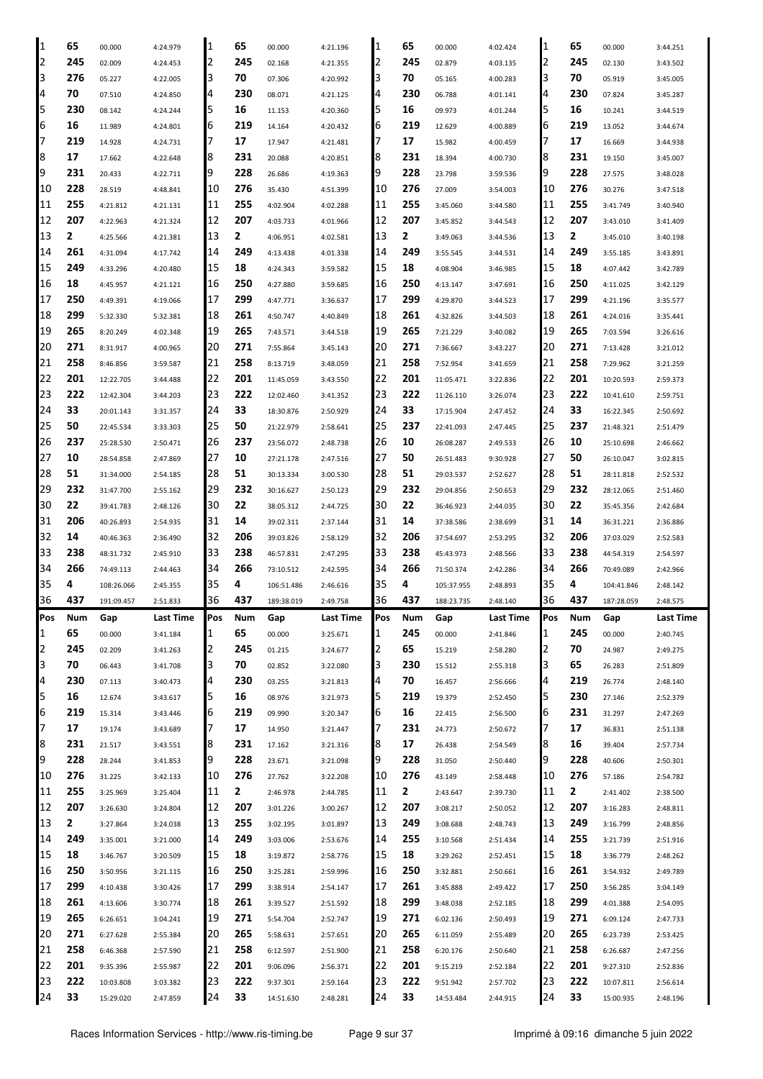| 1   | 65  | 00.000     | 4:24.979  | 1   | 65           | 00.000     | 4:21.196  | 1   | 65           | 00.000     | 4:02.424         | 1   | 65  | 00.000     | 3:44.251  |
|-----|-----|------------|-----------|-----|--------------|------------|-----------|-----|--------------|------------|------------------|-----|-----|------------|-----------|
| 2   | 245 | 02.009     | 4:24.453  | 2   | 245          | 02.168     | 4:21.355  | 2   | 245          | 02.879     | 4:03.135         | 2   | 245 | 02.130     | 3:43.502  |
| 3   | 276 | 05.227     | 4:22.005  | 3   | 70           | 07.306     | 4:20.992  | З   | 70           | 05.165     | 4:00.283         | 3   | 70  | 05.919     | 3:45.005  |
| 4   | 70  | 07.510     | 4:24.850  | 4   | 230          | 08.071     | 4:21.125  | 4   | 230          | 06.788     | 4:01.141         | 4   | 230 | 07.824     | 3:45.287  |
| 5   | 230 | 08.142     | 4:24.244  | 5   | 16           | 11.153     | 4:20.360  | 5   | 16           | 09.973     | 4:01.244         | 5   | 16  | 10.241     | 3:44.519  |
| 6   | 16  | 11.989     | 4:24.801  | 6   | 219          | 14.164     | 4:20.432  | 6   | 219          | 12.629     | 4:00.889         | 6   | 219 | 13.052     | 3:44.674  |
| 7   | 219 | 14.928     | 4:24.731  | 7   | 17           | 17.947     | 4:21.481  | 7   | 17           | 15.982     | 4:00.459         | 7   | 17  | 16.669     | 3:44.938  |
| 8   | 17  | 17.662     | 4:22.648  | 8   | 231          | 20.088     | 4:20.851  | 8   | 231          | 18.394     | 4:00.730         | 8   | 231 | 19.150     | 3:45.007  |
| 9   | 231 | 20.433     | 4:22.711  | 9   | 228          | 26.686     | 4:19.363  | 9   | 228          | 23.798     | 3:59.536         | 9   | 228 | 27.575     | 3:48.028  |
| 10  | 228 | 28.519     | 4:48.841  | 10  | 276          | 35.430     | 4:51.399  | 10  | 276          | 27.009     | 3:54.003         | 10  | 276 | 30.276     | 3:47.518  |
| 11  | 255 | 4:21.812   | 4:21.131  | 11  | 255          | 4:02.904   | 4:02.288  | 11  | 255          | 3:45.060   | 3:44.580         | 11  | 255 | 3:41.749   | 3:40.940  |
| 12  | 207 | 4:22.963   | 4:21.324  | 12  | 207          | 4:03.733   | 4:01.966  | 12  | 207          | 3:45.852   | 3:44.543         | 12  | 207 | 3:43.010   | 3:41.409  |
| 13  | 2   | 4:25.566   | 4:21.381  | 13  | 2            | 4:06.951   | 4:02.581  | 13  | 2            | 3:49.063   | 3:44.536         | 13  | 2   | 3:45.010   | 3:40.198  |
| 14  | 261 | 4:31.094   | 4:17.742  | 14  | 249          | 4:13.438   | 4:01.338  | 14  | 249          | 3:55.545   | 3:44.531         | 14  | 249 | 3:55.185   | 3:43.891  |
| 15  | 249 | 4:33.296   | 4:20.480  | 15  | 18           | 4:24.343   | 3:59.582  | 15  | 18           | 4:08.904   | 3:46.985         | 15  | 18  | 4:07.442   | 3:42.789  |
| 16  | 18  | 4:45.957   | 4:21.121  | 16  | 250          | 4:27.880   | 3:59.685  | 16  | 250          | 4:13.147   | 3:47.691         | 16  | 250 | 4:11.025   | 3:42.129  |
| 17  | 250 | 4:49.391   | 4:19.066  | 17  | 299          | 4:47.771   | 3:36.637  | 17  | 299          | 4:29.870   |                  | 17  | 299 | 4:21.196   | 3:35.577  |
| 18  | 299 |            |           | 18  | 261          |            |           | 18  | 261          |            | 3:44.523         | 18  | 261 |            |           |
| 19  | 265 | 5:32.330   | 5:32.381  | 19  | 265          | 4:50.747   | 4:40.849  | 19  | 265          | 4:32.826   | 3:44.503         | 19  | 265 | 4:24.016   | 3:35.441  |
|     | 271 | 8:20.249   | 4:02.348  |     | 271          | 7:43.571   | 3:44.518  | 20  | 271          | 7:21.229   | 3:40.082         |     | 271 | 7:03.594   | 3:26.616  |
| 20  | 258 | 8:31.917   | 4:00.965  | 20  | 258          | 7:55.864   | 3:45.143  | 21  | 258          | 7:36.667   | 3:43.227         | 20  | 258 | 7:13.428   | 3:21.012  |
| 21  |     | 8:46.856   | 3:59.587  | 21  |              | 8:13.719   | 3:48.059  |     |              | 7:52.954   | 3:41.659         | 21  |     | 7:29.962   | 3:21.259  |
| 22  | 201 | 12:22.705  | 3:44.488  | 22  | 201          | 11:45.059  | 3:43.550  | 22  | 201          | 11:05.471  | 3:22.836         | 22  | 201 | 10:20.593  | 2:59.373  |
| 23  | 222 | 12:42.304  | 3:44.203  | 23  | 222          | 12:02.460  | 3:41.352  | 23  | 222          | 11:26.110  | 3:26.074         | 23  | 222 | 10:41.610  | 2:59.751  |
| 24  | 33  | 20:01.143  | 3:31.357  | 24  | 33           | 18:30.876  | 2:50.929  | 24  | 33           | 17:15.904  | 2:47.452         | 24  | 33  | 16:22.345  | 2:50.692  |
| 25  | 50  | 22:45.534  | 3:33.303  | 25  | 50           | 21:22.979  | 2:58.641  | 25  | 237          | 22:41.093  | 2:47.445         | 25  | 237 | 21:48.321  | 2:51.479  |
| 26  | 237 | 25:28.530  | 2:50.471  | 26  | 237          | 23:56.072  | 2:48.738  | 26  | 10           | 26:08.287  | 2:49.533         | 26  | 10  | 25:10.698  | 2:46.662  |
| 27  | 10  | 28:54.858  | 2:47.869  | 27  | 10           | 27:21.178  | 2:47.516  | 27  | 50           | 26:51.483  | 9:30.928         | 27  | 50  | 26:10.047  | 3:02.815  |
| 28  | 51  | 31:34.000  | 2:54.185  | 28  | 51           | 30:13.334  | 3:00.530  | 28  | 51           | 29:03.537  | 2:52.627         | 28  | 51  | 28:11.818  | 2:52.532  |
| 29  | 232 | 31:47.700  | 2:55.162  | 29  | 232          | 30:16.627  | 2:50.123  | 29  | 232          | 29:04.856  | 2:50.653         | 29  | 232 | 28:12.065  | 2:51.460  |
| 30  | 22  | 39:41.783  | 2:48.126  | 30  | 22           | 38:05.312  | 2:44.725  | 30  | 22           | 36:46.923  | 2:44.035         | 30  | 22  | 35:45.356  | 2:42.684  |
|     | 206 | 40:26.893  |           | 31  | 14           | 39:02.311  | 2:37.144  | 31  | 14           | 37:38.586  | 2:38.699         | 31  | 14  | 36:31.221  | 2:36.886  |
| 31  |     |            | 2:54.935  |     |              |            |           |     |              |            |                  |     |     |            |           |
| 32  | 14  | 40:46.363  | 2:36.490  | 32  | 206          | 39:03.826  | 2:58.129  | 32  | 206          | 37:54.697  | 2:53.295         | 32  | 206 | 37:03.029  | 2:52.583  |
| 33  | 238 | 48:31.732  | 2:45.910  | 33  | 238          | 46:57.831  | 2:47.295  | 33  | 238          | 45:43.973  | 2:48.566         | 33  | 238 | 44:54.319  | 2:54.597  |
| 34  | 266 | 74:49.113  | 2:44.463  | 34  | 266          | 73:10.512  | 2:42.595  | 34  | 266          | 71:50.374  | 2:42.286         | 34  | 266 | 70:49.089  | 2:42.966  |
| 35  | 4   | 108:26.066 | 2:45.355  | 35  | 4            | 106:51.486 | 2:46.616  | 35  | 4            | 105:37.955 | 2:48.893         | 35  | 4   | 104:41.846 | 2:48.142  |
| 36  | 437 | 191:09.457 | 2:51.833  | 36  | 437          | 189:38.019 | 2:49.758  | 36  | 437          | 188:23.735 | 2:48.140         | 36  | 437 | 187:28.059 | 2:48.575  |
| Pos | Num | Gap        | Last Time | Pos | Num          | Gap        | Last Time | Pos | Num          | Gap        | <b>Last Time</b> | Pos | Num | Gap        | Last Time |
| 1   | 65  | 00.000     | 3:41.184  | 1   | 65           | 00.000     | 3:25.671  | 1   | 245          | 00.000     | 2:41.846         | 1   | 245 | 00.000     | 2:40.745  |
| 2   | 245 | 02.209     | 3:41.263  | 2   | 245          | 01.215     | 3:24.677  | 2   | 65           | 15.219     | 2:58.280         | 2   | 70  | 24.987     | 2:49.275  |
| 3   | 70  | 06.443     | 3:41.708  | 3   | 70           | 02.852     | 3:22.080  | 3   | 230          | 15.512     | 2:55.318         | 3   | 65  | 26.283     | 2:51.809  |
| 4   | 230 | 07.113     | 3:40.473  | 4   | 230          | 03.255     | 3:21.813  | 4   | 70           | 16.457     | 2:56.666         | 4   | 219 | 26.774     | 2:48.140  |
| 5   | 16  | 12.674     | 3:43.617  | 5   | 16           | 08.976     | 3:21.973  | 5   | 219          | 19.379     | 2:52.450         | 5   | 230 | 27.146     | 2:52.379  |
| 6   | 219 | 15.314     | 3:43.446  | 6   | 219          | 09.990     | 3:20.347  | 6   | 16           | 22.415     | 2:56.500         | 6   | 231 | 31.297     | 2:47.269  |
| 7   | 17  | 19.174     | 3:43.689  | 7   | 17           | 14.950     | 3:21.447  | 7   | 231          | 24.773     | 2:50.672         | 7   | 17  | 36.831     | 2:51.138  |
| 8   | 231 | 21.517     | 3:43.551  | 8   | 231          | 17.162     | 3:21.316  | 8   | 17           | 26.438     | 2:54.549         | 8   | 16  | 39.404     | 2:57.734  |
| 9   | 228 | 28.244     | 3:41.853  | 9   | 228          | 23.671     | 3:21.098  | 9   | 228          | 31.050     | 2:50.440         | 9   | 228 | 40.606     | 2:50.301  |
| 10  | 276 | 31.225     | 3:42.133  | 10  | 276          | 27.762     | 3:22.208  | 10  | 276          | 43.149     | 2:58.448         | 10  | 276 | 57.186     | 2:54.782  |
| 11  | 255 | 3:25.969   | 3:25.404  | 11  | $\mathbf{2}$ | 2:46.978   | 2:44.785  | 11  | $\mathbf{2}$ | 2:43.647   | 2:39.730         | 11  | 2   | 2:41.402   | 2:38.500  |
| 12  | 207 | 3:26.630   | 3:24.804  | 12  | 207          | 3:01.226   | 3:00.267  | 12  | 207          | 3:08.217   | 2:50.052         | 12  | 207 | 3:16.283   | 2:48.811  |
| 13  | 2   | 3:27.864   | 3:24.038  | 13  | 255          | 3:02.195   | 3:01.897  | 13  | 249          | 3:08.688   | 2:48.743         | 13  | 249 | 3:16.799   | 2:48.856  |
| 14  | 249 | 3:35.001   | 3:21.000  | 14  | 249          | 3:03.006   | 2:53.676  | 14  | 255          | 3:10.568   | 2:51.434         | 14  | 255 | 3:21.739   | 2:51.916  |
| 15  | 18  | 3:46.767   | 3:20.509  | 15  | 18           | 3:19.872   | 2:58.776  | 15  | 18           | 3:29.262   | 2:52.451         | 15  | 18  | 3:36.779   | 2:48.262  |
| 16  | 250 | 3:50.956   | 3:21.115  | 16  | 250          | 3:25.281   | 2:59.996  | 16  | 250          | 3:32.881   | 2:50.661         | 16  | 261 | 3:54.932   | 2:49.789  |
| 17  | 299 | 4:10.438   | 3:30.426  | 17  | 299          | 3:38.914   | 2:54.147  | 17  | 261          | 3:45.888   | 2:49.422         | 17  | 250 | 3:56.285   | 3:04.149  |
| 18  | 261 | 4:13.606   | 3:30.774  | 18  | 261          | 3:39.527   | 2:51.592  | 18  | 299          | 3:48.038   | 2:52.185         | 18  | 299 | 4:01.388   | 2:54.095  |
| 19  | 265 | 6:26.651   | 3:04.241  | 19  | 271          | 5:54.704   | 2:52.747  | 19  | 271          | 6:02.136   | 2:50.493         | 19  | 271 | 6:09.124   | 2:47.733  |
| 20  | 271 | 6:27.628   | 2:55.384  | 20  | 265          | 5:58.631   | 2:57.651  | 20  | 265          | 6:11.059   | 2:55.489         | 20  | 265 | 6:23.739   | 2:53.425  |
| 21  | 258 | 6:46.368   | 2:57.590  | 21  | 258          | 6:12.597   | 2:51.900  | 21  | 258          | 6:20.176   | 2:50.640         | 21  | 258 | 6:26.687   | 2:47.256  |
| 22  | 201 | 9:35.396   | 2:55.987  | 22  | 201          | 9:06.096   | 2:56.371  | 22  | 201          | 9:15.219   | 2:52.184         | 22  | 201 | 9:27.310   | 2:52.836  |
| 23  | 222 | 10:03.808  | 3:03.382  | 23  | 222          | 9:37.301   | 2:59.164  | 23  | 222          | 9:51.942   | 2:57.702         | 23  | 222 | 10:07.811  | 2:56.614  |
| 24  | 33  | 15:29.020  | 2:47.859  | 24  | 33           | 14:51.630  | 2:48.281  | 24  | 33           | 14:53.484  | 2:44.915         | 24  | 33  | 15:00.935  | 2:48.196  |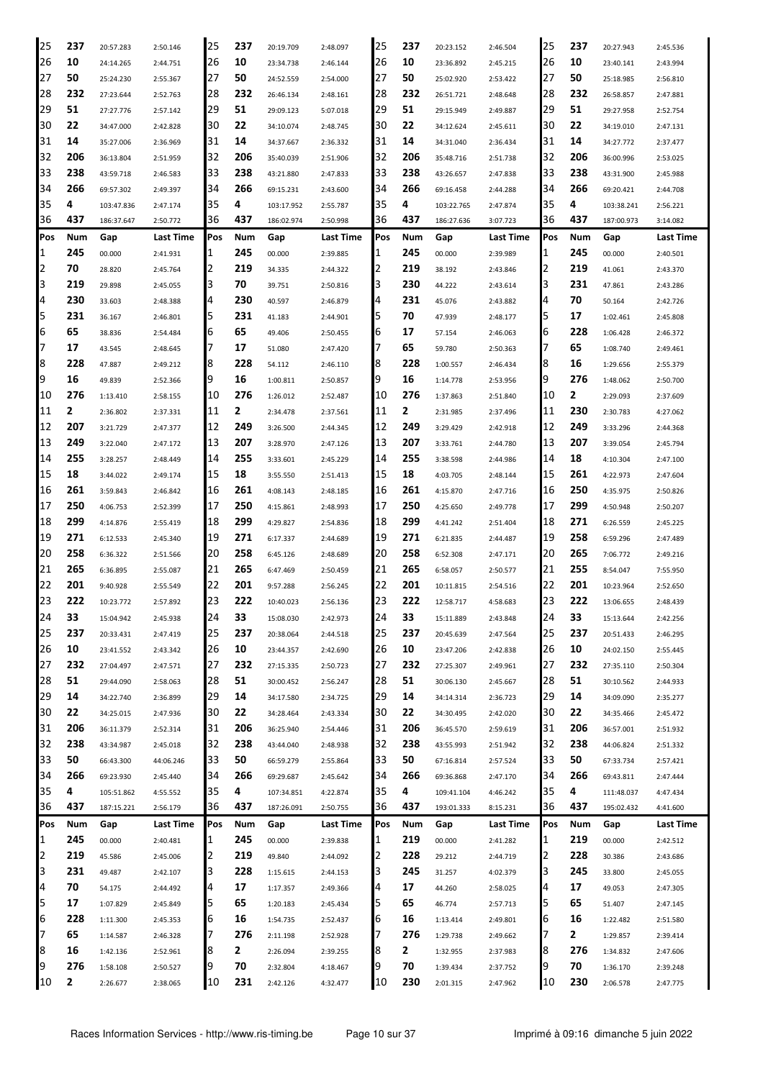| 25     | 237 | 20:57.283  | 2:50.146  | 25  | 237 | 20:19.709  | 2:48.097         | 25  | 237 | 20:23.152  | 2:46.504  | 25  | 237 | 20:27.943  | 2:45.536         |
|--------|-----|------------|-----------|-----|-----|------------|------------------|-----|-----|------------|-----------|-----|-----|------------|------------------|
| 26     | 10  | 24:14.265  | 2:44.751  | 126 | 10  | 23:34.738  | 2:46.144         | 26  | 10  | 23:36.892  | 2:45.215  | 26  | 10  | 23:40.141  | 2:43.994         |
| 27     | 50  | 25:24.230  | 2:55.367  | 127 | 50  | 24:52.559  | 2:54.000         | 27  | 50  | 25:02.920  | 2:53.422  | 27  | 50  | 25:18.985  | 2:56.810         |
| 28     | 232 | 27:23.644  | 2:52.763  | 28  | 232 | 26:46.134  | 2:48.161         | 28  | 232 | 26:51.721  | 2:48.648  | 28  | 232 | 26:58.857  | 2:47.881         |
| 29     | 51  | 27:27.776  | 2:57.142  | 29  | 51  | 29:09.123  | 5:07.018         | 29  | 51  | 29:15.949  | 2:49.887  | 29  | 51  | 29:27.958  | 2:52.754         |
| 30     | 22  | 34:47.000  | 2:42.828  | 30  | 22  | 34:10.074  | 2:48.745         | 30  | 22  | 34:12.624  | 2:45.611  | 30  | 22  | 34:19.010  | 2:47.131         |
| 31     | 14  | 35:27.006  | 2:36.969  | 31  | 14  | 34:37.667  | 2:36.332         | 31  | 14  | 34:31.040  | 2:36.434  | 31  | 14  | 34:27.772  | 2:37.477         |
| 32     | 206 | 36:13.804  | 2:51.959  | 32  | 206 | 35:40.039  | 2:51.906         | 32  | 206 | 35:48.716  | 2:51.738  | 32  | 206 | 36:00.996  | 2:53.025         |
| 33     | 238 | 43:59.718  | 2:46.583  | 33  | 238 | 43:21.880  | 2:47.833         | 33  | 238 | 43:26.657  | 2:47.838  | 33  | 238 | 43:31.900  | 2:45.988         |
| 34     | 266 | 69:57.302  | 2:49.397  | 134 | 266 | 69:15.231  | 2:43.600         | 34  | 266 | 69:16.458  | 2:44.288  | 34  | 266 | 69:20.421  | 2:44.708         |
| 35     | 4   | 103:47.836 | 2:47.174  | 35  | 4   | 103:17.952 | 2:55.787         | 35  | 4   | 103:22.765 | 2:47.874  | 35  | 4   | 103:38.241 | 2:56.221         |
| 36     | 437 | 186:37.647 | 2:50.772  | 36  | 437 | 186:02.974 | 2:50.998         | 36  | 437 | 186:27.636 | 3:07.723  | 36  | 437 | 187:00.973 | 3:14.082         |
| Pos    | Num | Gap        | Last Time | Pos | Num | Gap        |                  | Pos | Num | Gap        |           | Pos | Num |            | <b>Last Time</b> |
|        | 245 |            |           | 11  | 245 |            | Last Time        | 1   | 245 |            | Last Time | 11  | 245 | Gap        |                  |
| 1<br>2 | 70  | 00.000     | 2:41.931  | 12  | 219 | 00.000     | 2:39.885         |     | 219 | 00.000     | 2:39.989  |     | 219 | 00.000     | 2:40.501         |
|        |     | 28.820     | 2:45.764  |     |     | 34.335     | 2:44.322         | 2   |     | 38.192     | 2:43.846  | 2   |     | 41.061     | 2:43.370         |
| 3      | 219 | 29.898     | 2:45.055  | IЗ  | 70  | 39.751     | 2:50.816         | 3   | 230 | 44.222     | 2:43.614  | З   | 231 | 47.861     | 2:43.286         |
| 4      | 230 | 33.603     | 2:48.388  | 4   | 230 | 40.597     | 2:46.879         | 4   | 231 | 45.076     | 2:43.882  | 4   | 70  | 50.164     | 2:42.726         |
| 5      | 231 | 36.167     | 2:46.801  | 5   | 231 | 41.183     | 2:44.901         | 5   | 70  | 47.939     | 2:48.177  | 5   | 17  | 1:02.461   | 2:45.808         |
| 6      | 65  | 38.836     | 2:54.484  | 16  | 65  | 49.406     | 2:50.455         | 6   | 17  | 57.154     | 2:46.063  | 6   | 228 | 1:06.428   | 2:46.372         |
| 7      | 17  | 43.545     | 2:48.645  | 17  | 17  | 51.080     | 2:47.420         | 7   | 65  | 59.780     | 2:50.363  | 7   | 65  | 1:08.740   | 2:49.461         |
| 8      | 228 | 47.887     | 2:49.212  | 8   | 228 | 54.112     | 2:46.110         | 8   | 228 | 1:00.557   | 2:46.434  | 8   | 16  | 1:29.656   | 2:55.379         |
| 9      | 16  | 49.839     | 2:52.366  | 19  | 16  | 1:00.811   | 2:50.857         | 9   | 16  | 1:14.778   | 2:53.956  | 9   | 276 | 1:48.062   | 2:50.700         |
| 10     | 276 | 1:13.410   | 2:58.155  | 10  | 276 | 1:26.012   | 2:52.487         | 10  | 276 | 1:37.863   | 2:51.840  | 10  | 2   | 2:29.093   | 2:37.609         |
| 11     | 2   | 2:36.802   | 2:37.331  | 11  | 2   | 2:34.478   | 2:37.561         | 11  | 2   | 2:31.985   | 2:37.496  | 11  | 230 | 2:30.783   | 4:27.062         |
| 12     | 207 | 3:21.729   | 2:47.377  | 12  | 249 | 3:26.500   | 2:44.345         | 12  | 249 | 3:29.429   | 2:42.918  | 12  | 249 | 3:33.296   | 2:44.368         |
| 13     | 249 | 3:22.040   | 2:47.172  | 13  | 207 | 3:28.970   | 2:47.126         | 13  | 207 | 3:33.761   | 2:44.780  | 13  | 207 | 3:39.054   | 2:45.794         |
| 14     | 255 | 3:28.257   | 2:48.449  | 14  | 255 | 3:33.601   | 2:45.229         | 14  | 255 | 3:38.598   | 2:44.986  | 14  | 18  | 4:10.304   | 2:47.100         |
| 15     | 18  | 3:44.022   | 2:49.174  | 15  | 18  | 3:55.550   | 2:51.413         | 15  | 18  | 4:03.705   | 2:48.144  | 15  | 261 | 4:22.973   | 2:47.604         |
| 16     | 261 | 3:59.843   | 2:46.842  | 16  | 261 | 4:08.143   | 2:48.185         | 16  | 261 | 4:15.870   | 2:47.716  | 16  | 250 | 4:35.975   | 2:50.826         |
| 17     | 250 | 4:06.753   | 2:52.399  | 17  | 250 | 4:15.861   | 2:48.993         | 17  | 250 | 4:25.650   | 2:49.778  | 17  | 299 | 4:50.948   | 2:50.207         |
| 18     | 299 | 4:14.876   | 2:55.419  | 18  | 299 | 4:29.827   | 2:54.836         | 18  | 299 | 4:41.242   | 2:51.404  | 18  | 271 | 6:26.559   | 2:45.225         |
| 19     | 271 | 6:12.533   | 2:45.340  | 19  | 271 | 6:17.337   | 2:44.689         | 19  | 271 | 6:21.835   | 2:44.487  | 19  | 258 | 6:59.296   | 2:47.489         |
| 20     | 258 | 6:36.322   | 2:51.566  | 120 | 258 | 6:45.126   | 2:48.689         | 20  | 258 | 6:52.308   | 2:47.171  | 20  | 265 | 7:06.772   | 2:49.216         |
| 21     | 265 | 6:36.895   | 2:55.087  | 21  | 265 | 6:47.469   | 2:50.459         | 21  | 265 | 6:58.057   | 2:50.577  | 21  | 255 | 8:54.047   | 7:55.950         |
| 22     | 201 | 9:40.928   | 2:55.549  | 22  | 201 | 9:57.288   | 2:56.245         | 22  | 201 | 10:11.815  | 2:54.516  | 22  | 201 | 10:23.964  | 2:52.650         |
| 23     | 222 | 10:23.772  | 2:57.892  | 23  | 222 | 10:40.023  | 2:56.136         | 23  | 222 | 12:58.717  | 4:58.683  | 23  | 222 | 13:06.655  | 2:48.439         |
| 24     | 33  | 15:04.942  | 2:45.938  | 24  | 33  | 15:08.030  | 2:42.973         | 24  | 33  | 15:11.889  | 2:43.848  | 24  | 33  | 15:13.644  | 2:42.256         |
| 25     | 237 | 20:33.431  | 2:47.419  | 25  | 237 | 20:38.064  | 2:44.518         | 25  | 237 | 20:45.639  | 2:47.564  | 25  | 237 | 20:51.433  | 2:46.295         |
| 26     | 10  | 23:41.552  | 2:43.342  | 26  | 10  | 23:44.357  | 2:42.690         | 26  | 10  | 23:47.206  | 2:42.838  | 26  | 10  | 24:02.150  | 2:55.445         |
| 27     | 232 | 27:04.497  | 2:47.571  | 27  | 232 | 27:15.335  | 2:50.723         | 27  | 232 | 27:25.307  | 2:49.961  | 27  | 232 | 27:35.110  | 2:50.304         |
| 28     | 51  | 29:44.090  | 2:58.063  | 28  | 51  | 30:00.452  | 2:56.247         | 28  | 51  | 30:06.130  | 2:45.667  | 28  | 51  | 30:10.562  | 2:44.933         |
| 29     | 14  | 34:22.740  | 2:36.899  | 29  | 14  | 34:17.580  | 2:34.725         | 29  | 14  | 34:14.314  | 2:36.723  | 29  | 14  | 34:09.090  | 2:35.277         |
| 30     | 22  | 34:25.015  | 2:47.936  | 30  | 22  | 34:28.464  | 2:43.334         | 30  | 22  | 34:30.495  | 2:42.020  | 30  | 22  | 34:35.466  | 2:45.472         |
| 31     | 206 | 36:11.379  | 2:52.314  | 31  | 206 | 36:25.940  | 2:54.446         | 31  | 206 | 36:45.570  | 2:59.619  | 31  | 206 | 36:57.001  | 2:51.932         |
| 32     | 238 | 43:34.987  | 2:45.018  | 32  | 238 | 43:44.040  | 2:48.938         | 32  | 238 | 43:55.993  | 2:51.942  | 32  | 238 | 44:06.824  | 2:51.332         |
| 33     | 50  | 66:43.300  | 44:06.246 | 33  | 50  | 66:59.279  |                  | 33  | 50  | 67:16.814  |           | 33  | 50  | 67:33.734  | 2:57.421         |
| 34     | 266 |            |           | 34  | 266 |            | 2:55.864         | 34  | 266 | 69:36.868  | 2:57.524  | 34  | 266 | 69:43.811  |                  |
| 35     | 4   | 69:23.930  | 2:45.440  | 35  | 4   | 69:29.687  | 2:45.642         | 35  | 4   |            | 2:47.170  | 35  | 4   |            | 2:47.444         |
| 36     | 437 | 105:51.862 | 4:55.552  | 36  | 437 | 107:34.851 | 4:22.874         | 36  | 437 | 109:41.104 | 4:46.242  | 36  | 437 | 111:48.037 | 4:47.434         |
|        |     | 187:15.221 | 2:56.179  |     |     | 187:26.091 | 2:50.755         |     |     | 193:01.333 | 8:15.231  |     |     | 195:02.432 | 4:41.600         |
| Pos    | Num | Gap        | Last Time | Pos | Num | Gap        | <b>Last Time</b> | Pos | Num | Gap        | Last Time | Pos | Num | Gap        | Last Time        |
| 1      | 245 | 00.000     | 2:40.481  | 11  | 245 | 00.000     | 2:39.838         | 1   | 219 | 00.000     | 2:41.282  | 1   | 219 | 00.000     | 2:42.512         |
| 2      | 219 | 45.586     | 2:45.006  | 12  | 219 | 49.840     | 2:44.092         | 2   | 228 | 29.212     | 2:44.719  | 2   | 228 | 30.386     | 2:43.686         |
| 3      | 231 | 49.487     | 2:42.107  | 3   | 228 | 1:15.615   | 2:44.153         | 3   | 245 | 31.257     | 4:02.379  | 3   | 245 | 33.800     | 2:45.055         |
| 4      | 70  | 54.175     | 2:44.492  | 4   | 17  | 1:17.357   | 2:49.366         | 4   | 17  | 44.260     | 2:58.025  | 4   | 17  | 49.053     | 2:47.305         |
| 5      | 17  | 1:07.829   | 2:45.849  | 5   | 65  | 1:20.183   | 2:45.434         | 5   | 65  | 46.774     | 2:57.713  | 5   | 65  | 51.407     | 2:47.145         |
| 6      | 228 | 1:11.300   | 2:45.353  | 6   | 16  | 1:54.735   | 2:52.437         | 16  | 16  | 1:13.414   | 2:49.801  | 6   | 16  | 1:22.482   | 2:51.580         |
| 7      | 65  | 1:14.587   | 2:46.328  | 17  | 276 | 2:11.198   | 2:52.928         | 7   | 276 | 1:29.738   | 2:49.662  | 7   | 2   | 1:29.857   | 2:39.414         |
| 8      | 16  | 1:42.136   | 2:52.961  | 8   | 2   | 2:26.094   | 2:39.255         | 18  | 2   | 1:32.955   | 2:37.983  | 8   | 276 | 1:34.832   | 2:47.606         |
| 9      | 276 | 1:58.108   | 2:50.527  | 9   | 70  | 2:32.804   | 4:18.467         | 9   | 70  | 1:39.434   | 2:37.752  | 9   | 70  | 1:36.170   | 2:39.248         |
| 10     | 2   | 2:26.677   | 2:38.065  | 10  | 231 | 2:42.126   | 4:32.477         | 10  | 230 | 2:01.315   | 2:47.962  | 10  | 230 | 2:06.578   | 2:47.775         |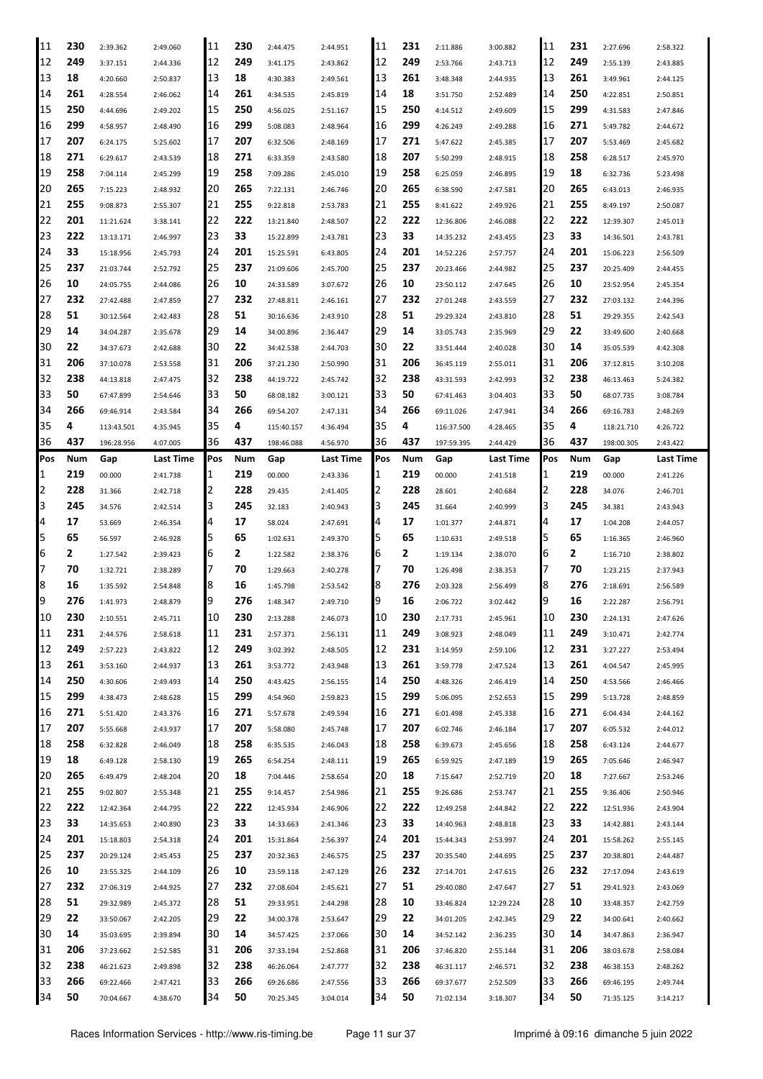| 11             | 230       | 2:39.362               | 2:49.060             | 11       | 230       | 2:44.475               | 2:44.951             | 11       | 231       | 2:11.886               | 3:00.882             | 11       | 231       | 2:27.696               | 2:58.322             |
|----------------|-----------|------------------------|----------------------|----------|-----------|------------------------|----------------------|----------|-----------|------------------------|----------------------|----------|-----------|------------------------|----------------------|
| 12             | 249       | 3:37.151               | 2:44.336             | 12       | 249       | 3:41.175               | 2:43.862             | 12       | 249       | 2:53.766               | 2:43.713             | 12       | 249       | 2:55.139               | 2:43.885             |
| 13             | 18        | 4:20.660               | 2:50.837             | 13       | 18        | 4:30.383               | 2:49.561             | 13       | 261       | 3:48.348               | 2:44.935             | 13       | 261       | 3:49.961               | 2:44.125             |
| 14             | 261       | 4:28.554               | 2:46.062             | 14       | 261       | 4:34.535               | 2:45.819             | 14       | 18        | 3:51.750               | 2:52.489             | 14       | 250       | 4:22.851               | 2:50.851             |
| 15             | 250       | 4:44.696               | 2:49.202             | 15       | 250       | 4:56.025               | 2:51.167             | 15       | 250       | 4:14.512               | 2:49.609             | 15       | 299       | 4:31.583               | 2:47.846             |
| 16             | 299       | 4:58.957               | 2:48.490             | 16       | 299       | 5:08.083               | 2:48.964             | 16       | 299       | 4:26.249               | 2:49.288             | 16       | 271       | 5:49.782               | 2:44.672             |
| 17             | 207       | 6:24.175               | 5:25.602             | 17       | 207       | 6:32.506               | 2:48.169             | 17       | 271       | 5:47.622               | 2:45.385             | 17       | 207       | 5:53.469               | 2:45.682             |
| 18             | 271       | 6:29.617               | 2:43.539             | 18       | 271       | 6:33.359               | 2:43.580             | 18       | 207       | 5:50.299               | 2:48.915             | 18       | 258       | 6:28.517               | 2:45.970             |
| 19             | 258       | 7:04.114               | 2:45.299             | 19       | 258       | 7:09.286               | 2:45.010             | 19       | 258       | 6:25.059               | 2:46.895             | 19       | 18        | 6:32.736               | 5:23.498             |
| 20             | 265       | 7:15.223               | 2:48.932             | 20       | 265       | 7:22.131               | 2:46.746             | 20       | 265       | 6:38.590               | 2:47.581             | 20       | 265       | 6:43.013               | 2:46.935             |
| 21             | 255       | 9:08.873               | 2:55.307             | 21       | 255       | 9:22.818               | 2:53.783             | 21       | 255       | 8:41.622               | 2:49.926             | 21       | 255       | 8:49.197               | 2:50.087             |
| 22             | 201       | 11:21.624              | 3:38.141             | 22       | 222       | 13:21.840              | 2:48.507             | 22       | 222       | 12:36.806              | 2:46.088             | 22       | 222       | 12:39.307              | 2:45.013             |
| 23             | 222       | 13:13.171              | 2:46.997             | 23       | 33        | 15:22.899              | 2:43.781             | 23       | 33        | 14:35.232              | 2:43.455             | 23       | 33        | 14:36.501              | 2:43.781             |
| 24             | 33        | 15:18.956              | 2:45.793             | 24       | 201       | 15:25.591              | 6:43.805             | 24       | 201       | 14:52.226              | 2:57.757             | 24       | 201       | 15:06.223              | 2:56.509             |
| 25             | 237       | 21:03.744              | 2:52.792             | 25       | 237       | 21:09.606              | 2:45.700             | 25       | 237       | 20:23.466              | 2:44.982             | 25       | 237       | 20:25.409              | 2:44.455             |
| 26             | 10        | 24:05.755              | 2:44.086             | 26       | 10        | 24:33.589              | 3:07.672             | 26       | 10        | 23:50.112              | 2:47.645             | 26       | 10        | 23:52.954              |                      |
| 27             | 232       |                        |                      | 27       | 232       |                        |                      | 27       | 232       |                        |                      | 27       | 232       |                        | 2:45.354             |
| 28             | 51        | 27:42.488              | 2:47.859             | 28       | 51        | 27:48.811              | 2:46.161             | 28       | 51        | 27:01.248              | 2:43.559             | 28       | 51        | 27:03.132              | 2:44.396             |
| 29             | 14        | 30:12.564              | 2:42.483             | 29       | 14        | 30:16.636              | 2:43.910             | 29       | 14        | 29:29.324              | 2:43.810             | 29       | 22        | 29:29.355              | 2:42.543             |
|                |           | 34:04.287              | 2:35.678             |          |           | 34:00.896              | 2:36.447             |          |           | 33:05.743              | 2:35.969             |          |           | 33:49.600              | 2:40.668             |
| 30             | 22        | 34:37.673              | 2:42.688             | 30       | 22        | 34:42.538              | 2:44.703             | 30       | 22        | 33:51.444              | 2:40.028             | 30       | 14        | 35:05.539              | 4:42.308             |
| 31             | 206       | 37:10.078              | 2:53.558             | 31       | 206       | 37:21.230              | 2:50.990             | 31       | 206       | 36:45.119              | 2:55.011             | 31       | 206       | 37:12.815              | 3:10.208             |
| 32             | 238       | 44:13.818              | 2:47.475             | 32       | 238       | 44:19.722              | 2:45.742             | 32       | 238       | 43:31.593              | 2:42.993             | 32       | 238       | 46:13.463              | 5:24.382             |
| 33             | 50        | 67:47.899              | 2:54.646             | 33       | 50        | 68:08.182              | 3:00.121             | 33       | 50        | 67:41.463              | 3:04.403             | 33       | 50        | 68:07.735              | 3:08.784             |
| 34             | 266       | 69:46.914              | 2:43.584             | 34       | 266       | 69:54.207              | 2:47.131             | 34       | 266       | 69:11.026              | 2:47.941             | 34       | 266       | 69:16.783              | 2:48.269             |
| 35             | 4         | 113:43.501             | 4:35.945             | 35       | 4         | 115:40.157             | 4:36.494             | 35       | 4         | 116:37.500             | 4:28.465             | 35       | 4         | 118:21.710             | 4:26.722             |
| 36             | 437       | 196:28.956             | 4:07.005             | 36       | 437       | 198:46.088             | 4:56.970             | 36       | 437       | 197:59.395             | 2:44.429             | 36       | 437       | 198:00.305             | 2:43.422             |
| Pos            | Num       | Gap                    | Last Time            | Pos      | Num       | Gap                    | Last Time            | Pos      | Num       | Gap                    | Last Time            | Pos      | Num       | Gap                    | Last Time            |
| 1              | 219       | 00.000                 | 2:41.738             | 1        | 219       | 00.000                 | 2:43.336             |          | 219       | 00.000                 | 2:41.518             | 1        | 219       | 00.000                 | 2:41.226             |
| 2              | 228       | 31.366                 | 2:42.718             | 12       | 228       | 29.435                 | 2:41.405             | 2        | 228       | 28.601                 | 2:40.684             | 2        | 228       | 34.076                 | 2:46.701             |
| 3              | 245       | 34.576                 | 2:42.514             | З        | 245       | 32.183                 | 2:40.943             | З        | 245       | 31.664                 | 2:40.999             | 3        | 245       | 34.381                 | 2:43.943             |
|                |           |                        |                      |          |           |                        |                      |          |           |                        |                      |          |           |                        |                      |
| $\overline{4}$ | 17        | 53.669                 | 2:46.354             | 4        | 17        | 58.024                 | 2:47.691             | 4        | 17        | 1:01.377               | 2:44.871             | 4        | 17        | 1:04.208               | 2:44.057             |
| 5              | 65        | 56.597                 | 2:46.928             | 5        | 65        | 1:02.631               | 2:49.370             | 5        | 65        | 1:10.631               | 2:49.518             | 5        | 65        | 1:16.365               | 2:46.960             |
| 6              | 2         | 1:27.542               | 2:39.423             | 6        | 2         | 1:22.582               | 2:38.376             | ь        | 2         | 1:19.134               | 2:38.070             | 6        | 2         | 1:16.710               | 2:38.802             |
| 7              | 70        | 1:32.721               | 2:38.289             | 17       | 70        | 1:29.663               | 2:40.278             |          | 70        | 1:26.498               | 2:38.353             | 7        | 70        | 1:23.215               | 2:37.943             |
| 8              | 16        | 1:35.592               | 2:54.848             | 18       | 16        | 1:45.798               | 2:53.542             | 18       | 276       | 2:03.328               | 2:56.499             | 8        | 276       | 2:18.691               | 2:56.589             |
| 9              | 276       | 1:41.973               | 2:48.879             | Ι9       | 276       | 1:48.347               | 2:49.710             | 9        | 16        | 2:06.722               | 3:02.442             | 9        | 16        | 2:22.287               | 2:56.791             |
| 10             | 230       | 2:10.551               | 2:45.711             | 10       | 230       | 2:13.288               | 2:46.073             | 10       | 230       | 2:17.731               | 2:45.961             | 10       | 230       | 2:24.131               | 2:47.626             |
| 11             | 231       | 2:44.576               | 2:58.618             | 11       | 231       | 2:57.371               | 2:56.131             | 11       | 249       | 3:08.923               | 2:48.049             | 11       | 249       | 3:10.471               | 2:42.774             |
| 12             | 249       | 2:57.223               | 2:43.822             | 12       | 249       | 3:02.392               | 2:48.505             | 12       | 231       | 3:14.959               | 2:59.106             | 12       | 231       | 3:27.227               | 2:53.494             |
| 13             | 261       | 3:53.160               | 2:44.937             | 13       | 261       | 3:53.772               | 2:43.948             | 13       | 261       | 3:59.778               | 2:47.524             | 13       | 261       | 4:04.547               | 2:45.995             |
| 14             | 250       | 4:30.606               | 2:49.493             | 14       | 250       | 4:43.425               | 2:56.155             | 14       | 250       | 4:48.326               | 2:46.419             | 14       | 250       | 4:53.566               | 2:46.466             |
| 15             | 299       | 4:38.473               | 2:48.628             | 15       | 299       | 4:54.960               | 2:59.823             | 15       | 299       | 5:06.095               | 2:52.653             | 15       | 299       | 5:13.728               | 2:48.859             |
| 16             | 271       | 5:51.420               | 2:43.376             | 16       | 271       | 5:57.678               | 2:49.594             | 16       | 271       | 6:01.498               | 2:45.338             | 16       | 271       | 6:04.434               | 2:44.162             |
| 17             | 207       | 5:55.668               | 2:43.937             | 17       | 207       | 5:58.080               | 2:45.748             | 17       | 207       | 6:02.746               | 2:46.184             | 17       | 207       | 6:05.532               | 2:44.012             |
| 18             | 258       | 6:32.828               | 2:46.049             | 18       | 258       | 6:35.535               | 2:46.043             | 18       | 258       | 6:39.673               | 2:45.656             | 18       | 258       | 6:43.124               | 2:44.677             |
| 19             | 18        | 6:49.128               | 2:58.130             | 19       | 265       | 6:54.254               | 2:48.111             | 19       | 265       | 6:59.925               | 2:47.189             | 19       | 265       | 7:05.646               | 2:46.947             |
| 20             | 265       | 6:49.479               | 2:48.204             | 120      | 18        | 7:04.446               | 2:58.654             | 20       | 18        | 7:15.647               | 2:52.719             | 20       | 18        | 7:27.667               | 2:53.246             |
| 21             | 255       | 9:02.807               | 2:55.348             | 21       | 255       | 9:14.457               | 2:54.986             | 21       | 255       | 9:26.686               | 2:53.747             | 21       | 255       | 9:36.406               | 2:50.946             |
| 22             | 222       | 12:42.364              | 2:44.795             | 22       | 222       | 12:45.934              | 2:46.906             | 22       | 222       | 12:49.258              | 2:44.842             | 22       | 222       | 12:51.936              | 2:43.904             |
| 23             | 33        | 14:35.653              | 2:40.890             | 23       | 33        | 14:33.663              | 2:41.346             | 23       | 33        | 14:40.963              | 2:48.818             | 23       | 33        | 14:42.881              | 2:43.144             |
| 24             | 201       | 15:18.803              | 2:54.318             | 24       | 201       | 15:31.864              | 2:56.397             | 24       | 201       | 15:44.343              | 2:53.997             | 24       | 201       | 15:58.262              | 2:55.145             |
| 25             | 237       | 20:29.124              | 2:45.453             | 25       | 237       | 20:32.363              | 2:46.575             | 25       | 237       | 20:35.540              | 2:44.695             | 25       | 237       | 20:38.801              | 2:44.487             |
| 26             | 10        | 23:55.325              | 2:44.109             | 26       | 10        | 23:59.118              | 2:47.129             | 26       | 232       | 27:14.701              | 2:47.615             | 26       | 232       | 27:17.094              | 2:43.619             |
| 27             | 232       | 27:06.319              | 2:44.925             | 27       | 232       | 27:08.604              | 2:45.621             | 27       | 51        | 29:40.080              | 2:47.647             | 27       | 51        | 29:41.923              | 2:43.069             |
| 28             | 51        | 29:32.989              | 2:45.372             | 28       | 51        | 29:33.951              | 2:44.298             | 28       | 10        | 33:46.824              | 12:29.224            | 28       | 10        | 33:48.357              | 2:42.759             |
| 29             | 22        | 33:50.067              | 2:42.205             | 29       | 22        | 34:00.378              | 2:53.647             | 29       | 22        | 34:01.205              | 2:42.345             | 29       | 22        | 34:00.641              | 2:40.662             |
| 30             | 14        |                        |                      | 130      |           |                        |                      | 30       | 14        |                        |                      | 30       | 14        |                        |                      |
|                |           | 35:03.695              | 2:39.894             |          | 14        | 34:57.425              | 2:37.066             |          |           | 34:52.142              | 2:36.235             |          |           | 34:47.863              | 2:36.947             |
| 31             | 206       | 37:23.662              | 2:52.585             | 31       | 206       | 37:33.194              | 2:52.868             | 31       | 206       | 37:46.820              | 2:55.144             | 31       | 206       | 38:03.678              | 2:58.084             |
| 32             | 238       | 46:21.623              | 2:49.898             | 32       | 238       | 46:26.064              | 2:47.777             | 32       | 238       | 46:31.117              | 2:46.571             | 32       | 238       | 46:38.153              | 2:48.262             |
| 33<br>34       | 266<br>50 | 69:22.466<br>70:04.667 | 2:47.421<br>4:38.670 | 33<br>34 | 266<br>50 | 69:26.686<br>70:25.345 | 2:47.556<br>3:04.014 | 33<br>34 | 266<br>50 | 69:37.677<br>71:02.134 | 2:52.509<br>3:18.307 | 33<br>34 | 266<br>50 | 69:46.195<br>71:35.125 | 2:49.744<br>3:14.217 |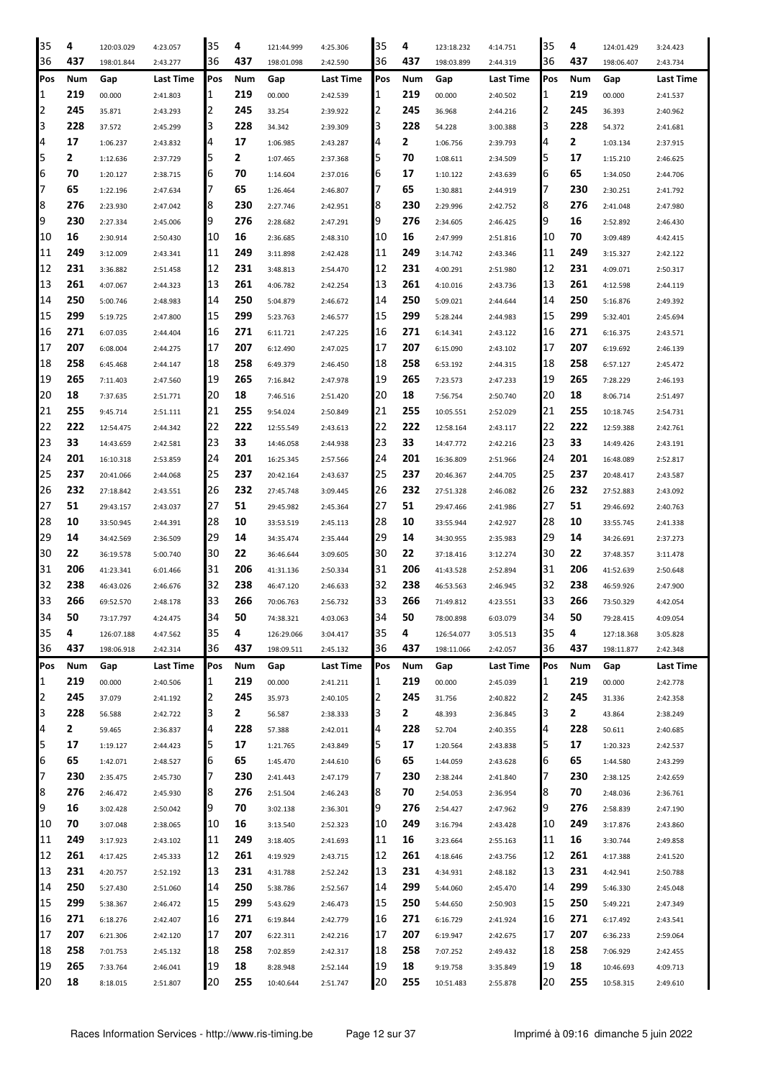| 35  | 4   | 120:03.029 | 4:23.057         | 35  | 4            | 121:44.999 | 4:25.306  | 35  | 4   | 123:18.232 | 4:14.751         | 35  | 4   | 124:01.429 | 3:24.423  |
|-----|-----|------------|------------------|-----|--------------|------------|-----------|-----|-----|------------|------------------|-----|-----|------------|-----------|
| 36  | 437 | 198:01.844 | 2:43.277         | 36  | 437          | 198:01.098 | 2:42.590  | 36  | 437 | 198:03.899 | 2:44.319         | 36  | 437 | 198:06.407 | 2:43.734  |
| Pos | Num | Gap        | <b>Last Time</b> | Pos | Num          | Gap        | Last Time | Pos | Num | Gap        | <b>Last Time</b> | Pos | Num | Gap        | Last Time |
| 1   | 219 | 00.000     | 2:41.803         | 1   | 219          | 00.000     | 2:42.539  | 1   | 219 | 00.000     | 2:40.502         | 1   | 219 | 00.000     | 2:41.537  |
| 2   | 245 | 35.871     | 2:43.293         | 2   | 245          | 33.254     | 2:39.922  | 12  | 245 | 36.968     | 2:44.216         | 2   | 245 | 36.393     | 2:40.962  |
| 3   | 228 | 37.572     | 2:45.299         | 3   | 228          | 34.342     | 2:39.309  | З   | 228 | 54.228     | 3:00.388         | 3   | 228 | 54.372     | 2:41.681  |
| 4   | 17  | 1:06.237   | 2:43.832         | 4   | 17           | 1:06.985   | 2:43.287  | 4   | 2   | 1:06.756   | 2:39.793         | 4   | 2   | 1:03.134   | 2:37.915  |
| 5   | 2   | 1:12.636   | 2:37.729         | 5   | 2            | 1:07.465   | 2:37.368  | 5   | 70  | 1:08.611   | 2:34.509         | 5   | 17  | 1:15.210   | 2:46.625  |
| 6   | 70  | 1:20.127   | 2:38.715         | 6   | 70           | 1:14.604   | 2:37.016  | 6   | 17  | 1:10.122   | 2:43.639         | 6   | 65  | 1:34.050   | 2:44.706  |
| 7   | 65  |            |                  | 7   | 65           |            |           | 7   | 65  | 1:30.881   |                  | 7   | 230 |            |           |
|     | 276 | 1:22.196   | 2:47.634         | 8   | 230          | 1:26.464   | 2:46.807  |     | 230 |            | 2:44.919         | 8   | 276 | 2:30.251   | 2:41.792  |
| 8   | 230 | 2:23.930   | 2:47.042         | 9   |              | 2:27.746   | 2:42.951  | 18  |     | 2:29.996   | 2:42.752         |     | 16  | 2:41.048   | 2:47.980  |
| 9   |     | 2:27.334   | 2:45.006         |     | 276          | 2:28.682   | 2:47.291  | 19  | 276 | 2:34.605   | 2:46.425         | 9   |     | 2:52.892   | 2:46.430  |
| 10  | 16  | 2:30.914   | 2:50.430         | 10  | 16           | 2:36.685   | 2:48.310  | 10  | 16  | 2:47.999   | 2:51.816         | 10  | 70  | 3:09.489   | 4:42.415  |
| 11  | 249 | 3:12.009   | 2:43.341         | 11  | 249          | 3:11.898   | 2:42.428  | 11  | 249 | 3:14.742   | 2:43.346         | 11  | 249 | 3:15.327   | 2:42.122  |
| 12  | 231 | 3:36.882   | 2:51.458         | 12  | 231          | 3:48.813   | 2:54.470  | 12  | 231 | 4:00.291   | 2:51.980         | 12  | 231 | 4:09.071   | 2:50.317  |
| 13  | 261 | 4:07.067   | 2:44.323         | 13  | 261          | 4:06.782   | 2:42.254  | 13  | 261 | 4:10.016   | 2:43.736         | 13  | 261 | 4:12.598   | 2:44.119  |
| 14  | 250 | 5:00.746   | 2:48.983         | 14  | 250          | 5:04.879   | 2:46.672  | 14  | 250 | 5:09.021   | 2:44.644         | 14  | 250 | 5:16.876   | 2:49.392  |
| 15  | 299 | 5:19.725   | 2:47.800         | 15  | 299          | 5:23.763   | 2:46.577  | 15  | 299 | 5:28.244   | 2:44.983         | 15  | 299 | 5:32.401   | 2:45.694  |
| 16  | 271 | 6:07.035   | 2:44.404         | 16  | 271          | 6:11.721   | 2:47.225  | 16  | 271 | 6:14.341   | 2:43.122         | 16  | 271 | 6:16.375   | 2:43.571  |
| 17  | 207 | 6:08.004   | 2:44.275         | 17  | 207          | 6:12.490   | 2:47.025  | 17  | 207 | 6:15.090   | 2:43.102         | 17  | 207 | 6:19.692   | 2:46.139  |
| 18  | 258 | 6:45.468   | 2:44.147         | 18  | 258          | 6:49.379   | 2:46.450  | 18  | 258 | 6:53.192   | 2:44.315         | 18  | 258 | 6:57.127   | 2:45.472  |
| 19  | 265 | 7:11.403   | 2:47.560         | 19  | 265          | 7:16.842   | 2:47.978  | 19  | 265 | 7:23.573   | 2:47.233         | 19  | 265 | 7:28.229   | 2:46.193  |
| 20  | 18  | 7:37.635   | 2:51.771         | 20  | 18           | 7:46.516   | 2:51.420  | 20  | 18  | 7:56.754   | 2:50.740         | 20  | 18  | 8:06.714   | 2:51.497  |
| 21  | 255 | 9:45.714   | 2:51.111         | 21  | 255          | 9:54.024   | 2:50.849  | 21  | 255 | 10:05.551  | 2:52.029         | 21  | 255 | 10:18.745  | 2:54.731  |
| 22  | 222 | 12:54.475  | 2:44.342         | 22  | 222          | 12:55.549  | 2:43.613  | 22  | 222 | 12:58.164  | 2:43.117         | 22  | 222 | 12:59.388  | 2:42.761  |
| 23  | 33  | 14:43.659  | 2:42.581         | 23  | 33           | 14:46.058  | 2:44.938  | 23  | 33  | 14:47.772  | 2:42.216         | 23  | 33  | 14:49.426  | 2:43.191  |
| 24  | 201 | 16:10.318  | 2:53.859         | 24  | 201          | 16:25.345  | 2:57.566  | 24  | 201 | 16:36.809  | 2:51.966         | 24  | 201 | 16:48.089  | 2:52.817  |
| 25  | 237 | 20:41.066  | 2:44.068         | 25  | 237          | 20:42.164  | 2:43.637  | 25  | 237 | 20:46.367  | 2:44.705         | 25  | 237 | 20:48.417  | 2:43.587  |
| 26  | 232 | 27:18.842  | 2:43.551         | 26  | 232          | 27:45.748  | 3:09.445  | 26  | 232 | 27:51.328  | 2:46.082         | 26  | 232 | 27:52.883  | 2:43.092  |
| 27  | 51  | 29:43.157  | 2:43.037         | 27  | 51           | 29:45.982  | 2:45.364  | 27  | 51  | 29:47.466  | 2:41.986         | 27  | 51  | 29:46.692  | 2:40.763  |
| 28  | 10  | 33:50.945  | 2:44.391         | 28  | 10           | 33:53.519  | 2:45.113  | 28  | 10  | 33:55.944  | 2:42.927         | 28  | 10  | 33:55.745  | 2:41.338  |
| 29  | 14  | 34:42.569  | 2:36.509         | 29  | 14           | 34:35.474  | 2:35.444  | 29  | 14  | 34:30.955  | 2:35.983         | 29  | 14  | 34:26.691  | 2:37.273  |
| 30  | 22  | 36:19.578  | 5:00.740         | 30  | 22           | 36:46.644  | 3:09.605  | 30  | 22  | 37:18.416  | 3:12.274         | 30  | 22  | 37:48.357  | 3:11.478  |
| 31  | 206 | 41:23.341  | 6:01.466         | 31  | 206          | 41:31.136  | 2:50.334  | 31  | 206 | 41:43.528  | 2:52.894         | 31  | 206 | 41:52.639  | 2:50.648  |
| 32  | 238 | 46:43.026  | 2:46.676         | 32  | 238          | 46:47.120  | 2:46.633  | 32  | 238 | 46:53.563  | 2:46.945         | 32  | 238 | 46:59.926  | 2:47.900  |
| 33  | 266 | 69:52.570  | 2:48.178         | 33  | 266          | 70:06.763  | 2:56.732  | 33  | 266 | 71:49.812  | 4:23.551         | 33  | 266 | 73:50.329  | 4:42.054  |
| 34  | 50  | 73:17.797  | 4:24.475         | 34  | 50           | 74:38.321  | 4:03.063  | 34  | 50  | 78:00.898  | 6:03.079         | 34  | 50  | 79:28.415  | 4:09.054  |
| 35  | 4   | 126:07.188 | 4:47.562         | 35  | 4            | 126:29.066 | 3:04.417  | 35  | 4   | 126:54.077 | 3:05.513         | 35  | 4   | 127:18.368 | 3:05.828  |
| 36  | 437 | 198:06.918 | 2:42.314         | 36  | 437          | 198:09.511 | 2:45.132  | 36  | 437 | 198:11.066 | 2:42.057         | 36  | 437 | 198:11.877 | 2:42.348  |
| Pos | Num | Gap        | Last Time        | Pos | Num          | Gap        | Last Time | Pos | Num | Gap        | Last Time        | Pos | Num | Gap        | Last Time |
| 1   | 219 | 00.000     | 2:40.506         | 1   | 219          | 00.000     | 2:41.211  | 11  | 219 | 00.000     | 2:45.039         | 1   | 219 | 00.000     | 2:42.778  |
| 2   | 245 | 37.079     | 2:41.192         | 2   | 245          | 35.973     | 2:40.105  | 12  | 245 | 31.756     | 2:40.822         | 2   | 245 | 31.336     | 2:42.358  |
| 3   | 228 | 56.588     | 2:42.722         | 3   | $\mathbf{2}$ | 56.587     |           | 13  | 2   | 48.393     | 2:36.845         | 3   | 2   | 43.864     | 2:38.249  |
| 4   | 2   |            |                  | 4   | 228          |            | 2:38.333  | 14  | 228 |            |                  | 4   | 228 |            |           |
| 5   | 17  | 59.465     | 2:36.837         |     | 17           | 57.388     | 2:42.011  | 5   | 17  | 52.704     | 2:40.355         | 5   | 17  | 50.611     | 2:40.685  |
|     |     | 1:19.127   | 2:44.423         | 5   |              | 1:21.765   | 2:43.849  |     |     | 1:20.564   | 2:43.838         |     |     | 1:20.323   | 2:42.537  |
| 6   | 65  | 1:42.071   | 2:48.527         | 6   | 65           | 1:45.470   | 2:44.610  | 6   | 65  | 1:44.059   | 2:43.628         | 6   | 65  | 1:44.580   | 2:43.299  |
| 7   | 230 | 2:35.475   | 2:45.730         | 7   | 230          | 2:41.443   | 2:47.179  | 17  | 230 | 2:38.244   | 2:41.840         | 7   | 230 | 2:38.125   | 2:42.659  |
| 8   | 276 | 2:46.472   | 2:45.930         | 8   | 276          | 2:51.504   | 2:46.243  | 8   | 70  | 2:54.053   | 2:36.954         | 8   | 70  | 2:48.036   | 2:36.761  |
| 9   | 16  | 3:02.428   | 2:50.042         | 9   | 70           | 3:02.138   | 2:36.301  | 9   | 276 | 2:54.427   | 2:47.962         | 9   | 276 | 2:58.839   | 2:47.190  |
| 10  | 70  | 3:07.048   | 2:38.065         | 10  | 16           | 3:13.540   | 2:52.323  | 10  | 249 | 3:16.794   | 2:43.428         | 10  | 249 | 3:17.876   | 2:43.860  |
| 11  | 249 | 3:17.923   | 2:43.102         | 11  | 249          | 3:18.405   | 2:41.693  | 11  | 16  | 3:23.664   | 2:55.163         | 11  | 16  | 3:30.744   | 2:49.858  |
| 12  | 261 | 4:17.425   | 2:45.333         | 12  | 261          | 4:19.929   | 2:43.715  | 12  | 261 | 4:18.646   | 2:43.756         | 12  | 261 | 4:17.388   | 2:41.520  |
| 13  | 231 | 4:20.757   | 2:52.192         | 13  | 231          | 4:31.788   | 2:52.242  | 13  | 231 | 4:34.931   | 2:48.182         | 13  | 231 | 4:42.941   | 2:50.788  |
| 14  | 250 | 5:27.430   | 2:51.060         | 14  | 250          | 5:38.786   | 2:52.567  | 14  | 299 | 5:44.060   | 2:45.470         | 14  | 299 | 5:46.330   | 2:45.048  |
| 15  | 299 | 5:38.367   | 2:46.472         | 15  | 299          | 5:43.629   | 2:46.473  | 15  | 250 | 5:44.650   | 2:50.903         | 15  | 250 | 5:49.221   | 2:47.349  |
| 16  | 271 | 6:18.276   | 2:42.407         | 16  | 271          | 6:19.844   | 2:42.779  | 16  | 271 | 6:16.729   | 2:41.924         | 16  | 271 | 6:17.492   | 2:43.541  |
| 17  | 207 | 6:21.306   | 2:42.120         | 17  | 207          | 6:22.311   | 2:42.216  | 17  | 207 | 6:19.947   | 2:42.675         | 17  | 207 | 6:36.233   | 2:59.064  |
| 18  | 258 | 7:01.753   | 2:45.132         | 18  | 258          | 7:02.859   | 2:42.317  | 18  | 258 | 7:07.252   | 2:49.432         | 18  | 258 | 7:06.929   | 2:42.455  |
| 19  | 265 | 7:33.764   | 2:46.041         | 19  | 18           | 8:28.948   | 2:52.144  | 19  | 18  | 9:19.758   | 3:35.849         | 19  | 18  | 10:46.693  | 4:09.713  |
| 20  | 18  | 8:18.015   | 2:51.807         | 20  | 255          | 10:40.644  | 2:51.747  | 20  | 255 | 10:51.483  | 2:55.878         | 20  | 255 | 10:58.315  | 2:49.610  |
|     |     |            |                  |     |              |            |           |     |     |            |                  |     |     |            |           |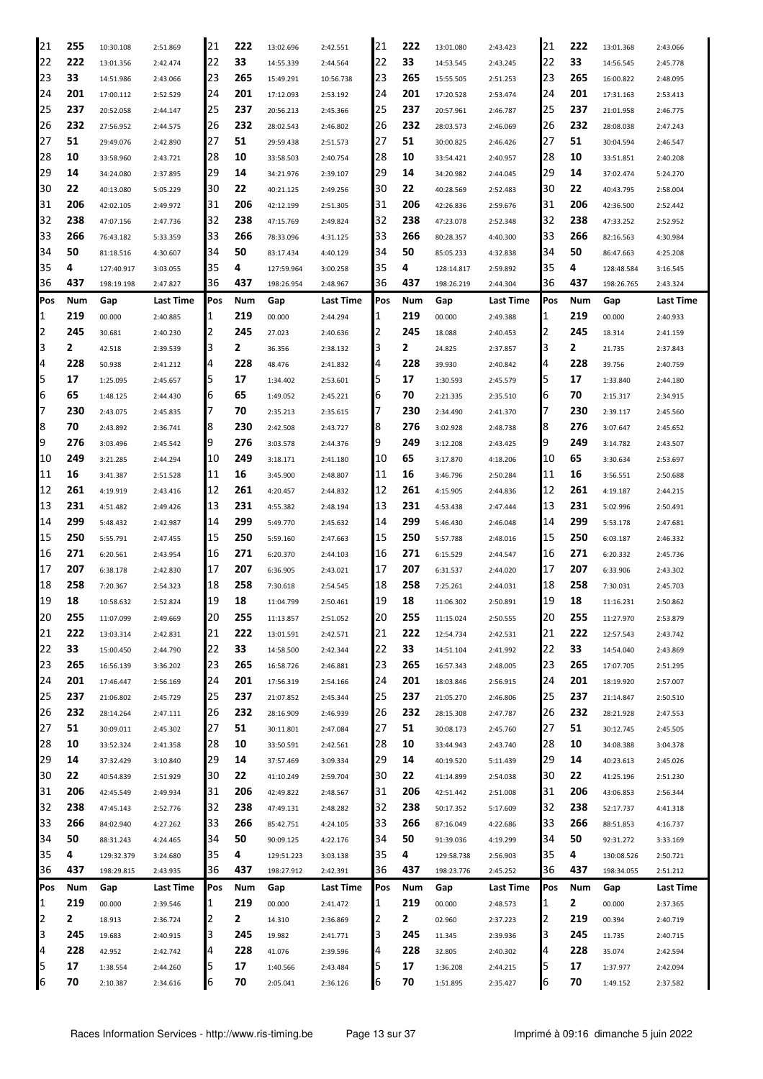| 21  | 255        | 10:30.108  | 2:51.869  | 21  | 222 | 13:02.696  | 2:42.551  | 21  | 222 | 13:01.080  | 2:43.423  | 21  | 222 | 13:01.368  | 2:43.066         |
|-----|------------|------------|-----------|-----|-----|------------|-----------|-----|-----|------------|-----------|-----|-----|------------|------------------|
| 22  | 222        | 13:01.356  | 2:42.474  | 22  | 33  | 14:55.339  | 2:44.564  | 22  | 33  | 14:53.545  | 2:43.245  | 22  | 33  | 14:56.545  | 2:45.778         |
| 23  | 33         | 14:51.986  | 2:43.066  | 23  | 265 | 15:49.291  | 10:56.738 | 23  | 265 | 15:55.505  | 2:51.253  | 23  | 265 | 16:00.822  | 2:48.095         |
| 24  | 201        | 17:00.112  | 2:52.529  | 24  | 201 | 17:12.093  | 2:53.192  | 24  | 201 | 17:20.528  | 2:53.474  | 24  | 201 | 17:31.163  | 2:53.413         |
| 25  | 237        | 20:52.058  | 2:44.147  | 25  | 237 | 20:56.213  | 2:45.366  | 25  | 237 | 20:57.961  | 2:46.787  | 25  | 237 | 21:01.958  | 2:46.775         |
| 26  | 232        | 27:56.952  | 2:44.575  | 26  | 232 | 28:02.543  | 2:46.802  | 26  | 232 | 28:03.573  | 2:46.069  | 26  | 232 | 28:08.038  | 2:47.243         |
| 27  | 51         | 29:49.076  | 2:42.890  | 27  | 51  | 29:59.438  | 2:51.573  | 27  | 51  | 30:00.825  | 2:46.426  | 27  | 51  | 30:04.594  | 2:46.547         |
| 28  | 10         | 33:58.960  | 2:43.721  | 28  | 10  | 33:58.503  | 2:40.754  | 28  | 10  | 33:54.421  | 2:40.957  | 28  | 10  | 33:51.851  | 2:40.208         |
| 29  | 14         |            |           | 29  | 14  |            |           | 29  | 14  |            |           | 29  | 14  |            |                  |
| 30  | 22         | 34:24.080  | 2:37.895  | 30  |     | 34:21.976  | 2:39.107  |     | 22  | 34:20.982  | 2:44.045  | 30  | 22  | 37:02.474  | 5:24.270         |
|     | 206        | 40:13.080  | 5:05.229  |     | 22  | 40:21.125  | 2:49.256  | 30  |     | 40:28.569  | 2:52.483  | 31  |     | 40:43.795  | 2:58.004         |
| 31  |            | 42:02.105  | 2:49.972  | 31  | 206 | 42:12.199  | 2:51.305  | 31  | 206 | 42:26.836  | 2:59.676  |     | 206 | 42:36.500  | 2:52.442         |
| 32  | 238        | 47:07.156  | 2:47.736  | 32  | 238 | 47:15.769  | 2:49.824  | 32  | 238 | 47:23.078  | 2:52.348  | 32  | 238 | 47:33.252  | 2:52.952         |
| 33  | 266        | 76:43.182  | 5:33.359  | 33  | 266 | 78:33.096  | 4:31.125  | 33  | 266 | 80:28.357  | 4:40.300  | 33  | 266 | 82:16.563  | 4:30.984         |
| 34  | 50         | 81:18.516  | 4:30.607  | 34  | 50  | 83:17.434  | 4:40.129  | 34  | 50  | 85:05.233  | 4:32.838  | 34  | 50  | 86:47.663  | 4:25.208         |
| 35  | 4          | 127:40.917 | 3:03.055  | 35  | 4   | 127:59.964 | 3:00.258  | 35  | 4   | 128:14.817 | 2:59.892  | 35  | 4   | 128:48.584 | 3:16.545         |
| 36  | 437        | 198:19.198 | 2:47.827  | 36  | 437 | 198:26.954 | 2:48.967  | 36  | 437 | 198:26.219 | 2:44.304  | 36  | 437 | 198:26.765 | 2:43.324         |
| Pos | Num        | Gap        | Last Time | Pos | Num | Gap        | Last Time | Pos | Num | Gap        | Last Time | Pos | Num | Gap        | Last Time        |
| 1   | 219        | 00.000     | 2:40.885  | 1   | 219 | 00.000     | 2:44.294  | 1   | 219 | 00.000     | 2:49.388  | 1   | 219 | 00.000     | 2:40.933         |
| 2   | 245        | 30.681     | 2:40.230  | 2   | 245 | 27.023     | 2:40.636  | 2   | 245 | 18.088     | 2:40.453  | 2   | 245 | 18.314     | 2:41.159         |
| 3   | 2          | 42.518     | 2:39.539  | 3   | 2   | 36.356     | 2:38.132  | 3   | 2   | 24.825     | 2:37.857  | 3   | 2   | 21.735     | 2:37.843         |
| 4   | 228        | 50.938     | 2:41.212  | 4   | 228 | 48.476     | 2:41.832  | 4   | 228 | 39.930     | 2:40.842  | 4   | 228 | 39.756     | 2:40.759         |
| 5   | 17         | 1:25.095   | 2:45.657  | 5   | 17  | 1:34.402   | 2:53.601  | 5   | 17  | 1:30.593   | 2:45.579  | 5   | 17  | 1:33.840   | 2:44.180         |
| 6   | 65         | 1:48.125   | 2:44.430  | 6   | 65  | 1:49.052   | 2:45.221  | 6   | 70  | 2:21.335   | 2:35.510  | 6   | 70  | 2:15.317   | 2:34.915         |
| 7   | 230        | 2:43.075   | 2:45.835  | 7   | 70  | 2:35.213   | 2:35.615  | 7   | 230 | 2:34.490   | 2:41.370  | 7   | 230 | 2:39.117   | 2:45.560         |
| 8   | 70         | 2:43.892   | 2:36.741  | 8   | 230 | 2:42.508   | 2:43.727  | 8   | 276 | 3:02.928   | 2:48.738  | 8   | 276 | 3:07.647   | 2:45.652         |
| 9   | 276        | 3:03.496   | 2:45.542  | 9   | 276 | 3:03.578   | 2:44.376  | 9   | 249 | 3:12.208   | 2:43.425  | 9   | 249 | 3:14.782   | 2:43.507         |
| 10  | 249        | 3:21.285   | 2:44.294  | 10  | 249 | 3:18.171   | 2:41.180  | 10  | 65  | 3:17.870   | 4:18.206  | 10  | 65  | 3:30.634   | 2:53.697         |
| 11  | 16         | 3:41.387   | 2:51.528  | 11  | 16  | 3:45.900   | 2:48.807  | 11  | 16  | 3:46.796   | 2:50.284  | 11  | 16  | 3:56.551   | 2:50.688         |
| 12  | 261        | 4:19.919   | 2:43.416  | 12  | 261 | 4:20.457   | 2:44.832  | 12  | 261 | 4:15.905   | 2:44.836  | 12  | 261 | 4:19.187   | 2:44.215         |
| 13  | 231        | 4:51.482   | 2:49.426  | 13  | 231 | 4:55.382   | 2:48.194  | 13  | 231 | 4:53.438   | 2:47.444  | 13  | 231 | 5:02.996   | 2:50.491         |
| 14  | 299        | 5:48.432   | 2:42.987  | 14  | 299 | 5:49.770   | 2:45.632  | 14  | 299 | 5:46.430   | 2:46.048  | 14  | 299 | 5:53.178   | 2:47.681         |
| 15  | 250        | 5:55.791   | 2:47.455  | 15  | 250 | 5:59.160   | 2:47.663  | 15  | 250 | 5:57.788   | 2:48.016  | 15  | 250 | 6:03.187   | 2:46.332         |
| 16  | 271        | 6:20.561   | 2:43.954  | 16  | 271 | 6:20.370   | 2:44.103  | 16  | 271 | 6:15.529   | 2:44.547  | 16  | 271 | 6:20.332   | 2:45.736         |
| 17  | 207        | 6:38.178   |           | 17  | 207 | 6:36.905   |           | 17  | 207 | 6:31.537   |           | 17  | 207 | 6:33.906   | 2:43.302         |
| 18  | 258        |            | 2:42.830  | 18  | 258 |            | 2:43.021  | 18  | 258 |            | 2:44.020  | 18  | 258 |            |                  |
| 19  | 18         | 7:20.367   | 2:54.323  | 19  | 18  | 7:30.618   | 2:54.545  | 19  | 18  | 7:25.261   | 2:44.031  | 19  | 18  | 7:30.031   | 2:45.703         |
|     |            | 10:58.632  | 2:52.824  |     |     | 11:04.799  | 2:50.461  |     |     | 11:06.302  | 2:50.891  |     |     | 11:16.231  | 2:50.862         |
| 20  | 255        | 11:07.099  | 2:49.669  | 20  | 255 | 11:13.857  | 2:51.052  | 20  | 255 | 11:15.024  | 2:50.555  | 20  | 255 | 11:27.970  | 2:53.879         |
| 21  | 222        | 13:03.314  | 2:42.831  | 21  | 222 | 13:01.591  | 2:42.571  | 21  | 222 | 12:54.734  | 2:42.531  | 21  | 222 | 12:57.543  | 2:43.742         |
| 22  | 33         | 15:00.450  | 2:44.790  | 22  | 33  | 14:58.500  | 2:42.344  | 22  | 33  | 14:51.104  | 2:41.992  | 22  | 33  | 14:54.040  | 2:43.869         |
| 23  | 265        | 16:56.139  | 3:36.202  | 23  | 265 | 16:58.726  | 2:46.881  | 23  | 265 | 16:57.343  | 2:48.005  | 23  | 265 | 17:07.705  | 2:51.295         |
| 24  | 201        | 17:46.447  | 2:56.169  | 24  | 201 | 17:56.319  | 2:54.166  | 24  | 201 | 18:03.846  | 2:56.915  | 24  | 201 | 18:19.920  | 2:57.007         |
| 25  | 237        | 21:06.802  | 2:45.729  | 25  | 237 | 21:07.852  | 2:45.344  | 25  | 237 | 21:05.270  | 2:46.806  | 25  | 237 | 21:14.847  | 2:50.510         |
| 26  | 232        | 28:14.264  | 2:47.111  | 26  | 232 | 28:16.909  | 2:46.939  | 26  | 232 | 28:15.308  | 2:47.787  | 26  | 232 | 28:21.928  | 2:47.553         |
| 27  | 51         | 30:09.011  | 2:45.302  | 27  | 51  | 30:11.801  | 2:47.084  | 27  | 51  | 30:08.173  | 2:45.760  | 27  | 51  | 30:12.745  | 2:45.505         |
| 28  | 10         | 33:52.324  | 2:41.358  | 28  | 10  | 33:50.591  | 2:42.561  | 28  | 10  | 33:44.943  | 2:43.740  | 28  | 10  | 34:08.388  | 3:04.378         |
| 29  | 14         | 37:32.429  | 3:10.840  | 29  | 14  | 37:57.469  | 3:09.334  | 29  | 14  | 40:19.520  | 5:11.439  | 29  | 14  | 40:23.613  | 2:45.026         |
| 30  | 22         | 40:54.839  | 2:51.929  | 30  | 22  | 41:10.249  | 2:59.704  | 30  | 22  | 41:14.899  | 2:54.038  | 30  | 22  | 41:25.196  | 2:51.230         |
| 31  | 206        | 42:45.549  | 2:49.934  | 31  | 206 | 42:49.822  | 2:48.567  | 31  | 206 | 42:51.442  | 2:51.008  | 31  | 206 | 43:06.853  | 2:56.344         |
| 32  | 238        | 47:45.143  | 2:52.776  | 32  | 238 | 47:49.131  | 2:48.282  | 32  | 238 | 50:17.352  | 5:17.609  | 32  | 238 | 52:17.737  | 4:41.318         |
| 33  | 266        | 84:02.940  | 4:27.262  | 33  | 266 | 85:42.751  | 4:24.105  | 33  | 266 | 87:16.049  | 4:22.686  | 33  | 266 | 88:51.853  | 4:16.737         |
| 34  | 50         | 88:31.243  | 4:24.465  | 34  | 50  | 90:09.125  | 4:22.176  | 34  | 50  | 91:39.036  | 4:19.299  | 34  | 50  | 92:31.272  | 3:33.169         |
| 35  | 4          | 129:32.379 | 3:24.680  | 35  | 4   | 129:51.223 | 3:03.138  | 35  | 4   | 129:58.738 | 2:56.903  | 35  | 4   | 130:08.526 | 2:50.721         |
| 36  | 437        | 198:29.815 | 2:43.935  | 36  | 437 | 198:27.912 | 2:42.391  | 36  | 437 | 198:23.776 | 2:45.252  | 36  | 437 | 198:34.055 | 2:51.212         |
| Pos | <b>Num</b> | Gap        | Last Time | Pos | Num | Gap        | Last Time | Pos | Num | Gap        | Last Time | Pos | Num | Gap        | <b>Last Time</b> |
| 1   | 219        | 00.000     | 2:39.546  | 1   | 219 | 00.000     | 2:41.472  | 1   | 219 | 00.000     | 2:48.573  | 1   | 2   | 00.000     | 2:37.365         |
| 2   | 2          | 18.913     | 2:36.724  | 2   | 2   | 14.310     | 2:36.869  | 2   | 2   | 02.960     | 2:37.223  | 2   | 219 | 00.394     | 2:40.719         |
| 3   | 245        | 19.683     | 2:40.915  | 3   | 245 | 19.982     | 2:41.771  | 3   | 245 | 11.345     | 2:39.936  | 3   | 245 | 11.735     | 2:40.715         |
| 4   | 228        | 42.952     | 2:42.742  | 4   | 228 | 41.076     | 2:39.596  | 4   | 228 | 32.805     | 2:40.302  | 4   | 228 | 35.074     | 2:42.594         |
| 5   | 17         | 1:38.554   | 2:44.260  | 5   | 17  | 1:40.566   | 2:43.484  | 5   | 17  | 1:36.208   | 2:44.215  | 5   | 17  | 1:37.977   | 2:42.094         |
| 6   | 70         | 2:10.387   | 2:34.616  | 6   | 70  | 2:05.041   | 2:36.126  | 6   | 70  | 1:51.895   | 2:35.427  | 6   | 70  | 1:49.152   | 2:37.582         |
|     |            |            |           |     |     |            |           |     |     |            |           |     |     |            |                  |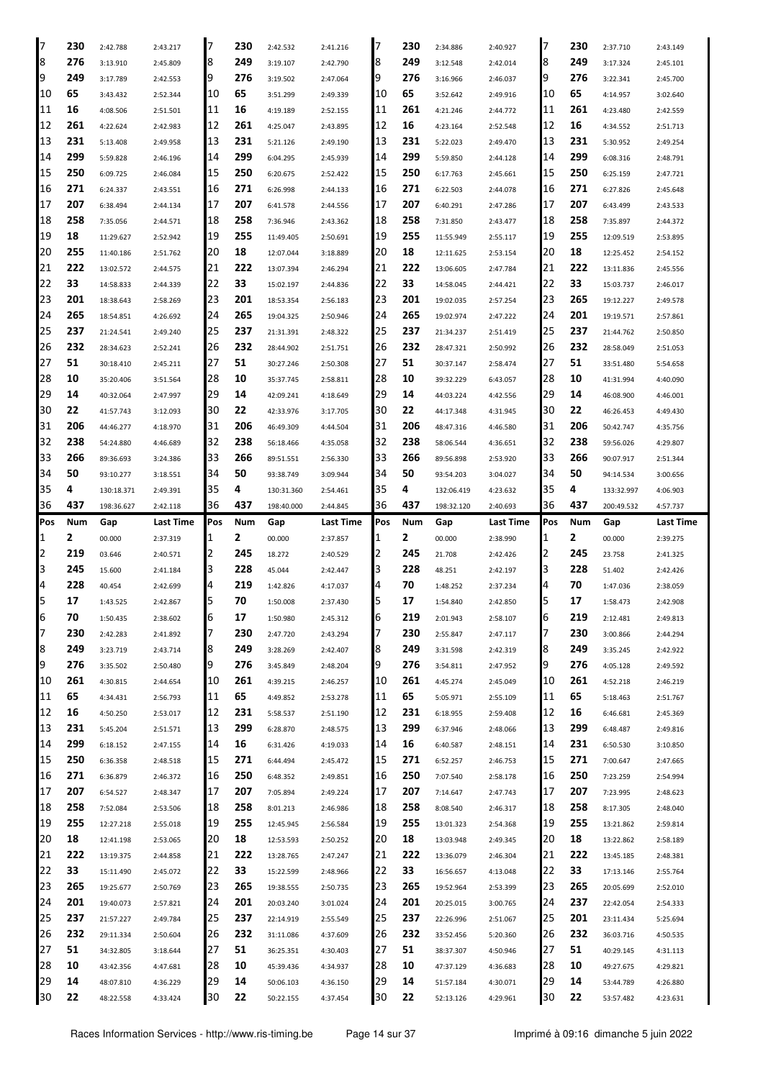| 17  | 230 | 2:42.788   | 2:43.217  | 7   | 230 | 2:42.532   | 2:41.216  | 7   | 230 | 2:34.886   | 2:40.927  | 17  | 230 | 2:37.710   | 2:43.149  |
|-----|-----|------------|-----------|-----|-----|------------|-----------|-----|-----|------------|-----------|-----|-----|------------|-----------|
| 8   | 276 | 3:13.910   | 2:45.809  | 8   | 249 | 3:19.107   | 2:42.790  | 8   | 249 | 3:12.548   | 2:42.014  | 8   | 249 | 3:17.324   | 2:45.101  |
| 9   | 249 | 3:17.789   | 2:42.553  | 9   | 276 | 3:19.502   | 2:47.064  | 9   | 276 | 3:16.966   | 2:46.037  | 9   | 276 | 3:22.341   | 2:45.700  |
| 10  | 65  | 3:43.432   | 2:52.344  | 10  | 65  | 3:51.299   | 2:49.339  | 10  | 65  | 3:52.642   | 2:49.916  | 10  | 65  | 4:14.957   | 3:02.640  |
| 11  | 16  | 4:08.506   | 2:51.501  | 11  | 16  | 4:19.189   | 2:52.155  | 11  | 261 | 4:21.246   | 2:44.772  | 11  | 261 | 4:23.480   | 2:42.559  |
| 12  | 261 | 4:22.624   | 2:42.983  | 12  | 261 | 4:25.047   | 2:43.895  | 12  | 16  | 4:23.164   | 2:52.548  | 12  | 16  | 4:34.552   | 2:51.713  |
| 13  | 231 | 5:13.408   | 2:49.958  | 13  | 231 | 5:21.126   | 2:49.190  | 13  | 231 | 5:22.023   | 2:49.470  | 13  | 231 | 5:30.952   | 2:49.254  |
| 14  | 299 | 5:59.828   | 2:46.196  | 14  | 299 | 6:04.295   | 2:45.939  | 14  | 299 | 5:59.850   | 2:44.128  | 14  | 299 | 6:08.316   | 2:48.791  |
| 15  | 250 | 6:09.725   | 2:46.084  | 15  | 250 | 6:20.675   | 2:52.422  | 15  | 250 | 6:17.763   | 2:45.661  | 15  | 250 | 6:25.159   | 2:47.721  |
| 16  | 271 | 6:24.337   | 2:43.551  | 16  | 271 | 6:26.998   | 2:44.133  | 16  | 271 | 6:22.503   | 2:44.078  | 16  | 271 | 6:27.826   | 2:45.648  |
| 17  | 207 | 6:38.494   | 2:44.134  | 17  | 207 | 6:41.578   | 2:44.556  | 17  | 207 | 6:40.291   | 2:47.286  | 17  | 207 | 6:43.499   | 2:43.533  |
| 18  | 258 | 7:35.056   | 2:44.571  | 18  | 258 | 7:36.946   | 2:43.362  | 18  | 258 | 7:31.850   | 2:43.477  | 18  | 258 | 7:35.897   | 2:44.372  |
| 19  | 18  | 11:29.627  | 2:52.942  | 19  | 255 | 11:49.405  | 2:50.691  | 19  | 255 | 11:55.949  | 2:55.117  | 19  | 255 | 12:09.519  | 2:53.895  |
| 20  | 255 | 11:40.186  | 2:51.762  | 20  | 18  | 12:07.044  | 3:18.889  | 20  | 18  | 12:11.625  | 2:53.154  | 20  | 18  | 12:25.452  | 2:54.152  |
| 21  | 222 | 13:02.572  | 2:44.575  | 21  | 222 | 13:07.394  | 2:46.294  | 21  | 222 | 13:06.605  | 2:47.784  | 21  | 222 | 13:11.836  | 2:45.556  |
| 22  | 33  | 14:58.833  | 2:44.339  | 22  | 33  | 15:02.197  | 2:44.836  | 22  | 33  | 14:58.045  | 2:44.421  | 22  | 33  | 15:03.737  | 2:46.017  |
| 23  | 201 | 18:38.643  | 2:58.269  | 23  | 201 | 18:53.354  | 2:56.183  | 23  | 201 | 19:02.035  | 2:57.254  | 23  | 265 | 19:12.227  | 2:49.578  |
| 24  | 265 | 18:54.851  | 4:26.692  | 24  | 265 | 19:04.325  | 2:50.946  | 24  | 265 | 19:02.974  | 2:47.222  | 24  | 201 | 19:19.571  | 2:57.861  |
| 25  | 237 | 21:24.541  | 2:49.240  | 25  | 237 | 21:31.391  | 2:48.322  | 25  | 237 | 21:34.237  | 2:51.419  | 25  | 237 | 21:44.762  | 2:50.850  |
| 26  | 232 | 28:34.623  | 2:52.241  | 26  | 232 | 28:44.902  | 2:51.751  | 26  | 232 | 28:47.321  | 2:50.992  | 126 | 232 | 28:58.049  | 2:51.053  |
| 27  | 51  | 30:18.410  |           | 27  | 51  | 30:27.246  |           | 27  | 51  |            |           | 27  | 51  | 33:51.480  | 5:54.658  |
| 28  | 10  |            | 2:45.211  | 28  | 10  | 35:37.745  | 2:50.308  | 28  | 10  | 30:37.147  | 2:58.474  | 28  | 10  |            |           |
| 29  | 14  | 35:20.406  | 3:51.564  | 29  | 14  |            | 2:58.811  | 29  | 14  | 39:32.229  | 6:43.057  | 29  | 14  | 41:31.994  | 4:40.090  |
|     | 22  | 40:32.064  | 2:47.997  |     |     | 42:09.241  | 4:18.649  | 30  |     | 44:03.224  | 4:42.556  | 30  | 22  | 46:08.900  | 4:46.001  |
| 30  |     | 41:57.743  | 3:12.093  | 30  | 22  | 42:33.976  | 3:17.705  |     | 22  | 44:17.348  | 4:31.945  |     |     | 46:26.453  | 4:49.430  |
| 31  | 206 | 44:46.277  | 4:18.970  | 31  | 206 | 46:49.309  | 4:44.504  | 31  | 206 | 48:47.316  | 4:46.580  | 31  | 206 | 50:42.747  | 4:35.756  |
| 32  | 238 | 54:24.880  | 4:46.689  | 32  | 238 | 56:18.466  | 4:35.058  | 32  | 238 | 58:06.544  | 4:36.651  | 32  | 238 | 59:56.026  | 4:29.807  |
| 33  | 266 | 89:36.693  | 3:24.386  | 33  | 266 | 89:51.551  | 2:56.330  | 33  | 266 | 89:56.898  | 2:53.920  | 33  | 266 | 90:07.917  | 2:51.344  |
| 34  | 50  | 93:10.277  | 3:18.551  | 34  | 50  | 93:38.749  | 3:09.944  | 34  | 50  | 93:54.203  | 3:04.027  | 34  | 50  | 94:14.534  | 3:00.656  |
| 35  | 4   | 130:18.371 | 2:49.391  | 35  | 4   | 130:31.360 | 2:54.461  | 35  | 4   | 132:06.419 | 4:23.632  | 35  | 4   | 133:32.997 | 4:06.903  |
| 36  | 437 | 198:36.627 | 2:42.118  | 36  | 437 | 198:40.000 | 2:44.845  | 36  | 437 | 198:32.120 | 2:40.693  | 36  | 437 | 200:49.532 | 4:57.737  |
|     |     |            |           |     |     |            |           |     |     |            |           |     |     |            |           |
| Pos | Num | Gap        | Last Time | Pos | Num | Gap        | Last Time | Pos | Num | Gap        | Last Time | Pos | Num | Gap        | Last Time |
| 1   | 2   | 00.000     | 2:37.319  | 1   | 2   | 00.000     | 2:37.857  | 1   | 2   | 00.000     | 2:38.990  | 1   | 2   | 00.000     | 2:39.275  |
| 2   | 219 | 03.646     | 2:40.571  | 2   | 245 | 18.272     | 2:40.529  | 2   | 245 | 21.708     | 2:42.426  | 2   | 245 | 23.758     | 2:41.325  |
| 3   | 245 | 15.600     | 2:41.184  | 3   | 228 | 45.044     | 2:42.447  | 3   | 228 | 48.251     | 2:42.197  | 3   | 228 | 51.402     | 2:42.426  |
| 4   | 228 | 40.454     | 2:42.699  | 4   | 219 | 1:42.826   | 4:17.037  | 4   | 70  | 1:48.252   | 2:37.234  | 4   | 70  | 1:47.036   | 2:38.059  |
| 5   | 17  | 1:43.525   | 2:42.867  | 5   | 70  | 1:50.008   | 2:37.430  | 5   | 17  | 1:54.840   | 2:42.850  | 5   | 17  | 1:58.473   | 2:42.908  |
| 6   | 70  | 1:50.435   | 2:38.602  | b   | 17  | 1:50.980   | 2:45.312  | ь   | 219 | 2:01.943   | 2:58.107  | b   | 219 | 2:12.481   | 2:49.813  |
| 17  | 230 | 2:42.283   | 2:41.892  | 17  | 230 | 2:47.720   | 2:43.294  | 7   | 230 | 2:55.847   | 2:47.117  | 17  | 230 | 3:00.866   | 2:44.294  |
| 8   | 249 | 3:23.719   | 2:43.714  | 8   | 249 | 3:28.269   | 2:42.407  | 8   | 249 | 3:31.598   | 2:42.319  | 8   | 249 | 3:35.245   | 2:42.922  |
| 9   | 276 | 3:35.502   | 2:50.480  | 19  | 276 | 3:45.849   | 2:48.204  | 9   | 276 | 3:54.811   | 2:47.952  | 9   | 276 | 4:05.128   | 2:49.592  |
| 10  | 261 | 4:30.815   | 2:44.654  | 10  | 261 | 4:39.215   | 2:46.257  | 10  | 261 | 4:45.274   | 2:45.049  | 10  | 261 | 4:52.218   | 2:46.219  |
| 11  | 65  | 4:34.431   | 2:56.793  | 11  | 65  | 4:49.852   | 2:53.278  | 11  | 65  | 5:05.971   | 2:55.109  | 11  | 65  | 5:18.463   | 2:51.767  |
| 12  | 16  | 4:50.250   | 2:53.017  | 12  | 231 | 5:58.537   | 2:51.190  | 12  | 231 | 6:18.955   | 2:59.408  | 12  | 16  | 6:46.681   | 2:45.369  |
| 13  | 231 | 5:45.204   | 2:51.571  | 13  | 299 | 6:28.870   | 2:48.575  | 13  | 299 | 6:37.946   | 2:48.066  | 13  | 299 | 6:48.487   | 2:49.816  |
| 14  | 299 | 6:18.152   | 2:47.155  | 14  | 16  | 6:31.426   | 4:19.033  | 14  | 16  | 6:40.587   | 2:48.151  | 14  | 231 | 6:50.530   | 3:10.850  |
| 15  | 250 | 6:36.358   | 2:48.518  | 15  | 271 | 6:44.494   | 2:45.472  | 15  | 271 | 6:52.257   | 2:46.753  | 15  | 271 | 7:00.647   | 2:47.665  |
| 16  | 271 | 6:36.879   | 2:46.372  | 16  | 250 | 6:48.352   | 2:49.851  | 16  | 250 | 7:07.540   | 2:58.178  | 16  | 250 | 7:23.259   | 2:54.994  |
| 17  | 207 | 6:54.527   | 2:48.347  | 17  | 207 | 7:05.894   | 2:49.224  | 17  | 207 | 7:14.647   | 2:47.743  | 17  | 207 | 7:23.995   | 2:48.623  |
| 18  | 258 | 7:52.084   | 2:53.506  | 18  | 258 | 8:01.213   | 2:46.986  | 18  | 258 | 8:08.540   | 2:46.317  | 18  | 258 | 8:17.305   | 2:48.040  |
| 19  | 255 | 12:27.218  | 2:55.018  | 19  | 255 | 12:45.945  | 2:56.584  | 19  | 255 | 13:01.323  | 2:54.368  | 19  | 255 | 13:21.862  | 2:59.814  |
| 20  | 18  | 12:41.198  | 2:53.065  | 20  | 18  | 12:53.593  | 2:50.252  | 20  | 18  | 13:03.948  | 2:49.345  | 120 | 18  | 13:22.862  | 2:58.189  |
| 21  | 222 | 13:19.375  | 2:44.858  | 21  | 222 | 13:28.765  | 2:47.247  | 21  | 222 | 13:36.079  | 2:46.304  | 21  | 222 | 13:45.185  | 2:48.381  |
| 22  | 33  | 15:11.490  | 2:45.072  | 22  | 33  | 15:22.599  | 2:48.966  | 22  | 33  | 16:56.657  | 4:13.048  | 22  | 33  | 17:13.146  | 2:55.764  |
| 23  | 265 | 19:25.677  | 2:50.769  | 23  | 265 | 19:38.555  | 2:50.735  | 23  | 265 | 19:52.964  | 2:53.399  | 23  | 265 | 20:05.699  | 2:52.010  |
| 24  | 201 | 19:40.073  | 2:57.821  | 24  | 201 | 20:03.240  | 3:01.024  | 24  | 201 | 20:25.015  | 3:00.765  | 24  | 237 | 22:42.054  | 2:54.333  |
| 25  | 237 | 21:57.227  | 2:49.784  | 25  | 237 | 22:14.919  | 2:55.549  | 25  | 237 | 22:26.996  | 2:51.067  | 25  | 201 | 23:11.434  | 5:25.694  |
| 26  | 232 | 29:11.334  | 2:50.604  | 26  | 232 | 31:11.086  | 4:37.609  | 26  | 232 | 33:52.456  | 5:20.360  | 26  | 232 | 36:03.716  | 4:50.535  |
| 27  | 51  | 34:32.805  | 3:18.644  | 27  | 51  | 36:25.351  | 4:30.403  | 27  | 51  | 38:37.307  | 4:50.946  | 27  | 51  | 40:29.145  | 4:31.113  |
| 28  | 10  | 43:42.356  | 4:47.681  | 28  | 10  | 45:39.436  | 4:34.937  | 28  | 10  | 47:37.129  | 4:36.683  | 28  | 10  | 49:27.675  | 4:29.821  |
| 29  | 14  | 48:07.810  | 4:36.229  | 29  | 14  | 50:06.103  | 4:36.150  | 29  | 14  | 51:57.184  | 4:30.071  | 29  | 14  | 53:44.789  | 4:26.880  |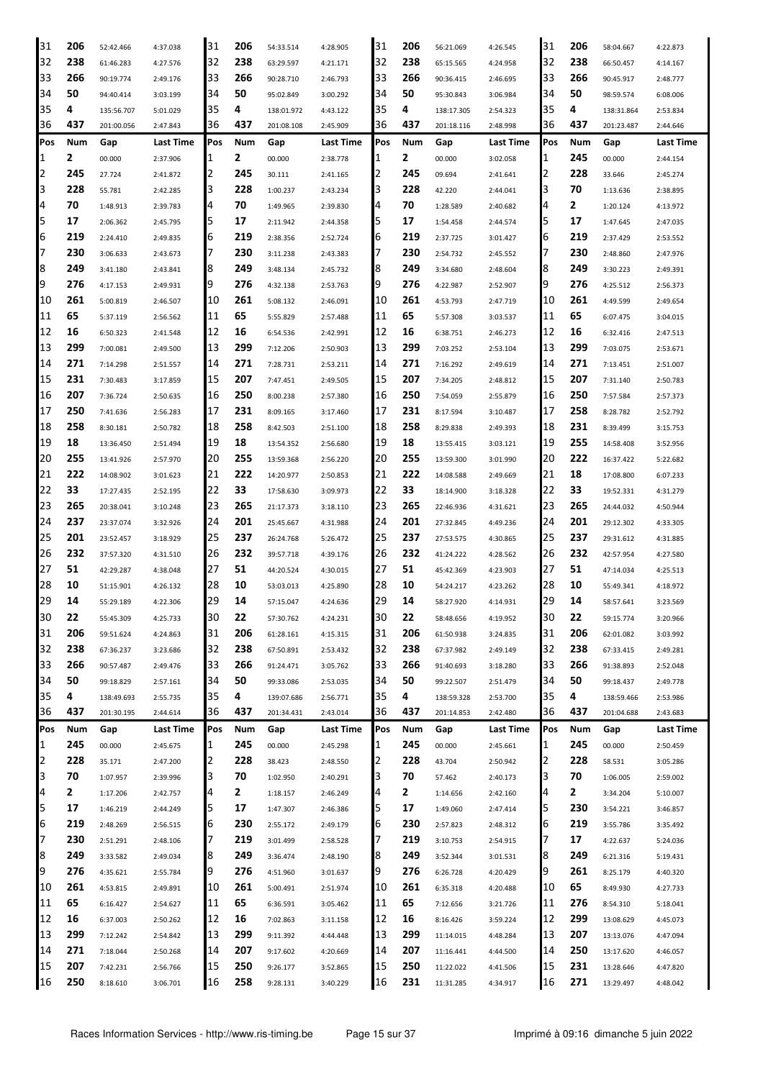| 31             | 206 | 52:42.466  | 4:37.038  | 31  | 206 | 54:33.514  | 4:28.905  | 31  | 206 | 56:21.069  | 4:26.545         | 31  | 206 | 58:04.667  | 4:22.873         |
|----------------|-----|------------|-----------|-----|-----|------------|-----------|-----|-----|------------|------------------|-----|-----|------------|------------------|
| 32             | 238 | 61:46.283  | 4:27.576  | 32  | 238 | 63:29.597  | 4:21.171  | 32  | 238 | 65:15.565  | 4:24.958         | 32  | 238 | 66:50.457  | 4:14.167         |
| 33             | 266 | 90:19.774  | 2:49.176  | 33  | 266 | 90:28.710  | 2:46.793  | 33  | 266 | 90:36.415  | 2:46.695         | 33  | 266 | 90:45.917  | 2:48.777         |
| 34             | 50  | 94:40.414  | 3:03.199  | 34  | 50  | 95:02.849  | 3:00.292  | 34  | 50  | 95:30.843  | 3:06.984         | 34  | 50  | 98:59.574  | 6:08.006         |
| 35             | 4   | 135:56.707 | 5:01.029  | 35  | 4   | 138:01.972 | 4:43.122  | 35  | 4   | 138:17.305 | 2:54.323         | 35  | 4   | 138:31.864 | 2:53.834         |
| 36             | 437 | 201:00.056 | 2:47.843  | 36  | 437 | 201:08.108 | 2:45.909  | 36  | 437 | 201:18.116 | 2:48.998         | 36  | 437 | 201:23.487 | 2:44.646         |
| Pos            | Num | Gap        | Last Time | Pos | Num | Gap        | Last Time | Pos | Num | Gap        | <b>Last Time</b> | Pos | Num | Gap        | <b>Last Time</b> |
| 1              | 2   | 00.000     |           | 1   | 2   |            |           | 1   | 2   | 00.000     |                  | 1   | 245 | 00.000     |                  |
| 2              | 245 |            | 2:37.906  | 2   | 245 | 00.000     | 2:38.778  | 2   | 245 |            | 3:02.058         | 2   | 228 |            | 2:44.154         |
|                |     | 27.724     | 2:41.872  |     |     | 30.111     | 2:41.165  |     |     | 09.694     | 2:41.641         |     |     | 33.646     | 2:45.274         |
| 3              | 228 | 55.781     | 2:42.285  | 3   | 228 | 1:00.237   | 2:43.234  | 3   | 228 | 42.220     | 2:44.041         | 3   | 70  | 1:13.636   | 2:38.895         |
| 4              | 70  | 1:48.913   | 2:39.783  | 4   | 70  | 1:49.965   | 2:39.830  | 4   | 70  | 1:28.589   | 2:40.682         | 4   | 2   | 1:20.124   | 4:13.972         |
| 5              | 17  | 2:06.362   | 2:45.795  | 5   | 17  | 2:11.942   | 2:44.358  | 5   | 17  | 1:54.458   | 2:44.574         | 5   | 17  | 1:47.645   | 2:47.035         |
| 6              | 219 | 2:24.410   | 2:49.835  | 6   | 219 | 2:38.356   | 2:52.724  | 6   | 219 | 2:37.725   | 3:01.427         | 6   | 219 | 2:37.429   | 2:53.552         |
| 7              | 230 | 3:06.633   | 2:43.673  | 17  | 230 | 3:11.238   | 2:43.383  | 7   | 230 | 2:54.732   | 2:45.552         |     | 230 | 2:48.860   | 2:47.976         |
| 8              | 249 | 3:41.180   | 2:43.841  | 18  | 249 | 3:48.134   | 2:45.732  | 8   | 249 | 3:34.680   | 2:48.604         | 8   | 249 | 3:30.223   | 2:49.391         |
| 9              | 276 | 4:17.153   | 2:49.931  | 19  | 276 | 4:32.138   | 2:53.763  | 9   | 276 | 4:22.987   | 2:52.907         | 9   | 276 | 4:25.512   | 2:56.373         |
| 10             | 261 | 5:00.819   | 2:46.507  | 10  | 261 | 5:08.132   | 2:46.091  | 10  | 261 | 4:53.793   | 2:47.719         | 10  | 261 | 4:49.599   | 2:49.654         |
| 11             | 65  | 5:37.119   | 2:56.562  | 11  | 65  | 5:55.829   | 2:57.488  | 11  | 65  | 5:57.308   | 3:03.537         | 11  | 65  | 6:07.475   | 3:04.015         |
| 12             | 16  | 6:50.323   | 2:41.548  | 12  | 16  | 6:54.536   | 2:42.991  | 12  | 16  | 6:38.751   | 2:46.273         | 12  | 16  | 6:32.416   | 2:47.513         |
| 13             | 299 | 7:00.081   | 2:49.500  | 13  | 299 | 7:12.206   | 2:50.903  | 13  | 299 | 7:03.252   | 2:53.104         | 13  | 299 | 7:03.075   | 2:53.671         |
| 14             | 271 | 7:14.298   | 2:51.557  | 14  | 271 | 7:28.731   | 2:53.211  | 14  | 271 | 7:16.292   | 2:49.619         | 14  | 271 | 7:13.451   | 2:51.007         |
| 15             | 231 | 7:30.483   | 3:17.859  | 15  | 207 | 7:47.451   | 2:49.505  | 15  | 207 | 7:34.205   | 2:48.812         | 15  | 207 | 7:31.140   | 2:50.783         |
| 16             | 207 | 7:36.724   | 2:50.635  | 16  | 250 | 8:00.238   | 2:57.380  | 16  | 250 | 7:54.059   | 2:55.879         | 16  | 250 | 7:57.584   | 2:57.373         |
| 17             | 250 | 7:41.636   | 2:56.283  | 17  | 231 | 8:09.165   | 3:17.460  | 17  | 231 | 8:17.594   | 3:10.487         | 17  | 258 | 8:28.782   | 2:52.792         |
| 18             | 258 | 8:30.181   | 2:50.782  | 18  | 258 | 8:42.503   | 2:51.100  | 18  | 258 | 8:29.838   | 2:49.393         | 18  | 231 | 8:39.499   | 3:15.753         |
| 19             | 18  | 13:36.450  | 2:51.494  | 19  | 18  | 13:54.352  | 2:56.680  | 19  | 18  | 13:55.415  | 3:03.121         | 19  | 255 | 14:58.408  | 3:52.956         |
| 20             | 255 | 13:41.926  | 2:57.970  | 20  | 255 | 13:59.368  | 2:56.220  | 20  | 255 | 13:59.300  | 3:01.990         | 20  | 222 | 16:37.422  | 5:22.682         |
| 21             | 222 | 14:08.902  | 3:01.623  | 21  | 222 | 14:20.977  | 2:50.853  | 21  | 222 | 14:08.588  | 2:49.669         | 21  | 18  | 17:08.800  | 6:07.233         |
| 22             | 33  | 17:27.435  | 2:52.195  | 22  | 33  | 17:58.630  | 3:09.973  | 22  | 33  | 18:14.900  | 3:18.328         | 22  | 33  | 19:52.331  | 4:31.279         |
| 23             | 265 | 20:38.041  | 3:10.248  | 23  | 265 | 21:17.373  |           | 23  | 265 | 22:46.936  |                  | 23  | 265 | 24:44.032  |                  |
| 24             | 237 |            |           | 24  | 201 |            | 3:18.110  | 24  | 201 |            | 4:31.621         | 24  | 201 |            | 4:50.944         |
|                |     | 23:37.074  | 3:32.926  |     |     | 25:45.667  | 4:31.988  |     |     | 27:32.845  | 4:49.236         |     |     | 29:12.302  | 4:33.305         |
| 25             | 201 | 23:52.457  | 3:18.929  | 25  | 237 | 26:24.768  | 5:26.472  | 25  | 237 | 27:53.575  | 4:30.865         | 25  | 237 | 29:31.612  | 4:31.885         |
| 26             | 232 | 37:57.320  | 4:31.510  | 26  | 232 | 39:57.718  | 4:39.176  | 26  | 232 | 41:24.222  | 4:28.562         | 26  | 232 | 42:57.954  | 4:27.580         |
| 27             | 51  | 42:29.287  | 4:38.048  | 27  | 51  | 44:20.524  | 4:30.015  | 27  | 51  | 45:42.369  | 4:23.903         | 27  | 51  | 47:14.034  | 4:25.513         |
| 28             | 10  | 51:15.901  | 4:26.132  | 28  | 10  | 53:03.013  | 4:25.890  | 28  | 10  | 54:24.217  | 4:23.262         | 28  | 10  | 55:49.341  | 4:18.972         |
| 29             | 14  | 55:29.189  | 4:22.306  | 29  | 14  | 57:15.047  | 4:24.636  | 29  | 14  | 58:27.920  | 4:14.931         | 29  | 14  | 58:57.641  | 3:23.569         |
| 30             | 22  | 55:45.309  | 4:25.733  | 30  | 22  | 57:30.762  | 4:24.231  | 30  | 22  | 58:48.656  | 4:19.952         | 30  | 22  | 59:15.774  | 3:20.966         |
| 31             | 206 | 59:51.624  | 4:24.863  | 31  | 206 | 61:28.161  | 4:15.315  | 31  | 206 | 61:50.938  | 3:24.835         | 31  | 206 | 62:01.082  | 3:03.992         |
| 32             | 238 | 67:36.237  | 3:23.686  | 32  | 238 | 67:50.891  | 2:53.432  | 32  | 238 | 67:37.982  | 2:49.149         | 32  | 238 | 67:33.415  | 2:49.281         |
| 33             | 266 | 90:57.487  | 2:49.476  | 33  | 266 | 91:24.471  | 3:05.762  | 33  | 266 | 91:40.693  | 3:18.280         | 33  | 266 | 91:38.893  | 2:52.048         |
| 34             | 50  | 99:18.829  | 2:57.161  | 34  | 50  | 99:33.086  | 2:53.035  | 34  | 50  | 99:22.507  | 2:51.479         | 34  | 50  | 99:18.437  | 2:49.778         |
| 35             | 4   | 138:49.693 | 2:55.735  | 35  | 4   | 139:07.686 | 2:56.771  | 35  | 4   | 138:59.328 | 2:53.700         | 35  | 4   | 138:59.466 | 2:53.986         |
| 36             | 437 | 201:30.195 | 2:44.614  | 36  | 437 | 201:34.431 | 2:43.014  | 36  | 437 | 201:14.853 | 2:42.480         | 36  | 437 | 201:04.688 | 2:43.683         |
| Pos            | Num | Gap        | Last Time | Pos | Num | Gap        | Last Time | Pos | Num | Gap        | Last Time        | Pos | Num | Gap        | Last Time        |
| 11             | 245 | 00.000     | 2:45.675  | 11  | 245 | 00.000     | 2:45.298  | 1   | 245 | 00.000     | 2:45.661         | 1   | 245 | 00.000     | 2:50.459         |
| $\overline{2}$ | 228 | 35.171     | 2:47.200  | 12  | 228 | 38.423     | 2:48.550  | 2   | 228 | 43.704     | 2:50.942         | 2   | 228 | 58.531     | 3:05.286         |
| 3              | 70  | 1:07.957   | 2:39.996  | IЗ  | 70  | 1:02.950   | 2:40.291  | 3   | 70  | 57.462     | 2:40.173         | 3   | 70  | 1:06.005   | 2:59.002         |
| 4              | 2   | 1:17.206   | 2:42.757  | 4   | 2   | 1:18.157   | 2:46.249  | 4   | 2   | 1:14.656   | 2:42.160         | 4   | 2   | 3:34.204   | 5:10.007         |
| 5              | 17  | 1:46.219   | 2:44.249  | 5   | 17  | 1:47.307   | 2:46.386  | 5   | 17  | 1:49.060   | 2:47.414         | 5   | 230 | 3:54.221   | 3:46.857         |
| 6              | 219 | 2:48.269   | 2:56.515  | 6   | 230 | 2:55.172   | 2:49.179  | 6   | 230 | 2:57.823   | 2:48.312         | 6   | 219 | 3:55.786   | 3:35.492         |
| 7              | 230 | 2:51.291   | 2:48.106  | 17  | 219 | 3:01.499   | 2:58.528  | 7   | 219 | 3:10.753   | 2:54.915         | 7   | 17  | 4:22.637   | 5:24.036         |
| 8              | 249 | 3:33.582   | 2:49.034  | 8   | 249 | 3:36.474   | 2:48.190  | 8   | 249 | 3:52.344   | 3:01.531         | 8   | 249 | 6:21.316   | 5:19.431         |
| 9              | 276 | 4:35.621   | 2:55.784  | 19  | 276 | 4:51.960   | 3:01.637  | 9   | 276 | 6:26.728   | 4:20.429         | 9   | 261 | 8:25.179   | 4:40.320         |
|                | 261 |            |           |     | 261 |            |           |     |     |            |                  | 10  | 65  |            |                  |
| 10             |     | 4:53.815   | 2:49.891  | 10  |     | 5:00.491   | 2:51.974  | 10  | 261 | 6:35.318   | 4:20.488         |     |     | 8:49.930   | 4:27.733         |
| 11             | 65  | 6:16.427   | 2:54.627  | 11  | 65  | 6:36.591   | 3:05.462  | 11  | 65  | 7:12.656   | 3:21.726         | 11  | 276 | 8:54.310   | 5:18.041         |
| 12             | 16  | 6:37.003   | 2:50.262  | 12  | 16  | 7:02.863   | 3:11.158  | 12  | 16  | 8:16.426   | 3:59.224         | 12  | 299 | 13:08.629  | 4:45.073         |
| 13             | 299 | 7:12.242   | 2:54.842  | 13  | 299 | 9:11.392   | 4:44.448  | 13  | 299 | 11:14.015  | 4:48.284         | 13  | 207 | 13:13.076  | 4:47.094         |
| 14             | 271 | 7:18.044   | 2:50.268  | 14  | 207 | 9:17.602   | 4:20.669  | 14  | 207 | 11:16.441  | 4:44.500         | 14  | 250 | 13:17.620  | 4:46.057         |
| 15             | 207 | 7:42.231   | 2:56.766  | 15  | 250 | 9:26.177   | 3:52.865  | 15  | 250 | 11:22.022  | 4:41.506         | 15  | 231 | 13:28.646  | 4:47.820         |
| 16             | 250 | 8:18.610   | 3:06.701  | 16  | 258 | 9:28.131   | 3:40.229  | 16  | 231 | 11:31.285  | 4:34.917         | 16  | 271 | 13:29.497  | 4:48.042         |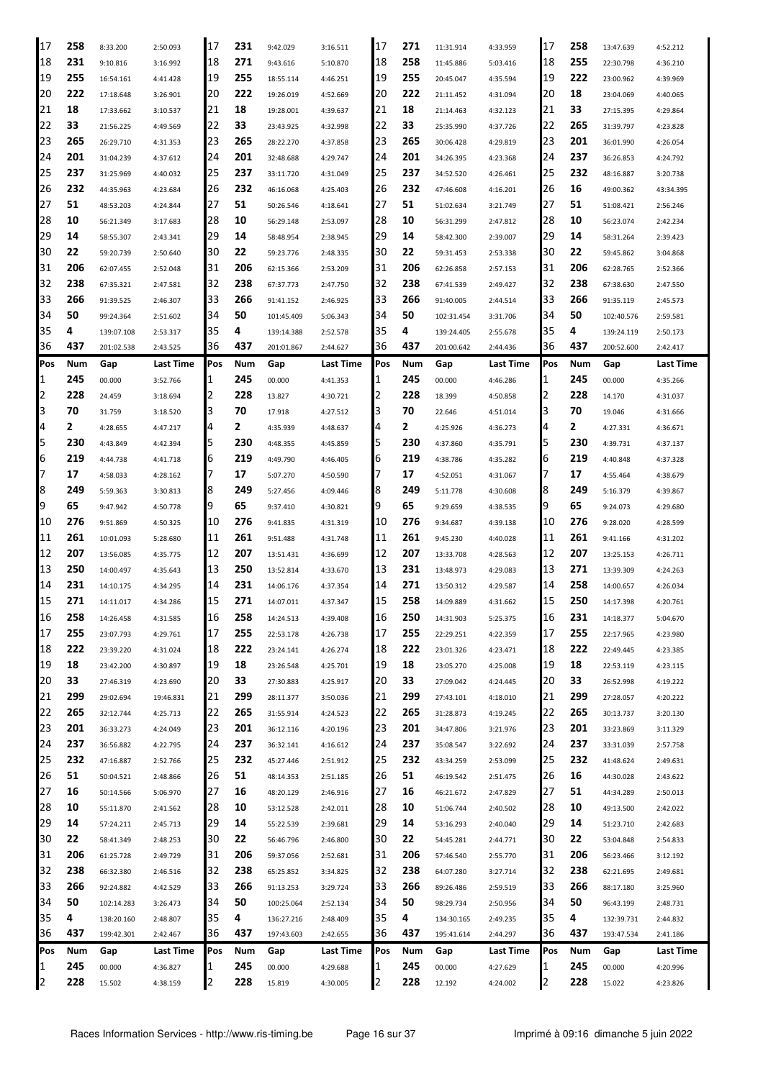| 17  | 258 | 8:33.200   | 2:50.093  | 17  | 231 | 9:42.029   | 3:16.511  | 17  | 271 | 11:31.914  | 4:33.959  | 17  | 258 | 13:47.639  | 4:52.212         |
|-----|-----|------------|-----------|-----|-----|------------|-----------|-----|-----|------------|-----------|-----|-----|------------|------------------|
| 18  | 231 | 9:10.816   | 3:16.992  | 18  | 271 | 9:43.616   | 5:10.870  | 18  | 258 | 11:45.886  | 5:03.416  | 18  | 255 | 22:30.798  | 4:36.210         |
| 19  | 255 | 16:54.161  | 4:41.428  | 19  | 255 | 18:55.114  | 4:46.251  | 19  | 255 | 20:45.047  | 4:35.594  | 19  | 222 | 23:00.962  | 4:39.969         |
| 20  | 222 | 17:18.648  | 3:26.901  | 20  | 222 | 19:26.019  | 4:52.669  | 20  | 222 | 21:11.452  | 4:31.094  | 20  | 18  | 23:04.069  | 4:40.065         |
| 21  | 18  | 17:33.662  | 3:10.537  | 21  | 18  | 19:28.001  | 4:39.637  | 21  | 18  | 21:14.463  | 4:32.123  | 21  | 33  | 27:15.395  | 4:29.864         |
| 22  | 33  | 21:56.225  | 4:49.569  | 22  | 33  | 23:43.925  | 4:32.998  | 22  | 33  | 25:35.990  | 4:37.726  | 22  | 265 | 31:39.797  | 4:23.828         |
| 23  | 265 | 26:29.710  | 4:31.353  | 23  | 265 | 28:22.270  | 4:37.858  | 23  | 265 | 30:06.428  | 4:29.819  | 23  | 201 | 36:01.990  | 4:26.054         |
| 24  | 201 | 31:04.239  | 4:37.612  | 24  | 201 | 32:48.688  | 4:29.747  | 24  | 201 | 34:26.395  | 4:23.368  | 24  | 237 | 36:26.853  | 4:24.792         |
| 25  | 237 | 31:25.969  | 4:40.032  | 25  | 237 | 33:11.720  | 4:31.049  | 25  | 237 | 34:52.520  | 4:26.461  | 25  | 232 | 48:16.887  | 3:20.738         |
| 26  | 232 | 44:35.963  | 4:23.684  | 26  | 232 | 46:16.068  | 4:25.403  | 26  | 232 | 47:46.608  | 4:16.201  | 26  | 16  | 49:00.362  | 43:34.395        |
| 27  | 51  |            |           | 27  | 51  |            |           | 27  | 51  |            | 3:21.749  | 27  | 51  | 51:08.421  |                  |
| 28  | 10  | 48:53.203  | 4:24.844  | 28  | 10  | 50:26.546  | 4:18.641  | 28  | 10  | 51:02.634  |           | 28  | 10  |            | 2:56.246         |
|     |     | 56:21.349  | 3:17.683  |     |     | 56:29.148  | 2:53.097  |     |     | 56:31.299  | 2:47.812  |     |     | 56:23.074  | 2:42.234         |
| 29  | 14  | 58:55.307  | 2:43.341  | 29  | 14  | 58:48.954  | 2:38.945  | 29  | 14  | 58:42.300  | 2:39.007  | 29  | 14  | 58:31.264  | 2:39.423         |
| 30  | 22  | 59:20.739  | 2:50.640  | 30  | 22  | 59:23.776  | 2:48.335  | 30  | 22  | 59:31.453  | 2:53.338  | 30  | 22  | 59:45.862  | 3:04.868         |
| 31  | 206 | 62:07.455  | 2:52.048  | 31  | 206 | 62:15.366  | 2:53.209  | 31  | 206 | 62:26.858  | 2:57.153  | 31  | 206 | 62:28.765  | 2:52.366         |
| 32  | 238 | 67:35.321  | 2:47.581  | 32  | 238 | 67:37.773  | 2:47.750  | 32  | 238 | 67:41.539  | 2:49.427  | 32  | 238 | 67:38.630  | 2:47.550         |
| 33  | 266 | 91:39.525  | 2:46.307  | 33  | 266 | 91:41.152  | 2:46.925  | 33  | 266 | 91:40.005  | 2:44.514  | 33  | 266 | 91:35.119  | 2:45.573         |
| 34  | 50  | 99:24.364  | 2:51.602  | 34  | 50  | 101:45.409 | 5:06.343  | 34  | 50  | 102:31.454 | 3:31.706  | 34  | 50  | 102:40.576 | 2:59.581         |
| 35  | 4   | 139:07.108 | 2:53.317  | 35  | 4   | 139:14.388 | 2:52.578  | 35  | 4   | 139:24.405 | 2:55.678  | 35  | 4   | 139:24.119 | 2:50.173         |
| 36  | 437 | 201:02.538 | 2:43.525  | 36  | 437 | 201:01.867 | 2:44.627  | 36  | 437 | 201:00.642 | 2:44.436  | 36  | 437 | 200:52.600 | 2:42.417         |
| Pos | Num | Gap        | Last Time | Pos | Num | Gap        | Last Time | Pos | Num | Gap        | Last Time | Pos | Num | Gap        | <b>Last Time</b> |
| 1   | 245 | 00.000     | 3:52.766  | 1   | 245 | 00.000     | 4:41.353  | 11  | 245 | 00.000     | 4:46.286  | 1   | 245 | 00.000     | 4:35.266         |
| 2   | 228 | 24.459     | 3:18.694  | 2   | 228 | 13.827     | 4:30.721  | 12  | 228 | 18.399     | 4:50.858  | 2   | 228 | 14.170     | 4:31.037         |
| 3   | 70  | 31.759     | 3:18.520  | 3   | 70  | 17.918     | 4:27.512  | 13  | 70  | 22.646     | 4:51.014  | 3   | 70  | 19.046     | 4:31.666         |
| 4   | 2   | 4:28.655   | 4:47.217  | 4   | 2   | 4:35.939   | 4:48.637  | 4   | 2   | 4:25.926   | 4:36.273  | 4   | 2   | 4:27.331   | 4:36.671         |
| 5   | 230 | 4:43.849   | 4:42.394  | 5   | 230 | 4:48.355   | 4:45.859  |     | 230 | 4:37.860   | 4:35.791  | 5   | 230 | 4:39.731   | 4:37.137         |
| 6   | 219 | 4:44.738   | 4:41.718  | 6   | 219 | 4:49.790   | 4:46.405  | 16  | 219 | 4:38.786   | 4:35.282  | 6   | 219 | 4:40.848   | 4:37.328         |
| 7   | 17  | 4:58.033   | 4:28.162  | 7   | 17  | 5:07.270   | 4:50.590  |     | 17  | 4:52.051   | 4:31.067  |     | 17  | 4:55.464   | 4:38.679         |
| 8   | 249 | 5:59.363   | 3:30.813  | 8   | 249 | 5:27.456   | 4:09.446  | 8   | 249 | 5:11.778   | 4:30.608  | 8   | 249 | 5:16.379   | 4:39.867         |
| 9   | 65  | 9:47.942   | 4:50.778  | 9   | 65  | 9:37.410   | 4:30.821  | 19  | 65  | 9:29.659   | 4:38.535  | 9   | 65  | 9:24.073   | 4:29.680         |
| 10  | 276 | 9:51.869   | 4:50.325  | 10  | 276 | 9:41.835   | 4:31.319  | 10  | 276 | 9:34.687   | 4:39.138  | 10  | 276 | 9:28.020   | 4:28.599         |
| 11  | 261 | 10:01.093  | 5:28.680  | 11  | 261 | 9:51.488   | 4:31.748  | 11  | 261 | 9:45.230   | 4:40.028  | 11  | 261 | 9:41.166   | 4:31.202         |
| 12  | 207 | 13:56.085  |           | 12  | 207 | 13:51.431  |           | 12  | 207 |            |           | 12  | 207 |            |                  |
| 13  | 250 |            | 4:35.775  | 13  | 250 |            | 4:36.699  | 13  | 231 | 13:33.708  | 4:28.563  | 13  | 271 | 13:25.153  | 4:26.711         |
|     | 231 | 14:00.497  | 4:35.643  |     |     | 13:52.814  | 4:33.670  |     |     | 13:48.973  | 4:29.083  |     | 258 | 13:39.309  | 4:24.263         |
| 14  |     | 14:10.175  | 4:34.295  | 14  | 231 | 14:06.176  | 4:37.354  | 14  | 271 | 13:50.312  | 4:29.587  | 14  |     | 14:00.657  | 4:26.034         |
| 15  | 271 | 14:11.017  | 4:34.286  | 15  | 271 | 14:07.011  | 4:37.347  | 15  | 258 | 14:09.889  | 4:31.662  | 15  | 250 | 14:17.398  | 4:20.761         |
| 16  | 258 | 14:26.458  | 4:31.585  | I16 | 258 | 14:24.513  | 4:39.408  | 16  | 250 | 14:31.903  | 5:25.375  | 16  | 231 | 14:18.377  | 5:04.670         |
| 17  | 255 | 23:07.793  | 4:29.761  | 17  | 255 | 22:53.178  | 4:26.738  | 17  | 255 | 22:29.251  | 4:22.359  | 17  | 255 | 22:17.965  | 4:23.980         |
| 18  | 222 | 23:39.220  | 4:31.024  | 18  | 222 | 23:24.141  | 4:26.274  | 18  | 222 | 23:01.326  | 4:23.471  | 18  | 222 | 22:49.445  | 4:23.385         |
| 19  | 18  | 23:42.200  | 4:30.897  | 19  | 18  | 23:26.548  | 4:25.701  | 19  | 18  | 23:05.270  | 4:25.008  | 19  | 18  | 22:53.119  | 4:23.115         |
| 20  | 33  | 27:46.319  | 4:23.690  | 20  | 33  | 27:30.883  | 4:25.917  | 20  | 33  | 27:09.042  | 4:24.445  | 20  | 33  | 26:52.998  | 4:19.222         |
| 21  | 299 | 29:02.694  | 19:46.831 | 21  | 299 | 28:11.377  | 3:50.036  | 21  | 299 | 27:43.101  | 4:18.010  | 21  | 299 | 27:28.057  | 4:20.222         |
| 22  | 265 | 32:12.744  | 4:25.713  | 22  | 265 | 31:55.914  | 4:24.523  | 22  | 265 | 31:28.873  | 4:19.245  | 22  | 265 | 30:13.737  | 3:20.130         |
| 23  | 201 | 36:33.273  | 4:24.049  | 23  | 201 | 36:12.116  | 4:20.196  | 23  | 201 | 34:47.806  | 3:21.976  | 23  | 201 | 33:23.869  | 3:11.329         |
| 24  | 237 | 36:56.882  | 4:22.795  | 24  | 237 | 36:32.141  | 4:16.612  | 24  | 237 | 35:08.547  | 3:22.692  | 24  | 237 | 33:31.039  | 2:57.758         |
| 25  | 232 | 47:16.887  | 2:52.766  | 25  | 232 | 45:27.446  | 2:51.912  | 25  | 232 | 43:34.259  | 2:53.099  | 25  | 232 | 41:48.624  | 2:49.631         |
| 26  | 51  | 50:04.521  | 2:48.866  | 26  | 51  | 48:14.353  | 2:51.185  | 26  | 51  | 46:19.542  | 2:51.475  | 26  | 16  | 44:30.028  | 2:43.622         |
| 27  | 16  | 50:14.566  | 5:06.970  | 27  | 16  | 48:20.129  | 2:46.916  | 27  | 16  | 46:21.672  | 2:47.829  | 27  | 51  | 44:34.289  | 2:50.013         |
| 28  | 10  | 55:11.870  | 2:41.562  | 28  | 10  | 53:12.528  | 2:42.011  | 28  | 10  | 51:06.744  | 2:40.502  | 28  | 10  | 49:13.500  | 2:42.022         |
| 29  | 14  | 57:24.211  | 2:45.713  | 29  | 14  | 55:22.539  | 2:39.681  | 29  | 14  | 53:16.293  | 2:40.040  | 29  | 14  | 51:23.710  | 2:42.683         |
| 30  | 22  | 58:41.349  | 2:48.253  | 30  | 22  | 56:46.796  | 2:46.800  | 30  | 22  | 54:45.281  | 2:44.771  | 30  | 22  | 53:04.848  | 2:54.833         |
| 31  | 206 | 61:25.728  | 2:49.729  | 31  | 206 | 59:37.056  | 2:52.681  | 31  | 206 | 57:46.540  | 2:55.770  | 31  | 206 | 56:23.466  | 3:12.192         |
| 32  | 238 | 66:32.380  | 2:46.516  | 32  | 238 | 65:25.852  | 3:34.825  | 32  | 238 | 64:07.280  | 3:27.714  | 32  | 238 | 62:21.695  | 2:49.681         |
| 33  | 266 | 92:24.882  | 4:42.529  | 33  | 266 | 91:13.253  | 3:29.724  | 33  | 266 | 89:26.486  | 2:59.519  | 33  | 266 | 88:17.180  | 3:25.960         |
| 34  | 50  |            |           | 34  | 50  |            |           | 34  | 50  |            |           | 34  | 50  |            |                  |
| 35  | 4   | 102:14.283 | 3:26.473  | 35  | 4   | 100:25.064 | 2:52.134  | 35  | 4   | 98:29.734  | 2:50.956  | 35  | 4   | 96:43.199  | 2:48.731         |
| 36  | 437 | 138:20.160 | 2:48.807  | 36  | 437 | 136:27.216 | 2:48.409  | 136 | 437 | 134:30.165 | 2:49.235  | 36  | 437 | 132:39.731 | 2:44.832         |
|     |     | 199:42.301 | 2:42.467  |     |     | 197:43.603 | 2:42.655  |     |     | 195:41.614 | 2:44.297  |     |     | 193:47.534 | 2:41.186         |
| Pos | Num | Gap        | Last Time | Pos | Num | Gap        | Last Time | Pos | Num | Gap        | Last Time | Pos | Num | Gap        | Last Time        |
| 1   | 245 | 00.000     | 4:36.827  | 1   | 245 | 00.000     | 4:29.688  | 11  | 245 | 00.000     | 4:27.629  | 1   | 245 | 00.000     | 4:20.996         |
| 2   | 228 | 15.502     | 4:38.159  | 2   | 228 | 15.819     | 4:30.005  | 2   | 228 | 12.192     | 4:24.002  | 2   | 228 | 15.022     | 4:23.826         |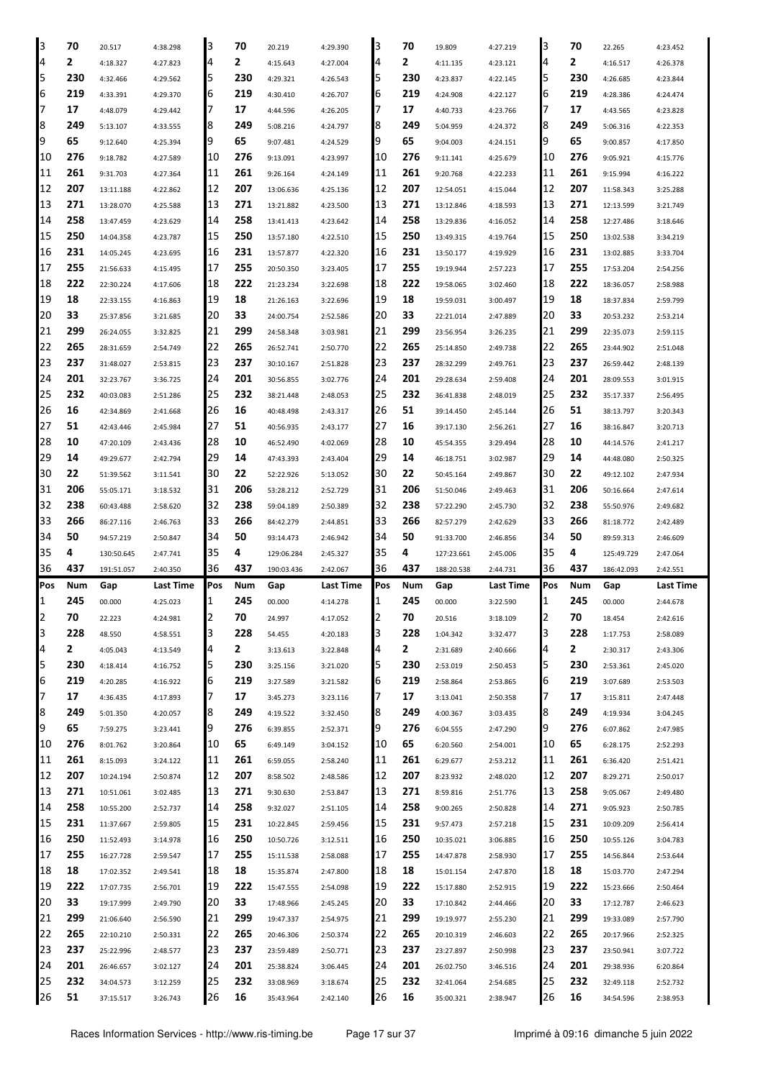| 3              | 70        |            |           | 3        | 70        |            |           | 3        | 70        |            |           | 3        | 70        |            |           |
|----------------|-----------|------------|-----------|----------|-----------|------------|-----------|----------|-----------|------------|-----------|----------|-----------|------------|-----------|
|                |           | 20.517     | 4:38.298  |          |           | 20.219     | 4:29.390  |          |           | 19.809     | 4:27.219  |          |           | 22.265     | 4:23.452  |
| 4              | 2         | 4:18.327   | 4:27.823  | 4        | 2         | 4:15.643   | 4:27.004  | 4        | 2         | 4:11.135   | 4:23.121  | 4        | 2         | 4:16.517   | 4:26.378  |
| 5              | 230       | 4:32.466   | 4:29.562  | 5        | 230       | 4:29.321   | 4:26.543  | 5        | 230       | 4:23.837   | 4:22.145  | 5        | 230       | 4:26.685   | 4:23.844  |
| 6              | 219       | 4:33.391   | 4:29.370  | 6        | 219       | 4:30.410   | 4:26.707  | 6        | 219       | 4:24.908   | 4:22.127  | 6        | 219       | 4:28.386   | 4:24.474  |
| 7              | 17        | 4:48.079   | 4:29.442  | 7        | 17        | 4:44.596   | 4:26.205  | 7        | 17        | 4:40.733   | 4:23.766  | 7        | 17        | 4:43.565   | 4:23.828  |
| 8              | 249       | 5:13.107   | 4:33.555  | 8        | 249       | 5:08.216   | 4:24.797  | 8        | 249       | 5:04.959   | 4:24.372  | 8        | 249       | 5:06.316   | 4:22.353  |
| 9              | 65        | 9:12.640   | 4:25.394  | 9        | 65        | 9:07.481   | 4:24.529  | 9        | 65        | 9:04.003   | 4:24.151  | 9        | 65        | 9:00.857   | 4:17.850  |
| 10             | 276       | 9:18.782   | 4:27.589  | 10       | 276       | 9:13.091   | 4:23.997  | 10       | 276       | 9:11.141   | 4:25.679  | 10       | 276       | 9:05.921   | 4:15.776  |
| 11             | 261       | 9:31.703   | 4:27.364  | 11       | 261       | 9:26.164   | 4:24.149  | 11       | 261       | 9:20.768   | 4:22.233  | 11       | 261       | 9:15.994   | 4:16.222  |
| 12             | 207       | 13:11.188  | 4:22.862  | 12       | 207       | 13:06.636  |           | 12       | 207       | 12:54.051  | 4:15.044  | 12       | 207       | 11:58.343  | 3:25.288  |
|                |           |            |           |          |           |            | 4:25.136  |          |           |            |           |          |           |            |           |
| 13             | 271       | 13:28.070  | 4:25.588  | 13       | 271       | 13:21.882  | 4:23.500  | 13       | 271       | 13:12.846  | 4:18.593  | 13       | 271       | 12:13.599  | 3:21.749  |
| 14             | 258       | 13:47.459  | 4:23.629  | 14       | 258       | 13:41.413  | 4:23.642  | 14       | 258       | 13:29.836  | 4:16.052  | 14       | 258       | 12:27.486  | 3:18.646  |
| 15             | 250       | 14:04.358  | 4:23.787  | 15       | 250       | 13:57.180  | 4:22.510  | 15       | 250       | 13:49.315  | 4:19.764  | 15       | 250       | 13:02.538  | 3:34.219  |
| 16             | 231       | 14:05.245  | 4:23.695  | 16       | 231       | 13:57.877  | 4:22.320  | 16       | 231       | 13:50.177  | 4:19.929  | 16       | 231       | 13:02.885  | 3:33.704  |
| 17             | 255       | 21:56.633  | 4:15.495  | 17       | 255       | 20:50.350  | 3:23.405  | 17       | 255       | 19:19.944  | 2:57.223  | 17       | 255       | 17:53.204  | 2:54.256  |
| 18             | 222       | 22:30.224  | 4:17.606  | 18       | 222       | 21:23.234  | 3:22.698  | 18       | 222       | 19:58.065  | 3:02.460  | 18       | 222       | 18:36.057  | 2:58.988  |
| 19             | 18        | 22:33.155  | 4:16.863  | 19       | 18        | 21:26.163  | 3:22.696  | 19       | 18        | 19:59.031  | 3:00.497  | 19       | 18        | 18:37.834  | 2:59.799  |
| 20             | 33        | 25:37.856  | 3:21.685  | 20       | 33        | 24:00.754  | 2:52.586  | 20       | 33        | 22:21.014  | 2:47.889  | 20       | 33        | 20:53.232  | 2:53.214  |
| 21             | 299       | 26:24.055  | 3:32.825  | 21       | 299       | 24:58.348  | 3:03.981  | 21       | 299       | 23:56.954  | 3:26.235  | 21       | 299       | 22:35.073  | 2:59.115  |
| 22             | 265       |            |           | 22       | 265       | 26:52.741  |           | 22       | 265       |            |           | 22       | 265       |            |           |
|                |           | 28:31.659  | 2:54.749  |          |           |            | 2:50.770  |          |           | 25:14.850  | 2:49.738  |          |           | 23:44.902  | 2:51.048  |
| 23             | 237       | 31:48.027  | 2:53.815  | 23       | 237       | 30:10.167  | 2:51.828  | 23       | 237       | 28:32.299  | 2:49.761  | 23       | 237       | 26:59.442  | 2:48.139  |
| 24             | 201       | 32:23.767  | 3:36.725  | 24       | 201       | 30:56.855  | 3:02.776  | 24       | 201       | 29:28.634  | 2:59.408  | 24       | 201       | 28:09.553  | 3:01.915  |
| 25             | 232       | 40:03.083  | 2:51.286  | 25       | 232       | 38:21.448  | 2:48.053  | 25       | 232       | 36:41.838  | 2:48.019  | 25       | 232       | 35:17.337  | 2:56.495  |
| 26             | 16        | 42:34.869  | 2:41.668  | 26       | 16        | 40:48.498  | 2:43.317  | 26       | 51        | 39:14.450  | 2:45.144  | 26       | 51        | 38:13.797  | 3:20.343  |
| 27             | 51        | 42:43.446  | 2:45.984  | 27       | 51        | 40:56.935  | 2:43.177  | 27       | 16        | 39:17.130  | 2:56.261  | 27       | 16        | 38:16.847  | 3:20.713  |
| 28             | 10        | 47:20.109  | 2:43.436  | 28       | 10        | 46:52.490  | 4:02.069  | 28       | 10        | 45:54.355  | 3:29.494  | 28       | 10        | 44:14.576  | 2:41.217  |
| 29             | 14        | 49:29.677  | 2:42.794  | 29       | 14        | 47:43.393  | 2:43.404  | 29       | 14        | 46:18.751  | 3:02.987  | 29       | 14        | 44:48.080  | 2:50.325  |
| 30             | 22        | 51:39.562  | 3:11.541  | 30       | 22        | 52:22.926  | 5:13.052  | 30       | 22        | 50:45.164  | 2:49.867  | 30       | 22        | 49:12.102  | 2:47.934  |
| 31             | 206       | 55:05.171  | 3:18.532  | 31       | 206       | 53:28.212  | 2:52.729  | 31       | 206       | 51:50.046  | 2:49.463  | 31       | 206       | 50:16.664  | 2:47.614  |
| 32             | 238       | 60:43.488  | 2:58.620  | 32       | 238       | 59:04.189  | 2:50.389  | 32       | 238       | 57:22.290  | 2:45.730  | 32       | 238       | 55:50.976  | 2:49.682  |
|                | 266       |            |           |          |           |            |           |          |           |            |           |          |           |            |           |
|                |           |            |           |          |           |            |           |          |           |            |           |          |           |            |           |
| 33             |           | 86:27.116  | 2:46.763  | 33       | 266       | 84:42.279  | 2:44.851  | 33       | 266       | 82:57.279  | 2:42.629  | 33       | 266       | 81:18.772  | 2:42.489  |
| 34             | 50        | 94:57.219  | 2:50.847  | 34       | 50        | 93:14.473  | 2:46.942  | 34       | 50        | 91:33.700  | 2:46.856  | 34       | 50        | 89:59.313  | 2:46.609  |
| 35             | 4         | 130:50.645 | 2:47.741  | 35       | 4         | 129:06.284 | 2:45.327  | 35       | 4         | 127:23.661 | 2:45.006  | 35       | 4         | 125:49.729 | 2:47.064  |
| 36             | 437       | 191:51.057 | 2:40.350  | 36       | 437       | 190:03.436 | 2:42.067  | 36       | 437       | 188:20.538 | 2:44.731  | 36       | 437       | 186:42.093 | 2:42.551  |
| Pos            | Num       | Gap        | Last Time | Pos      | Num       | Gap        | Last Time | Pos      | Num       | Gap        | Last Time | Pos      | Num       | Gap        | Last Time |
| $\mathbf{1}$   | 245       | 00.000     | 4:25.023  | 1        | 245       | 00.000     | 4:14.278  | 1        | 245       | 00.000     | 3:22.590  | 1        | 245       | 00.000     | 2:44.678  |
| $\overline{2}$ | 70        | 22.223     | 4:24.981  | 2        | 70        | 24.997     | 4:17.052  | 2        | 70        | 20.516     | 3:18.109  | 2        | 70        | 18.454     | 2:42.616  |
| 3              | 228       | 48.550     | 4:58.551  | 3        | 228       | 54.455     | 4:20.183  | З        | 228       | 1:04.342   | 3:32.477  | 3        | 228       | 1:17.753   | 2:58.089  |
| 4              | 2         | 4:05.043   | 4:13.549  | 4        | 2         | 3:13.613   | 3:22.848  | 4        | 2         | 2:31.689   | 2:40.666  | 4        | 2         | 2:30.317   | 2:43.306  |
| 5              | 230       | 4:18.414   | 4:16.752  | 5        | 230       | 3:25.156   | 3:21.020  | 5        | 230       | 2:53.019   | 2:50.453  | 5        | 230       | 2:53.361   | 2:45.020  |
| 6              | 219       | 4:20.285   | 4:16.922  | 6        | 219       | 3:27.589   | 3:21.582  | 6        | 219       | 2:58.864   | 2:53.865  | 6        | 219       | 3:07.689   | 2:53.503  |
| 7              | 17        |            |           | 7        |           |            |           | 7        |           |            |           | 7        |           |            |           |
|                |           | 4:36.435   | 4:17.893  |          | 17        | 3:45.273   | 3:23.116  |          | 17        | 3:13.041   | 2:50.358  |          | 17        | 3:15.811   | 2:47.448  |
| 8              | 249       | 5:01.350   | 4:20.057  | 8        | 249       | 4:19.522   | 3:32.450  | 8        | 249       | 4:00.367   | 3:03.435  | 8        | 249       | 4:19.934   | 3:04.245  |
| 9              | 65        | 7:59.275   | 3:23.441  | 9        | 276       | 6:39.855   | 2:52.371  | 9        | 276       | 6:04.555   | 2:47.290  | 9        | 276       | 6:07.862   | 2:47.985  |
| 10             | 276       | 8:01.762   | 3:20.864  | 10       | 65        | 6:49.149   | 3:04.152  | 10       | 65        | 6:20.560   | 2:54.001  | 10       | 65        | 6:28.175   | 2:52.293  |
| 11             | 261       | 8:15.093   | 3:24.122  | 11       | 261       | 6:59.055   | 2:58.240  | 11       | 261       | 6:29.677   | 2:53.212  | 11       | 261       | 6:36.420   | 2:51.421  |
| 12             | 207       | 10:24.194  | 2:50.874  | 12       | 207       | 8:58.502   | 2:48.586  | 12       | 207       | 8:23.932   | 2:48.020  | 12       | 207       | 8:29.271   | 2:50.017  |
| 13             | 271       | 10:51.061  | 3:02.485  | 13       | 271       | 9:30.630   | 2:53.847  | 13       | 271       | 8:59.816   | 2:51.776  | 13       | 258       | 9:05.067   | 2:49.480  |
| 14             | 258       | 10:55.200  | 2:52.737  | 14       | 258       | 9:32.027   | 2:51.105  | 14       | 258       | 9:00.265   | 2:50.828  | 14       | 271       | 9:05.923   | 2:50.785  |
| 15             | 231       | 11:37.667  | 2:59.805  | 15       | 231       | 10:22.845  | 2:59.456  | 15       | 231       | 9:57.473   | 2:57.218  | 15       | 231       | 10:09.209  | 2:56.414  |
| 16             | 250       | 11:52.493  | 3:14.978  | 16       | 250       | 10:50.726  | 3:12.511  | 16       | 250       | 10:35.021  | 3:06.885  | 16       | 250       | 10:55.126  | 3:04.783  |
| 17             | 255       | 16:27.728  | 2:59.547  | 17       | 255       | 15:11.538  | 2:58.088  | 17       | 255       | 14:47.878  | 2:58.930  | 17       | 255       | 14:56.844  | 2:53.644  |
| 18             | 18        | 17:02.352  | 2:49.541  | 18       | 18        | 15:35.874  | 2:47.800  | 18       | 18        | 15:01.154  | 2:47.870  | 18       | 18        | 15:03.770  | 2:47.294  |
|                |           |            |           |          |           |            |           |          |           |            |           |          |           |            |           |
| 19             | 222       | 17:07.735  | 2:56.701  | 19       | 222       | 15:47.555  | 2:54.098  | 19       | 222       | 15:17.880  | 2:52.915  | 19       | 222       | 15:23.666  | 2:50.464  |
| 20             | 33        | 19:17.999  | 2:49.790  | 20       | 33        | 17:48.966  | 2:45.245  | 20       | 33        | 17:10.842  | 2:44.466  | 120      | 33        | 17:12.787  | 2:46.623  |
| 21             | 299       | 21:06.640  | 2:56.590  | 21       | 299       | 19:47.337  | 2:54.975  | 21       | 299       | 19:19.977  | 2:55.230  | 21       | 299       | 19:33.089  | 2:57.790  |
| 22             | 265       | 22:10.210  | 2:50.331  | 22       | 265       | 20:46.306  | 2:50.374  | 22       | 265       | 20:10.319  | 2:46.603  | 22       | 265       | 20:17.966  | 2:52.325  |
| 23             | 237       | 25:22.996  | 2:48.577  | 23       | 237       | 23:59.489  | 2:50.771  | 23       | 237       | 23:27.897  | 2:50.998  | 23       | 237       | 23:50.941  | 3:07.722  |
| 24             | 201       | 26:46.657  | 3:02.127  | 24       | 201       | 25:38.824  | 3:06.445  | 24       | 201       | 26:02.750  | 3:46.516  | 24       | 201       | 29:38.936  | 6:20.864  |
| 25<br>26       | 232<br>51 | 34:04.573  | 3:12.259  | 25<br>26 | 232<br>16 | 33:08.969  | 3:18.674  | 25<br>26 | 232<br>16 | 32:41.064  | 2:54.685  | 25<br>26 | 232<br>16 | 32:49.118  | 2:52.732  |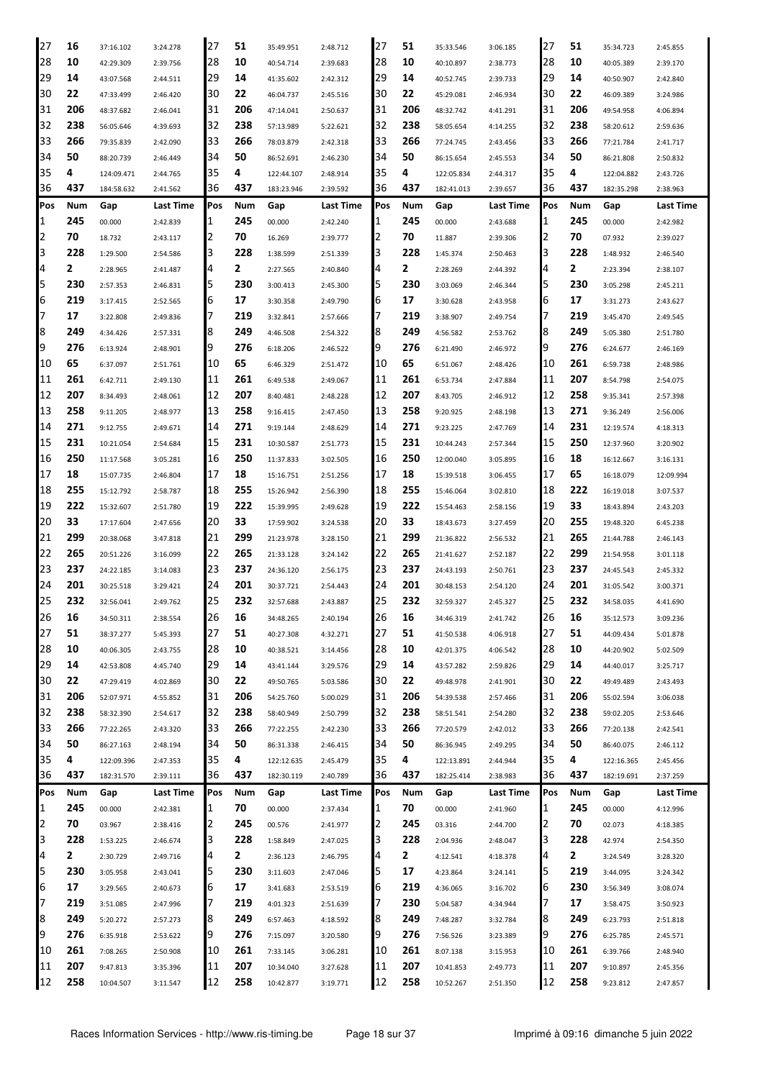| 27  | 16  | 37:16.102  | 3:24.278  | 27  | 51  | 35:49.951  | 2:48.712  | 27  | 51  | 35:33.546  | 3:06.185  | 27  | 51  | 35:34.723  | 2:45.855         |
|-----|-----|------------|-----------|-----|-----|------------|-----------|-----|-----|------------|-----------|-----|-----|------------|------------------|
| 28  | 10  | 42:29.309  | 2:39.756  | 28  | 10  | 40:54.714  | 2:39.683  | 28  | 10  | 40:10.897  | 2:38.773  | 28  | 10  | 40:05.389  | 2:39.170         |
| 29  | 14  | 43:07.568  | 2:44.511  | 29  | 14  | 41:35.602  | 2:42.312  | 29  | 14  | 40:52.745  | 2:39.733  | 29  | 14  | 40:50.907  | 2:42.840         |
| 30  | 22  | 47:33.499  | 2:46.420  | 30  | 22  | 46:04.737  | 2:45.516  | 30  | 22  | 45:29.081  | 2:46.934  | 30  | 22  | 46:09.389  | 3:24.986         |
| 31  | 206 | 48:37.682  | 2:46.041  | 31  | 206 | 47:14.041  | 2:50.637  | 31  | 206 | 48:32.742  | 4:41.291  | 31  | 206 | 49:54.958  | 4:06.894         |
| 32  | 238 | 56:05.646  | 4:39.693  | 32  | 238 | 57:13.989  | 5:22.621  | 32  | 238 | 58:05.654  | 4:14.255  | 32  | 238 | 58:20.612  | 2:59.636         |
| 33  | 266 | 79:35.839  | 2:42.090  | 33  | 266 | 78:03.879  | 2:42.318  | 33  | 266 | 77:24.745  | 2:43.456  | 33  | 266 | 77:21.784  | 2:41.717         |
| 34  | 50  | 88:20.739  | 2:46.449  | 34  | 50  | 86:52.691  | 2:46.230  | 34  | 50  | 86:15.654  | 2:45.553  | 34  | 50  | 86:21.808  | 2:50.832         |
| 35  | 4   |            |           | 35  | 4   |            |           | 35  | 4   |            |           | 35  | 4   |            |                  |
| 36  | 437 | 124:09.471 | 2:44.765  | 36  | 437 | 122:44.107 | 2:48.914  | 36  | 437 | 122:05.834 | 2:44.317  | 36  | 437 | 122:04.882 | 2:43.726         |
|     |     | 184:58.632 | 2:41.562  |     |     | 183:23.946 | 2:39.592  |     |     | 182:41.013 | 2:39.657  |     |     | 182:35.298 | 2:38.963         |
| Pos | Num | Gap        | Last Time | Pos | Num | Gap        | Last Time | Pos | Num | Gap        | Last Time | Pos | Num | Gap        | Last Time        |
| 1   | 245 | 00.000     | 2:42.839  | 1   | 245 | 00.000     | 2:42.240  | 1   | 245 | 00.000     | 2:43.688  | 1   | 245 | 00.000     | 2:42.982         |
| 2   | 70  | 18.732     | 2:43.117  | 2   | 70  | 16.269     | 2:39.777  | 2   | 70  | 11.887     | 2:39.306  | 2   | 70  | 07.932     | 2:39.027         |
| 3   | 228 | 1:29.500   | 2:54.586  | 3   | 228 | 1:38.599   | 2:51.339  | 3   | 228 | 1:45.374   | 2:50.463  | 3   | 228 | 1:48.932   | 2:46.540         |
| 4   | 2   | 2:28.965   | 2:41.487  | 4   | 2   | 2:27.565   | 2:40.840  | 4   | 2   | 2:28.269   | 2:44.392  | 4   | 2   | 2:23.394   | 2:38.107         |
| 5   | 230 | 2:57.353   | 2:46.831  | 5   | 230 | 3:00.413   | 2:45.300  | 5   | 230 | 3:03.069   | 2:46.344  | 5   | 230 | 3:05.298   | 2:45.211         |
| 6   | 219 | 3:17.415   | 2:52.565  | 6   | 17  | 3:30.358   | 2:49.790  | 6   | 17  | 3:30.628   | 2:43.958  | 6   | 17  | 3:31.273   | 2:43.627         |
| 7   | 17  | 3:22.808   | 2:49.836  | 7   | 219 | 3:32.841   | 2:57.666  | 7   | 219 | 3:38.907   | 2:49.754  | 7   | 219 | 3:45.470   | 2:49.545         |
| 8   | 249 | 4:34.426   | 2:57.331  | 8   | 249 | 4:46.508   | 2:54.322  | 8   | 249 | 4:56.582   | 2:53.762  | 8   | 249 | 5:05.380   | 2:51.780         |
| 9   | 276 | 6:13.924   | 2:48.901  | 9   | 276 | 6:18.206   | 2:46.522  | 9   | 276 | 6:21.490   | 2:46.972  | 9   | 276 | 6:24.677   | 2:46.169         |
| 10  | 65  | 6:37.097   | 2:51.761  | 10  | 65  | 6:46.329   | 2:51.472  | 10  | 65  | 6:51.067   | 2:48.426  | 10  | 261 | 6:59.738   | 2:48.986         |
| 11  | 261 | 6:42.711   | 2:49.130  | 11  | 261 | 6:49.538   | 2:49.067  | 11  | 261 | 6:53.734   | 2:47.884  | 11  | 207 | 8:54.798   | 2:54.075         |
| 12  | 207 | 8:34.493   | 2:48.061  | 12  | 207 | 8:40.481   | 2:48.228  | 12  | 207 | 8:43.705   | 2:46.912  | 12  | 258 | 9:35.341   | 2:57.398         |
| 13  | 258 | 9:11.205   | 2:48.977  | 13  | 258 | 9:16.415   | 2:47.450  | 13  | 258 | 9:20.925   | 2:48.198  | 13  | 271 | 9:36.249   | 2:56.006         |
| 14  | 271 | 9:12.755   | 2:49.671  | 14  | 271 | 9:19.144   | 2:48.629  | 14  | 271 | 9:23.225   | 2:47.769  | 14  | 231 | 12:19.574  | 4:18.313         |
| 15  | 231 | 10:21.054  | 2:54.684  | 15  | 231 | 10:30.587  | 2:51.773  | 15  | 231 | 10:44.243  | 2:57.344  | 15  | 250 | 12:37.960  | 3:20.902         |
| 16  | 250 | 11:17.568  | 3:05.281  | 16  | 250 | 11:37.833  | 3:02.505  | 16  | 250 | 12:00.040  | 3:05.895  | 16  | 18  | 16:12.667  | 3:16.131         |
| 17  | 18  | 15:07.735  | 2:46.804  | 17  | 18  | 15:16.751  | 2:51.256  | 17  | 18  | 15:39.518  | 3:06.455  | 17  | 65  | 16:18.079  | 12:09.994        |
| 18  | 255 | 15:12.792  | 2:58.787  | 18  | 255 | 15:26.942  | 2:56.390  | 18  | 255 | 15:46.064  | 3:02.810  | 18  | 222 | 16:19.018  | 3:07.537         |
| 19  | 222 | 15:32.607  | 2:51.780  | 19  | 222 | 15:39.995  | 2:49.628  | 19  | 222 | 15:54.463  |           | 19  | 33  | 18:43.894  |                  |
| 20  | 33  |            |           |     | 33  |            |           | 20  | 33  |            | 2:58.156  | 20  | 255 |            | 2:43.203         |
|     |     | 17:17.604  | 2:47.656  | 20  |     | 17:59.902  | 3:24.538  |     |     | 18:43.673  | 3:27.459  |     |     | 19:48.320  | 6:45.238         |
| 21  | 299 | 20:38.068  | 3:47.818  | 21  | 299 | 21:23.978  | 3:28.150  | 21  | 299 | 21:36.822  | 2:56.532  | 21  | 265 | 21:44.788  | 2:46.143         |
| 22  | 265 | 20:51.226  | 3:16.099  | 22  | 265 | 21:33.128  | 3:24.142  | 22  | 265 | 21:41.627  | 2:52.187  | 22  | 299 | 21:54.958  | 3:01.118         |
| 23  | 237 | 24:22.185  | 3:14.083  | 23  | 237 | 24:36.120  | 2:56.175  | 23  | 237 | 24:43.193  | 2:50.761  | 23  | 237 | 24:45.543  | 2:45.332         |
| 24  | 201 | 30:25.518  | 3:29.421  | 24  | 201 | 30:37.721  | 2:54.443  | 24  | 201 | 30:48.153  | 2:54.120  | 24  | 201 | 31:05.542  | 3:00.371         |
| 25  | 232 | 32:56.041  | 2:49.762  | 25  | 232 | 32:57.688  | 2:43.887  | 25  | 232 | 32:59.327  | 2:45.327  | 25  | 232 | 34:58.035  | 4:41.690         |
| 26  | 16  | 34:50.311  | 2:38.554  | 26  | 16  | 34:48.265  | 2:40.194  | 26  | 16  | 34:46.319  | 2:41.742  | 26  | 16  | 35:12.573  | 3:09.236         |
| 27  | 51  | 38:37.277  | 5:45.393  | 27  | 51  | 40:27.308  | 4:32.271  | 27  | 51  | 41:50.538  | 4:06.918  | 27  | 51  | 44:09.434  | 5:01.878         |
| 28  | 10  | 40:06.305  | 2:43.755  | 28  | 10  | 40:38.521  | 3:14.456  | 28  | 10  | 42:01.375  | 4:06.542  | 28  | 10  | 44:20.902  | 5:02.509         |
| 29  | 14  | 42:53.808  | 4:45.740  | 29  | 14  | 43:41.144  | 3:29.576  | 29  | 14  | 43:57.282  | 2:59.826  | 29  | 14  | 44:40.017  | 3:25.717         |
| 30  | 22  | 47:29.419  | 4:02.869  | 30  | 22  | 49:50.765  | 5:03.586  | 30  | 22  | 49:48.978  | 2:41.901  | 30  | 22  | 49:49.489  | 2:43.493         |
| 31  | 206 | 52:07.971  | 4:55.852  | 31  | 206 | 54:25.760  | 5:00.029  | 31  | 206 | 54:39.538  | 2:57.466  | 31  | 206 | 55:02.594  | 3:06.038         |
| 32  | 238 | 58:32.390  | 2:54.617  | 32  | 238 | 58:40.949  | 2:50.799  | 32  | 238 | 58:51.541  | 2:54.280  | 32  | 238 | 59:02.205  | 2:53.646         |
| 33  | 266 | 77:22.265  | 2:43.320  | 33  | 266 | 77:22.255  | 2:42.230  | 33  | 266 | 77:20.579  | 2:42.012  | 33  | 266 | 77:20.138  | 2:42.541         |
| 34  | 50  | 86:27.163  | 2:48.194  | 34  | 50  | 86:31.338  | 2:46.415  | 34  | 50  | 86:36.945  | 2:49.295  | 34  | 50  | 86:40.075  | 2:46.112         |
| 35  | 4   | 122:09.396 | 2:47.353  | 35  | 4   | 122:12.635 | 2:45.479  | 35  | 4   | 122:13.891 | 2:44.944  | 35  | 4   | 122:16.365 | 2:45.456         |
| 36  | 437 | 182:31.570 | 2:39.111  | 36  | 437 | 182:30.119 | 2:40.789  | 36  | 437 | 182:25.414 | 2:38.983  | 36  | 437 | 182:19.691 | 2:37.259         |
| Pos | Num | Gap        | Last Time | Pos | Num | Gap        | Last Time | Pos | Num | Gap        | Last Time | Pos | Num | Gap        | <b>Last Time</b> |
| 1   | 245 | 00.000     | 2:42.381  | 1   | 70  | 00.000     | 2:37.434  | 1   | 70  | 00.000     | 2:41.960  | 1   | 245 | 00.000     | 4:12.996         |
| 2   | 70  | 03.967     | 2:38.416  | 2   | 245 | 00.576     | 2:41.977  | 2   | 245 | 03.316     | 2:44.700  | 2   | 70  | 02.073     | 4:18.385         |
| 3   | 228 | 1:53.225   | 2:46.674  | 3   | 228 | 1:58.849   | 2:47.025  | 3   | 228 | 2:04.936   | 2:48.047  | 3   | 228 | 42.974     | 2:54.350         |
| 4   | 2   | 2:30.729   | 2:49.716  | 4   | 2   | 2:36.123   | 2:46.795  | 4   | 2   | 4:12.541   | 4:18.378  | 4   | 2   | 3:24.549   | 3:28.320         |
| 5   | 230 | 3:05.958   | 2:43.041  | 5   | 230 | 3:11.603   | 2:47.046  | 5   | 17  | 4:23.864   | 3:24.141  | 5   | 219 | 3:44.095   | 3:24.342         |
| 6   | 17  | 3:29.565   | 2:40.673  | 6   | 17  | 3:41.683   | 2:53.519  | 6   | 219 | 4:36.065   | 3:16.702  | 6   | 230 | 3:56.349   | 3:08.074         |
| 7   | 219 | 3:51.085   |           | 7   | 219 |            |           | 7   | 230 |            |           | 7   | 17  |            |                  |
| 8   | 249 |            | 2:47.996  |     | 249 | 4:01.323   | 2:51.639  | 8   | 249 | 5:04.587   | 4:34.944  | 8   | 249 | 3:58.475   | 3:50.923         |
|     |     | 5:20.272   | 2:57.273  | 8   |     | 6:57.463   | 4:18.592  |     |     | 7:48.287   | 3:32.784  |     |     | 6:23.793   | 2:51.818         |
| 9   | 276 | 6:35.918   | 2:53.622  | 9   | 276 | 7:15.097   | 3:20.580  | 9   | 276 | 7:56.526   | 3:23.389  | 9   | 276 | 6:25.785   | 2:45.571         |
| 10  | 261 | 7:08.265   | 2:50.908  | 10  | 261 | 7:33.145   | 3:06.281  | 10  | 261 | 8:07.138   | 3:15.953  | 10  | 261 | 6:39.766   | 2:48.940         |
| 11  | 207 | 9:47.813   | 3:35.396  | 11  | 207 | 10:34.040  | 3:27.628  | 11  | 207 | 10:41.853  | 2:49.773  | 11  | 207 | 9:10.897   | 2:45.356         |
| 12  | 258 | 10:04.507  | 3:11.547  | 12  | 258 | 10:42.877  | 3:19.771  | 12  | 258 | 10:52.267  | 2:51.350  | 12  | 258 | 9:23.812   | 2:47.857         |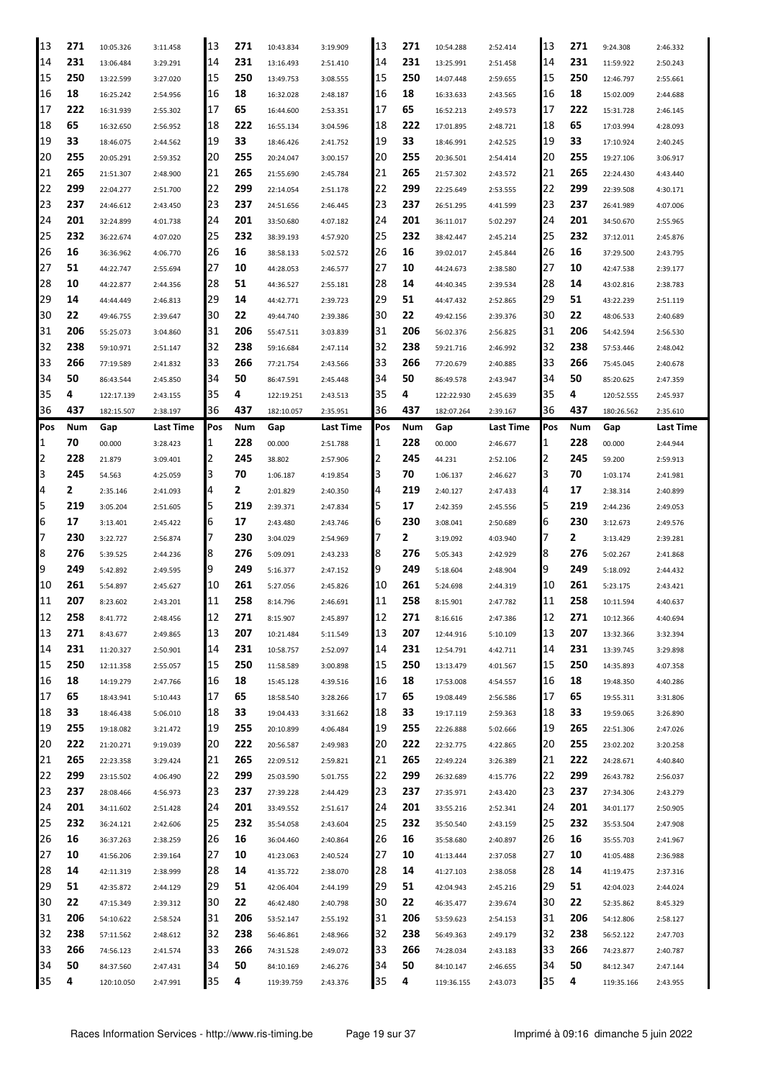| 13       | 271     | 10:05.326               | 3:11.458             | 13       | 271     | 10:43.834               | 3:19.909             | 13       | 271     | 10:54.288               | 2:52.414             | 13       | 271     | 9:24.308                | 2:46.332             |
|----------|---------|-------------------------|----------------------|----------|---------|-------------------------|----------------------|----------|---------|-------------------------|----------------------|----------|---------|-------------------------|----------------------|
| 14       | 231     | 13:06.484               | 3:29.291             | 14       | 231     | 13:16.493               | 2:51.410             | 14       | 231     | 13:25.991               | 2:51.458             | 14       | 231     | 11:59.922               | 2:50.243             |
| 15       | 250     | 13:22.599               | 3:27.020             | 15       | 250     | 13:49.753               | 3:08.555             | 15       | 250     | 14:07.448               | 2:59.655             | 15       | 250     | 12:46.797               | 2:55.661             |
| 16       | 18      | 16:25.242               | 2:54.956             | 16       | 18      | 16:32.028               | 2:48.187             | 16       | 18      | 16:33.633               | 2:43.565             | 16       | 18      | 15:02.009               | 2:44.688             |
| 17       | 222     | 16:31.939               | 2:55.302             | 17       | 65      | 16:44.600               | 2:53.351             | 17       | 65      | 16:52.213               | 2:49.573             | 17       | 222     | 15:31.728               | 2:46.145             |
| 18       | 65      | 16:32.650               | 2:56.952             | 18       | 222     | 16:55.134               | 3:04.596             | 18       | 222     | 17:01.895               | 2:48.721             | 18       | 65      | 17:03.994               | 4:28.093             |
| 19       | 33      | 18:46.075               | 2:44.562             | 19       | 33      | 18:46.426               | 2:41.752             | 19       | 33      | 18:46.991               | 2:42.525             | 19       | 33      | 17:10.924               | 2:40.245             |
| 20       | 255     | 20:05.291               | 2:59.352             | 20       | 255     | 20:24.047               | 3:00.157             | 20       | 255     | 20:36.501               | 2:54.414             | 20       | 255     | 19:27.106               | 3:06.917             |
| 21       | 265     | 21:51.307               | 2:48.900             | 21       | 265     | 21:55.690               | 2:45.784             | 21       | 265     | 21:57.302               | 2:43.572             | 21       | 265     | 22:24.430               | 4:43.440             |
| 22       | 299     | 22:04.277               |                      | 22       | 299     |                         |                      | 22       | 299     |                         |                      | 22       | 299     |                         |                      |
| 23       | 237     |                         | 2:51.700             | 23       | 237     | 22:14.054               | 2:51.178             | 23       | 237     | 22:25.649               | 2:53.555             | 23       | 237     | 22:39.508               | 4:30.171             |
|          |         | 24:46.612               | 2:43.450             |          |         | 24:51.656               | 2:46.445             |          |         | 26:51.295               | 4:41.599             |          |         | 26:41.989               | 4:07.006             |
| 24       | 201     | 32:24.899               | 4:01.738             | 24       | 201     | 33:50.680               | 4:07.182             | 24       | 201     | 36:11.017               | 5:02.297             | 24       | 201     | 34:50.670               | 2:55.965             |
| 25       | 232     | 36:22.674               | 4:07.020             | 25       | 232     | 38:39.193               | 4:57.920             | 25       | 232     | 38:42.447               | 2:45.214             | 25       | 232     | 37:12.011               | 2:45.876             |
| 26       | 16      | 36:36.962               | 4:06.770             | 26       | 16      | 38:58.133               | 5:02.572             | 26       | 16      | 39:02.017               | 2:45.844             | 26       | 16      | 37:29.500               | 2:43.795             |
| 27       | 51      | 44:22.747               | 2:55.694             | 27       | 10      | 44:28.053               | 2:46.577             | 27       | 10      | 44:24.673               | 2:38.580             | 27       | 10      | 42:47.538               | 2:39.177             |
| 28       | 10      | 44:22.877               | 2:44.356             | 28       | 51      | 44:36.527               | 2:55.181             | 28       | 14      | 44:40.345               | 2:39.534             | 28       | 14      | 43:02.816               | 2:38.783             |
| 29       | 14      | 44:44.449               | 2:46.813             | 29       | 14      | 44:42.771               | 2:39.723             | 29       | 51      | 44:47.432               | 2:52.865             | 29       | 51      | 43:22.239               | 2:51.119             |
| 30       | 22      | 49:46.755               | 2:39.647             | 30       | 22      | 49:44.740               | 2:39.386             | 30       | 22      | 49:42.156               | 2:39.376             | 30       | 22      | 48:06.533               | 2:40.689             |
| 31       | 206     | 55:25.073               | 3:04.860             | 31       | 206     | 55:47.511               | 3:03.839             | 31       | 206     | 56:02.376               | 2:56.825             | 31       | 206     | 54:42.594               | 2:56.530             |
| 32       | 238     | 59:10.971               | 2:51.147             | 32       | 238     | 59:16.684               | 2:47.114             | 32       | 238     | 59:21.716               | 2:46.992             | 32       | 238     | 57:53.446               | 2:48.042             |
| 33       | 266     | 77:19.589               | 2:41.832             | 33       | 266     | 77:21.754               | 2:43.566             | 33       | 266     | 77:20.679               | 2:40.885             | 33       | 266     | 75:45.045               | 2:40.678             |
| 34       | 50      | 86:43.544               | 2:45.850             | 34       | 50      | 86:47.591               | 2:45.448             | 34       | 50      | 86:49.578               | 2:43.947             | 34       | 50      | 85:20.625               | 2:47.359             |
| 35       | 4       | 122:17.139              | 2:43.155             | 35       | 4       | 122:19.251              | 2:43.513             | 35       | 4       | 122:22.930              | 2:45.639             | 35       | 4       | 120:52.555              | 2:45.937             |
| 36       | 437     | 182:15.507              | 2:38.197             | 36       | 437     | 182:10.057              | 2:35.951             | 136      | 437     | 182:07.264              | 2:39.167             | 36       | 437     | 180:26.562              | 2:35.610             |
| Pos      | Num     | Gap                     | Last Time            | Pos      | Num     | Gap                     | Last Time            | Pos      | Num     | Gap                     | Last Time            | Pos      | Num     | Gap                     | Last Time            |
| 1        | 70      | 00.000                  | 3:28.423             | 1        | 228     | 00.000                  | 2:51.788             | 11       | 228     | 00.000                  | 2:46.677             | 1        | 228     | 00.000                  | 2:44.944             |
| 2        | 228     | 21.879                  | 3:09.401             | 2        | 245     | 38.802                  | 2:57.906             | 12       | 245     | 44.231                  | 2:52.106             | 2        | 245     | 59.200                  | 2:59.913             |
| 3        | 245     | 54.563                  | 4:25.059             | 3        | 70      | 1:06.187                | 4:19.854             | 13       | 70      | 1:06.137                | 2:46.627             | 3        | 70      | 1:03.174                | 2:41.981             |
| 4        | 2       | 2:35.146                | 2:41.093             | 4        | 2       | 2:01.829                | 2:40.350             | 14       | 219     | 2:40.127                | 2:47.433             | 4        | 17      | 2:38.314                | 2:40.899             |
| 5        | 219     | 3:05.204                | 2:51.605             | 5        | 219     | 2:39.371                | 2:47.834             | 15       | 17      | 2:42.359                | 2:45.556             | 5        | 219     | 2:44.236                | 2:49.053             |
| 6        | 17      | 3:13.401                | 2:45.422             | 6        | 17      | 2:43.480                | 2:43.746             | 6        | 230     | 3:08.041                | 2:50.689             | 6        | 230     | 3:12.673                | 2:49.576             |
| 7        | 230     |                         |                      | 7        | 230     |                         |                      |          | 2       |                         |                      |          | 2       |                         |                      |
| 8        | 276     | 3:22.727                | 2:56.874             |          | 276     | 3:04.029                | 2:54.969             |          | 276     | 3:19.092                | 4:03.940             | 8        | 276     | 3:13.429                | 2:39.281             |
| 9        |         | 5:39.525                | 2:44.236             | 18       |         | 5:09.091                | 2:43.233             | 18       |         | 5:05.343                | 2:42.929             |          |         | 5:02.267                | 2:41.868             |
|          | 249     | 5:42.892                | 2:49.595             | 19       | 249     | 5:16.377                | 2:47.152             | 19       | 249     | 5:18.604                | 2:48.904             | 9        | 249     | 5:18.092                | 2:44.432             |
| 10       | 261     | 5:54.897                | 2:45.627             | 10       | 261     | 5:27.056                | 2:45.826             | 10       | 261     | 5:24.698                | 2:44.319             | 10       | 261     | 5:23.175                | 2:43.421             |
| 11       | 207     | 8:23.602                | 2:43.201             | 11       | 258     | 8:14.796                | 2:46.691             | 11       | 258     | 8:15.901                | 2:47.782             | 11       | 258     | 10:11.594               | 4:40.637             |
| 12       | 258     | 8:41.772                | 2:48.456             | 12       | 271     | 8:15.907                | 2:45.897             | 12       | 271     | 8:16.616                | 2:47.386             | 12       | 271     | 10:12.366               | 4:40.694             |
| 13       | 271     | 8:43.677                | 2:49.865             | 13       | 207     | 10:21.484               | 5:11.549             | 13       | 207     | 12:44.916               | 5:10.109             | 13       | 207     | 13:32.366               | 3:32.394             |
| 14       | 231     | 11:20.327               | 2:50.901             | 14       | 231     | 10:58.757               | 2:52.097             | 14       | 231     | 12:54.791               | 4:42.711             | 14       | 231     | 13:39.745               | 3:29.898             |
| 15       | 250     | 12:11.358               | 2:55.057             | 15       | 250     | 11:58.589               | 3:00.898             | 15       | 250     | 13:13.479               | 4:01.567             | 15       | 250     | 14:35.893               | 4:07.358             |
| 16       | 18      | 14:19.279               | 2:47.766             | 16       | 18      | 15:45.128               | 4:39.516             | 16       | 18      | 17:53.008               | 4:54.557             | 16       | 18      | 19:48.350               | 4:40.286             |
| 17       | 65      | 18:43.941               | 5:10.443             | 17       | 65      | 18:58.540               | 3:28.266             | 17       | 65      | 19:08.449               | 2:56.586             | 17       | 65      | 19:55.311               | 3:31.806             |
| 18       | 33      | 18:46.438               | 5:06.010             | 18       | 33      | 19:04.433               | 3:31.662             | 18       | 33      | 19:17.119               | 2:59.363             | 18       | 33      | 19:59.065               | 3:26.890             |
| 19       | 255     | 19:18.082               | 3:21.472             | 19       | 255     | 20:10.899               | 4:06.484             | 19       | 255     | 22:26.888               | 5:02.666             | 19       | 265     | 22:51.306               | 2:47.026             |
| 20       | 222     | 21:20.271               | 9:19.039             | 20       | 222     | 20:56.587               | 2:49.983             | 20       | 222     | 22:32.775               | 4:22.865             | 20       | 255     | 23:02.202               | 3:20.258             |
| 21       | 265     | 22:23.358               | 3:29.424             | 21       | 265     | 22:09.512               | 2:59.821             | 21       | 265     | 22:49.224               | 3:26.389             | 21       | 222     | 24:28.671               | 4:40.840             |
| 22       | 299     | 23:15.502               | 4:06.490             | 22       | 299     | 25:03.590               | 5:01.755             | 22       | 299     | 26:32.689               | 4:15.776             | 22       | 299     | 26:43.782               | 2:56.037             |
| 23       | 237     | 28:08.466               | 4:56.973             | 23       | 237     | 27:39.228               | 2:44.429             | 23       | 237     | 27:35.971               | 2:43.420             | 23       | 237     | 27:34.306               | 2:43.279             |
| 24       | 201     | 34:11.602               | 2:51.428             | 24       | 201     | 33:49.552               | 2:51.617             | 24       | 201     | 33:55.216               | 2:52.341             | 24       | 201     | 34:01.177               | 2:50.905             |
| 25       | 232     | 36:24.121               | 2:42.606             | 25       | 232     | 35:54.058               | 2:43.604             | 25       | 232     | 35:50.540               | 2:43.159             | 25       | 232     | 35:53.504               | 2:47.908             |
| 26       | 16      | 36:37.263               | 2:38.259             | 26       | 16      | 36:04.460               | 2:40.864             | 26       | 16      | 35:58.680               | 2:40.897             | 26       | 16      | 35:55.703               | 2:41.967             |
| 27       | 10      | 41:56.206               | 2:39.164             | 27       | 10      | 41:23.063               | 2:40.524             | 27       | 10      | 41:13.444               | 2:37.058             | 27       | 10      | 41:05.488               | 2:36.988             |
| 28       | 14      | 42:11.319               | 2:38.999             | 28       | 14      | 41:35.722               | 2:38.070             | 28       | 14      | 41:27.103               | 2:38.058             | 28       | 14      | 41:19.475               | 2:37.316             |
| 29       | 51      | 42:35.872               | 2:44.129             | 29       | 51      | 42:06.404               | 2:44.199             | 29       | 51      | 42:04.943               | 2:45.216             | 29       | 51      | 42:04.023               | 2:44.024             |
| 30       | 22      | 47:15.349               |                      |          |         | 46:42.480               | 2:40.798             | 30       | 22      | 46:35.477               | 2:39.674             | 30       | 22      | 52:35.862               | 8:45.329             |
| 31       |         |                         |                      |          |         |                         |                      |          |         |                         |                      |          |         |                         |                      |
|          |         |                         | 2:39.312             | 30       | 22      |                         |                      |          |         |                         |                      |          |         |                         |                      |
|          | 206     | 54:10.622               | 2:58.524             | 31       | 206     | 53:52.147               | 2:55.192             | 31       | 206     | 53:59.623               | 2:54.153             | 31       | 206     | 54:12.806               | 2:58.127             |
| 32       | 238     | 57:11.562               | 2:48.612             | 32       | 238     | 56:46.861               | 2:48.966             | 32       | 238     | 56:49.363               | 2:49.179             | 32       | 238     | 56:52.122               | 2:47.703             |
| 33       | 266     | 74:56.123               | 2:41.574             | 33       | 266     | 74:31.528               | 2:49.072             | 33       | 266     | 74:28.034               | 2:43.183             | 33       | 266     | 74:23.877               | 2:40.787             |
| 34<br>35 | 50<br>4 | 84:37.560<br>120:10.050 | 2:47.431<br>2:47.991 | 34<br>35 | 50<br>4 | 84:10.169<br>119:39.759 | 2:46.276<br>2:43.376 | 34<br>35 | 50<br>4 | 84:10.147<br>119:36.155 | 2:46.655<br>2:43.073 | 34<br>35 | 50<br>4 | 84:12.347<br>119:35.166 | 2:47.144<br>2:43.955 |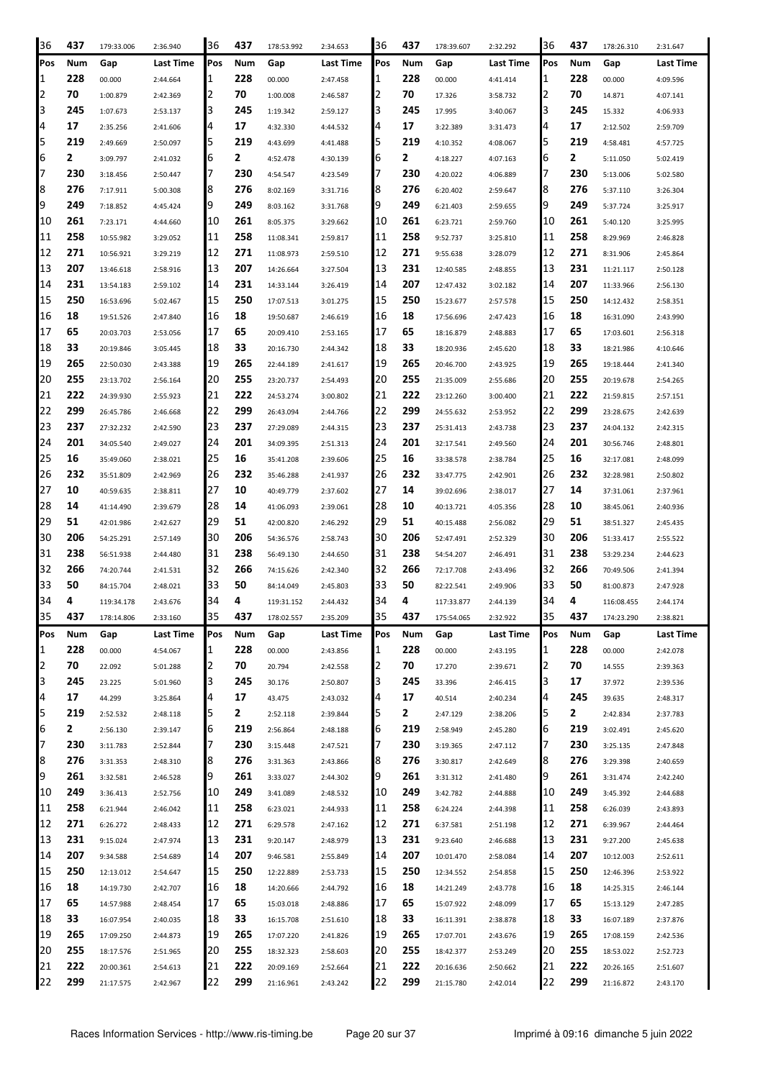| 36                      | 437      | 179:33.006 | 2:36.940         | 36     | 437        | 178:53.992 | 2:34.653  | 36      | 437        | 178:39.607 | 2:32.292  | 36     | 437        | 178:26.310 | 2:31.647             |
|-------------------------|----------|------------|------------------|--------|------------|------------|-----------|---------|------------|------------|-----------|--------|------------|------------|----------------------|
| Pos                     | Num      | Gap        | Last Time        | Pos    | Num        | Gap        | Last Time | Pos     | Num        | Gap        | Last Time | Pos    | Num        | Gap        | Last Time            |
| 11                      | 228      | 00.000     | 2:44.664         | 1      | 228        | 00.000     | 2:47.458  | I1      | 228        | 00.000     | 4:41.414  | 1      | 228        | 00.000     | 4:09.596             |
| 12                      | 70       | 1:00.879   |                  | 2      | 70         | 1:00.008   |           | 12      | 70         |            |           | 2      | 70         | 14.871     |                      |
| 3                       | 245      |            | 2:42.369         | 3      | 245        | 1:19.342   | 2:46.587  | 13      | 245        | 17.326     | 3:58.732  | 3      | 245        |            | 4:07.141<br>4:06.933 |
| 4                       | 17       | 1:07.673   | 2:53.137         | 4      | 17         |            | 2:59.127  | 14      | 17         | 17.995     | 3:40.067  | 4      | 17         | 15.332     |                      |
|                         |          | 2:35.256   | 2:41.606         |        |            | 4:32.330   | 4:44.532  |         |            | 3:22.389   | 3:31.473  |        |            | 2:12.502   | 2:59.709             |
| 5                       | 219      | 2:49.669   | 2:50.097         | 5      | 219        | 4:43.699   | 4:41.488  | I5      | 219        | 4:10.352   | 4:08.067  | 5      | 219        | 4:58.481   | 4:57.725             |
| 6                       | 2        | 3:09.797   | 2:41.032         | 6      | 2          | 4:52.478   | 4:30.139  | 6       | 2          | 4:18.227   | 4:07.163  | 6      | 2          | 5:11.050   | 5:02.419             |
| 17                      | 230      | 3:18.456   | 2:50.447         | 7      | 230        | 4:54.547   | 4:23.549  | 7       | 230        | 4:20.022   | 4:06.889  | 7      | 230        | 5:13.006   | 5:02.580             |
| 8                       | 276      | 7:17.911   | 5:00.308         | 8      | 276        | 8:02.169   | 3:31.716  | 18      | 276        | 6:20.402   | 2:59.647  | 8      | 276        | 5:37.110   | 3:26.304             |
| 9                       | 249      | 7:18.852   | 4:45.424         | 9      | 249        | 8:03.162   | 3:31.768  | 19      | 249        | 6:21.403   | 2:59.655  | 9      | 249        | 5:37.724   | 3:25.917             |
| 10                      | 261      | 7:23.171   | 4:44.660         | 10     | 261        | 8:05.375   | 3:29.662  | 10      | 261        | 6:23.721   | 2:59.760  | 10     | 261        | 5:40.120   | 3:25.995             |
| 11                      | 258      | 10:55.982  | 3:29.052         | 11     | 258        | 11:08.341  | 2:59.817  | 11      | 258        | 9:52.737   | 3:25.810  | 11     | 258        | 8:29.969   | 2:46.828             |
| 12                      | 271      | 10:56.921  | 3:29.219         | 12     | 271        | 11:08.973  | 2:59.510  | 12      | 271        | 9:55.638   | 3:28.079  | 12     | 271        | 8:31.906   | 2:45.864             |
| 13                      | 207      | 13:46.618  | 2:58.916         | 13     | 207        | 14:26.664  | 3:27.504  | 13      | 231        | 12:40.585  | 2:48.855  | 13     | 231        | 11:21.117  | 2:50.128             |
| 14                      | 231      | 13:54.183  | 2:59.102         | 14     | 231        | 14:33.144  | 3:26.419  | 14      | 207        | 12:47.432  | 3:02.182  | 14     | 207        | 11:33.966  | 2:56.130             |
| 15                      | 250      | 16:53.696  | 5:02.467         | 15     | 250        | 17:07.513  | 3:01.275  | 15      | 250        | 15:23.677  | 2:57.578  | 15     | 250        | 14:12.432  | 2:58.351             |
| 16                      | 18       | 19:51.526  | 2:47.840         | 16     | 18         | 19:50.687  | 2:46.619  | 16      | 18         | 17:56.696  | 2:47.423  | 16     | 18         | 16:31.090  | 2:43.990             |
| 17                      | 65       | 20:03.703  | 2:53.056         | 17     | 65         | 20:09.410  | 2:53.165  | 17      | 65         | 18:16.879  | 2:48.883  | 17     | 65         | 17:03.601  | 2:56.318             |
| 18                      | 33       | 20:19.846  | 3:05.445         | 18     | 33         | 20:16.730  | 2:44.342  | 18      | 33         | 18:20.936  | 2:45.620  | 18     | 33         | 18:21.986  | 4:10.646             |
| 19                      | 265      | 22:50.030  | 2:43.388         | 19     | 265        | 22:44.189  | 2:41.617  | 19      | 265        | 20:46.700  | 2:43.925  | 19     | 265        | 19:18.444  | 2:41.340             |
| 20                      | 255      | 23:13.702  | 2:56.164         | 20     | 255        | 23:20.737  | 2:54.493  | 120     | 255        | 21:35.009  | 2:55.686  | 20     | 255        | 20:19.678  | 2:54.265             |
| 21                      | 222      | 24:39.930  | 2:55.923         | 21     | 222        | 24:53.274  | 3:00.802  | 21      | 222        | 23:12.260  | 3:00.400  | 21     | 222        | 21:59.815  | 2:57.151             |
| 22                      | 299      | 26:45.786  | 2:46.668         | 22     | 299        | 26:43.094  | 2:44.766  | 22      | 299        | 24:55.632  | 2:53.952  | 22     | 299        | 23:28.675  | 2:42.639             |
| 23                      | 237      | 27:32.232  | 2:42.590         | 23     | 237        | 27:29.089  | 2:44.315  | 23      | 237        | 25:31.413  | 2:43.738  | 23     | 237        | 24:04.132  | 2:42.315             |
| 24                      | 201      | 34:05.540  | 2:49.027         | 24     | 201        | 34:09.395  | 2:51.313  | 24      | 201        | 32:17.541  | 2:49.560  | 24     | 201        | 30:56.746  | 2:48.801             |
| 25                      | 16       | 35:49.060  | 2:38.021         | 25     | 16         | 35:41.208  | 2:39.606  | 25      | 16         | 33:38.578  | 2:38.784  | 25     | 16         | 32:17.081  | 2:48.099             |
| 26                      | 232      | 35:51.809  | 2:42.969         | 26     | 232        | 35:46.288  | 2:41.937  | 26      | 232        | 33:47.775  | 2:42.901  | 26     | 232        | 32:28.981  | 2:50.802             |
| 27                      | 10       | 40:59.635  | 2:38.811         | 27     | 10         | 40:49.779  | 2:37.602  | 27      | 14         | 39:02.696  | 2:38.017  | 27     | 14         | 37:31.061  | 2:37.961             |
| 28                      | 14       | 41:14.490  | 2:39.679         | 28     | 14         | 41:06.093  | 2:39.061  | 28      | 10         | 40:13.721  | 4:05.356  | 28     | 10         | 38:45.061  | 2:40.936             |
| 29                      | 51       | 42:01.986  | 2:42.627         | 29     | 51         | 42:00.820  | 2:46.292  | 29      | 51         | 40:15.488  | 2:56.082  | 29     | 51         | 38:51.327  | 2:45.435             |
| 30                      | 206      | 54:25.291  | 2:57.149         | 30     | 206        | 54:36.576  | 2:58.743  | 30      | 206        | 52:47.491  | 2:52.329  | 30     | 206        | 51:33.417  | 2:55.522             |
| 31                      | 238      | 56:51.938  | 2:44.480         | 31     | 238        | 56:49.130  | 2:44.650  | 31      | 238        | 54:54.207  | 2:46.491  | 31     | 238        | 53:29.234  | 2:44.623             |
| 32                      | 266      | 74:20.744  | 2:41.531         | 32     | 266        | 74:15.626  | 2:42.340  | 32      | 266        | 72:17.708  | 2:43.496  | 32     | 266        | 70:49.506  | 2:41.394             |
| 33                      | 50       | 84:15.704  | 2:48.021         | 33     | 50         | 84:14.049  | 2:45.803  | 33      | 50         | 82:22.541  | 2:49.906  | 33     | 50         | 81:00.873  | 2:47.928             |
| 34                      | 4        | 119:34.178 | 2:43.676         | 34     | 4          | 119:31.152 | 2:44.432  | 34      | 4          | 117:33.877 | 2:44.139  | 34     | 4          | 116:08.455 | 2:44.174             |
| 35                      | 437      | 178:14.806 | 2:33.160         | 35     | 437        | 178:02.557 | 2:35.209  | 35      | 437        | 175:54.065 | 2:32.922  | 35     | 437        | 174:23.290 | 2:38.821             |
| Pos                     | Num      | Gap        | <b>Last Time</b> | Pos    | Num        | Gap        | Last Time | Pos     | Num        | Gap        | Last Time | Pos    | Num        | Gap        | Last Time            |
| 11                      | 228      | 00.000     | 4:54.067         | 1      | 228        | 00.000     | 2:43.856  | 1       | 228        | 00.000     | 2:43.195  | 1      | 228        | 00.000     | 2:42.078             |
| $\overline{c}$          | 70       | 22.092     | 5:01.288         | 2      | 70         | 20.794     |           | 2       | 70         | 17.270     | 2:39.671  | 2      | 70         |            | 2:39.363             |
| 3                       | 245      |            | 5:01.960         | 3      | 245        | 30.176     | 2:42.558  | 13      | 245        | 33.396     |           | 3      | 17         | 14.555     | 2:39.536             |
| $\overline{\mathbf{r}}$ | 17       | 23.225     |                  | 4      | 17         |            | 2:50.807  | 4       | 17         |            | 2:46.415  | 4      | 245        | 37.972     |                      |
| 5                       | 219      | 44.299     | 3:25.864         | 5      | 2          | 43.475     | 2:43.032  | 15      | 2          | 40.514     | 2:40.234  | 5      | 2          | 39.635     | 2:48.317             |
|                         |          | 2:52.532   | 2:48.118         |        |            | 2:52.118   | 2:39.844  |         |            | 2:47.129   | 2:38.206  |        |            | 2:42.834   | 2:37.783             |
| 6<br>17                 | 2<br>230 | 2:56.130   | 2:39.147         | 6<br>7 | 219<br>230 | 2:56.864   | 2:48.188  | 6<br>17 | 219<br>230 | 2:58.949   | 2:45.280  | 6<br>7 | 219<br>230 | 3:02.491   | 2:45.620             |
|                         |          | 3:11.783   | 2:52.844         |        |            | 3:15.448   | 2:47.521  |         |            | 3:19.365   | 2:47.112  |        |            | 3:25.135   | 2:47.848             |
| 8                       | 276      | 3:31.353   | 2:48.310         | 8      | 276        | 3:31.363   | 2:43.866  | 8       | 276        | 3:30.817   | 2:42.649  | 8      | 276        | 3:29.398   | 2:40.659             |
| 9                       | 261      | 3:32.581   | 2:46.528         | 9      | 261        | 3:33.027   | 2:44.302  | 19      | 261        | 3:31.312   | 2:41.480  | 9      | 261        | 3:31.474   | 2:42.240             |
| 10                      | 249      | 3:36.413   | 2:52.756         | 10     | 249        | 3:41.089   | 2:48.532  | 10      | 249        | 3:42.782   | 2:44.888  | 10     | 249        | 3:45.392   | 2:44.688             |
| 11                      | 258      | 6:21.944   | 2:46.042         | 11     | 258        | 6:23.021   | 2:44.933  | 11      | 258        | 6:24.224   | 2:44.398  | 11     | 258        | 6:26.039   | 2:43.893             |
| 12                      | 271      | 6:26.272   | 2:48.433         | 12     | 271        | 6:29.578   | 2:47.162  | 12      | 271        | 6:37.581   | 2:51.198  | 12     | 271        | 6:39.967   | 2:44.464             |
| 13                      | 231      | 9:15.024   | 2:47.974         | 13     | 231        | 9:20.147   | 2:48.979  | 13      | 231        | 9:23.640   | 2:46.688  | 13     | 231        | 9:27.200   | 2:45.638             |
| 14                      | 207      | 9:34.588   | 2:54.689         | 14     | 207        | 9:46.581   | 2:55.849  | 14      | 207        | 10:01.470  | 2:58.084  | 14     | 207        | 10:12.003  | 2:52.611             |
| 15                      | 250      | 12:13.012  | 2:54.647         | 15     | 250        | 12:22.889  | 2:53.733  | 15      | 250        | 12:34.552  | 2:54.858  | 15     | 250        | 12:46.396  | 2:53.922             |
| 16                      | 18       | 14:19.730  | 2:42.707         | 16     | 18         | 14:20.666  | 2:44.792  | 16      | 18         | 14:21.249  | 2:43.778  | 16     | 18         | 14:25.315  | 2:46.144             |
| 17                      | 65       | 14:57.988  | 2:48.454         | 17     | 65         | 15:03.018  | 2:48.886  | 17      | 65         | 15:07.922  | 2:48.099  | 17     | 65         | 15:13.129  | 2:47.285             |
| 18                      | 33       | 16:07.954  | 2:40.035         | 18     | 33         | 16:15.708  | 2:51.610  | 18      | 33         | 16:11.391  | 2:38.878  | 18     | 33         | 16:07.189  | 2:37.876             |
| 19                      | 265      | 17:09.250  | 2:44.873         | 19     | 265        | 17:07.220  | 2:41.826  | 19      | 265        | 17:07.701  | 2:43.676  | 19     | 265        | 17:08.159  | 2:42.536             |
| 20                      | 255      | 18:17.576  | 2:51.965         | 20     | 255        | 18:32.323  | 2:58.603  | 20      | 255        | 18:42.377  | 2:53.249  | 20     | 255        | 18:53.022  | 2:52.723             |
| 21                      | 222      | 20:00.361  | 2:54.613         | 21     | 222        | 20:09.169  | 2:52.664  | 21      | 222        | 20:16.636  | 2:50.662  | 21     | 222        | 20:26.165  | 2:51.607             |
| 22                      | 299      | 21:17.575  | 2:42.967         | 22     | 299        | 21:16.961  | 2:43.242  | 22      | 299        | 21:15.780  | 2:42.014  | 22     | 299        | 21:16.872  | 2:43.170             |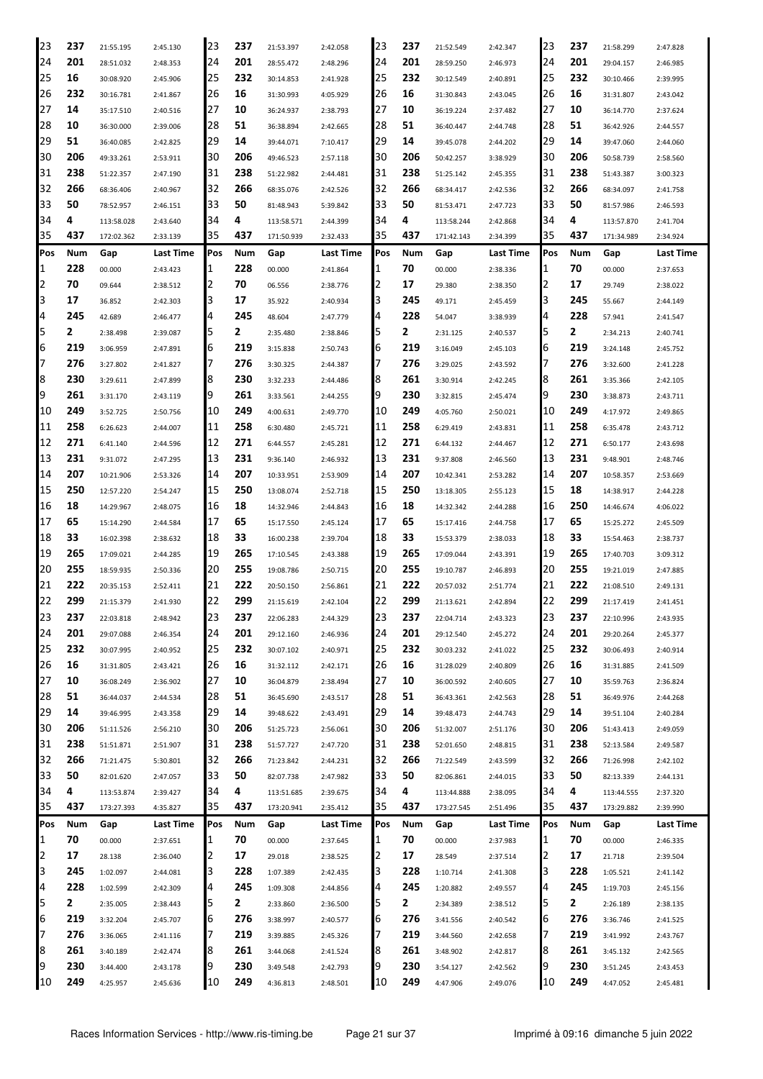| 23             | 237 | 21:55.195  | 2:45.130  | 23  | 237 | 21:53.397  | 2:42.058  | 23  | 237 | 21:52.549  | 2:42.347  | 23          | 237 | 21:58.299  | 2:47.828  |
|----------------|-----|------------|-----------|-----|-----|------------|-----------|-----|-----|------------|-----------|-------------|-----|------------|-----------|
| 24             | 201 | 28:51.032  | 2:48.353  | 24  | 201 | 28:55.472  | 2:48.296  | 24  | 201 | 28:59.250  | 2:46.973  | 24          | 201 | 29:04.157  | 2:46.985  |
| 25             | 16  | 30:08.920  | 2:45.906  | 25  | 232 | 30:14.853  | 2:41.928  | 25  | 232 | 30:12.549  | 2:40.891  | 25          | 232 | 30:10.466  | 2:39.995  |
| 126            | 232 | 30:16.781  | 2:41.867  | 26  | 16  | 31:30.993  | 4:05.929  | 26  | 16  | 31:30.843  | 2:43.045  | 26          | 16  | 31:31.807  | 2:43.042  |
| 27             | 14  | 35:17.510  | 2:40.516  | 27  | 10  | 36:24.937  | 2:38.793  | 27  | 10  | 36:19.224  | 2:37.482  | 27          | 10  | 36:14.770  | 2:37.624  |
| 28             | 10  | 36:30.000  | 2:39.006  | 28  | 51  | 36:38.894  | 2:42.665  | 28  | 51  | 36:40.447  | 2:44.748  | 28          | 51  | 36:42.926  | 2:44.557  |
| 29             | 51  | 36:40.085  | 2:42.825  | 29  | 14  | 39:44.071  | 7:10.417  | 29  | 14  | 39:45.078  | 2:44.202  | 29          | 14  | 39:47.060  | 2:44.060  |
| 30             | 206 | 49:33.261  | 2:53.911  | 30  | 206 | 49:46.523  | 2:57.118  | 30  | 206 | 50:42.257  | 3:38.929  | 30          | 206 | 50:58.739  | 2:58.560  |
| 31             | 238 | 51:22.357  | 2:47.190  | 31  | 238 | 51:22.982  | 2:44.481  | 31  | 238 | 51:25.142  | 2:45.355  | 31          | 238 | 51:43.387  | 3:00.323  |
| 32             | 266 | 68:36.406  | 2:40.967  | 32  | 266 | 68:35.076  | 2:42.526  | 32  | 266 | 68:34.417  | 2:42.536  | 32          | 266 | 68:34.097  | 2:41.758  |
| 33             | 50  |            |           | 33  | 50  |            |           | 33  | 50  |            | 2:47.723  | 33          | 50  |            | 2:46.593  |
| 34             | 4   | 78:52.957  | 2:46.151  | 34  | 4   | 81:48.943  | 5:39.842  | 34  | 4   | 81:53.471  |           | 34          | 4   | 81:57.986  |           |
|                | 437 | 113:58.028 | 2:43.640  | 35  | 437 | 113:58.571 | 2:44.399  |     | 437 | 113:58.244 | 2:42.868  | 35          | 437 | 113:57.870 | 2:41.704  |
| 35             |     | 172:02.362 | 2:33.139  |     |     | 171:50.939 | 2:32.433  | 35  |     | 171:42.143 | 2:34.399  |             |     | 171:34.989 | 2:34.924  |
| Pos            | Num | Gap        | Last Time | Pos | Num | Gap        | Last Time | Pos | Num | Gap        | Last Time | <b>IPos</b> | Num | Gap        | Last Time |
| 1              | 228 | 00.000     | 2:43.423  | 1   | 228 | 00.000     | 2:41.864  | 1   | 70  | 00.000     | 2:38.336  | 1           | 70  | 00.000     | 2:37.653  |
| $\overline{2}$ | 70  | 09.644     | 2:38.512  | 2   | 70  | 06.556     | 2:38.776  | 2   | 17  | 29.380     | 2:38.350  | 12          | 17  | 29.749     | 2:38.022  |
| 3              | 17  | 36.852     | 2:42.303  | 3   | 17  | 35.922     | 2:40.934  | 3   | 245 | 49.171     | 2:45.459  | 3           | 245 | 55.667     | 2:44.149  |
| 4              | 245 | 42.689     | 2:46.477  | 4   | 245 | 48.604     | 2:47.779  | 4   | 228 | 54.047     | 3:38.939  | 4           | 228 | 57.941     | 2:41.547  |
| 5              | 2   | 2:38.498   | 2:39.087  | 5   | 2   | 2:35.480   | 2:38.846  | 5   | 2   | 2:31.125   | 2:40.537  | 5           | 2   | 2:34.213   | 2:40.741  |
| 6              | 219 | 3:06.959   | 2:47.891  | 6   | 219 | 3:15.838   | 2:50.743  | 6   | 219 | 3:16.049   | 2:45.103  | 6           | 219 | 3:24.148   | 2:45.752  |
| 17             | 276 | 3:27.802   | 2:41.827  | 7   | 276 | 3:30.325   | 2:44.387  | 7   | 276 | 3:29.025   | 2:43.592  | 17          | 276 | 3:32.600   | 2:41.228  |
| 8              | 230 | 3:29.611   | 2:47.899  | 18  | 230 | 3:32.233   | 2:44.486  | 8   | 261 | 3:30.914   | 2:42.245  | 8           | 261 | 3:35.366   | 2:42.105  |
| 9              | 261 | 3:31.170   | 2:43.119  | 19  | 261 | 3:33.561   | 2:44.255  | 9   | 230 | 3:32.815   | 2:45.474  | 9           | 230 | 3:38.873   | 2:43.711  |
| 10             | 249 | 3:52.725   | 2:50.756  | 10  | 249 | 4:00.631   | 2:49.770  | 10  | 249 | 4:05.760   | 2:50.021  | 10          | 249 | 4:17.972   | 2:49.865  |
| 11             | 258 | 6:26.623   | 2:44.007  | 11  | 258 | 6:30.480   | 2:45.721  | 11  | 258 | 6:29.419   | 2:43.831  | 11          | 258 | 6:35.478   | 2:43.712  |
| 12             | 271 | 6:41.140   | 2:44.596  | 12  | 271 | 6:44.557   | 2:45.281  | 12  | 271 | 6:44.132   | 2:44.467  | 12          | 271 | 6:50.177   | 2:43.698  |
| 13             | 231 | 9:31.072   | 2:47.295  | 13  | 231 | 9:36.140   | 2:46.932  | 13  | 231 | 9:37.808   | 2:46.560  | 13          | 231 | 9:48.901   | 2:48.746  |
| 14             | 207 | 10:21.906  | 2:53.326  | 14  | 207 | 10:33.951  | 2:53.909  | 14  | 207 | 10:42.341  | 2:53.282  | 14          | 207 | 10:58.357  | 2:53.669  |
| 15             | 250 | 12:57.220  | 2:54.247  | 15  | 250 | 13:08.074  | 2:52.718  | 15  | 250 | 13:18.305  | 2:55.123  | 15          | 18  | 14:38.917  | 2:44.228  |
| 16             | 18  | 14:29.967  | 2:48.075  | 16  | 18  | 14:32.946  | 2:44.843  | 16  | 18  | 14:32.342  | 2:44.288  | 16          | 250 | 14:46.674  | 4:06.022  |
| 17             | 65  | 15:14.290  | 2:44.584  | 17  | 65  | 15:17.550  | 2:45.124  | 17  | 65  | 15:17.416  | 2:44.758  | 17          | 65  | 15:25.272  | 2:45.509  |
| 18             | 33  | 16:02.398  | 2:38.632  | 18  | 33  | 16:00.238  | 2:39.704  | 18  | 33  | 15:53.379  | 2:38.033  | 18          | 33  | 15:54.463  | 2:38.737  |
| 19             | 265 | 17:09.021  |           | 19  | 265 | 17:10.545  |           | 19  | 265 | 17:09.044  |           | 19          | 265 | 17:40.703  |           |
| 120            | 255 |            | 2:44.285  | 20  | 255 |            | 2:43.388  | 20  | 255 |            | 2:43.391  | 20          | 255 |            | 3:09.312  |
|                | 222 | 18:59.935  | 2:50.336  |     |     | 19:08.786  | 2:50.715  |     |     | 19:10.787  | 2:46.893  |             |     | 19:21.019  | 2:47.885  |
| 21             |     | 20:35.153  | 2:52.411  | 21  | 222 | 20:50.150  | 2:56.861  | 21  | 222 | 20:57.032  | 2:51.774  | 21          | 222 | 21:08.510  | 2:49.131  |
| 22             | 299 | 21:15.379  | 2:41.930  | 22  | 299 | 21:15.619  | 2:42.104  | 22  | 299 | 21:13.621  | 2:42.894  | 22          | 299 | 21:17.419  | 2:41.451  |
| 23             | 237 | 22:03.818  | 2:48.942  | 23  | 237 | 22:06.283  | 2:44.329  | 23  | 237 | 22:04.714  | 2:43.323  | 23          | 237 | 22:10.996  | 2:43.935  |
| 24             | 201 | 29:07.088  | 2:46.354  | 24  | 201 | 29:12.160  | 2:46.936  | 24  | 201 | 29:12.540  | 2:45.272  | 24          | 201 | 29:20.264  | 2:45.377  |
| 25             | 232 | 30:07.995  | 2:40.952  | 25  | 232 | 30:07.102  | 2:40.971  | 25  | 232 | 30:03.232  | 2:41.022  | 25          | 232 | 30:06.493  | 2:40.914  |
| 26             | 16  | 31:31.805  | 2:43.421  | 26  | 16  | 31:32.112  | 2:42.171  | 26  | 16  | 31:28.029  | 2:40.809  | 26          | 16  | 31:31.885  | 2:41.509  |
| 27             | 10  | 36:08.249  | 2:36.902  | 27  | 10  | 36:04.879  | 2:38.494  | 27  | 10  | 36:00.592  | 2:40.605  | 27          | 10  | 35:59.763  | 2:36.824  |
| 28             | 51  | 36:44.037  | 2:44.534  | 28  | 51  | 36:45.690  | 2:43.517  | 28  | 51  | 36:43.361  | 2:42.563  | 28          | 51  | 36:49.976  | 2:44.268  |
| 29             | 14  | 39:46.995  | 2:43.358  | 29  | 14  | 39:48.622  | 2:43.491  | 29  | 14  | 39:48.473  | 2:44.743  | 29          | 14  | 39:51.104  | 2:40.284  |
| 30             | 206 | 51:11.526  | 2:56.210  | 30  | 206 | 51:25.723  | 2:56.061  | 30  | 206 | 51:32.007  | 2:51.176  | 30          | 206 | 51:43.413  | 2:49.059  |
| 31             | 238 | 51:51.871  | 2:51.907  | 31  | 238 | 51:57.727  | 2:47.720  | 31  | 238 | 52:01.650  | 2:48.815  | 31          | 238 | 52:13.584  | 2:49.587  |
| 32             | 266 | 71:21.475  | 5:30.801  | 32  | 266 | 71:23.842  | 2:44.231  | 32  | 266 | 71:22.549  | 2:43.599  | 32          | 266 | 71:26.998  | 2:42.102  |
| 33             | 50  | 82:01.620  | 2:47.057  | 33  | 50  | 82:07.738  | 2:47.982  | 33  | 50  | 82:06.861  | 2:44.015  | 33          | 50  | 82:13.339  | 2:44.131  |
| 34             | 4   | 113:53.874 | 2:39.427  | 34  | 4   | 113:51.685 | 2:39.675  | 34  | 4   | 113:44.888 | 2:38.095  | 34          | 4   | 113:44.555 | 2:37.320  |
| 35             | 437 | 173:27.393 | 4:35.827  | 35  | 437 | 173:20.941 | 2:35.412  | 35  | 437 | 173:27.545 | 2:51.496  | 35          | 437 | 173:29.882 | 2:39.990  |
| Pos            | Num | Gap        | Last Time | Pos | Num | Gap        | Last Time | Pos | Num | Gap        | Last Time | Pos         | Num | Gap        | Last Time |
| 1              | 70  | 00.000     | 2:37.651  | 1   | 70  | 00.000     | 2:37.645  | 1   | 70  | 00.000     | 2:37.983  | 1           | 70  | 00.000     | 2:46.335  |
| 2              | 17  | 28.138     | 2:36.040  | 2   | 17  | 29.018     | 2:38.525  | 2   | 17  | 28.549     | 2:37.514  | 12          | 17  | 21.718     | 2:39.504  |
| 3              | 245 | 1:02.097   | 2:44.081  | 3   | 228 | 1:07.389   | 2:42.435  | 3   | 228 | 1:10.714   | 2:41.308  | 3           | 228 | 1:05.521   | 2:41.142  |
| 4              | 228 | 1:02.599   | 2:42.309  | 4   | 245 | 1:09.308   | 2:44.856  | 4   | 245 | 1:20.882   | 2:49.557  | 4           | 245 | 1:19.703   | 2:45.156  |
| 5              | 2   | 2:35.005   | 2:38.443  | 5   | 2   | 2:33.860   | 2:36.500  | 5   | 2   | 2:34.389   | 2:38.512  | 5           | 2   | 2:26.189   | 2:38.135  |
| 6              | 219 |            |           | 6   | 276 |            |           | 6   | 276 |            |           | 6           | 276 |            |           |
| 17             | 276 | 3:32.204   | 2:45.707  | 7   |     | 3:38.997   | 2:40.577  | 7   | 219 | 3:41.556   | 2:40.542  | 17          |     | 3:36.746   | 2:41.525  |
|                |     | 3:36.065   | 2:41.116  |     | 219 | 3:39.885   | 2:45.326  |     |     | 3:44.560   | 2:42.658  |             | 219 | 3:41.992   | 2:43.767  |
| 8              | 261 | 3:40.189   | 2:42.474  | 18  | 261 | 3:44.068   | 2:41.524  | 8   | 261 | 3:48.902   | 2:42.817  | 8           | 261 | 3:45.132   | 2:42.565  |
| 9              | 230 | 3:44.400   | 2:43.178  | 9   | 230 | 3:49.548   | 2:42.793  | 9   | 230 | 3:54.127   | 2:42.562  | 9           | 230 | 3:51.245   | 2:43.453  |
| 10             | 249 | 4:25.957   | 2:45.636  | 10  | 249 | 4:36.813   | 2:48.501  | 10  | 249 | 4:47.906   | 2:49.076  | 10          | 249 | 4:47.052   | 2:45.481  |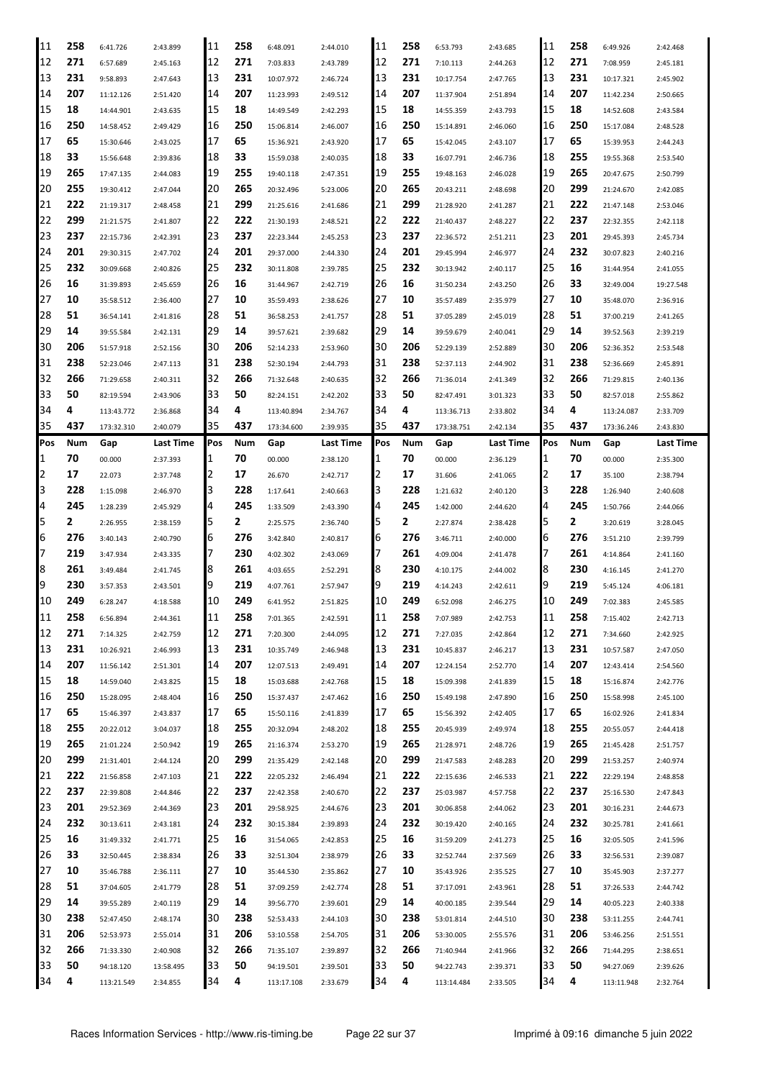| 11         | 258     | 6:41.726                | 2:43.899              | 11       | 258     | 6:48.091                | 2:44.010             | 11       | 258     | 6:53.793                | 2:43.685             | 11       | 258     | 6:49.926                | 2:42.468             |
|------------|---------|-------------------------|-----------------------|----------|---------|-------------------------|----------------------|----------|---------|-------------------------|----------------------|----------|---------|-------------------------|----------------------|
| 12         | 271     | 6:57.689                | 2:45.163              | 12       | 271     | 7:03.833                | 2:43.789             | 12       | 271     | 7:10.113                | 2:44.263             | 12       | 271     | 7:08.959                | 2:45.181             |
| 13         | 231     | 9:58.893                | 2:47.643              | 13       | 231     | 10:07.972               | 2:46.724             | 13       | 231     | 10:17.754               | 2:47.765             | 13       | 231     | 10:17.321               | 2:45.902             |
| 14         | 207     | 11:12.126               | 2:51.420              | 14       | 207     | 11:23.993               | 2:49.512             | 14       | 207     | 11:37.904               | 2:51.894             | 14       | 207     | 11:42.234               | 2:50.665             |
| 15         | 18      | 14:44.901               | 2:43.635              | 15       | 18      | 14:49.549               | 2:42.293             | 15       | 18      | 14:55.359               | 2:43.793             | 15       | 18      | 14:52.608               | 2:43.584             |
| 16         | 250     | 14:58.452               | 2:49.429              | 16       | 250     | 15:06.814               | 2:46.007             | 16       | 250     | 15:14.891               | 2:46.060             | 16       | 250     | 15:17.084               | 2:48.528             |
| 17         | 65      | 15:30.646               | 2:43.025              | 17       | 65      | 15:36.921               | 2:43.920             | 17       | 65      | 15:42.045               | 2:43.107             | 17       | 65      | 15:39.953               | 2:44.243             |
| 18         | 33      | 15:56.648               | 2:39.836              | 18       | 33      | 15:59.038               | 2:40.035             | 18       | 33      | 16:07.791               | 2:46.736             | 18       | 255     | 19:55.368               | 2:53.540             |
| 19         | 265     | 17:47.135               | 2:44.083              | 19       | 255     | 19:40.118               | 2:47.351             | 19       | 255     | 19:48.163               | 2:46.028             | 19       | 265     | 20:47.675               | 2:50.799             |
| 20         | 255     |                         |                       | 20       | 265     | 20:32.496               |                      | 20       | 265     |                         |                      | 20       | 299     |                         |                      |
| 21         | 222     | 19:30.412               | 2:47.044              | 21       | 299     |                         | 5:23.006             | 21       | 299     | 20:43.211               | 2:48.698             | 21       | 222     | 21:24.670               | 2:42.085             |
|            |         | 21:19.317               | 2:48.458              |          |         | 21:25.616               | 2:41.686             |          |         | 21:28.920               | 2:41.287             |          |         | 21:47.148               | 2:53.046             |
| 22         | 299     | 21:21.575               | 2:41.807              | 22       | 222     | 21:30.193               | 2:48.521             | 22       | 222     | 21:40.437               | 2:48.227             | 22       | 237     | 22:32.355               | 2:42.118             |
| 23         | 237     | 22:15.736               | 2:42.391              | 23       | 237     | 22:23.344               | 2:45.253             | 23       | 237     | 22:36.572               | 2:51.211             | 23       | 201     | 29:45.393               | 2:45.734             |
| 24         | 201     | 29:30.315               | 2:47.702              | 24       | 201     | 29:37.000               | 2:44.330             | 24       | 201     | 29:45.994               | 2:46.977             | 24       | 232     | 30:07.823               | 2:40.216             |
| 25         | 232     | 30:09.668               | 2:40.826              | 25       | 232     | 30:11.808               | 2:39.785             | 25       | 232     | 30:13.942               | 2:40.117             | 25       | 16      | 31:44.954               | 2:41.055             |
| 26         | 16      | 31:39.893               | 2:45.659              | 26       | 16      | 31:44.967               | 2:42.719             | 26       | 16      | 31:50.234               | 2:43.250             | 26       | 33      | 32:49.004               | 19:27.548            |
| 27         | 10      | 35:58.512               | 2:36.400              | 27       | 10      | 35:59.493               | 2:38.626             | 27       | 10      | 35:57.489               | 2:35.979             | 27       | 10      | 35:48.070               | 2:36.916             |
| 28         | 51      | 36:54.141               | 2:41.816              | 28       | 51      | 36:58.253               | 2:41.757             | 28       | 51      | 37:05.289               | 2:45.019             | 28       | 51      | 37:00.219               | 2:41.265             |
| 29         | 14      | 39:55.584               | 2:42.131              | 29       | 14      | 39:57.621               | 2:39.682             | 29       | 14      | 39:59.679               | 2:40.041             | 29       | 14      | 39:52.563               | 2:39.219             |
| 30         | 206     | 51:57.918               | 2:52.156              | 30       | 206     | 52:14.233               | 2:53.960             | 30       | 206     | 52:29.139               | 2:52.889             | 30       | 206     | 52:36.352               | 2:53.548             |
| 31         | 238     | 52:23.046               | 2:47.113              | 31       | 238     | 52:30.194               | 2:44.793             | 31       | 238     | 52:37.113               | 2:44.902             | 31       | 238     | 52:36.669               | 2:45.891             |
| 32         | 266     | 71:29.658               | 2:40.311              | 32       | 266     | 71:32.648               | 2:40.635             | 32       | 266     | 71:36.014               | 2:41.349             | 32       | 266     | 71:29.815               | 2:40.136             |
| 33         | 50      | 82:19.594               | 2:43.906              | 33       | 50      | 82:24.151               | 2:42.202             | 33       | 50      | 82:47.491               | 3:01.323             | 33       | 50      | 82:57.018               | 2:55.862             |
| 34         | 4       | 113:43.772              | 2:36.868              | 34       | 4       | 113:40.894              | 2:34.767             | 34       | 4       | 113:36.713              | 2:33.802             | 34       | 4       | 113:24.087              | 2:33.709             |
| 35         | 437     | 173:32.310              | 2:40.079              | 35       | 437     | 173:34.600              | 2:39.935             | 35       | 437     | 173:38.751              | 2:42.134             | 35       | 437     | 173:36.246              | 2:43.830             |
| <b>Pos</b> | Num     | Gap                     | Last Time             | Pos      | Num     | Gap                     | Last Time            | Pos      | Num     | Gap                     | Last Time            | Pos      | Num     | Gap                     | Last Time            |
| 1          | 70      | 00.000                  | 2:37.393              | 11       | 70      | 00.000                  | 2:38.120             | 1        | 70      | 00.000                  | 2:36.129             | 1        | 70      | 00.000                  | 2:35.300             |
| 2          | 17      | 22.073                  | 2:37.748              | 12       | 17      | 26.670                  | 2:42.717             | 12       | 17      | 31.606                  | 2:41.065             | 2        | 17      | 35.100                  | 2:38.794             |
| 3          | 228     | 1:15.098                | 2:46.970              | 3        | 228     | 1:17.641                | 2:40.663             | l3       | 228     | 1:21.632                | 2:40.120             | 3        | 228     | 1:26.940                | 2:40.608             |
| 4          | 245     | 1:28.239                | 2:45.929              | Ι4       | 245     | 1:33.509                | 2:43.390             | 4        | 245     | 1:42.000                | 2:44.620             | 4        | 245     | 1:50.766                | 2:44.066             |
|            |         |                         |                       |          |         |                         |                      |          |         |                         |                      |          |         |                         |                      |
|            |         |                         |                       |          |         |                         |                      |          |         |                         |                      |          |         |                         |                      |
| 5          | 2       | 2:26.955                | 2:38.159              | 5        | 2       | 2:25.575                | 2:36.740             | ь        | 2       | 2:27.874                | 2:38.428             | 5        | 2       | 3:20.619                | 3:28.045             |
| 6          | 276     | 3:40.143                | 2:40.790              | 6        | 276     | 3:42.840                | 2:40.817             | 6        | 276     | 3:46.711                | 2:40.000             | 6        | 276     | 3:51.210                | 2:39.799             |
| 7          | 219     | 3:47.934                | 2:43.335              | 17       | 230     | 4:02.302                | 2:43.069             |          | 261     | 4:09.004                | 2:41.478             | 7        | 261     | 4:14.864                | 2:41.160             |
| 8          | 261     | 3:49.484                | 2:41.745              | 18       | 261     | 4:03.655                | 2:52.291             | 18       | 230     | 4:10.175                | 2:44.002             | 8        | 230     | 4:16.145                | 2:41.270             |
| 19         | 230     | 3:57.353                | 2:43.501              | 19       | 219     | 4:07.761                | 2:57.947             | 19       | 219     | 4:14.243                | 2:42.611             | 9        | 219     | 5:45.124                | 4:06.181             |
| 10         | 249     | 6:28.247                | 4:18.588              | 10       | 249     | 6:41.952                | 2:51.825             | 10       | 249     | 6:52.098                | 2:46.275             | 10       | 249     | 7:02.383                | 2:45.585             |
| 11         | 258     | 6:56.894                | 2:44.361              | 11       | 258     | 7:01.365                | 2:42.591             | 11       | 258     | 7:07.989                | 2:42.753             | 11       | 258     | 7:15.402                | 2:42.713             |
| 12         | 271     | 7:14.325                | 2:42.759              | 12       | 271     | 7:20.300                | 2:44.095             | 12       | 271     | 7:27.035                | 2:42.864             | 12       | 271     | 7:34.660                | 2:42.925             |
| 13         | 231     | 10:26.921               | 2:46.993              | 13       | 231     | 10:35.749               | 2:46.948             | 13       | 231     | 10:45.837               | 2:46.217             | 13       | 231     | 10:57.587               | 2:47.050             |
| 14         | 207     | 11:56.142               | 2:51.301              | 14       | 207     | 12:07.513               | 2:49.491             | 14       | 207     | 12:24.154               | 2:52.770             | 14       | 207     | 12:43.414               | 2:54.560             |
| 15         | 18      | 14:59.040               | 2:43.825              | 15       | 18      | 15:03.688               | 2:42.768             | 15       | 18      | 15:09.398               | 2:41.839             | 15       | 18      | 15:16.874               | 2:42.776             |
| 16         | 250     | 15:28.095               | 2:48.404              | 16       | 250     | 15:37.437               | 2:47.462             | 16       | 250     | 15:49.198               | 2:47.890             | 16       | 250     | 15:58.998               | 2:45.100             |
| 17         | 65      | 15:46.397               | 2:43.837              | 17       | 65      | 15:50.116               | 2:41.839             | 17       | 65      | 15:56.392               | 2:42.405             | 17       | 65      | 16:02.926               | 2:41.834             |
| 18         | 255     | 20:22.012               | 3:04.037              | 18       | 255     | 20:32.094               | 2:48.202             | 18       | 255     | 20:45.939               | 2:49.974             | 18       | 255     | 20:55.057               | 2:44.418             |
| 19         | 265     | 21:01.224               | 2:50.942              | 19       | 265     | 21:16.374               | 2:53.270             | 19       | 265     | 21:28.971               | 2:48.726             | 19       | 265     | 21:45.428               | 2:51.757             |
| 20         | 299     | 21:31.401               | 2:44.124              | 20       | 299     | 21:35.429               | 2:42.148             | 20       | 299     | 21:47.583               | 2:48.283             | 20       | 299     | 21:53.257               | 2:40.974             |
| 21         | 222     | 21:56.858               | 2:47.103              | 21       | 222     | 22:05.232               | 2:46.494             | 21       | 222     | 22:15.636               | 2:46.533             | 21       | 222     | 22:29.194               | 2:48.858             |
| 22         | 237     | 22:39.808               | 2:44.846              | 22       | 237     | 22:42.358               | 2:40.670             | 22       | 237     | 25:03.987               | 4:57.758             | 22       | 237     | 25:16.530               | 2:47.843             |
| 23         | 201     | 29:52.369               | 2:44.369              | 23       | 201     | 29:58.925               | 2:44.676             | 23       | 201     | 30:06.858               | 2:44.062             | 23       | 201     | 30:16.231               | 2:44.673             |
| 24         | 232     | 30:13.611               | 2:43.181              | 24       | 232     | 30:15.384               | 2:39.893             | 24       | 232     | 30:19.420               | 2:40.165             | 24       | 232     | 30:25.781               | 2:41.661             |
| 25         | 16      | 31:49.332               | 2:41.771              | 25       | 16      | 31:54.065               | 2:42.853             | 25       | 16      | 31:59.209               | 2:41.273             | 25       | 16      | 32:05.505               | 2:41.596             |
| 26         | 33      | 32:50.445               | 2:38.834              | 26       | 33      | 32:51.304               | 2:38.979             | 26       | 33      | 32:52.744               | 2:37.569             | 26       | 33      | 32:56.531               | 2:39.087             |
| 27         | 10      | 35:46.788               | 2:36.111              | 27       | 10      | 35:44.530               | 2:35.862             | 27       | 10      | 35:43.926               | 2:35.525             | 27       | 10      | 35:45.903               | 2:37.277             |
| 28         | 51      | 37:04.605               | 2:41.779              | 28       | 51      | 37:09.259               | 2:42.774             | 28       | 51      | 37:17.091               | 2:43.961             | 28       | 51      | 37:26.533               | 2:44.742             |
|            |         |                         |                       |          |         |                         |                      |          |         |                         |                      |          |         |                         |                      |
| 29         | 14      | 39:55.289               | 2:40.119              | 29       | 14      | 39:56.770               | 2:39.601             | 29       | 14      | 40:00.185               | 2:39.544             | 29       | 14      | 40:05.223               | 2:40.338             |
| 30         | 238     | 52:47.450               | 2:48.174              | 30       | 238     | 52:53.433               | 2:44.103             | 30       | 238     | 53:01.814               | 2:44.510             | 30       | 238     | 53:11.255               | 2:44.741             |
| 31         | 206     | 52:53.973               | 2:55.014              | 31       | 206     | 53:10.558               | 2:54.705             | 31       | 206     | 53:30.005               | 2:55.576             | 31       | 206     | 53:46.256               | 2:51.551             |
| 32         | 266     | 71:33.330               | 2:40.908              | 32       | 266     | 71:35.107               | 2:39.897             | 32       | 266     | 71:40.944               | 2:41.966             | 32       | 266     | 71:44.295               | 2:38.651             |
| 33<br>34   | 50<br>4 | 94:18.120<br>113:21.549 | 13:58.495<br>2:34.855 | 33<br>34 | 50<br>4 | 94:19.501<br>113:17.108 | 2:39.501<br>2:33.679 | 33<br>34 | 50<br>4 | 94:22.743<br>113:14.484 | 2:39.371<br>2:33.505 | 33<br>34 | 50<br>4 | 94:27.069<br>113:11.948 | 2:39.626<br>2:32.764 |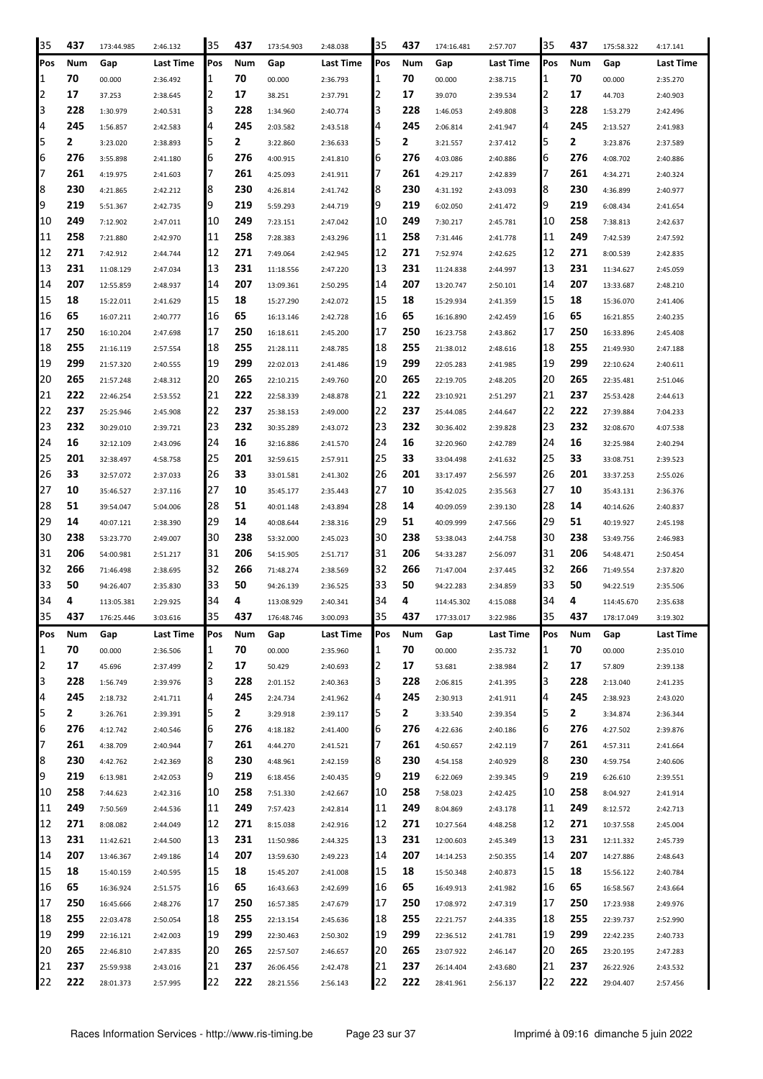| 35  | 437 | 173:44.985 | 2:46.132  | 35       | 437 | 173:54.903 | 2:48.038  | 35         | 437 | 174:16.481 | 2:57.707         | 35  | 437 | 175:58.322 | 4:17.141  |
|-----|-----|------------|-----------|----------|-----|------------|-----------|------------|-----|------------|------------------|-----|-----|------------|-----------|
| Pos | Num | Gap        | Last Time | Pos      | Num | Gap        | Last Time | Pos        | Num | Gap        | Last Time        | Pos | Num | Gap        | Last Time |
| ı   | 70  | 00.000     | 2:36.492  | 1        | 70  | 00.000     | 2:36.793  | 11         | 70  | 00.000     | 2:38.715         | 1   | 70  | 00.000     | 2:35.270  |
| 2   | 17  | 37.253     | 2:38.645  | 2        | 17  | 38.251     | 2:37.791  | 12         | 17  | 39.070     | 2:39.534         | 2   | 17  | 44.703     | 2:40.903  |
| 3   | 228 | 1:30.979   | 2:40.531  | 3        | 228 | 1:34.960   | 2:40.774  | 13         | 228 | 1:46.053   | 2:49.808         | 3   | 228 | 1:53.279   | 2:42.496  |
| 4   | 245 | 1:56.857   | 2:42.583  | 4        | 245 | 2:03.582   | 2:43.518  | 14         | 245 | 2:06.814   | 2:41.947         | 4   | 245 | 2:13.527   | 2:41.983  |
| 5   | 2   | 3:23.020   | 2:38.893  | 5        | 2   | 3:22.860   | 2:36.633  | 15         | 2   | 3:21.557   | 2:37.412         | 5   | 2   | 3:23.876   | 2:37.589  |
| 6   | 276 | 3:55.898   | 2:41.180  | 6        | 276 | 4:00.915   | 2:41.810  | 16         | 276 | 4:03.086   | 2:40.886         | 6   | 276 | 4:08.702   | 2:40.886  |
| 7   | 261 | 4:19.975   | 2:41.603  | 7        | 261 | 4:25.093   | 2:41.911  | 17         | 261 | 4:29.217   | 2:42.839         | 7   | 261 | 4:34.271   | 2:40.324  |
| 8   | 230 |            |           | 8        | 230 |            |           | 18         | 230 |            |                  | 8   | 230 |            | 2:40.977  |
| 9   | 219 | 4:21.865   | 2:42.212  | 9        | 219 | 4:26.814   | 2:41.742  | 19         | 219 | 4:31.192   | 2:43.093         | 9   | 219 | 4:36.899   |           |
| 10  | 249 | 5:51.367   | 2:42.735  | 10       | 249 | 5:59.293   | 2:44.719  | 10         | 249 | 6:02.050   | 2:41.472         | 10  | 258 | 6:08.434   | 2:41.654  |
|     | 258 | 7:12.902   | 2:47.011  |          | 258 | 7:23.151   | 2:47.042  | 11         | 258 | 7:30.217   | 2:45.781         | 11  | 249 | 7:38.813   | 2:42.637  |
| 11  | 271 | 7:21.880   | 2:42.970  | 11<br>12 | 271 | 7:28.383   | 2:43.296  | 12         | 271 | 7:31.446   | 2:41.778         | 12  | 271 | 7:42.539   | 2:47.592  |
| 12  |     | 7:42.912   | 2:44.744  |          |     | 7:49.064   | 2:42.945  |            |     | 7:52.974   | 2:42.625         | 13  |     | 8:00.539   | 2:42.835  |
| 13  | 231 | 11:08.129  | 2:47.034  | 13       | 231 | 11:18.556  | 2:47.220  | 13         | 231 | 11:24.838  | 2:44.997         |     | 231 | 11:34.627  | 2:45.059  |
| 14  | 207 | 12:55.859  | 2:48.937  | 14       | 207 | 13:09.361  | 2:50.295  | 14         | 207 | 13:20.747  | 2:50.101         | 14  | 207 | 13:33.687  | 2:48.210  |
| 15  | 18  | 15:22.011  | 2:41.629  | 15       | 18  | 15:27.290  | 2:42.072  | 15         | 18  | 15:29.934  | 2:41.359         | 15  | 18  | 15:36.070  | 2:41.406  |
| 16  | 65  | 16:07.211  | 2:40.777  | 16       | 65  | 16:13.146  | 2:42.728  | 16         | 65  | 16:16.890  | 2:42.459         | 16  | 65  | 16:21.855  | 2:40.235  |
| 17  | 250 | 16:10.204  | 2:47.698  | 17       | 250 | 16:18.611  | 2:45.200  | 17         | 250 | 16:23.758  | 2:43.862         | 17  | 250 | 16:33.896  | 2:45.408  |
| 18  | 255 | 21:16.119  | 2:57.554  | 18       | 255 | 21:28.111  | 2:48.785  | 18         | 255 | 21:38.012  | 2:48.616         | 18  | 255 | 21:49.930  | 2:47.188  |
| 19  | 299 | 21:57.320  | 2:40.555  | 19       | 299 | 22:02.013  | 2:41.486  | 19         | 299 | 22:05.283  | 2:41.985         | 19  | 299 | 22:10.624  | 2:40.611  |
| 20  | 265 | 21:57.248  | 2:48.312  | 20       | 265 | 22:10.215  | 2:49.760  | 120        | 265 | 22:19.705  | 2:48.205         | 20  | 265 | 22:35.481  | 2:51.046  |
| 21  | 222 | 22:46.254  | 2:53.552  | 21       | 222 | 22:58.339  | 2:48.878  | 21         | 222 | 23:10.921  | 2:51.297         | 21  | 237 | 25:53.428  | 2:44.613  |
| 22  | 237 | 25:25.946  | 2:45.908  | 22       | 237 | 25:38.153  | 2:49.000  | 22         | 237 | 25:44.085  | 2:44.647         | 22  | 222 | 27:39.884  | 7:04.233  |
| 23  | 232 | 30:29.010  | 2:39.721  | 23       | 232 | 30:35.289  | 2:43.072  | 23         | 232 | 30:36.402  | 2:39.828         | 23  | 232 | 32:08.670  | 4:07.538  |
| 24  | 16  | 32:12.109  | 2:43.096  | 24       | 16  | 32:16.886  | 2:41.570  | 24         | 16  | 32:20.960  | 2:42.789         | 24  | 16  | 32:25.984  | 2:40.294  |
| 25  | 201 | 32:38.497  | 4:58.758  | 25       | 201 | 32:59.615  | 2:57.911  | 25         | 33  | 33:04.498  | 2:41.632         | 25  | 33  | 33:08.751  | 2:39.523  |
| 26  | 33  | 32:57.072  | 2:37.033  | 26       | 33  | 33:01.581  | 2:41.302  | 26         | 201 | 33:17.497  | 2:56.597         | 26  | 201 | 33:37.253  | 2:55.026  |
| 27  | 10  | 35:46.527  | 2:37.116  | 27       | 10  | 35:45.177  | 2:35.443  | 27         | 10  | 35:42.025  | 2:35.563         | 27  | 10  | 35:43.131  | 2:36.376  |
| 28  | 51  | 39:54.047  | 5:04.006  | 28       | 51  | 40:01.148  | 2:43.894  | 28         | 14  | 40:09.059  | 2:39.130         | 28  | 14  | 40:14.626  | 2:40.837  |
| 29  | 14  | 40:07.121  | 2:38.390  | 29       | 14  | 40:08.644  | 2:38.316  | 29         | 51  | 40:09.999  | 2:47.566         | 29  | 51  | 40:19.927  | 2:45.198  |
| 30  | 238 | 53:23.770  | 2:49.007  | 30       | 238 | 53:32.000  | 2:45.023  | 30         | 238 | 53:38.043  | 2:44.758         | 30  | 238 | 53:49.756  | 2:46.983  |
| 31  | 206 | 54:00.981  | 2:51.217  | 31       | 206 | 54:15.905  | 2:51.717  | 131        | 206 | 54:33.287  | 2:56.097         | 31  | 206 | 54:48.471  | 2:50.454  |
| 32  | 266 | 71:46.498  | 2:38.695  | 32       | 266 | 71:48.274  | 2:38.569  | 32         | 266 | 71:47.004  | 2:37.445         | 32  | 266 | 71:49.554  | 2:37.820  |
| 33  | 50  | 94:26.407  | 2:35.830  | 33       | 50  | 94:26.139  | 2:36.525  | 33         | 50  | 94:22.283  | 2:34.859         | 33  | 50  | 94:22.519  | 2:35.506  |
| 34  | 4   | 113:05.381 | 2:29.925  | 34       | 4   | 113:08.929 | 2:40.341  | 34         | 4   | 114:45.302 | 4:15.088         | 34  | 4   | 114:45.670 | 2:35.638  |
| 35  | 437 | 176:25.446 | 3:03.616  | 35       | 437 | 176:48.746 | 3:00.093  | 35         | 437 | 177:33.017 | 3:22.986         | 35  | 437 | 178:17.049 | 3:19.302  |
| Pos | Num | Gap        | Last Time | Pos      | Num | Gap        | Last Time | <b>Pos</b> | Num | Gap        | <b>Last Time</b> | Pos | Num | Gap        | Last Time |
| 1   | 70  | 00.000     | 2:36.506  | 1        | 70  | 00.000     | 2:35.960  | 11         | 70  | 00.000     | 2:35.732         | 1   | 70  | 00.000     | 2:35.010  |
| 2   | 17  | 45.696     | 2:37.499  | 2        | 17  | 50.429     | 2:40.693  | 2          | 17  | 53.681     | 2:38.984         | 2   | 17  | 57.809     | 2:39.138  |
| 3   | 228 | 1:56.749   | 2:39.976  | 3        | 228 | 2:01.152   | 2:40.363  | 13         | 228 | 2:06.815   | 2:41.395         | 3   | 228 | 2:13.040   | 2:41.235  |
| 4   | 245 | 2:18.732   | 2:41.711  | 4        | 245 | 2:24.734   | 2:41.962  | 4          | 245 | 2:30.913   | 2:41.911         | 4   | 245 | 2:38.923   | 2:43.020  |
|     | 2   | 3:26.761   | 2:39.391  | 5        | 2   | 3:29.918   | 2:39.117  | l5         | 2   | 3:33.540   | 2:39.354         | 5   | 2   | 3:34.874   | 2:36.344  |
| 6   | 276 | 4:12.742   | 2:40.546  | 6        | 276 | 4:18.182   | 2:41.400  | 6          | 276 | 4:22.636   | 2:40.186         | 6   | 276 | 4:27.502   | 2:39.876  |
| 7   | 261 | 4:38.709   | 2:40.944  | 7        | 261 | 4:44.270   | 2:41.521  | 17         | 261 | 4:50.657   | 2:42.119         | 7   | 261 | 4:57.311   | 2:41.664  |
| 8   | 230 | 4:42.762   | 2:42.369  | 8        | 230 | 4:48.961   | 2:42.159  | 8          | 230 | 4:54.158   | 2:40.929         | 8   | 230 | 4:59.754   | 2:40.606  |
| 9   | 219 | 6:13.981   | 2:42.053  | 9        | 219 | 6:18.456   | 2:40.435  | 9          | 219 | 6:22.069   | 2:39.345         | 9   | 219 | 6:26.610   | 2:39.551  |
| 10  | 258 | 7:44.623   | 2:42.316  | 10       | 258 | 7:51.330   | 2:42.667  | 10         | 258 | 7:58.023   | 2:42.425         | 10  | 258 | 8:04.927   | 2:41.914  |
| 11  | 249 | 7:50.569   | 2:44.536  | 11       | 249 | 7:57.423   | 2:42.814  | 11         | 249 | 8:04.869   | 2:43.178         | 11  | 249 | 8:12.572   | 2:42.713  |
| 12  | 271 | 8:08.082   | 2:44.049  | 12       | 271 | 8:15.038   | 2:42.916  | 12         | 271 | 10:27.564  | 4:48.258         | 12  | 271 | 10:37.558  | 2:45.004  |
| 13  | 231 | 11:42.621  | 2:44.500  | 13       | 231 | 11:50.986  | 2:44.325  | 13         | 231 | 12:00.603  | 2:45.349         | 13  | 231 | 12:11.332  | 2:45.739  |
| 14  | 207 | 13:46.367  | 2:49.186  | 14       | 207 | 13:59.630  | 2:49.223  | 14         | 207 | 14:14.253  | 2:50.355         | 14  | 207 | 14:27.886  | 2:48.643  |
| 15  | 18  | 15:40.159  | 2:40.595  | 15       | 18  | 15:45.207  | 2:41.008  | 15         | 18  | 15:50.348  | 2:40.873         | 15  | 18  | 15:56.122  | 2:40.784  |
| 16  | 65  | 16:36.924  | 2:51.575  | 16       | 65  | 16:43.663  | 2:42.699  | 16         | 65  | 16:49.913  | 2:41.982         | 16  | 65  | 16:58.567  | 2:43.664  |
| 17  | 250 | 16:45.666  | 2:48.276  | 17       | 250 | 16:57.385  | 2:47.679  | 17         | 250 | 17:08.972  | 2:47.319         | 17  | 250 | 17:23.938  | 2:49.976  |
| 18  | 255 | 22:03.478  | 2:50.054  | 18       | 255 | 22:13.154  | 2:45.636  | 18         | 255 | 22:21.757  | 2:44.335         | 18  | 255 | 22:39.737  | 2:52.990  |
| 19  | 299 | 22:16.121  | 2:42.003  | 19       | 299 | 22:30.463  | 2:50.302  | 19         | 299 | 22:36.512  | 2:41.781         | 19  | 299 | 22:42.235  | 2:40.733  |
| 20  | 265 | 22:46.810  | 2:47.835  | 20       | 265 | 22:57.507  | 2:46.657  | 20         | 265 | 23:07.922  | 2:46.147         | 20  | 265 | 23:20.195  | 2:47.283  |
| 21  | 237 | 25:59.938  | 2:43.016  | 21       | 237 | 26:06.456  | 2:42.478  | 21         | 237 | 26:14.404  | 2:43.680         | 21  | 237 | 26:22.926  | 2:43.532  |
| 22  | 222 | 28:01.373  | 2:57.995  | 22       | 222 | 28:21.556  | 2:56.143  | 22         | 222 | 28:41.961  | 2:56.137         | 22  | 222 | 29:04.407  | 2:57.456  |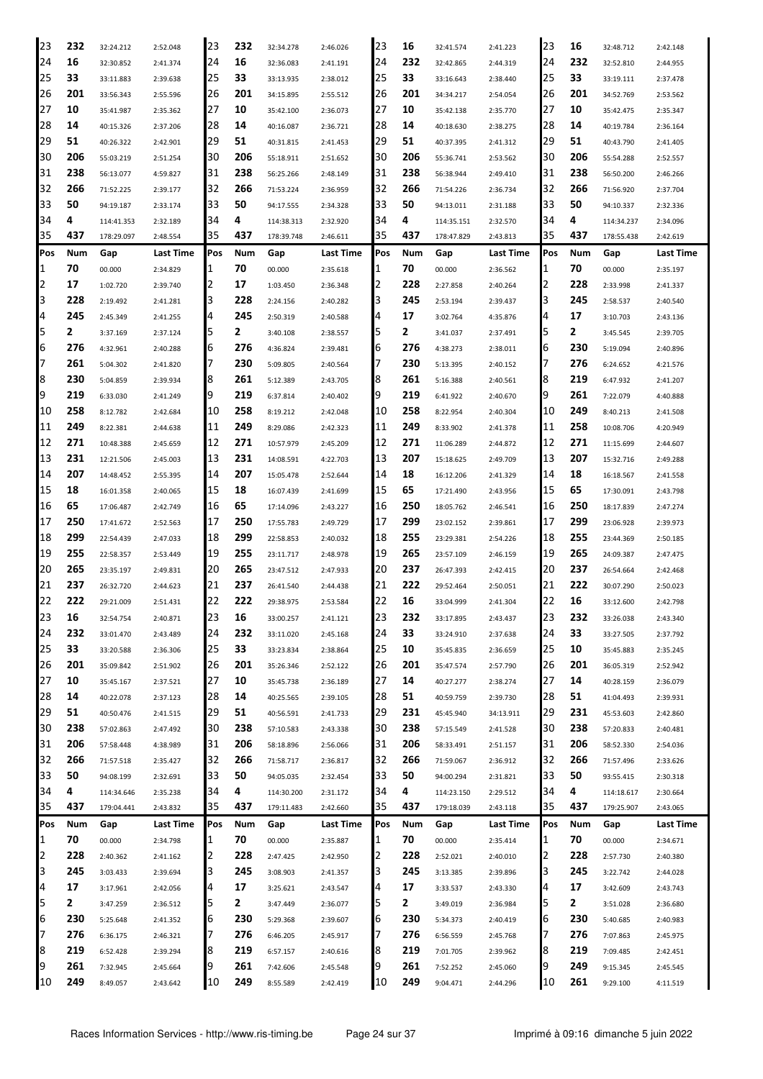| 23             | 232 | 32:24.212  | 2:52.048  | 23  | 232 | 32:34.278  | 2:46.026  | 23  | 16  | 32:41.574  | 2:41.223  | 23         | 16  | 32:48.712  | 2:42.148  |
|----------------|-----|------------|-----------|-----|-----|------------|-----------|-----|-----|------------|-----------|------------|-----|------------|-----------|
| 24             | 16  | 32:30.852  | 2:41.374  | 24  | 16  | 32:36.083  | 2:41.191  | 24  | 232 | 32:42.865  | 2:44.319  | 24         | 232 | 32:52.810  | 2:44.955  |
| 25             | 33  | 33:11.883  | 2:39.638  | 25  | 33  | 33:13.935  | 2:38.012  | 25  | 33  | 33:16.643  | 2:38.440  | 25         | 33  | 33:19.111  | 2:37.478  |
| 126            | 201 | 33:56.343  | 2:55.596  | 26  | 201 | 34:15.895  | 2:55.512  | 26  | 201 | 34:34.217  | 2:54.054  | 26         | 201 | 34:52.769  | 2:53.562  |
| 27             | 10  | 35:41.987  | 2:35.362  | 27  | 10  | 35:42.100  | 2:36.073  | 27  | 10  | 35:42.138  | 2:35.770  | 27         | 10  | 35:42.475  | 2:35.347  |
| 28             | 14  | 40:15.326  | 2:37.206  | 28  | 14  | 40:16.087  | 2:36.721  | 28  | 14  | 40:18.630  | 2:38.275  | 28         | 14  | 40:19.784  | 2:36.164  |
| 29             | 51  | 40:26.322  | 2:42.901  | 29  | 51  | 40:31.815  | 2:41.453  | 29  | 51  | 40:37.395  | 2:41.312  | 29         | 51  | 40:43.790  | 2:41.405  |
| 30             | 206 | 55:03.219  | 2:51.254  | 30  | 206 | 55:18.911  | 2:51.652  | 30  | 206 | 55:36.741  | 2:53.562  | 30         | 206 | 55:54.288  | 2:52.557  |
| 31             | 238 | 56:13.077  | 4:59.827  | 31  | 238 | 56:25.266  | 2:48.149  | 31  | 238 | 56:38.944  | 2:49.410  | 31         | 238 | 56:50.200  | 2:46.266  |
| 32             | 266 | 71:52.225  | 2:39.177  | 32  | 266 | 71:53.224  | 2:36.959  | 32  | 266 | 71:54.226  | 2:36.734  | 32         | 266 | 71:56.920  | 2:37.704  |
| 33             | 50  | 94:19.187  | 2:33.174  | 33  | 50  | 94:17.555  | 2:34.328  | 33  | 50  | 94:13.011  | 2:31.188  | 33         | 50  | 94:10.337  | 2:32.336  |
| 34             | 4   | 114:41.353 | 2:32.189  | 34  | 4   | 114:38.313 | 2:32.920  | 34  | 4   | 114:35.151 | 2:32.570  | 34         | 4   | 114:34.237 | 2:34.096  |
| 35             | 437 | 178:29.097 | 2:48.554  | 35  | 437 | 178:39.748 | 2:46.611  | 35  | 437 | 178:47.829 | 2:43.813  | 35         | 437 | 178:55.438 | 2:42.619  |
| Pos            | Num | Gap        | Last Time | Pos | Num | Gap        | Last Time | Pos | Num | Gap        | Last Time | <b>Pos</b> | Num | Gap        | Last Time |
| 11             | 70  | 00.000     |           | 1   | 70  | 00.000     |           | 1   | 70  | 00.000     |           | 1          | 70  | 00.000     |           |
| 2              | 17  |            | 2:34.829  | 2   | 17  |            | 2:35.618  | 2   | 228 |            | 2:36.562  | 12         | 228 |            | 2:35.197  |
| 3              |     | 1:02.720   | 2:39.740  | 3   | 228 | 1:03.450   | 2:36.348  |     |     | 2:27.858   | 2:40.264  | 3          |     | 2:33.998   | 2:41.337  |
| 4              | 228 | 2:19.492   | 2:41.281  |     |     | 2:24.156   | 2:40.282  | 3   | 245 | 2:53.194   | 2:39.437  | 4          | 245 | 2:58.537   | 2:40.540  |
|                | 245 | 2:45.349   | 2:41.255  | 4   | 245 | 2:50.319   | 2:40.588  | 4   | 17  | 3:02.764   | 4:35.876  |            | 17  | 3:10.703   | 2:43.136  |
| 5              | 2   | 3:37.169   | 2:37.124  | 5   | 2   | 3:40.108   | 2:38.557  | 5   | 2   | 3:41.037   | 2:37.491  | 5          | 2   | 3:45.545   | 2:39.705  |
| 6              | 276 | 4:32.961   | 2:40.288  | 6   | 276 | 4:36.824   | 2:39.481  | 6   | 276 | 4:38.273   | 2:38.011  | 6          | 230 | 5:19.094   | 2:40.896  |
| 17             | 261 | 5:04.302   | 2:41.820  | 7   | 230 | 5:09.805   | 2:40.564  | 7   | 230 | 5:13.395   | 2:40.152  | 17         | 276 | 6:24.652   | 4:21.576  |
| 8              | 230 | 5:04.859   | 2:39.934  | 8   | 261 | 5:12.389   | 2:43.705  | 8   | 261 | 5:16.388   | 2:40.561  | 8          | 219 | 6:47.932   | 2:41.207  |
| 9              | 219 | 6:33.030   | 2:41.249  | 19  | 219 | 6:37.814   | 2:40.402  | 9   | 219 | 6:41.922   | 2:40.670  | 9          | 261 | 7:22.079   | 4:40.888  |
| 10             | 258 | 8:12.782   | 2:42.684  | 10  | 258 | 8:19.212   | 2:42.048  | 10  | 258 | 8:22.954   | 2:40.304  | 10         | 249 | 8:40.213   | 2:41.508  |
| 11             | 249 | 8:22.381   | 2:44.638  | 11  | 249 | 8:29.086   | 2:42.323  | 11  | 249 | 8:33.902   | 2:41.378  | 11         | 258 | 10:08.706  | 4:20.949  |
| 12             | 271 | 10:48.388  | 2:45.659  | 12  | 271 | 10:57.979  | 2:45.209  | 12  | 271 | 11:06.289  | 2:44.872  | 12         | 271 | 11:15.699  | 2:44.607  |
| 13             | 231 | 12:21.506  | 2:45.003  | 13  | 231 | 14:08.591  | 4:22.703  | 13  | 207 | 15:18.625  | 2:49.709  | 13         | 207 | 15:32.716  | 2:49.288  |
| 14             | 207 | 14:48.452  | 2:55.395  | 14  | 207 | 15:05.478  | 2:52.644  | 14  | 18  | 16:12.206  | 2:41.329  | 14         | 18  | 16:18.567  | 2:41.558  |
| 15             | 18  | 16:01.358  | 2:40.065  | 15  | 18  | 16:07.439  | 2:41.699  | 15  | 65  | 17:21.490  | 2:43.956  | 15         | 65  | 17:30.091  | 2:43.798  |
| 16             | 65  | 17:06.487  | 2:42.749  | 16  | 65  | 17:14.096  | 2:43.227  | 16  | 250 | 18:05.762  | 2:46.541  | 16         | 250 | 18:17.839  | 2:47.274  |
| 17             | 250 | 17:41.672  | 2:52.563  | 17  | 250 | 17:55.783  | 2:49.729  | 17  | 299 | 23:02.152  | 2:39.861  | 17         | 299 | 23:06.928  | 2:39.973  |
| 18             | 299 | 22:54.439  | 2:47.033  | 18  | 299 | 22:58.853  | 2:40.032  | 18  | 255 | 23:29.381  | 2:54.226  | 18         | 255 | 23:44.369  | 2:50.185  |
| 19             | 255 | 22:58.357  | 2:53.449  | 19  | 255 | 23:11.717  | 2:48.978  | 19  | 265 | 23:57.109  | 2:46.159  | 19         | 265 | 24:09.387  | 2:47.475  |
| 120            | 265 | 23:35.197  | 2:49.831  | 20  | 265 | 23:47.512  | 2:47.933  | 20  | 237 | 26:47.393  | 2:42.415  | 20         | 237 | 26:54.664  | 2:42.468  |
| 21             | 237 | 26:32.720  | 2:44.623  | 21  | 237 | 26:41.540  | 2:44.438  | 21  | 222 | 29:52.464  | 2:50.051  | 21         | 222 | 30:07.290  | 2:50.023  |
| 22             | 222 | 29:21.009  | 2:51.431  | 22  | 222 | 29:38.975  | 2:53.584  | 22  | 16  | 33:04.999  | 2:41.304  | 22         | 16  | 33:12.600  | 2:42.798  |
| 23             | 16  | 32:54.754  | 2:40.871  | 23  | 16  | 33:00.257  | 2:41.121  | 23  | 232 | 33:17.895  | 2:43.437  | 23         | 232 | 33:26.038  | 2:43.340  |
| 24             | 232 | 33:01.470  | 2:43.489  | 24  | 232 | 33:11.020  | 2:45.168  | 24  | 33  | 33:24.910  | 2:37.638  | 24         | 33  | 33:27.505  | 2:37.792  |
| 25             | 33  | 33:20.588  | 2:36.306  | 25  | 33  | 33:23.834  | 2:38.864  | 25  | 10  | 35:45.835  | 2:36.659  | 25         | 10  | 35:45.883  | 2:35.245  |
| 26             | 201 | 35:09.842  | 2:51.902  | 26  | 201 | 35:26.346  | 2:52.122  | 26  | 201 | 35:47.574  | 2:57.790  | 26         | 201 | 36:05.319  | 2:52.942  |
| 27             | 10  | 35:45.167  | 2:37.521  | 27  | 10  | 35:45.738  | 2:36.189  | 27  | 14  | 40:27.277  | 2:38.274  | 27         | 14  | 40:28.159  | 2:36.079  |
| 28             | 14  | 40:22.078  | 2:37.123  | 28  | 14  | 40:25.565  | 2:39.105  | 28  | 51  | 40:59.759  | 2:39.730  | 28         | 51  | 41:04.493  | 2:39.931  |
| 29             | 51  | 40:50.476  | 2:41.515  | 29  | 51  | 40:56.591  | 2:41.733  | 29  | 231 | 45:45.940  | 34:13.911 | 29         | 231 | 45:53.603  | 2:42.860  |
| 30             | 238 | 57:02.863  | 2:47.492  | 30  | 238 | 57:10.583  | 2:43.338  | 30  | 238 | 57:15.549  | 2:41.528  | 30         | 238 | 57:20.833  | 2:40.481  |
| 31             | 206 | 57:58.448  | 4:38.989  | 31  | 206 | 58:18.896  | 2:56.066  | 31  | 206 | 58:33.491  | 2:51.157  | 31         | 206 | 58:52.330  | 2:54.036  |
| 32             | 266 | 71:57.518  | 2:35.427  | 32  | 266 | 71:58.717  | 2:36.817  | 32  | 266 | 71:59.067  | 2:36.912  | 32         | 266 | 71:57.496  | 2:33.626  |
| 33             | 50  | 94:08.199  | 2:32.691  | 33  | 50  | 94:05.035  | 2:32.454  | 33  | 50  | 94:00.294  | 2:31.821  | 33         | 50  | 93:55.415  | 2:30.318  |
| 34             | 4   | 114:34.646 | 2:35.238  | 34  | 4   | 114:30.200 | 2:31.172  | 34  | 4   | 114:23.150 | 2:29.512  | 34         | 4   | 114:18.617 | 2:30.664  |
| 35             | 437 | 179:04.441 | 2:43.832  | 35  | 437 | 179:11.483 | 2:42.660  | 35  | 437 | 179:18.039 | 2:43.118  | 35         | 437 | 179:25.907 | 2:43.065  |
| Pos            | Num | Gap        | Last Time | Pos | Num | Gap        | Last Time | Pos | Num | Gap        | Last Time | Pos        | Num | Gap        | Last Time |
| 1              | 70  | 00.000     | 2:34.798  | 1   | 70  | 00.000     | 2:35.887  | 1   | 70  | 00.000     | 2:35.414  | 1          | 70  | 00.000     | 2:34.671  |
| $\overline{2}$ | 228 | 2:40.362   | 2:41.162  | 2   | 228 | 2:47.425   | 2:42.950  | 2   | 228 | 2:52.021   | 2:40.010  | 2          | 228 | 2:57.730   | 2:40.380  |
| 3              | 245 | 3:03.433   | 2:39.694  | 3   | 245 | 3:08.903   | 2:41.357  | 3   | 245 | 3:13.385   | 2:39.896  | 3          | 245 | 3:22.742   | 2:44.028  |
| 4              | 17  | 3:17.961   | 2:42.056  | 4   | 17  | 3:25.621   | 2:43.547  | 4   | 17  | 3:33.537   | 2:43.330  | 4          | 17  | 3:42.609   | 2:43.743  |
| 5              | 2   | 3:47.259   | 2:36.512  | 5   | 2   | 3:47.449   | 2:36.077  | 5   | 2   | 3:49.019   | 2:36.984  | 5          | 2   | 3:51.028   | 2:36.680  |
| 6              | 230 | 5:25.648   | 2:41.352  | 6   | 230 | 5:29.368   | 2:39.607  | 6   | 230 | 5:34.373   | 2:40.419  | 6          | 230 | 5:40.685   | 2:40.983  |
| 17             | 276 | 6:36.175   | 2:46.321  | 7   | 276 | 6:46.205   | 2:45.917  | 7   | 276 | 6:56.559   | 2:45.768  | 17         | 276 | 7:07.863   | 2:45.975  |
| 8              | 219 | 6:52.428   | 2:39.294  | 8   | 219 | 6:57.157   | 2:40.616  | 8   | 219 | 7:01.705   | 2:39.962  | 8          | 219 | 7:09.485   | 2:42.451  |
| 9              | 261 | 7:32.945   | 2:45.664  | 9   | 261 | 7:42.606   | 2:45.548  | 9   | 261 | 7:52.252   | 2:45.060  | 9          | 249 | 9:15.345   | 2:45.545  |
| 10             | 249 | 8:49.057   | 2:43.642  | 10  | 249 | 8:55.589   | 2:42.419  | 10  | 249 | 9:04.471   | 2:44.296  | 10         | 261 | 9:29.100   | 4:11.519  |
|                |     |            |           |     |     |            |           |     |     |            |           |            |     |            |           |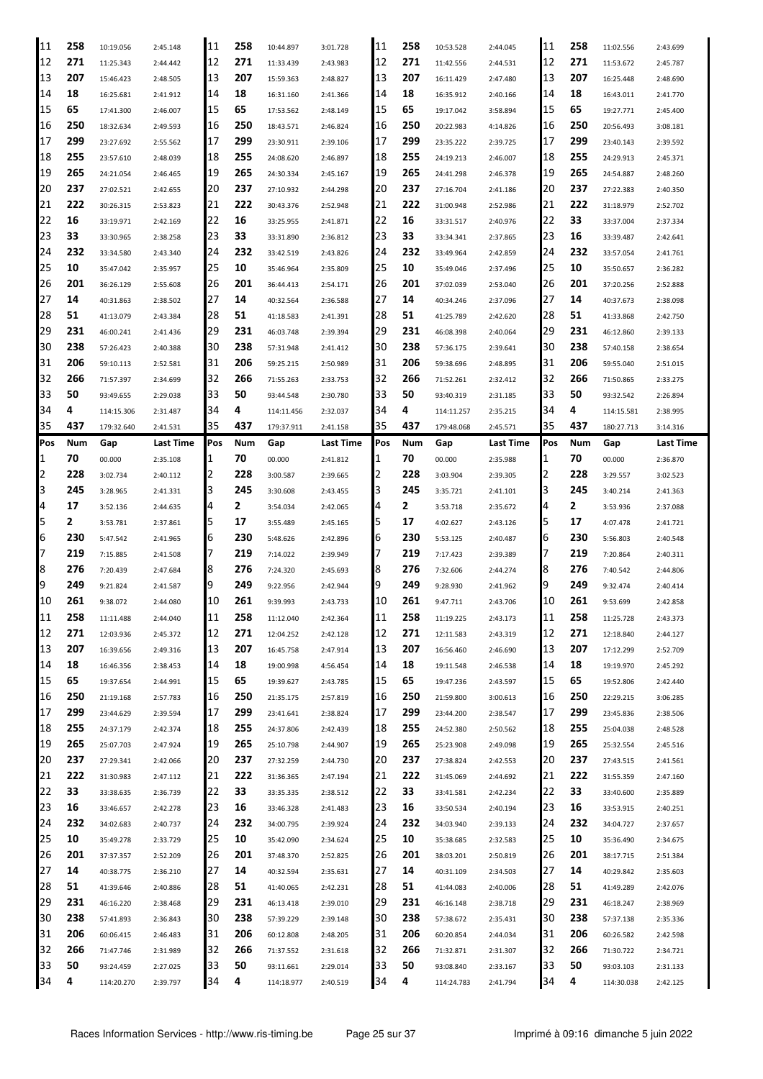| 11       | 258     | 10:19.056  | 2:45.148  | 11       | 258     | 10:44.897  | 3:01.728  | 11       | 258     | 10:53.528  | 2:44.045  | 11       | 258     | 11:02.556  | 2:43.699  |
|----------|---------|------------|-----------|----------|---------|------------|-----------|----------|---------|------------|-----------|----------|---------|------------|-----------|
| 12       | 271     | 11:25.343  | 2:44.442  | 12       | 271     | 11:33.439  | 2:43.983  | 12       | 271     | 11:42.556  | 2:44.531  | 12       | 271     | 11:53.672  | 2:45.787  |
| 13       | 207     | 15:46.423  | 2:48.505  | 13       | 207     | 15:59.363  | 2:48.827  | 13       | 207     | 16:11.429  | 2:47.480  | 13       | 207     | 16:25.448  | 2:48.690  |
| 14       | 18      | 16:25.681  | 2:41.912  | 14       | 18      | 16:31.160  | 2:41.366  | 14       | 18      | 16:35.912  | 2:40.166  | 14       | 18      | 16:43.011  | 2:41.770  |
| 15       | 65      | 17:41.300  | 2:46.007  | 15       | 65      | 17:53.562  | 2:48.149  | 15       | 65      | 19:17.042  | 3:58.894  | 15       | 65      | 19:27.771  | 2:45.400  |
| 16       | 250     | 18:32.634  | 2:49.593  | 16       | 250     | 18:43.571  | 2:46.824  | 16       | 250     | 20:22.983  | 4:14.826  | 16       | 250     | 20:56.493  | 3:08.181  |
| 17       | 299     | 23:27.692  | 2:55.562  | 17       | 299     | 23:30.911  | 2:39.106  | 17       | 299     | 23:35.222  | 2:39.725  | 17       | 299     | 23:40.143  | 2:39.592  |
|          | 255     |            |           |          |         |            |           | 18       |         |            |           | 18       |         |            |           |
| 18       |         | 23:57.610  | 2:48.039  | 18       | 255     | 24:08.620  | 2:46.897  |          | 255     | 24:19.213  | 2:46.007  |          | 255     | 24:29.913  | 2:45.371  |
| 19       | 265     | 24:21.054  | 2:46.465  | 19       | 265     | 24:30.334  | 2:45.167  | 19       | 265     | 24:41.298  | 2:46.378  | 19       | 265     | 24:54.887  | 2:48.260  |
| 20       | 237     | 27:02.521  | 2:42.655  | 20       | 237     | 27:10.932  | 2:44.298  | 20       | 237     | 27:16.704  | 2:41.186  | 20       | 237     | 27:22.383  | 2:40.350  |
| 21       | 222     | 30:26.315  | 2:53.823  | 21       | 222     | 30:43.376  | 2:52.948  | 21       | 222     | 31:00.948  | 2:52.986  | 21       | 222     | 31:18.979  | 2:52.702  |
| 22       | 16      | 33:19.971  | 2:42.169  | 22       | 16      | 33:25.955  | 2:41.871  | 22       | 16      | 33:31.517  | 2:40.976  | 22       | 33      | 33:37.004  | 2:37.334  |
| 23       | 33      | 33:30.965  | 2:38.258  | 23       | 33      | 33:31.890  | 2:36.812  | 23       | 33      | 33:34.341  | 2:37.865  | 23       | 16      | 33:39.487  | 2:42.641  |
| 24       | 232     | 33:34.580  | 2:43.340  | 24       | 232     | 33:42.519  | 2:43.826  | 24       | 232     | 33:49.964  | 2:42.859  | 24       | 232     | 33:57.054  | 2:41.761  |
| 25       | 10      | 35:47.042  | 2:35.957  | 25       | 10      | 35:46.964  | 2:35.809  | 25       | 10      | 35:49.046  | 2:37.496  | 25       | 10      | 35:50.657  | 2:36.282  |
| 26       | 201     | 36:26.129  | 2:55.608  | 26       | 201     | 36:44.413  | 2:54.171  | 26       | 201     | 37:02.039  | 2:53.040  | 26       | 201     | 37:20.256  | 2:52.888  |
| 27       | 14      | 40:31.863  | 2:38.502  | 27       | 14      | 40:32.564  | 2:36.588  | 27       | 14      | 40:34.246  | 2:37.096  | 27       | 14      | 40:37.673  | 2:38.098  |
| 28       | 51      |            |           | 28       | 51      |            |           | 28       | 51      |            |           | 28       | 51      |            |           |
|          |         | 41:13.079  | 2:43.384  |          |         | 41:18.583  | 2:41.391  |          |         | 41:25.789  | 2:42.620  |          |         | 41:33.868  | 2:42.750  |
| 29       | 231     | 46:00.241  | 2:41.436  | 29       | 231     | 46:03.748  | 2:39.394  | 29       | 231     | 46:08.398  | 2:40.064  | 29       | 231     | 46:12.860  | 2:39.133  |
| 30       | 238     | 57:26.423  | 2:40.388  | 130      | 238     | 57:31.948  | 2:41.412  | 30       | 238     | 57:36.175  | 2:39.641  | 30       | 238     | 57:40.158  | 2:38.654  |
| 31       | 206     | 59:10.113  | 2:52.581  | 31       | 206     | 59:25.215  | 2:50.989  | 31       | 206     | 59:38.696  | 2:48.895  | 31       | 206     | 59:55.040  | 2:51.015  |
| 32       | 266     | 71:57.397  | 2:34.699  | 32       | 266     | 71:55.263  | 2:33.753  | 32       | 266     | 71:52.261  | 2:32.412  | 32       | 266     | 71:50.865  | 2:33.275  |
| 33       | 50      | 93:49.655  | 2:29.038  | 33       | 50      | 93:44.548  | 2:30.780  | 33       | 50      | 93:40.319  | 2:31.185  | 33       | 50      | 93:32.542  | 2:26.894  |
| 34       | 4       | 114:15.306 | 2:31.487  | 34       | 4       | 114:11.456 | 2:32.037  | 34       | 4       | 114:11.257 | 2:35.215  | 34       | 4       | 114:15.581 | 2:38.995  |
| 35       | 437     | 179:32.640 | 2:41.531  | 35       | 437     | 179:37.911 | 2:41.158  | 35       | 437     | 179:48.068 | 2:45.571  | 35       | 437     | 180:27.713 | 3:14.316  |
| Pos      | Num     | Gap        | Last Time | Pos      | Num     | Gap        | Last Time | Pos      | Num     | Gap        | Last Time | Pos      | Num     | Gap        | Last Time |
| 1        | 70      | 00.000     | 2:35.108  | 1        | 70      | 00.000     | 2:41.812  |          | 70      | 00.000     | 2:35.988  | 1        | 70      | 00.000     | 2:36.870  |
| 2        | 228     | 3:02.734   | 2:40.112  | 2        | 228     | 3:00.587   | 2:39.665  |          | 228     | 3:03.904   | 2:39.305  | 2        | 228     | 3:29.557   | 3:02.523  |
| 3        | 245     | 3:28.965   | 2:41.331  | I3       | 245     | 3:30.608   | 2:43.455  | l3       | 245     | 3:35.721   | 2:41.101  | 3        | 245     | 3:40.214   | 2:41.363  |
| 14       | 17      | 3:52.136   | 2:44.635  | 4        | 2       | 3:54.034   | 2:42.065  | 4        | 2       | 3:53.718   | 2:35.672  | 4        | 2       | 3:53.936   | 2:37.088  |
|          |         |            |           |          |         |            |           |          |         |            |           |          |         |            |           |
|          |         |            |           |          |         |            |           |          |         |            |           |          |         |            |           |
| 5        | 2       | 3:53.781   | 2:37.861  | 5        | 17      | 3:55.489   | 2:45.165  | 5        | 17      | 4:02.627   | 2:43.126  | 5        | 17      | 4:07.478   | 2:41.721  |
| 6        | 230     | 5:47.542   | 2:41.965  | 16       | 230     | 5:48.626   | 2:42.896  | 6        | 230     | 5:53.125   | 2:40.487  | 6        | 230     | 5:56.803   | 2:40.548  |
| 7        | 219     | 7:15.885   | 2:41.508  | 17       | 219     | 7:14.022   | 2:39.949  |          | 219     | 7:17.423   | 2:39.389  | 7        | 219     | 7:20.864   | 2:40.311  |
| 8        | 276     | 7:20.439   | 2:47.684  | 18       | 276     | 7:24.320   | 2:45.693  | 18       | 276     | 7:32.606   | 2:44.274  | 8        | 276     | 7:40.542   | 2:44.806  |
| 19       | 249     | 9:21.824   | 2:41.587  | 19       | 249     | 9:22.956   | 2:42.944  | 19       | 249     | 9:28.930   | 2:41.962  | 9        | 249     | 9:32.474   | 2:40.414  |
| 10       | 261     | 9:38.072   | 2:44.080  | 10       | 261     | 9:39.993   | 2:43.733  | 10       | 261     | 9:47.711   | 2:43.706  | '10      | 261     | 9:53.699   | 2:42.858  |
| 11       | 258     | 11:11.488  | 2:44.040  | 11       | 258     | 11:12.040  | 2:42.364  | 11       | 258     | 11:19.225  | 2:43.173  | 11       | 258     | 11:25.728  | 2:43.373  |
| 12       | 271     | 12:03.936  | 2:45.372  | 12       | 271     | 12:04.252  | 2:42.128  | 12       | 271     | 12:11.583  | 2:43.319  | 12       | 271     | 12:18.840  | 2:44.127  |
| 13       | 207     | 16:39.656  | 2:49.316  | 13       | 207     | 16:45.758  | 2:47.914  | 13       | 207     | 16:56.460  | 2:46.690  | 13       | 207     | 17:12.299  | 2:52.709  |
| 14       | 18      | 16:46.356  | 2:38.453  | 14       | 18      | 19:00.998  | 4:56.454  | 14       | 18      | 19:11.548  | 2:46.538  | 14       | 18      | 19:19.970  | 2:45.292  |
| 15       | 65      | 19:37.654  | 2:44.991  | 15       | 65      | 19:39.627  | 2:43.785  | 15       | 65      | 19:47.236  | 2:43.597  | 15       | 65      | 19:52.806  | 2:42.440  |
|          | 250     |            |           | 16       | 250     |            |           | 16       | 250     |            |           | 16       | 250     |            |           |
| 16       |         | 21:19.168  | 2:57.783  |          |         | 21:35.175  | 2:57.819  |          |         | 21:59.800  | 3:00.613  |          |         | 22:29.215  | 3:06.285  |
| 17       | 299     | 23:44.629  | 2:39.594  | 17       | 299     | 23:41.641  | 2:38.824  | 17       | 299     | 23:44.200  | 2:38.547  | 17       | 299     | 23:45.836  | 2:38.506  |
| 18       | 255     | 24:37.179  | 2:42.374  | 18       | 255     | 24:37.806  | 2:42.439  | 18       | 255     | 24:52.380  | 2:50.562  | 18       | 255     | 25:04.038  | 2:48.528  |
| 19       | 265     | 25:07.703  | 2:47.924  | 19       | 265     | 25:10.798  | 2:44.907  | 19       | 265     | 25:23.908  | 2:49.098  | 19       | 265     | 25:32.554  | 2:45.516  |
| 20       | 237     | 27:29.341  | 2:42.066  | 20       | 237     | 27:32.259  | 2:44.730  | 20       | 237     | 27:38.824  | 2:42.553  | 20       | 237     | 27:43.515  | 2:41.561  |
| 21       | 222     | 31:30.983  | 2:47.112  | 21       | 222     | 31:36.365  | 2:47.194  | 21       | 222     | 31:45.069  | 2:44.692  | 21       | 222     | 31:55.359  | 2:47.160  |
| 22       | 33      | 33:38.635  | 2:36.739  | 22       | 33      | 33:35.335  | 2:38.512  | 22       | 33      | 33:41.581  | 2:42.234  | 22       | 33      | 33:40.600  | 2:35.889  |
| 23       | 16      | 33:46.657  | 2:42.278  | 23       | 16      | 33:46.328  | 2:41.483  | 23       | 16      | 33:50.534  | 2:40.194  | 23       | 16      | 33:53.915  | 2:40.251  |
| 24       | 232     | 34:02.683  | 2:40.737  | 24       | 232     | 34:00.795  | 2:39.924  | 24       | 232     | 34:03.940  | 2:39.133  | 24       | 232     | 34:04.727  | 2:37.657  |
| 25       | 10      | 35:49.278  | 2:33.729  | 25       | 10      | 35:42.090  | 2:34.624  | 25       | 10      | 35:38.685  | 2:32.583  | 25       | 10      | 35:36.490  | 2:34.675  |
| 26       | 201     | 37:37.357  | 2:52.209  | 26       | 201     | 37:48.370  | 2:52.825  | 26       | 201     | 38:03.201  | 2:50.819  | 26       | 201     | 38:17.715  | 2:51.384  |
| 27       | 14      | 40:38.775  | 2:36.210  | 27       | 14      | 40:32.594  | 2:35.631  | 27       | 14      | 40:31.109  | 2:34.503  | 27       | 14      | 40:29.842  | 2:35.603  |
| 28       | 51      | 41:39.646  | 2:40.886  | 28       | 51      | 41:40.065  | 2:42.231  | 28       | 51      | 41:44.083  | 2:40.006  | 28       | 51      | 41:49.289  | 2:42.076  |
| 29       | 231     | 46:16.220  | 2:38.468  | 29       | 231     | 46:13.418  | 2:39.010  | 29       | 231     | 46:16.148  |           | 29       | 231     | 46:18.247  | 2:38.969  |
|          |         |            |           |          |         |            |           |          |         |            | 2:38.718  |          |         |            |           |
| 30       | 238     | 57:41.893  | 2:36.843  | 130      | 238     | 57:39.229  | 2:39.148  | 30       | 238     | 57:38.672  | 2:35.431  | 30       | 238     | 57:37.138  | 2:35.336  |
| 31       | 206     | 60:06.415  | 2:46.483  | 131      | 206     | 60:12.808  | 2:48.205  | 31       | 206     | 60:20.854  | 2:44.034  | 31       | 206     | 60:26.582  | 2:42.598  |
| 32       | 266     | 71:47.746  | 2:31.989  | 32       | 266     | 71:37.552  | 2:31.618  | 32       | 266     | 71:32.871  | 2:31.307  | 32       | 266     | 71:30.722  | 2:34.721  |
| 33<br>34 | 50<br>4 | 93:24.459  | 2:27.025  | 33<br>34 | 50<br>4 | 93:11.661  | 2:29.014  | 33<br>34 | 50<br>4 | 93:08.840  | 2:33.167  | 33<br>34 | 50<br>4 | 93:03.103  | 2:31.133  |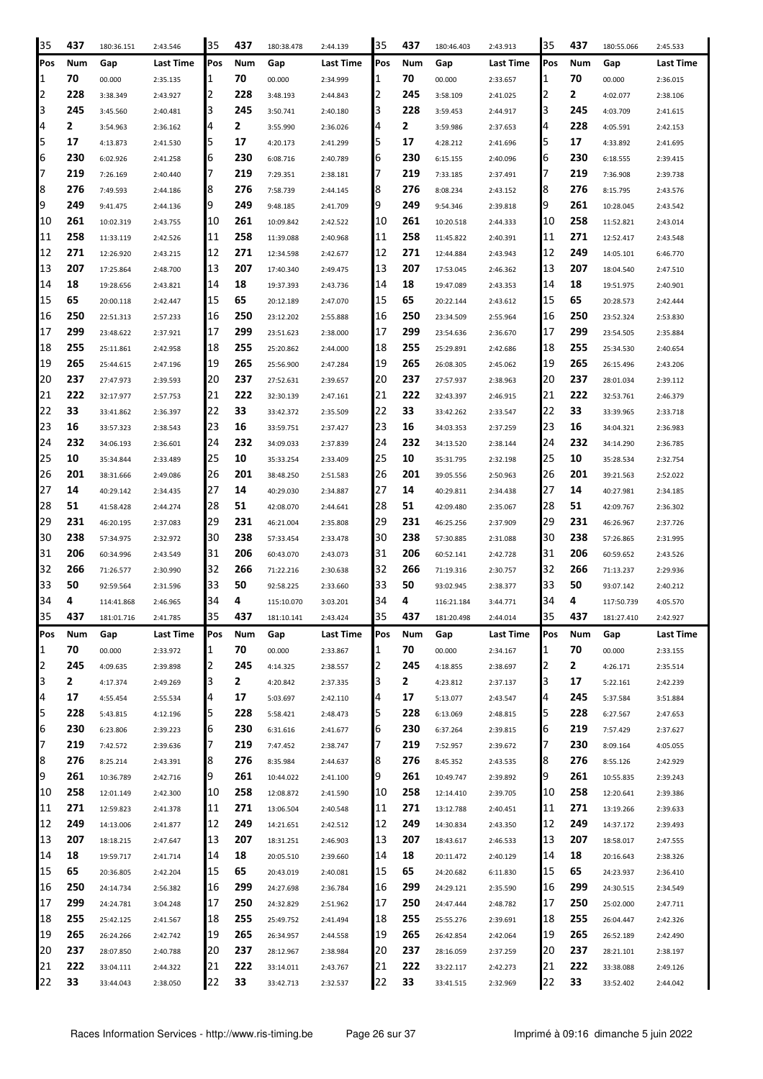| 35                           | 437       | 180:36.151           | 2:43.546             | 35     | 437        | 180:38.478           | 2:44.139             | 35     | 437       | 180:46.403            | 2:43.913             | 35     | 437        | 180:55.066            | 2:45.533             |
|------------------------------|-----------|----------------------|----------------------|--------|------------|----------------------|----------------------|--------|-----------|-----------------------|----------------------|--------|------------|-----------------------|----------------------|
| Pos                          | Num       | Gap                  | Last Time            | Pos    | Num        | Gap                  | Last Time            | Pos    | Num       | Gap                   | Last Time            | Pos    | Num        | Gap                   | Last Time            |
| 11                           | 70        | 00.000               | 2:35.135             | 1      | 70         | 00.000               | 2:34.999             | I1     | 70        | 00.000                | 2:33.657             | 1      | 70         | 00.000                | 2:36.015             |
| 12                           | 228       | 3:38.349             | 2:43.927             | 2      | 228        | 3:48.193             | 2:44.843             | 12     | 245       | 3:58.109              | 2:41.025             | 2      | 2          | 4:02.077              | 2:38.106             |
| 3                            | 245       | 3:45.560             | 2:40.481             | 3      | 245        | 3:50.741             | 2:40.180             | IЗ     | 228       | 3:59.453              | 2:44.917             | 3      | 245        | 4:03.709              | 2:41.615             |
| 4                            | 2         | 3:54.963             | 2:36.162             | 4      | 2          | 3:55.990             | 2:36.026             | 14     | 2         | 3:59.986              | 2:37.653             | 4      | 228        | 4:05.591              | 2:42.153             |
| 5                            | 17        | 4:13.873             | 2:41.530             | 5      | 17         | 4:20.173             | 2:41.299             | 15     | 17        | 4:28.212              | 2:41.696             | 5      | 17         | 4:33.892              | 2:41.695             |
| 6                            | 230       | 6:02.926             | 2:41.258             | 6      | 230        | 6:08.716             | 2:40.789             | 6      | 230       | 6:15.155              | 2:40.096             | 6      | 230        | 6:18.555              | 2:39.415             |
| 17                           | 219       | 7:26.169             | 2:40.440             | 7      | 219        | 7:29.351             | 2:38.181             | 7      | 219       | 7:33.185              | 2:37.491             | 7      | 219        | 7:36.908              | 2:39.738             |
| 8                            | 276       | 7:49.593             | 2:44.186             | 8      | 276        | 7:58.739             | 2:44.145             | 8      | 276       | 8:08.234              | 2:43.152             | 8      | 276        | 8:15.795              | 2:43.576             |
| 9                            | 249       | 9:41.475             | 2:44.136             | 9      | 249        | 9:48.185             | 2:41.709             | 19     | 249       | 9:54.346              | 2:39.818             | 9      | 261        | 10:28.045             | 2:43.542             |
| 10                           | 261       | 10:02.319            | 2:43.755             | 10     | 261        | 10:09.842            | 2:42.522             | 10     | 261       | 10:20.518             | 2:44.333             | 10     | 258        | 11:52.821             | 2:43.014             |
| 11                           | 258       | 11:33.119            | 2:42.526             | 11     | 258        | 11:39.088            | 2:40.968             | 11     | 258       | 11:45.822             | 2:40.391             | 11     | 271        | 12:52.417             | 2:43.548             |
| 12                           | 271       | 12:26.920            | 2:43.215             | 12     | 271        | 12:34.598            | 2:42.677             | 12     | 271       | 12:44.884             | 2:43.943             | 12     | 249        | 14:05.101             | 6:46.770             |
| 13                           | 207       | 17:25.864            | 2:48.700             | 13     | 207        | 17:40.340            | 2:49.475             | 13     | 207       | 17:53.045             | 2:46.362             | 13     | 207        | 18:04.540             | 2:47.510             |
| 14                           | 18        | 19:28.656            | 2:43.821             | 14     | 18         | 19:37.393            | 2:43.736             | 14     | 18        | 19:47.089             | 2:43.353             | 14     | 18         | 19:51.975             | 2:40.901             |
| 15                           | 65        | 20:00.118            | 2:42.447             | 15     | 65         | 20:12.189            | 2:47.070             | 15     | 65        | 20:22.144             | 2:43.612             | 15     | 65         | 20:28.573             | 2:42.444             |
| 16                           | 250       | 22:51.313            | 2:57.233             | 16     | 250        | 23:12.202            | 2:55.888             | 16     | 250       | 23:34.509             | 2:55.964             | 16     | 250        | 23:52.324             | 2:53.830             |
| 17                           | 299       | 23:48.622            | 2:37.921             | 17     | 299        | 23:51.623            | 2:38.000             | 17     | 299       | 23:54.636             | 2:36.670             | 17     | 299        | 23:54.505             | 2:35.884             |
| 18                           | 255       | 25:11.861            | 2:42.958             | 18     | 255        | 25:20.862            | 2:44.000             | 18     | 255       | 25:29.891             | 2:42.686             | 18     | 255        | 25:34.530             | 2:40.654             |
| 19                           | 265       | 25:44.615            | 2:47.196             | 19     | 265        | 25:56.900            | 2:47.284             | 19     | 265       | 26:08.305             | 2:45.062             | 19     | 265        | 26:15.496             | 2:43.206             |
| 20                           | 237       | 27:47.973            | 2:39.593             | 20     | 237        | 27:52.631            | 2:39.657             | 120    | 237       | 27:57.937             | 2:38.963             | 20     | 237        | 28:01.034             | 2:39.112             |
| 21                           | 222       | 32:17.977            | 2:57.753             | 21     | 222        | 32:30.139            | 2:47.161             | 21     | 222       | 32:43.397             | 2:46.915             | 21     | 222        | 32:53.761             | 2:46.379             |
| 22                           | 33        | 33:41.862            | 2:36.397             | 22     | 33         | 33:42.372            | 2:35.509             | 22     | 33        | 33:42.262             | 2:33.547             | 22     | 33         | 33:39.965             | 2:33.718             |
| 23                           | 16        | 33:57.323            | 2:38.543             | 23     | 16         | 33:59.751            | 2:37.427             | 23     | 16        | 34:03.353             | 2:37.259             | 23     | 16         | 34:04.321             | 2:36.983             |
| 24                           | 232       | 34:06.193            | 2:36.601             | 24     | 232        | 34:09.033            | 2:37.839             | 24     | 232       | 34:13.520             | 2:38.144             | 24     | 232        | 34:14.290             | 2:36.785             |
| 25                           | 10        | 35:34.844            | 2:33.489             | 25     | 10         | 35:33.254            | 2:33.409             | 25     | 10        | 35:31.795             | 2:32.198             | 25     | 10         | 35:28.534             | 2:32.754             |
| 26                           | 201       | 38:31.666            | 2:49.086             | 26     | 201        | 38:48.250            | 2:51.583             | 26     | 201       | 39:05.556             | 2:50.963             | 26     | 201        | 39:21.563             | 2:52.022             |
| 27                           | 14        | 40:29.142            | 2:34.435             | 27     | 14         | 40:29.030            | 2:34.887             | 27     | 14        | 40:29.811             | 2:34.438             | 27     | 14         | 40:27.981             | 2:34.185             |
| 28                           | 51        | 41:58.428            | 2:44.274             | 28     | 51         | 42:08.070            | 2:44.641             | 28     | 51        | 42:09.480             | 2:35.067             | 28     | 51         | 42:09.767             | 2:36.302             |
| 29                           | 231       | 46:20.195            | 2:37.083             | 29     | 231        | 46:21.004            | 2:35.808             | 29     | 231       | 46:25.256             | 2:37.909             | 29     | 231        | 46:26.967             | 2:37.726             |
| 30                           | 238       | 57:34.975            | 2:32.972             | 30     | 238        | 57:33.454            | 2:33.478             | 30     | 238       | 57:30.885             | 2:31.088             | 30     | 238        | 57:26.865             | 2:31.995             |
| 31                           | 206       | 60:34.996            | 2:43.549             | 31     | 206        | 60:43.070            | 2:43.073             | 31     | 206       | 60:52.141             | 2:42.728             | 31     | 206        | 60:59.652             | 2:43.526             |
| 32                           | 266       | 71:26.577            | 2:30.990             | 32     | 266        | 71:22.216            | 2:30.638             | 32     | 266       | 71:19.316             | 2:30.757             | 32     | 266        | 71:13.237             | 2:29.936             |
| 33                           | 50        | 92:59.564            | 2:31.596             | 33     | 50         | 92:58.225            | 2:33.660             | 33     | 50        | 93:02.945             | 2:38.377             | 33     | 50         | 93:07.142             | 2:40.212             |
| 34                           | 4         | 114:41.868           | 2:46.965             | 34     | 4          | 115:10.070           | 3:03.201             | 34     | 4         | 116:21.184            | 3:44.771             | 34     | 4          | 117:50.739            | 4:05.570             |
| 35                           | 437       | 181:01.716           | 2:41.785             | 35     | 437        | 181:10.141           | 2:43.424             | 35     | 437       | 181:20.498            | 2:44.014             | 35     | 437        | 181:27.410            | 2:42.927             |
| Pos                          | Num       | Gap                  | <b>Last Time</b>     | Pos    | Num        | Gap                  | Last Time            | Pos    | Num       | Gap                   | Last Time            | Pos    | Num        | Gap                   | Last Time            |
| 11                           | 70        | 00.000               | 2:33.972             | 1      | 70         | 00.000               | 2:33.867             | 1      | 70        | 00.000                | 2:34.167             | 1      | 70         | 00.000                | 2:33.155             |
| $\overline{2}$               | 245       | 4:09.635             | 2:39.898             | 2      | 245        | 4:14.325             | 2:38.557             | 12     | 245       | 4:18.855              | 2:38.697             | 2      | 2          | 4:26.171              | 2:35.514             |
| 3                            | 2         | 4:17.374             | 2:49.269             | 3      | 2          | 4:20.842             | 2:37.335             | З      | 2         | 4:23.812              | 2:37.137             | 3      | 17         | 5:22.161              | 2:42.239             |
| $\overline{\mathbf{r}}$<br>5 | 17<br>228 | 4:55.454             | 2:55.534             | 4<br>5 | 17<br>228  | 5:03.697             | 2:42.110             | 4<br>5 | 17<br>228 | 5:13.077              | 2:43.547             | 4<br>5 | 245<br>228 | 5:37.584              | 3:51.884             |
| 6                            | 230       | 5:43.815             | 4:12.196             | 6      |            | 5:58.421             | 2:48.473             | 6      | 230       | 6:13.069              | 2:48.815             | 6      | 219        | 6:27.567              | 2:47.653             |
| 17                           | 219       | 6:23.806<br>7:42.572 | 2:39.223<br>2:39.636 | 7      | 230<br>219 | 6:31.616<br>7:47.452 | 2:41.677<br>2:38.747 | 17     | 219       | 6:37.264<br>7:52.957  | 2:39.815<br>2:39.672 | 7      | 230        | 7:57.429<br>8:09.164  | 2:37.627<br>4:05.055 |
| 8                            | 276       | 8:25.214             |                      | 8      | 276        | 8:35.984             |                      | 8      | 276       |                       |                      | 8      | 276        |                       |                      |
| 9                            | 261       | 10:36.789            | 2:43.391<br>2:42.716 | 9      | 261        | 10:44.022            | 2:44.637<br>2:41.100 | 19     | 261       | 8:45.352<br>10:49.747 | 2:43.535<br>2:39.892 | 9      | 261        | 8:55.126<br>10:55.835 | 2:42.929<br>2:39.243 |
| 10                           | 258       | 12:01.149            | 2:42.300             | 10     | 258        | 12:08.872            | 2:41.590             | 10     | 258       | 12:14.410             | 2:39.705             | 10     | 258        | 12:20.641             | 2:39.386             |
| 11                           | 271       | 12:59.823            | 2:41.378             | 11     | 271        | 13:06.504            | 2:40.548             | 11     | 271       | 13:12.788             | 2:40.451             | 11     | 271        | 13:19.266             | 2:39.633             |
| 12                           | 249       | 14:13.006            | 2:41.877             | 12     | 249        | 14:21.651            | 2:42.512             | 12     | 249       | 14:30.834             | 2:43.350             | 12     | 249        | 14:37.172             | 2:39.493             |
| 13                           | 207       | 18:18.215            | 2:47.647             | 13     | 207        | 18:31.251            | 2:46.903             | 13     | 207       | 18:43.617             | 2:46.533             | 13     | 207        | 18:58.017             | 2:47.555             |
| 14                           | 18        | 19:59.717            | 2:41.714             | 14     | 18         | 20:05.510            | 2:39.660             | 14     | 18        | 20:11.472             | 2:40.129             | 14     | 18         | 20:16.643             | 2:38.326             |
| 15                           | 65        | 20:36.805            | 2:42.204             | 15     | 65         | 20:43.019            | 2:40.081             | 15     | 65        | 24:20.682             | 6:11.830             | 15     | 65         | 24:23.937             | 2:36.410             |
| 16                           | 250       | 24:14.734            | 2:56.382             | 16     | 299        | 24:27.698            | 2:36.784             | 16     | 299       | 24:29.121             | 2:35.590             | 16     | 299        | 24:30.515             | 2:34.549             |
| 17                           | 299       | 24:24.781            | 3:04.248             | 17     | 250        | 24:32.829            | 2:51.962             | 17     | 250       | 24:47.444             | 2:48.782             | 17     | 250        | 25:02.000             | 2:47.711             |
| 18                           | 255       | 25:42.125            | 2:41.567             | 18     | 255        | 25:49.752            | 2:41.494             | 18     | 255       | 25:55.276             | 2:39.691             | 18     | 255        | 26:04.447             | 2:42.326             |
| 19                           | 265       | 26:24.266            | 2:42.742             | 19     | 265        | 26:34.957            | 2:44.558             | 19     | 265       | 26:42.854             | 2:42.064             | 19     | 265        | 26:52.189             | 2:42.490             |
| 20                           | 237       | 28:07.850            | 2:40.788             | 20     | 237        | 28:12.967            | 2:38.984             | 20     | 237       | 28:16.059             | 2:37.259             | 20     | 237        | 28:21.101             | 2:38.197             |
| 21                           | 222       | 33:04.111            | 2:44.322             | 21     | 222        | 33:14.011            | 2:43.767             | 21     | 222       | 33:22.117             | 2:42.273             | 21     | 222        | 33:38.088             | 2:49.126             |
| 22                           | 33        | 33:44.043            | 2:38.050             | 22     | 33         | 33:42.713            | 2:32.537             | 22     | 33        | 33:41.515             | 2:32.969             | 22     | 33         | 33:52.402             | 2:44.042             |
|                              |           |                      |                      |        |            |                      |                      |        |           |                       |                      |        |            |                       |                      |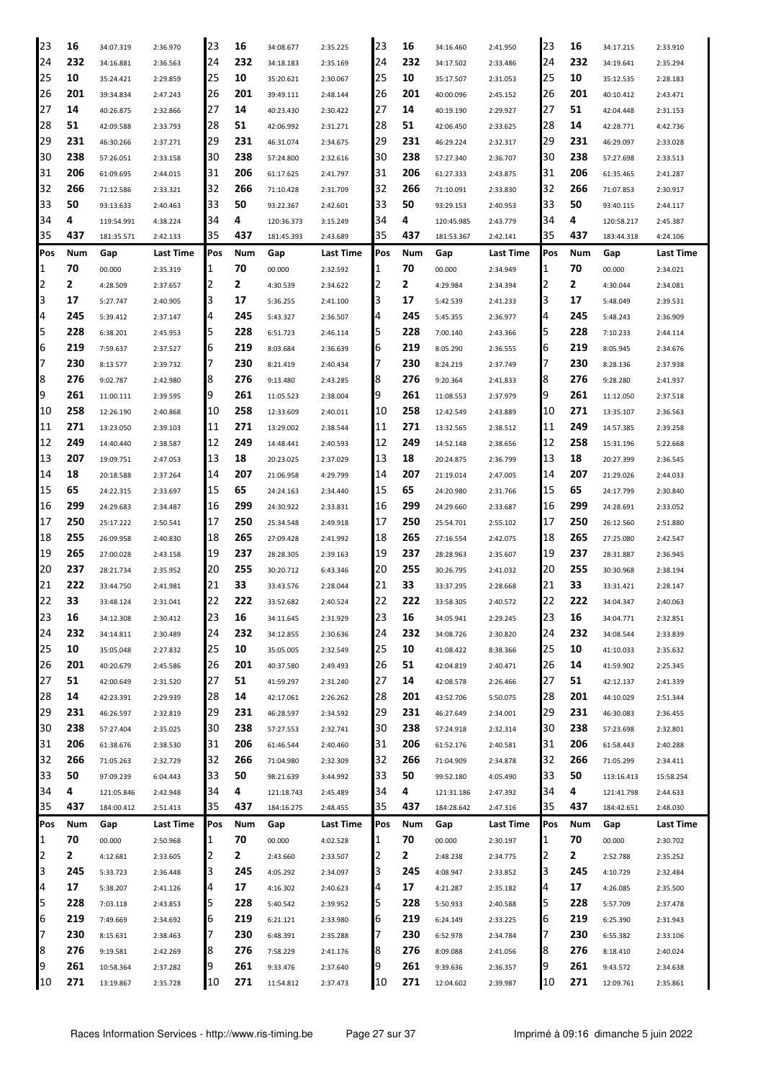| 23             | 16  | 34:07.319  | 2:36.970  | 23  | 16  | 34:08.677  | 2:35.225  | 23     | 16  | 34:16.460  | 2:41.950  | 23     | 16  | 34:17.215  | 2:33.910  |
|----------------|-----|------------|-----------|-----|-----|------------|-----------|--------|-----|------------|-----------|--------|-----|------------|-----------|
| 24             | 232 | 34:16.881  | 2:36.563  | 24  | 232 | 34:18.183  | 2:35.169  | 24     | 232 | 34:17.502  | 2:33.486  | 24     | 232 | 34:19.641  | 2:35.294  |
| 25             | 10  | 35:24.421  | 2:29.859  | 25  | 10  | 35:20.621  | 2:30.067  | 25     | 10  | 35:17.507  | 2:31.053  | 25     | 10  | 35:12.535  | 2:28.183  |
| 126            | 201 | 39:34.834  | 2:47.243  | 26  | 201 | 39:49.111  | 2:48.144  | 26     | 201 | 40:00.096  | 2:45.152  | 26     | 201 | 40:10.412  | 2:43.471  |
| 27             | 14  | 40:26.875  | 2:32.866  | 27  | 14  | 40:23.430  | 2:30.422  | 27     | 14  | 40:19.190  | 2:29.927  | 27     | 51  | 42:04.448  | 2:31.153  |
| 28             | 51  | 42:09.588  | 2:33.793  | 28  | 51  | 42:06.992  | 2:31.271  | 28     | 51  | 42:06.450  | 2:33.625  | 28     | 14  | 42:28.771  | 4:42.736  |
| 29             | 231 | 46:30.266  | 2:37.271  | 29  | 231 | 46:31.074  | 2:34.675  | 29     | 231 | 46:29.224  | 2:32.317  | 29     | 231 | 46:29.097  | 2:33.028  |
| 30             | 238 | 57:26.051  | 2:33.158  | 30  | 238 | 57:24.800  | 2:32.616  | 30     | 238 | 57:27.340  | 2:36.707  | 30     | 238 | 57:27.698  | 2:33.513  |
| 31             | 206 | 61:09.695  | 2:44.015  | 31  | 206 | 61:17.625  | 2:41.797  | 31     | 206 | 61:27.333  | 2:43.875  | 31     | 206 | 61:35.465  | 2:41.287  |
| 32             | 266 | 71:12.586  | 2:33.321  | 32  | 266 | 71:10.428  | 2:31.709  | 32     | 266 | 71:10.091  | 2:33.830  | 32     | 266 | 71:07.853  | 2:30.917  |
| 33             | 50  | 93:13.633  | 2:40.463  | 33  | 50  | 93:22.367  | 2:42.601  | 33     | 50  | 93:29.153  | 2:40.953  | 33     | 50  | 93:40.115  | 2:44.117  |
| 34             | 4   | 119:54.991 | 4:38.224  | 34  | 4   | 120:36.373 | 3:15.249  | 34     | 4   | 120:45.985 | 2:43.779  | 34     | 4   | 120:58.217 | 2:45.387  |
| 35             | 437 | 181:35.571 | 2:42.133  | 35  | 437 | 181:45.393 | 2:43.689  | 35     | 437 | 181:53.367 | 2:42.141  | 35     | 437 | 183:44.318 | 4:24.106  |
| Pos            | Num | Gap        | Last Time | Pos | Num | Gap        | Last Time | Pos    | Num | Gap        | Last Time | Pos    | Num | Gap        | Last Time |
| 1              | 70  | 00.000     | 2:35.319  | 1   | 70  | 00.000     | 2:32.592  | 1      | 70  | 00.000     | 2:34.949  | 1      | 70  | 00.000     | 2:34.021  |
| 2              | 2   |            |           | 2   | 2   |            |           | 2      | 2   |            |           | I2     | 2   |            |           |
| 3              | 17  | 4:28.509   | 2:37.657  | 3   | 17  | 4:30.539   | 2:34.622  | 3      | 17  | 4:29.984   | 2:34.394  | 3      | 17  | 4:30.044   | 2:34.081  |
| $\overline{a}$ | 245 | 5:27.747   | 2:40.905  | 4   | 245 | 5:36.255   | 2:41.100  | 4      | 245 | 5:42.539   | 2:41.233  | 14     | 245 | 5:48.049   | 2:39.531  |
|                |     | 5:39.412   | 2:37.147  |     |     | 5:43.327   | 2:36.507  |        |     | 5:45.355   | 2:36.977  |        |     | 5:48.243   | 2:36.909  |
| 5<br>6         | 228 | 6:38.201   | 2:45.953  | 5   | 228 | 6:51.723   | 2:46.114  | 5<br>6 | 228 | 7:00.140   | 2:43.366  | 5<br>6 | 228 | 7:10.233   | 2:44.114  |
|                | 219 | 7:59.637   | 2:37.527  | 6   | 219 | 8:03.684   | 2:36.639  | 7      | 219 | 8:05.290   | 2:36.555  |        | 219 | 8:05.945   | 2:34.676  |
| 17             | 230 | 8:13.577   | 2:39.732  | 7   | 230 | 8:21.419   | 2:40.434  |        | 230 | 8:24.219   | 2:37.749  | 17     | 230 | 8:28.136   | 2:37.938  |
| 8              | 276 | 9:02.787   | 2:42.980  | 18  | 276 | 9:13.480   | 2:43.285  | 8      | 276 | 9:20.364   | 2:41.833  | 8      | 276 | 9:28.280   | 2:41.937  |
| 9              | 261 | 11:00.111  | 2:39.595  | 19  | 261 | 11:05.523  | 2:38.004  | 9      | 261 | 11:08.553  | 2:37.979  | 9      | 261 | 11:12.050  | 2:37.518  |
| 10             | 258 | 12:26.190  | 2:40.868  | 10  | 258 | 12:33.609  | 2:40.011  | 10     | 258 | 12:42.549  | 2:43.889  | 10     | 271 | 13:35.107  | 2:36.563  |
| 11             | 271 | 13:23.050  | 2:39.103  | 11  | 271 | 13:29.002  | 2:38.544  | 11     | 271 | 13:32.565  | 2:38.512  | 11     | 249 | 14:57.385  | 2:39.258  |
| 12             | 249 | 14:40.440  | 2:38.587  | 12  | 249 | 14:48.441  | 2:40.593  | 12     | 249 | 14:52.148  | 2:38.656  | 12     | 258 | 15:31.196  | 5:22.668  |
| 13             | 207 | 19:09.751  | 2:47.053  | 13  | 18  | 20:23.025  | 2:37.029  | 13     | 18  | 20:24.875  | 2:36.799  | 13     | 18  | 20:27.399  | 2:36.545  |
| 14             | 18  | 20:18.588  | 2:37.264  | 14  | 207 | 21:06.958  | 4:29.799  | 14     | 207 | 21:19.014  | 2:47.005  | 14     | 207 | 21:29.026  | 2:44.033  |
| 15             | 65  | 24:22.315  | 2:33.697  | 15  | 65  | 24:24.163  | 2:34.440  | 15     | 65  | 24:20.980  | 2:31.766  | 15     | 65  | 24:17.799  | 2:30.840  |
| 16             | 299 | 24:29.683  | 2:34.487  | 16  | 299 | 24:30.922  | 2:33.831  | 16     | 299 | 24:29.660  | 2:33.687  | 16     | 299 | 24:28.691  | 2:33.052  |
| 17             | 250 | 25:17.222  | 2:50.541  | 17  | 250 | 25:34.548  | 2:49.918  | 17     | 250 | 25:54.701  | 2:55.102  | 17     | 250 | 26:12.560  | 2:51.880  |
| 18             | 255 | 26:09.958  | 2:40.830  | 18  | 265 | 27:09.428  | 2:41.992  | 18     | 265 | 27:16.554  | 2:42.075  | 18     | 265 | 27:25.080  | 2:42.547  |
| 19             | 265 | 27:00.028  | 2:43.158  | 19  | 237 | 28:28.305  | 2:39.163  | 19     | 237 | 28:28.963  | 2:35.607  | 19     | 237 | 28:31.887  | 2:36.945  |
| 120            | 237 | 28:21.734  | 2:35.952  | 20  | 255 | 30:20.712  | 6:43.346  | 20     | 255 | 30:26.795  | 2:41.032  | 20     | 255 | 30:30.968  | 2:38.194  |
| 21             | 222 | 33:44.750  | 2:41.981  | 21  | 33  | 33:43.576  | 2:28.044  | 21     | 33  | 33:37.295  | 2:28.668  | 21     | 33  | 33:31.421  | 2:28.147  |
| 22             | 33  | 33:48.124  | 2:31.041  | 22  | 222 | 33:52.682  | 2:40.524  | 22     | 222 | 33:58.305  | 2:40.572  | 22     | 222 | 34:04.347  | 2:40.063  |
| 23             | 16  | 34:12.308  | 2:30.412  | 23  | 16  | 34:11.645  | 2:31.929  | 23     | 16  | 34:05.941  | 2:29.245  | 23     | 16  | 34:04.771  | 2:32.851  |
| 24             | 232 | 34:14.811  | 2:30.489  | 24  | 232 | 34:12.855  | 2:30.636  | 24     | 232 | 34:08.726  | 2:30.820  | 24     | 232 | 34:08.544  | 2:33.839  |
| 25             | 10  | 35:05.048  | 2:27.832  | 25  | 10  | 35:05.005  | 2:32.549  | 25     | 10  | 41:08.422  | 8:38.366  | 25     | 10  | 41:10.033  | 2:35.632  |
| 26             | 201 | 40:20.679  | 2:45.586  | 26  | 201 | 40:37.580  | 2:49.493  | 26     | 51  | 42:04.819  | 2:40.471  | 26     | 14  | 41:59.902  | 2:25.345  |
| 27             | 51  | 42:00.649  | 2:31.520  | 27  | 51  | 41:59.297  | 2:31.240  | 27     | 14  | 42:08.578  | 2:26.466  | 27     | 51  | 42:12.137  | 2:41.339  |
| 28             | 14  | 42:23.391  | 2:29.939  | 28  | 14  | 42:17.061  | 2:26.262  | 28     | 201 | 43:52.706  | 5:50.075  | 28     | 201 | 44:10.029  | 2:51.344  |
| 29             | 231 | 46:26.597  | 2:32.819  | 29  | 231 | 46:28.597  | 2:34.592  | 29     | 231 | 46:27.649  | 2:34.001  | 29     | 231 | 46:30.083  | 2:36.455  |
| 30             | 238 | 57:27.404  | 2:35.025  | 30  | 238 | 57:27.553  | 2:32.741  | 30     | 238 | 57:24.918  | 2:32.314  | 30     | 238 | 57:23.698  | 2:32.801  |
| 31             | 206 | 61:38.676  | 2:38.530  | 31  | 206 | 61:46.544  | 2:40.460  | 31     | 206 | 61:52.176  | 2:40.581  | 31     | 206 | 61:58.443  | 2:40.288  |
| 32             | 266 | 71:05.263  | 2:32.729  | 32  | 266 | 71:04.980  | 2:32.309  | 32     | 266 | 71:04.909  | 2:34.878  | 32     | 266 | 71:05.299  | 2:34.411  |
| 33             | 50  | 97:09.239  | 6:04.443  | 33  | 50  | 98:21.639  | 3:44.992  | 33     | 50  | 99:52.180  | 4:05.490  | 33     | 50  | 113:16.413 | 15:58.254 |
| 34             | 4   | 121:05.846 | 2:42.948  | 34  | 4   | 121:18.743 | 2:45.489  | 34     | 4   | 121:31.186 | 2:47.392  | 34     | 4   | 121:41.798 | 2:44.633  |
| 35             | 437 | 184:00.412 | 2:51.413  | 35  | 437 | 184:16.275 | 2:48.455  | 35     | 437 | 184:28.642 | 2:47.316  | 35     | 437 | 184:42.651 | 2:48.030  |
| Pos            | Num | Gap        | Last Time | Pos | Num | Gap        | Last Time | Pos    | Num | Gap        | Last Time | Pos    | Num | Gap        | Last Time |
| 1              | 70  | 00.000     | 2:50.968  | 1   | 70  | 00.000     | 4:02.528  | 1      | 70  | 00.000     | 2:30.197  | 1      | 70  | 00.000     | 2:30.702  |
| $\overline{2}$ | 2   | 4:12.681   | 2:33.605  | 2   | 2   | 2:43.660   | 2:33.507  | 2      | 2   | 2:48.238   | 2:34.775  | 2      | 2   | 2:52.788   | 2:35.252  |
| 3              | 245 | 5:33.723   | 2:36.448  | 3   | 245 | 4:05.292   | 2:34.097  | 3      | 245 | 4:08.947   | 2:33.852  | 3      | 245 | 4:10.729   | 2:32.484  |
| 4              | 17  | 5:38.207   | 2:41.126  | 4   | 17  | 4:16.302   | 2:40.623  | 4      | 17  | 4:21.287   | 2:35.182  | 4      | 17  | 4:26.085   | 2:35.500  |
| 5              | 228 | 7:03.118   | 2:43.853  | 5   | 228 | 5:40.542   | 2:39.952  | 5      | 228 | 5:50.933   | 2:40.588  | 5      | 228 | 5:57.709   | 2:37.478  |
| 6              | 219 | 7:49.669   | 2:34.692  | 6   | 219 | 6:21.121   | 2:33.980  | 6      | 219 | 6:24.149   | 2:33.225  | 6      | 219 | 6:25.390   | 2:31.943  |
| 17             | 230 | 8:15.631   | 2:38.463  | 7   | 230 | 6:48.391   | 2:35.288  | 7      | 230 | 6:52.978   | 2:34.784  | 17     | 230 | 6:55.382   | 2:33.106  |
| 8              | 276 | 9:19.581   | 2:42.269  | 8   | 276 | 7:58.229   | 2:41.176  | 8      | 276 | 8:09.088   | 2:41.056  | 8      | 276 | 8:18.410   | 2:40.024  |
| 9              | 261 | 10:58.364  | 2:37.282  | 9   | 261 | 9:33.476   | 2:37.640  | 9      | 261 | 9:39.636   | 2:36.357  | 9      | 261 | 9:43.572   | 2:34.638  |
| 10             | 271 | 13:19.867  | 2:35.728  | 10  | 271 | 11:54.812  | 2:37.473  | 10     | 271 | 12:04.602  | 2:39.987  | 10     | 271 | 12:09.761  | 2:35.861  |
|                |     |            |           |     |     |            |           |        |     |            |           |        |     |            |           |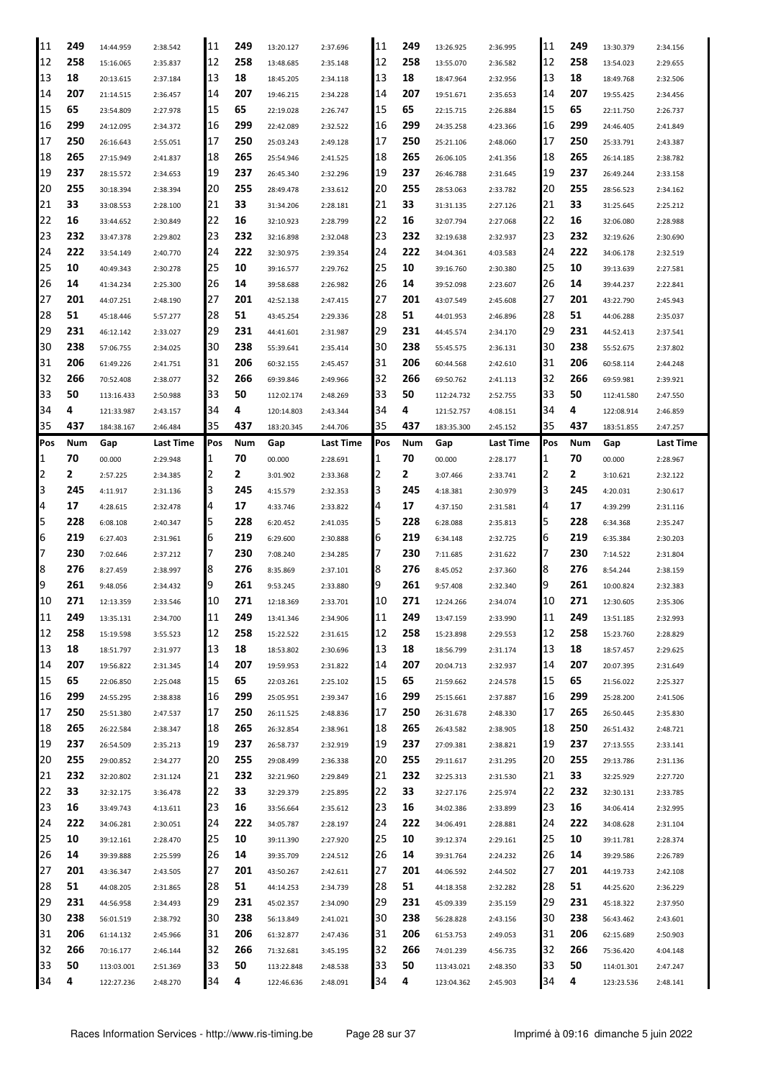| 11       | 249     | 14:44.959                | 2:38.542             | 11       | 249     | 13:20.127                | 2:37.696             | 11       | 249     | 13:26.925                | 2:36.995             | 11       | 249     | 13:30.379                | 2:34.156             |
|----------|---------|--------------------------|----------------------|----------|---------|--------------------------|----------------------|----------|---------|--------------------------|----------------------|----------|---------|--------------------------|----------------------|
| 12       | 258     | 15:16.065                | 2:35.837             | 12       | 258     | 13:48.685                | 2:35.148             | 12       | 258     | 13:55.070                | 2:36.582             | 12       | 258     | 13:54.023                | 2:29.655             |
| 13       | 18      | 20:13.615                | 2:37.184             | 13       | 18      | 18:45.205                | 2:34.118             | 13       | 18      | 18:47.964                | 2:32.956             | 13       | 18      | 18:49.768                | 2:32.506             |
| 14       | 207     | 21:14.515                | 2:36.457             | 14       | 207     | 19:46.215                | 2:34.228             | 14       | 207     | 19:51.671                | 2:35.653             | 14       | 207     | 19:55.425                | 2:34.456             |
| 15       | 65      | 23:54.809                | 2:27.978             | 15       | 65      | 22:19.028                | 2:26.747             | 15       | 65      | 22:15.715                | 2:26.884             | 15       | 65      | 22:11.750                | 2:26.737             |
| 16       | 299     | 24:12.095                | 2:34.372             | 16       | 299     | 22:42.089                | 2:32.522             | 16       | 299     | 24:35.258                | 4:23.366             | 16       | 299     | 24:46.405                | 2:41.849             |
| 17       | 250     | 26:16.643                |                      | 17       | 250     | 25:03.243                | 2:49.128             | 17       | 250     | 25:21.106                | 2:48.060             | 17       | 250     | 25:33.791                | 2:43.387             |
|          | 265     |                          | 2:55.051             | 18       |         |                          |                      | 18       | 265     |                          |                      | 18       | 265     |                          |                      |
| 18       |         | 27:15.949                | 2:41.837             |          | 265     | 25:54.946                | 2:41.525             |          |         | 26:06.105                | 2:41.356             |          |         | 26:14.185                | 2:38.782             |
| 19       | 237     | 28:15.572                | 2:34.653             | 19       | 237     | 26:45.340                | 2:32.296             | 19       | 237     | 26:46.788                | 2:31.645             | 19       | 237     | 26:49.244                | 2:33.158             |
| 20       | 255     | 30:18.394                | 2:38.394             | 20       | 255     | 28:49.478                | 2:33.612             | 20       | 255     | 28:53.063                | 2:33.782             | 20       | 255     | 28:56.523                | 2:34.162             |
| 21       | 33      | 33:08.553                | 2:28.100             | 21       | 33      | 31:34.206                | 2:28.181             | 21       | 33      | 31:31.135                | 2:27.126             | 21       | 33      | 31:25.645                | 2:25.212             |
| 22       | 16      | 33:44.652                | 2:30.849             | 22       | 16      | 32:10.923                | 2:28.799             | 22       | 16      | 32:07.794                | 2:27.068             | 22       | 16      | 32:06.080                | 2:28.988             |
| 23       | 232     | 33:47.378                | 2:29.802             | 23       | 232     | 32:16.898                | 2:32.048             | 23       | 232     | 32:19.638                | 2:32.937             | 23       | 232     | 32:19.626                | 2:30.690             |
| 24       | 222     | 33:54.149                | 2:40.770             | 24       | 222     | 32:30.975                | 2:39.354             | 24       | 222     | 34:04.361                | 4:03.583             | 24       | 222     | 34:06.178                | 2:32.519             |
| 25       | 10      | 40:49.343                | 2:30.278             | 25       | 10      | 39:16.577                | 2:29.762             | 25       | 10      | 39:16.760                | 2:30.380             | 25       | 10      | 39:13.639                | 2:27.581             |
| 26       | 14      | 41:34.234                | 2:25.300             | 26       | 14      | 39:58.688                | 2:26.982             | 26       | 14      | 39:52.098                | 2:23.607             | 26       | 14      | 39:44.237                | 2:22.841             |
| 27       | 201     | 44:07.251                | 2:48.190             | 27       | 201     | 42:52.138                | 2:47.415             | 27       | 201     | 43:07.549                | 2:45.608             | 27       | 201     | 43:22.790                | 2:45.943             |
| 28       | 51      | 45:18.446                | 5:57.277             | 28       | 51      | 43:45.254                | 2:29.336             | 28       | 51      | 44:01.953                | 2:46.896             | 28       | 51      | 44:06.288                | 2:35.037             |
| 29       | 231     |                          |                      | 29       | 231     |                          |                      | 29       | 231     |                          |                      | 29       | 231     |                          |                      |
|          |         | 46:12.142                | 2:33.027             |          |         | 44:41.601                | 2:31.987             |          |         | 44:45.574                | 2:34.170             |          |         | 44:52.413                | 2:37.541             |
| 30       | 238     | 57:06.755                | 2:34.025             | 30       | 238     | 55:39.641                | 2:35.414             | 30       | 238     | 55:45.575                | 2:36.131             | 30       | 238     | 55:52.675                | 2:37.802             |
| 31       | 206     | 61:49.226                | 2:41.751             | 31       | 206     | 60:32.155                | 2:45.457             | 31       | 206     | 60:44.568                | 2:42.610             | 31       | 206     | 60:58.114                | 2:44.248             |
| 32       | 266     | 70:52.408                | 2:38.077             | 32       | 266     | 69:39.846                | 2:49.966             | 32       | 266     | 69:50.762                | 2:41.113             | 32       | 266     | 69:59.981                | 2:39.921             |
| 33       | 50      | 113:16.433               | 2:50.988             | 33       | 50      | 112:02.174               | 2:48.269             | 33       | 50      | 112:24.732               | 2:52.755             | 33       | 50      | 112:41.580               | 2:47.550             |
| 34       | 4       | 121:33.987               | 2:43.157             | 34       | 4       | 120:14.803               | 2:43.344             | 34       | 4       | 121:52.757               | 4:08.151             | 34       | 4       | 122:08.914               | 2:46.859             |
| 35       | 437     | 184:38.167               | 2:46.484             | 35       | 437     | 183:20.345               | 2:44.706             | 35       | 437     | 183:35.300               | 2:45.152             | 35       | 437     | 183:51.855               | 2:47.257             |
| Pos      | Num     | Gap                      | Last Time            | Pos      | Num     | Gap                      | Last Time            | Pos      | Num     | Gap                      | Last Time            | Pos      | Num     | Gap                      | Last Time            |
| 1        | 70      | 00.000                   | 2:29.948             | 1        | 70      | 00.000                   | 2:28.691             |          | 70      | 00.000                   | 2:28.177             | 1        | 70      | 00.000                   | 2:28.967             |
| 2        | 2       | 2:57.225                 | 2:34.385             | 2        | 2       | 3:01.902                 | 2:33.368             |          | 2       | 3:07.466                 | 2:33.741             | 2        | 2       | 3:10.621                 | 2:32.122             |
| 3        | 245     | 4:11.917                 | 2:31.136             | 3        | 245     | 4:15.579                 | 2:32.353             | l3       | 245     | 4:18.381                 | 2:30.979             | 3        | 245     | 4:20.031                 | 2:30.617             |
| 4        | 17      | 4:28.615                 | 2:32.478             | 14       | 17      | 4:33.746                 | 2:33.822             | 4        | 17      | 4:37.150                 | 2:31.581             | 4        | 17      | 4:39.299                 | 2:31.116             |
|          |         |                          |                      |          |         |                          |                      |          |         |                          |                      |          |         |                          |                      |
|          |         |                          |                      |          |         |                          |                      |          |         |                          |                      |          |         |                          |                      |
| 5        | 228     | 6:08.108                 | 2:40.347             | 5        | 228     | 6:20.452                 | 2:41.035             | 5        | 228     | 6:28.088                 | 2:35.813             | 5        | 228     | 6:34.368                 | 2:35.247             |
| 6        | 219     | 6:27.403                 | 2:31.961             | 6        | 219     | 6:29.600                 | 2:30.888             | 6        | 219     | 6:34.148                 | 2:32.725             | 6        | 219     | 6:35.384                 | 2:30.203             |
| 7        | 230     | 7:02.646                 | 2:37.212             | 17       | 230     | 7:08.240                 | 2:34.285             |          | 230     | 7:11.685                 | 2:31.622             | 7        | 230     | 7:14.522                 | 2:31.804             |
| 8        | 276     | 8:27.459                 | 2:38.997             | 18       | 276     | 8:35.869                 | 2:37.101             | 18       | 276     | 8:45.052                 | 2:37.360             | 8        | 276     | 8:54.244                 | 2:38.159             |
| 19       | 261     | 9:48.056                 | 2:34.432             | 19       | 261     | 9:53.245                 | 2:33.880             | 19       | 261     | 9:57.408                 | 2:32.340             | 9        | 261     | 10:00.824                | 2:32.383             |
| 10       | 271     | 12:13.359                | 2:33.546             | 10       | 271     | 12:18.369                | 2:33.701             | 10       | 271     | 12:24.266                | 2:34.074             | '10      | 271     | 12:30.605                | 2:35.306             |
| 11       | 249     | 13:35.131                | 2:34.700             | 11       | 249     | 13:41.346                | 2:34.906             | 11       | 249     | 13:47.159                | 2:33.990             | 11       | 249     | 13:51.185                | 2:32.993             |
| 12       | 258     | 15:19.598                | 3:55.523             | 12       | 258     | 15:22.522                | 2:31.615             | 12       | 258     | 15:23.898                | 2:29.553             | 12       | 258     | 15:23.760                | 2:28.829             |
| 13       | 18      | 18:51.797                | 2:31.977             | 13       | 18      | 18:53.802                | 2:30.696             | 13       | 18      | 18:56.799                | 2:31.174             | 13       | 18      | 18:57.457                | 2:29.625             |
| 14       | 207     | 19:56.822                | 2:31.345             | 14       | 207     | 19:59.953                | 2:31.822             | 14       | 207     | 20:04.713                | 2:32.937             | 14       | 207     | 20:07.395                | 2:31.649             |
| 15       | 65      | 22:06.850                | 2:25.048             | 15       | 65      | 22:03.261                | 2:25.102             | 15       | 65      | 21:59.662                | 2:24.578             | 15       | 65      | 21:56.022                | 2:25.327             |
| 16       | 299     | 24:55.295                | 2:38.838             | 16       | 299     | 25:05.951                | 2:39.347             | 16       | 299     | 25:15.661                | 2:37.887             | 16       | 299     | 25:28.200                | 2:41.506             |
| 17       | 250     | 25:51.380                | 2:47.537             | 17       | 250     | 26:11.525                | 2:48.836             | 17       | 250     | 26:31.678                | 2:48.330             | 17       | 265     | 26:50.445                | 2:35.830             |
| 18       | 265     | 26:22.584                | 2:38.347             | 18       | 265     | 26:32.854                | 2:38.961             | 18       | 265     | 26:43.582                | 2:38.905             | 18       | 250     | 26:51.432                | 2:48.721             |
|          | 237     |                          |                      |          |         | 26:58.737                |                      |          | 237     |                          |                      |          | 237     |                          |                      |
| 19       |         | 26:54.509                | 2:35.213             | 19       | 237     |                          | 2:32.919             | 19       |         | 27:09.381                | 2:38.821             | 19       |         | 27:13.555                | 2:33.141             |
| 20       | 255     | 29:00.852                | 2:34.277             | 20       | 255     | 29:08.499                | 2:36.338             | 20       | 255     | 29:11.617                | 2:31.295             | 20       | 255     | 29:13.786                | 2:31.136             |
| 21       | 232     | 32:20.802                | 2:31.124             | 21       | 232     | 32:21.960                | 2:29.849             | 21       | 232     | 32:25.313                | 2:31.530             | 21       | 33      | 32:25.929                | 2:27.720             |
| 22       | 33      | 32:32.175                | 3:36.478             | 22       | 33      | 32:29.379                | 2:25.895             | 22       | 33      | 32:27.176                | 2:25.974             | 22       | 232     | 32:30.131                | 2:33.785             |
| 23       | 16      | 33:49.743                | 4:13.611             | 23       | 16      | 33:56.664                | 2:35.612             | 23       | 16      | 34:02.386                | 2:33.899             | 23       | 16      | 34:06.414                | 2:32.995             |
| 24       | 222     | 34:06.281                | 2:30.051             | 24       | 222     | 34:05.787                | 2:28.197             | 24       | 222     | 34:06.491                | 2:28.881             | 24       | 222     | 34:08.628                | 2:31.104             |
| 25       | 10      | 39:12.161                | 2:28.470             | 25       | 10      | 39:11.390                | 2:27.920             | 25       | 10      | 39:12.374                | 2:29.161             | 25       | 10      | 39:11.781                | 2:28.374             |
| 26       | 14      | 39:39.888                | 2:25.599             | 26       | 14      | 39:35.709                | 2:24.512             | 26       | 14      | 39:31.764                | 2:24.232             | 26       | 14      | 39:29.586                | 2:26.789             |
| 27       | 201     | 43:36.347                | 2:43.505             | 27       | 201     | 43:50.267                | 2:42.611             | 27       | 201     | 44:06.592                | 2:44.502             | 27       | 201     | 44:19.733                | 2:42.108             |
| 28       | 51      | 44:08.205                | 2:31.865             | 28       | 51      | 44:14.253                | 2:34.739             | 28       | 51      | 44:18.358                | 2:32.282             | 28       | 51      | 44:25.620                | 2:36.229             |
| 29       | 231     | 44:56.958                | 2:34.493             | 29       | 231     | 45:02.357                | 2:34.090             | 29       | 231     | 45:09.339                | 2:35.159             | 29       | 231     | 45:18.322                | 2:37.950             |
| 30       | 238     | 56:01.519                | 2:38.792             | 130      | 238     | 56:13.849                | 2:41.021             | 30       | 238     | 56:28.828                | 2:43.156             | 30       | 238     | 56:43.462                | 2:43.601             |
| 31       | 206     | 61:14.132                | 2:45.966             | 131      | 206     | 61:32.877                | 2:47.436             | 31       | 206     | 61:53.753                | 2:49.053             | 31       | 206     | 62:15.689                | 2:50.903             |
|          | 266     |                          |                      |          | 266     |                          |                      |          | 266     |                          |                      |          | 266     |                          |                      |
| 32       |         | 70:16.177                | 2:46.144             | 32       |         | 71:32.681                | 3:45.195             | 32       |         | 74:01.239                | 4:56.735             | 32       |         | 75:36.420                | 4:04.148             |
| 33<br>34 | 50<br>4 | 113:03.001<br>122:27.236 | 2:51.369<br>2:48.270 | 33<br>34 | 50<br>4 | 113:22.848<br>122:46.636 | 2:48.538<br>2:48.091 | 33<br>34 | 50<br>4 | 113:43.021<br>123:04.362 | 2:48.350<br>2:45.903 | 33<br>34 | 50<br>4 | 114:01.301<br>123:23.536 | 2:47.247<br>2:48.141 |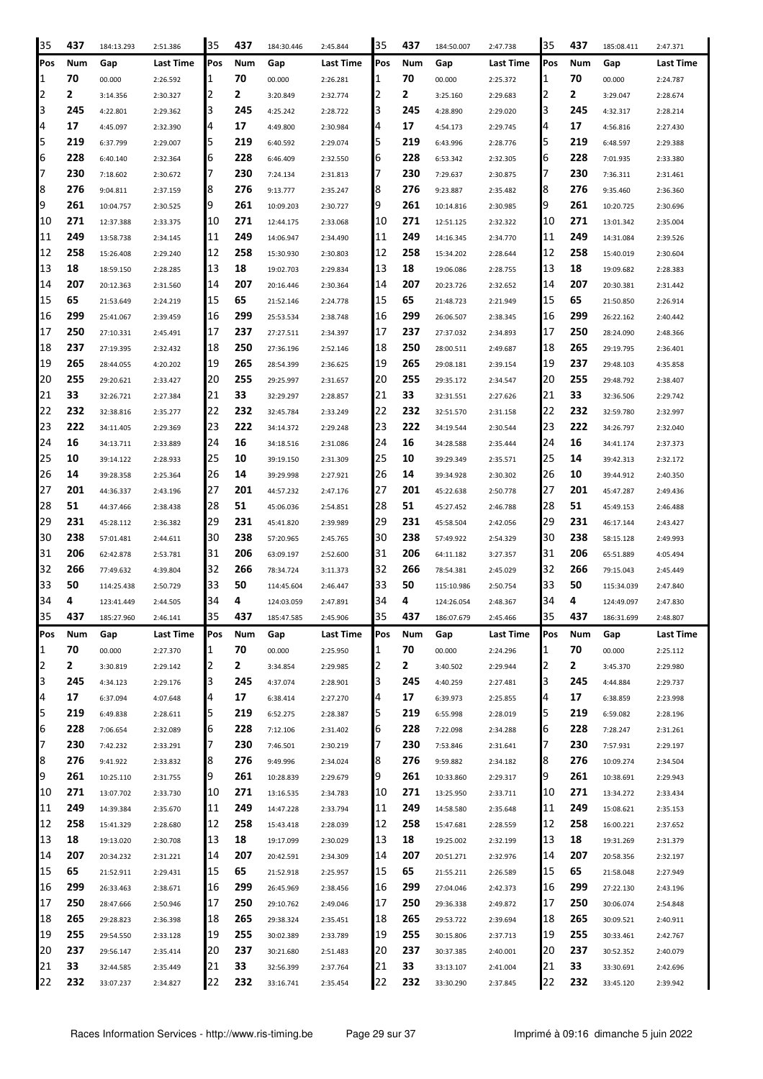| 35             | 437 | 184:13.293 | 2:51.386  | 35  | 437 | 184:30.446 | 2:45.844  | 35  | 437 | 184:50.007 | 2:47.738  | 35  | 437 | 185:08.411 | 2:47.371  |
|----------------|-----|------------|-----------|-----|-----|------------|-----------|-----|-----|------------|-----------|-----|-----|------------|-----------|
| Pos            | Num | Gap        | Last Time | Pos | Num | Gap        | Last Time | Pos | Num | Gap        | Last Time | Pos | Num | Gap        | Last Time |
| 11             | 70  | 00.000     | 2:26.592  | 1   | 70  | 00.000     | 2:26.281  | I1  | 70  | 00.000     | 2:25.372  | 1   | 70  | 00.000     | 2:24.787  |
| 2              | 2   | 3:14.356   | 2:30.327  | 2   | 2   | 3:20.849   | 2:32.774  | 2   | 2   | 3:25.160   | 2:29.683  | 2   | 2   | 3:29.047   | 2:28.674  |
| 3              | 245 | 4:22.801   | 2:29.362  | 3   | 245 | 4:25.242   | 2:28.722  | 13  | 245 | 4:28.890   | 2:29.020  | 3   | 245 | 4:32.317   | 2:28.214  |
| 4              | 17  | 4:45.097   | 2:32.390  | 4   | 17  | 4:49.800   | 2:30.984  | 14  | 17  | 4:54.173   | 2:29.745  | 4   | 17  | 4:56.816   | 2:27.430  |
| 5              | 219 | 6:37.799   | 2:29.007  | 5   | 219 | 6:40.592   | 2:29.074  | I5  | 219 | 6:43.996   | 2:28.776  | 5   | 219 | 6:48.597   | 2:29.388  |
| 6              | 228 | 6:40.140   | 2:32.364  | 6   | 228 | 6:46.409   | 2:32.550  | 6   | 228 | 6:53.342   | 2:32.305  | 6   | 228 | 7:01.935   | 2:33.380  |
| 17             | 230 | 7:18.602   | 2:30.672  | 7   | 230 | 7:24.134   | 2:31.813  | 17  | 230 | 7:29.637   | 2:30.875  | 7   | 230 | 7:36.311   | 2:31.461  |
| 8              | 276 | 9:04.811   | 2:37.159  | 8   | 276 | 9:13.777   | 2:35.247  | 8   | 276 | 9:23.887   | 2:35.482  | 8   | 276 | 9:35.460   | 2:36.360  |
| 9              | 261 |            |           | 9   | 261 |            |           | 19  | 261 |            |           | 9   | 261 |            |           |
| 10             | 271 | 10:04.757  | 2:30.525  | 10  | 271 | 10:09.203  | 2:30.727  | 10  | 271 | 10:14.816  | 2:30.985  | 10  | 271 | 10:20.725  | 2:30.696  |
| 11             | 249 | 12:37.388  | 2:33.375  | 11  | 249 | 12:44.175  | 2:33.068  | 11  | 249 | 12:51.125  | 2:32.322  | 11  | 249 | 13:01.342  | 2:35.004  |
|                | 258 | 13:58.738  | 2:34.145  |     | 258 | 14:06.947  | 2:34.490  |     | 258 | 14:16.345  | 2:34.770  | 12  | 258 | 14:31.084  | 2:39.526  |
| 12             | 18  | 15:26.408  | 2:29.240  | 12  |     | 15:30.930  | 2:30.803  | 12  |     | 15:34.202  | 2:28.644  | 13  |     | 15:40.019  | 2:30.604  |
| 13             |     | 18:59.150  | 2:28.285  | 13  | 18  | 19:02.703  | 2:29.834  | 13  | 18  | 19:06.086  | 2:28.755  |     | 18  | 19:09.682  | 2:28.383  |
| 14             | 207 | 20:12.363  | 2:31.560  | 14  | 207 | 20:16.446  | 2:30.364  | 14  | 207 | 20:23.726  | 2:32.652  | 14  | 207 | 20:30.381  | 2:31.442  |
| 15             | 65  | 21:53.649  | 2:24.219  | 15  | 65  | 21:52.146  | 2:24.778  | 15  | 65  | 21:48.723  | 2:21.949  | 15  | 65  | 21:50.850  | 2:26.914  |
| 16             | 299 | 25:41.067  | 2:39.459  | 16  | 299 | 25:53.534  | 2:38.748  | 16  | 299 | 26:06.507  | 2:38.345  | 16  | 299 | 26:22.162  | 2:40.442  |
| 17             | 250 | 27:10.331  | 2:45.491  | 17  | 237 | 27:27.511  | 2:34.397  | 17  | 237 | 27:37.032  | 2:34.893  | 17  | 250 | 28:24.090  | 2:48.366  |
| 18             | 237 | 27:19.395  | 2:32.432  | 18  | 250 | 27:36.196  | 2:52.146  | 18  | 250 | 28:00.511  | 2:49.687  | 18  | 265 | 29:19.795  | 2:36.401  |
| 19             | 265 | 28:44.055  | 4:20.202  | 19  | 265 | 28:54.399  | 2:36.625  | 19  | 265 | 29:08.181  | 2:39.154  | 19  | 237 | 29:48.103  | 4:35.858  |
| 20             | 255 | 29:20.621  | 2:33.427  | 20  | 255 | 29:25.997  | 2:31.657  | 120 | 255 | 29:35.172  | 2:34.547  | 20  | 255 | 29:48.792  | 2:38.407  |
| 21             | 33  | 32:26.721  | 2:27.384  | 21  | 33  | 32:29.297  | 2:28.857  | 21  | 33  | 32:31.551  | 2:27.626  | 21  | 33  | 32:36.506  | 2:29.742  |
| 22             | 232 | 32:38.816  | 2:35.277  | 22  | 232 | 32:45.784  | 2:33.249  | 22  | 232 | 32:51.570  | 2:31.158  | 22  | 232 | 32:59.780  | 2:32.997  |
| 23             | 222 | 34:11.405  | 2:29.369  | 23  | 222 | 34:14.372  | 2:29.248  | 23  | 222 | 34:19.544  | 2:30.544  | 23  | 222 | 34:26.797  | 2:32.040  |
| 24             | 16  | 34:13.711  | 2:33.889  | 24  | 16  | 34:18.516  | 2:31.086  | 24  | 16  | 34:28.588  | 2:35.444  | 24  | 16  | 34:41.174  | 2:37.373  |
| 25             | 10  | 39:14.122  | 2:28.933  | 25  | 10  | 39:19.150  | 2:31.309  | 25  | 10  | 39:29.349  | 2:35.571  | 25  | 14  | 39:42.313  | 2:32.172  |
| 26             | 14  | 39:28.358  | 2:25.364  | 26  | 14  | 39:29.998  | 2:27.921  | 26  | 14  | 39:34.928  | 2:30.302  | 26  | 10  | 39:44.912  | 2:40.350  |
| 27             | 201 | 44:36.337  | 2:43.196  | 27  | 201 | 44:57.232  | 2:47.176  | 27  | 201 | 45:22.638  | 2:50.778  | 27  | 201 | 45:47.287  | 2:49.436  |
| 28             | 51  | 44:37.466  | 2:38.438  | 28  | 51  | 45:06.036  | 2:54.851  | 28  | 51  | 45:27.452  | 2:46.788  | 28  | 51  | 45:49.153  | 2:46.488  |
| 29             | 231 | 45:28.112  | 2:36.382  | 29  | 231 | 45:41.820  | 2:39.989  | 29  | 231 | 45:58.504  | 2:42.056  | 29  | 231 | 46:17.144  | 2:43.427  |
| 30             | 238 | 57:01.481  | 2:44.611  | 30  | 238 | 57:20.965  | 2:45.765  | 30  | 238 | 57:49.922  | 2:54.329  | 30  | 238 | 58:15.128  | 2:49.993  |
| 31             | 206 | 62:42.878  | 2:53.781  | 31  | 206 | 63:09.197  | 2:52.600  | 31  | 206 | 64:11.182  | 3:27.357  | 31  | 206 | 65:51.889  | 4:05.494  |
| 32             | 266 | 77:49.632  | 4:39.804  | 32  | 266 | 78:34.724  | 3:11.373  | 32  | 266 | 78:54.381  | 2:45.029  | 32  | 266 | 79:15.043  | 2:45.449  |
| 33             | 50  | 114:25.438 | 2:50.729  | 33  | 50  | 114:45.604 | 2:46.447  | 33  | 50  | 115:10.986 | 2:50.754  | 33  | 50  | 115:34.039 | 2:47.840  |
| 34             | 4   | 123:41.449 | 2:44.505  | 34  | 4   | 124:03.059 | 2:47.891  | 34  | 4   | 124:26.054 | 2:48.367  | 34  | 4   | 124:49.097 | 2:47.830  |
| 35             | 437 | 185:27.960 | 2:46.141  | 35  | 437 | 185:47.585 | 2:45.906  | 35  | 437 | 186:07.679 | 2:45.466  | 35  | 437 | 186:31.699 | 2:48.807  |
| Pos            | Num | Gap        | Last Time | Pos | Num | Gap        | Last Time | Pos | Num | Gap        | Last Time | Pos | Num | Gap        | Last Time |
| 1              | 70  | 00.000     | 2:27.370  | 1   | 70  | 00.000     | 2:25.950  | 1   | 70  | 00.000     | 2:24.296  | 1   | 70  | 00.000     | 2:25.112  |
| $\overline{2}$ | 2   | 3:30.819   | 2:29.142  | 2   | 2   | 3:34.854   | 2:29.985  | 2   | 2   | 3:40.502   | 2:29.944  | 2   | 2   | 3:45.370   | 2:29.980  |
| 3              | 245 | 4:34.123   | 2:29.176  | 3   | 245 | 4:37.074   | 2:28.901  | 13  | 245 | 4:40.259   | 2:27.481  | 3   | 245 | 4:44.884   | 2:29.737  |
| 4              | 17  | 6:37.094   | 4:07.648  | 4   | 17  | 6:38.414   | 2:27.270  | 4   | 17  | 6:39.973   | 2:25.855  | 4   | 17  | 6:38.859   | 2:23.998  |
| 5              | 219 | 6:49.838   | 2:28.611  | 5   | 219 | 6:52.275   | 2:28.387  | 15  | 219 | 6:55.998   | 2:28.019  | 5   | 219 | 6:59.082   | 2:28.196  |
| 6              | 228 | 7:06.654   | 2:32.089  | 6   | 228 | 7:12.106   | 2:31.402  | 6   | 228 | 7:22.098   | 2:34.288  | 6   | 228 | 7:28.247   | 2:31.261  |
| 17             | 230 | 7:42.232   | 2:33.291  | 7   | 230 | 7:46.501   | 2:30.219  | 17  | 230 | 7:53.846   | 2:31.641  | 7   | 230 | 7:57.931   | 2:29.197  |
| 8              | 276 | 9:41.922   | 2:33.832  | 8   | 276 | 9:49.996   | 2:34.024  | 8   | 276 | 9:59.882   | 2:34.182  | 8   | 276 | 10:09.274  | 2:34.504  |
| 9              | 261 | 10:25.110  | 2:31.755  | 9   | 261 | 10:28.839  | 2:29.679  | 19  | 261 | 10:33.860  | 2:29.317  | 9   | 261 | 10:38.691  | 2:29.943  |
| 10             | 271 | 13:07.702  | 2:33.730  | 10  | 271 | 13:16.535  | 2:34.783  | 10  | 271 | 13:25.950  | 2:33.711  | 10  | 271 | 13:34.272  | 2:33.434  |
| 11             | 249 | 14:39.384  | 2:35.670  | 11  | 249 | 14:47.228  | 2:33.794  | 11  | 249 | 14:58.580  | 2:35.648  | 11  | 249 | 15:08.621  | 2:35.153  |
| 12             | 258 | 15:41.329  | 2:28.680  | 12  | 258 | 15:43.418  | 2:28.039  | 12  | 258 | 15:47.681  | 2:28.559  | 12  | 258 | 16:00.221  | 2:37.652  |
| 13             | 18  | 19:13.020  | 2:30.708  | 13  | 18  | 19:17.099  | 2:30.029  | 13  | 18  | 19:25.002  | 2:32.199  | 13  | 18  | 19:31.269  | 2:31.379  |
| 14             | 207 | 20:34.232  | 2:31.221  | 14  | 207 | 20:42.591  | 2:34.309  | 14  | 207 | 20:51.271  | 2:32.976  | 14  | 207 | 20:58.356  | 2:32.197  |
| 15             | 65  | 21:52.911  | 2:29.431  | 15  | 65  | 21:52.918  | 2:25.957  | 15  | 65  | 21:55.211  | 2:26.589  | 15  | 65  | 21:58.048  | 2:27.949  |
| 16             | 299 | 26:33.463  | 2:38.671  | 16  | 299 | 26:45.969  | 2:38.456  | 16  | 299 | 27:04.046  | 2:42.373  | 16  | 299 | 27:22.130  | 2:43.196  |
| 17             | 250 | 28:47.666  | 2:50.946  | 17  | 250 | 29:10.762  | 2:49.046  | 17  | 250 | 29:36.338  | 2:49.872  | 17  | 250 | 30:06.074  | 2:54.848  |
| 18             | 265 | 29:28.823  | 2:36.398  | 18  | 265 | 29:38.324  | 2:35.451  | 18  | 265 | 29:53.722  | 2:39.694  | 18  | 265 | 30:09.521  | 2:40.911  |
| 19             | 255 | 29:54.550  | 2:33.128  | 19  | 255 | 30:02.389  | 2:33.789  | 19  | 255 | 30:15.806  | 2:37.713  | 19  | 255 | 30:33.461  | 2:42.767  |
| 20             | 237 | 29:56.147  | 2:35.414  | 20  | 237 | 30:21.680  | 2:51.483  | 20  | 237 | 30:37.385  | 2:40.001  | 20  | 237 | 30:52.352  | 2:40.079  |
| 21             | 33  | 32:44.585  | 2:35.449  | 21  | 33  | 32:56.399  | 2:37.764  | 21  | 33  | 33:13.107  | 2:41.004  | 21  | 33  | 33:30.691  | 2:42.696  |
| 22             | 232 | 33:07.237  | 2:34.827  | 22  | 232 | 33:16.741  | 2:35.454  | 22  | 232 | 33:30.290  | 2:37.845  | 22  | 232 | 33:45.120  | 2:39.942  |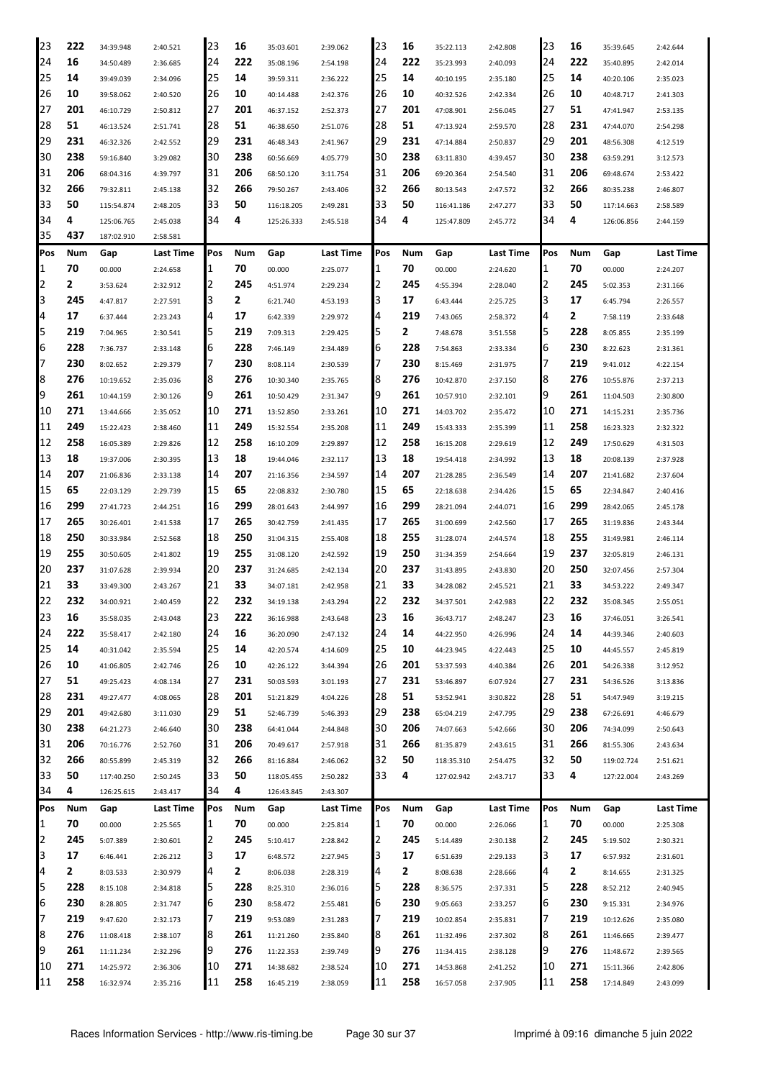| 23             | 222 | 34:39.948  | 2:40.521  | 23  | 16  | 35:03.601  | 2:39.062  | 23  | 16  | 35:22.113  | 2:42.808  | 23  | 16  | 35:39.645  | 2:42.644         |
|----------------|-----|------------|-----------|-----|-----|------------|-----------|-----|-----|------------|-----------|-----|-----|------------|------------------|
| 24             | 16  | 34:50.489  | 2:36.685  | 24  | 222 | 35:08.196  | 2:54.198  | 24  | 222 | 35:23.993  | 2:40.093  | 24  | 222 | 35:40.895  | 2:42.014         |
| 25             | 14  | 39:49.039  | 2:34.096  | 25  | 14  | 39:59.311  | 2:36.222  | 25  | 14  | 40:10.195  | 2:35.180  | 25  | 14  | 40:20.106  | 2:35.023         |
| 26             | 10  | 39:58.062  | 2:40.520  | 26  | 10  | 40:14.488  | 2:42.376  | 26  | 10  | 40:32.526  | 2:42.334  | 26  | 10  | 40:48.717  | 2:41.303         |
| 27             | 201 | 46:10.729  | 2:50.812  | 27  | 201 | 46:37.152  | 2:52.373  | 27  | 201 | 47:08.901  | 2:56.045  | 27  | 51  | 47:41.947  | 2:53.135         |
| 28             | 51  | 46:13.524  | 2:51.741  | 28  | 51  | 46:38.650  | 2:51.076  | 28  | 51  | 47:13.924  | 2:59.570  | 28  | 231 | 47:44.070  | 2:54.298         |
| 29             | 231 | 46:32.326  | 2:42.552  | 29  | 231 | 46:48.343  | 2:41.967  | 29  | 231 | 47:14.884  | 2:50.837  | 29  | 201 | 48:56.308  | 4:12.519         |
| 30             | 238 | 59:16.840  |           | 30  | 238 | 60:56.669  |           | 30  | 238 |            |           | 30  | 238 |            |                  |
|                | 206 |            | 3:29.082  | 31  | 206 |            | 4:05.779  |     | 206 | 63:11.830  | 4:39.457  | 31  | 206 | 63:59.291  | 3:12.573         |
| 31             |     | 68:04.316  | 4:39.797  |     |     | 68:50.120  | 3:11.754  | 31  |     | 69:20.364  | 2:54.540  |     |     | 69:48.674  | 2:53.422         |
| 32             | 266 | 79:32.811  | 2:45.138  | 32  | 266 | 79:50.267  | 2:43.406  | 32  | 266 | 80:13.543  | 2:47.572  | 32  | 266 | 80:35.238  | 2:46.807         |
| 33             | 50  | 115:54.874 | 2:48.205  | 33  | 50  | 116:18.205 | 2:49.281  | 33  | 50  | 116:41.186 | 2:47.277  | 33  | 50  | 117:14.663 | 2:58.589         |
| 34             | 4   | 125:06.765 | 2:45.038  | 34  | 4   | 125:26.333 | 2:45.518  | 34  | 4   | 125:47.809 | 2:45.772  | 34  | 4   | 126:06.856 | 2:44.159         |
| 35             | 437 | 187:02.910 | 2:58.581  |     |     |            |           |     |     |            |           |     |     |            |                  |
| IPos           | Num | Gap        | Last Time | Pos | Num | Gap        | Last Time | Pos | Num | Gap        | Last Time | Pos | Num | Gap        | Last Time        |
| 1              | 70  | 00.000     | 2:24.658  | 1   | 70  | 00.000     | 2:25.077  | 1   | 70  | 00.000     | 2:24.620  | 1   | 70  | 00.000     | 2:24.207         |
| 2              | 2   | 3:53.624   | 2:32.912  | 2   | 245 | 4:51.974   | 2:29.234  | 2   | 245 | 4:55.394   | 2:28.040  | 2   | 245 | 5:02.353   | 2:31.166         |
| 3              | 245 | 4:47.817   | 2:27.591  | 3   | 2   | 6:21.740   | 4:53.193  | l3  | 17  | 6:43.444   | 2:25.725  | 3   | 17  | 6:45.794   | 2:26.557         |
| 4              | 17  | 6:37.444   | 2:23.243  | 4   | 17  | 6:42.339   | 2:29.972  | 4   | 219 | 7:43.065   | 2:58.372  | 4   | 2   | 7:58.119   | 2:33.648         |
| 5              | 219 | 7:04.965   | 2:30.541  | 5   | 219 | 7:09.313   | 2:29.425  | 5   | 2   | 7:48.678   | 3:51.558  | 5   | 228 | 8:05.855   | 2:35.199         |
| 6              | 228 | 7:36.737   | 2:33.148  | 6   | 228 | 7:46.149   | 2:34.489  | 6   | 228 | 7:54.863   | 2:33.334  | 6   | 230 | 8:22.623   | 2:31.361         |
| 17             | 230 | 8:02.652   | 2:29.379  | 7   | 230 | 8:08.114   | 2:30.539  |     | 230 | 8:15.469   | 2:31.975  | 7   | 219 | 9:41.012   | 4:22.154         |
| 8              | 276 | 10:19.652  | 2:35.036  | 18  | 276 | 10:30.340  | 2:35.765  | 8   | 276 | 10:42.870  | 2:37.150  | 8   | 276 | 10:55.876  | 2:37.213         |
| 9              | 261 | 10:44.159  | 2:30.126  | 19  | 261 | 10:50.429  | 2:31.347  | 9   | 261 | 10:57.910  | 2:32.101  | 9   | 261 | 11:04.503  | 2:30.800         |
| 10             | 271 | 13:44.666  | 2:35.052  | 10  | 271 | 13:52.850  | 2:33.261  | 10  | 271 | 14:03.702  | 2:35.472  | 10  | 271 | 14:15.231  | 2:35.736         |
| 11             | 249 | 15:22.423  | 2:38.460  | 11  | 249 | 15:32.554  | 2:35.208  | 11  | 249 | 15:43.333  | 2:35.399  | 11  | 258 | 16:23.323  | 2:32.322         |
| 12             | 258 | 16:05.389  | 2:29.826  | 12  | 258 | 16:10.209  | 2:29.897  | 12  | 258 | 16:15.208  | 2:29.619  | 12  | 249 | 17:50.629  | 4:31.503         |
| 13             | 18  | 19:37.006  | 2:30.395  | 13  | 18  | 19:44.046  | 2:32.117  | 13  | 18  | 19:54.418  | 2:34.992  | 13  | 18  | 20:08.139  | 2:37.928         |
| 14             | 207 | 21:06.836  | 2:33.138  | 14  | 207 | 21:16.356  | 2:34.597  | 14  | 207 | 21:28.285  | 2:36.549  | 14  | 207 | 21:41.682  | 2:37.604         |
| 15             | 65  | 22:03.129  | 2:29.739  | 15  | 65  | 22:08.832  | 2:30.780  | 15  | 65  | 22:18.638  | 2:34.426  | 15  | 65  | 22:34.847  | 2:40.416         |
| <b>16</b>      | 299 | 27:41.723  | 2:44.251  | 16  | 299 | 28:01.643  | 2:44.997  | 16  | 299 | 28:21.094  | 2:44.071  | 16  | 299 | 28:42.065  | 2:45.178         |
| 17             | 265 | 30:26.401  | 2:41.538  | 17  | 265 | 30:42.759  | 2:41.435  | 17  | 265 | 31:00.699  | 2:42.560  | 17  | 265 | 31:19.836  | 2:43.344         |
| 18             | 250 | 30:33.984  | 2:52.568  | 18  | 250 | 31:04.315  | 2:55.408  | 18  | 255 | 31:28.074  | 2:44.574  | 18  | 255 | 31:49.981  | 2:46.114         |
| 19             | 255 | 30:50.605  | 2:41.802  | 19  | 255 | 31:08.120  | 2:42.592  | 19  | 250 | 31:34.359  | 2:54.664  | 19  | 237 | 32:05.819  | 2:46.131         |
| 20             | 237 | 31:07.628  | 2:39.934  | 20  | 237 | 31:24.685  | 2:42.134  | 20  | 237 | 31:43.895  | 2:43.830  | 20  | 250 | 32:07.456  | 2:57.304         |
| 21             | 33  | 33:49.300  | 2:43.267  | 21  | 33  | 34:07.181  | 2:42.958  | 21  | 33  | 34:28.082  | 2:45.521  | 21  | 33  | 34:53.222  | 2:49.347         |
| 22             | 232 | 34:00.921  | 2:40.459  | 22  | 232 | 34:19.138  | 2:43.294  | 22  | 232 | 34:37.501  | 2:42.983  | 22  | 232 | 35:08.345  | 2:55.051         |
| 23             | 16  |            | 2:43.048  | 23  | 222 | 36:16.988  |           | 23  | 16  | 36:43.717  |           | 23  | 16  |            | 3:26.541         |
| 24             | 222 | 35:58.035  |           | 24  | 16  |            | 2:43.648  | 24  | 14  |            | 2:48.247  | 24  | 14  | 37:46.051  | 2:40.603         |
| 25             | 14  | 35:58.417  | 2:42.180  | 25  | 14  | 36:20.090  | 2:47.132  | 25  | 10  | 44:22.950  | 4:26.996  | 25  | 10  | 44:39.346  |                  |
| 26             |     | 40:31.042  | 2:35.594  |     |     | 42:20.574  | 4:14.609  |     |     | 44:23.945  | 4:22.443  | 26  |     | 44:45.557  | 2:45.819         |
|                | 10  | 41:06.805  | 2:42.746  | 26  | 10  | 42:26.122  | 3:44.394  | 26  | 201 | 53:37.593  | 4:40.384  |     | 201 | 54:26.338  | 3:12.952         |
| 27             | 51  | 49:25.423  | 4:08.134  | 27  | 231 | 50:03.593  | 3:01.193  | 27  | 231 | 53:46.897  | 6:07.924  | 27  | 231 | 54:36.526  | 3:13.836         |
| 28             | 231 | 49:27.477  | 4:08.065  | 28  | 201 | 51:21.829  | 4:04.226  | 28  | 51  | 53:52.941  | 3:30.822  | 28  | 51  | 54:47.949  | 3:19.215         |
| 29             | 201 | 49:42.680  | 3:11.030  | 29  | 51  | 52:46.739  | 5:46.393  | 29  | 238 | 65:04.219  | 2:47.795  | 29  | 238 | 67:26.691  | 4:46.679         |
| 30             | 238 | 64:21.273  | 2:46.640  | 30  | 238 | 64:41.044  | 2:44.848  | 30  | 206 | 74:07.663  | 5:42.666  | 30  | 206 | 74:34.099  | 2:50.643         |
| 31             | 206 | 70:16.776  | 2:52.760  | 31  | 206 | 70:49.617  | 2:57.918  | 31  | 266 | 81:35.879  | 2:43.615  | 31  | 266 | 81:55.306  | 2:43.634         |
| 32             | 266 | 80:55.899  | 2:45.319  | 32  | 266 | 81:16.884  | 2:46.062  | 32  | 50  | 118:35.310 | 2:54.475  | 32  | 50  | 119:02.724 | 2:51.621         |
| 33             | 50  | 117:40.250 | 2:50.245  | 33  | 50  | 118:05.455 | 2:50.282  | 33  | 4   | 127:02.942 | 2:43.717  | 33  | 4   | 127:22.004 | 2:43.269         |
| 34             | 4   | 126:25.615 | 2:43.417  | 34  | 4   | 126:43.845 | 2:43.307  |     |     |            |           |     |     |            |                  |
| Pos            | Num | Gap        | Last Time | Pos | Num | Gap        | Last Time | Pos | Num | Gap        | Last Time | Pos | Num | Gap        | <b>Last Time</b> |
| 1              | 70  | 00.000     | 2:25.565  | 1   | 70  | 00.000     | 2:25.814  | 1   | 70  | 00.000     | 2:26.066  | 1   | 70  | 00.000     | 2:25.308         |
| $\overline{2}$ | 245 | 5:07.389   | 2:30.601  | 2   | 245 | 5:10.417   | 2:28.842  | 2   | 245 | 5:14.489   | 2:30.138  | 2   | 245 | 5:19.502   | 2:30.321         |
| 3              | 17  | 6:46.441   | 2:26.212  | 3   | 17  | 6:48.572   | 2:27.945  | З   | 17  | 6:51.639   | 2:29.133  | 3   | 17  | 6:57.932   | 2:31.601         |
| 4              | 2   | 8:03.533   | 2:30.979  | 4   | 2   | 8:06.038   | 2:28.319  | 4   | 2   | 8:08.638   | 2:28.666  | 4   | 2   | 8:14.655   | 2:31.325         |
| 5              | 228 | 8:15.108   | 2:34.818  | 5   | 228 | 8:25.310   | 2:36.016  | 5   | 228 | 8:36.575   | 2:37.331  | 5   | 228 | 8:52.212   | 2:40.945         |
| 6              | 230 | 8:28.805   | 2:31.747  | 6   | 230 | 8:58.472   | 2:55.481  | 6   | 230 | 9:05.663   | 2:33.257  | 6   | 230 | 9:15.331   | 2:34.976         |
| 17             | 219 | 9:47.620   | 2:32.173  | 7   | 219 | 9:53.089   | 2:31.283  | 7   | 219 | 10:02.854  | 2:35.831  | 7   | 219 | 10:12.626  | 2:35.080         |
| 8              | 276 | 11:08.418  | 2:38.107  | 8   | 261 | 11:21.260  | 2:35.840  | 8   | 261 | 11:32.496  | 2:37.302  | 8   | 261 | 11:46.665  | 2:39.477         |
| 9              | 261 | 11:11.234  | 2:32.296  | 9   | 276 | 11:22.353  | 2:39.749  | 9   | 276 | 11:34.415  | 2:38.128  | 9   | 276 | 11:48.672  | 2:39.565         |
| 10             | 271 | 14:25.972  | 2:36.306  | 10  | 271 | 14:38.682  | 2:38.524  | 10  | 271 | 14:53.868  | 2:41.252  | 10  | 271 | 15:11.366  | 2:42.806         |
| 11             | 258 | 16:32.974  | 2:35.216  | 11  | 258 | 16:45.219  | 2:38.059  | 11  | 258 | 16:57.058  | 2:37.905  | 11  | 258 | 17:14.849  | 2:43.099         |
|                |     |            |           |     |     |            |           |     |     |            |           |     |     |            |                  |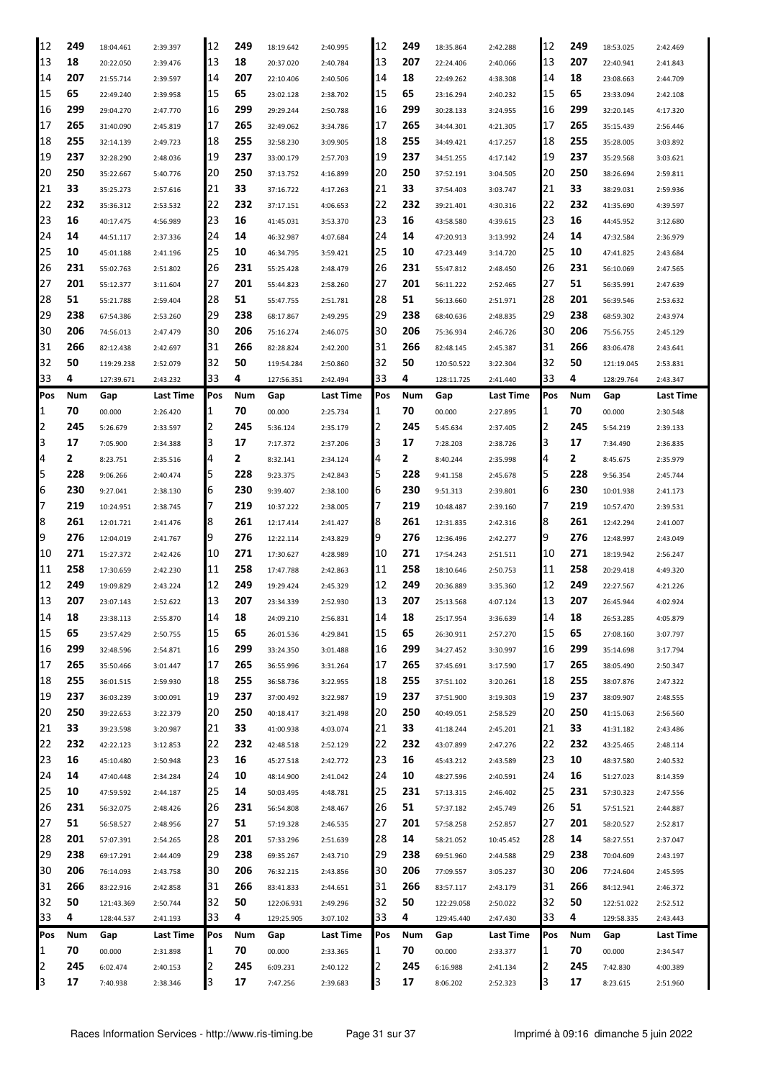| 12  | 249 | 18:04.461  | 2:39.397  | 12  | 249 | 18:19.642  | 2:40.995  | 12  | 249 | 18:35.864  | 2:42.288  | 12         | 249 | 18:53.025  | 2:42.469  |
|-----|-----|------------|-----------|-----|-----|------------|-----------|-----|-----|------------|-----------|------------|-----|------------|-----------|
| 13  | 18  | 20:22.050  | 2:39.476  | 13  | 18  | 20:37.020  | 2:40.784  | 13  | 207 | 22:24.406  | 2:40.066  | 13         | 207 | 22:40.941  | 2:41.843  |
| 14  | 207 | 21:55.714  | 2:39.597  | 14  | 207 | 22:10.406  | 2:40.506  | 14  | 18  | 22:49.262  | 4:38.308  | 14         | 18  | 23:08.663  | 2:44.709  |
| 15  | 65  | 22:49.240  | 2:39.958  | 15  | 65  | 23:02.128  | 2:38.702  | 15  | 65  | 23:16.294  | 2:40.232  | 15         | 65  | 23:33.094  | 2:42.108  |
| 16  | 299 | 29:04.270  | 2:47.770  | 16  | 299 | 29:29.244  | 2:50.788  | 16  | 299 | 30:28.133  | 3:24.955  | 16         | 299 | 32:20.145  | 4:17.320  |
| 17  | 265 | 31:40.090  | 2:45.819  | 17  | 265 | 32:49.062  | 3:34.786  | 17  | 265 | 34:44.301  | 4:21.305  | 17         | 265 | 35:15.439  | 2:56.446  |
| 18  | 255 | 32:14.139  | 2:49.723  | 18  | 255 | 32:58.230  | 3:09.905  | 18  | 255 | 34:49.421  | 4:17.257  | 18         | 255 | 35:28.005  | 3:03.892  |
| 19  | 237 | 32:28.290  | 2:48.036  | 19  | 237 | 33:00.179  | 2:57.703  | 19  | 237 | 34:51.255  | 4:17.142  | 19         | 237 | 35:29.568  | 3:03.621  |
| 20  | 250 | 35:22.667  | 5:40.776  | 20  | 250 | 37:13.752  | 4:16.899  | 20  | 250 | 37:52.191  | 3:04.505  | 20         | 250 | 38:26.694  | 2:59.811  |
| 21  | 33  | 35:25.273  | 2:57.616  | 21  | 33  | 37:16.722  | 4:17.263  | 21  | 33  | 37:54.403  | 3:03.747  | 21         | 33  | 38:29.031  | 2:59.936  |
| 22  | 232 |            |           | 22  | 232 | 37:17.151  |           | 22  | 232 |            |           | 22         | 232 | 41:35.690  |           |
| 23  | 16  | 35:36.312  | 2:53.532  | 23  | 16  |            | 4:06.653  | 23  | 16  | 39:21.401  | 4:30.316  | 23         | 16  |            | 4:39.597  |
|     |     | 40:17.475  | 4:56.989  |     |     | 41:45.031  | 3:53.370  |     |     | 43:58.580  | 4:39.615  |            |     | 44:45.952  | 3:12.680  |
| 24  | 14  | 44:51.117  | 2:37.336  | 24  | 14  | 46:32.987  | 4:07.684  | 24  | 14  | 47:20.913  | 3:13.992  | 24         | 14  | 47:32.584  | 2:36.979  |
| 25  | 10  | 45:01.188  | 2:41.196  | 25  | 10  | 46:34.795  | 3:59.421  | 25  | 10  | 47:23.449  | 3:14.720  | 25         | 10  | 47:41.825  | 2:43.684  |
| 26  | 231 | 55:02.763  | 2:51.802  | 26  | 231 | 55:25.428  | 2:48.479  | 26  | 231 | 55:47.812  | 2:48.450  | 26         | 231 | 56:10.069  | 2:47.565  |
| 27  | 201 | 55:12.377  | 3:11.604  | 27  | 201 | 55:44.823  | 2:58.260  | 27  | 201 | 56:11.222  | 2:52.465  | 27         | 51  | 56:35.991  | 2:47.639  |
| 28  | 51  | 55:21.788  | 2:59.404  | 28  | 51  | 55:47.755  | 2:51.781  | 28  | 51  | 56:13.660  | 2:51.971  | 28         | 201 | 56:39.546  | 2:53.632  |
| 29  | 238 | 67:54.386  | 2:53.260  | 29  | 238 | 68:17.867  | 2:49.295  | 29  | 238 | 68:40.636  | 2:48.835  | 29         | 238 | 68:59.302  | 2:43.974  |
| 30  | 206 | 74:56.013  | 2:47.479  | 30  | 206 | 75:16.274  | 2:46.075  | 30  | 206 | 75:36.934  | 2:46.726  | 30         | 206 | 75:56.755  | 2:45.129  |
| 31  | 266 | 82:12.438  | 2:42.697  | 31  | 266 | 82:28.824  | 2:42.200  | 31  | 266 | 82:48.145  | 2:45.387  | 31         | 266 | 83:06.478  | 2:43.641  |
| 32  | 50  | 119:29.238 | 2:52.079  | 32  | 50  | 119:54.284 | 2:50.860  | 32  | 50  | 120:50.522 | 3:22.304  | 32         | 50  | 121:19.045 | 2:53.831  |
| 33  | 4   | 127:39.671 | 2:43.232  | 33  | 4   | 127:56.351 | 2:42.494  | 33  | 4   | 128:11.725 | 2:41.440  | 33         | 4   | 128:29.764 | 2:43.347  |
| Pos | Num | Gap        | Last Time | Pos | Num | Gap        | Last Time | Pos | Num | Gap        | Last Time | <b>Pos</b> | Num | Gap        | Last Time |
| 1   | 70  | 00.000     | 2:26.420  | 1   | 70  | 00.000     | 2:25.734  | 1   | 70  | 00.000     | 2:27.895  | 1          | 70  | 00.000     | 2:30.548  |
| 2   | 245 | 5:26.679   | 2:33.597  | 2   | 245 | 5:36.124   | 2:35.179  | 2   | 245 | 5:45.634   | 2:37.405  | 2          | 245 | 5:54.219   | 2:39.133  |
| 3   | 17  | 7:05.900   | 2:34.388  | 3   | 17  | 7:17.372   | 2:37.206  | 3   | 17  | 7:28.203   | 2:38.726  | 3          | 17  | 7:34.490   | 2:36.835  |
| 4   | 2   | 8:23.751   | 2:35.516  | 4   | 2   | 8:32.141   | 2:34.124  | 4   | 2   | 8:40.244   | 2:35.998  | 4          | 2   | 8:45.675   | 2:35.979  |
| 5   | 228 | 9:06.266   | 2:40.474  | 5   | 228 | 9:23.375   | 2:42.843  | 5   | 228 | 9:41.158   | 2:45.678  | 5          | 228 | 9:56.354   | 2:45.744  |
| 6   | 230 | 9:27.041   | 2:38.130  | 6   | 230 | 9:39.407   | 2:38.100  | 6   | 230 | 9:51.313   | 2:39.801  | 6          | 230 | 10:01.938  | 2:41.173  |
| 7   | 219 | 10:24.951  | 2:38.745  | 7   | 219 | 10:37.222  | 2:38.005  |     | 219 | 10:48.487  | 2:39.160  | 7          | 219 | 10:57.470  | 2:39.531  |
| 8   | 261 | 12:01.721  | 2:41.476  | 8   | 261 | 12:17.414  | 2:41.427  | 8   | 261 | 12:31.835  | 2:42.316  | 8          | 261 | 12:42.294  | 2:41.007  |
| 9   | 276 | 12:04.019  | 2:41.767  | 19  | 276 | 12:22.114  | 2:43.829  | 19  | 276 | 12:36.496  | 2:42.277  | 19         | 276 | 12:48.997  | 2:43.049  |
| 10  | 271 | 15:27.372  | 2:42.426  | 10  | 271 | 17:30.627  | 4:28.989  | 10  | 271 | 17:54.243  | 2:51.511  | 10         | 271 | 18:19.942  | 2:56.247  |
| 11  | 258 | 17:30.659  | 2:42.230  | 11  | 258 | 17:47.788  | 2:42.863  | 11  | 258 | 18:10.646  | 2:50.753  | 11         | 258 | 20:29.418  | 4:49.320  |
| 12  | 249 | 19:09.829  |           | 12  | 249 | 19:29.424  |           | 12  | 249 |            |           | 12         | 249 |            |           |
| 13  | 207 |            | 2:43.224  | 13  | 207 |            | 2:45.329  | 13  | 207 | 20:36.889  | 3:35.360  | 13         | 207 | 22:27.567  | 4:21.226  |
|     |     | 23:07.143  | 2:52.622  |     |     | 23:34.339  | 2:52.930  |     |     | 25:13.568  | 4:07.124  |            |     | 26:45.944  | 4:02.924  |
| 14  | 18  | 23:38.113  | 2:55.870  | 14  | 18  | 24:09.210  | 2:56.831  | 14  | 18  | 25:17.954  | 3:36.639  | 14         | 18  | 26:53.285  | 4:05.879  |
| 15  | 65  | 23:57.429  | 2:50.755  | 15  | 65  | 26:01.536  | 4:29.841  | 15  | 65  | 26:30.911  | 2:57.270  | 15         | 65  | 27:08.160  | 3:07.797  |
| 16  | 299 | 32:48.596  | 2:54.871  | 16  | 299 | 33:24.350  | 3:01.488  | 16  | 299 | 34:27.452  | 3:30.997  | 16         | 299 | 35:14.698  | 3:17.794  |
| 17  | 265 | 35:50.466  | 3:01.447  | 17  | 265 | 36:55.996  | 3:31.264  | 17  | 265 | 37:45.691  | 3:17.590  | 17         | 265 | 38:05.490  | 2:50.347  |
| 18  | 255 | 36:01.515  | 2:59.930  | 18  | 255 | 36:58.736  | 3:22.955  | 18  | 255 | 37:51.102  | 3:20.261  | 18         | 255 | 38:07.876  | 2:47.322  |
| 19  | 237 | 36:03.239  | 3:00.091  | 19  | 237 | 37:00.492  | 3:22.987  | 19  | 237 | 37:51.900  | 3:19.303  | 19         | 237 | 38:09.907  | 2:48.555  |
| 20  | 250 | 39:22.653  | 3:22.379  | 20  | 250 | 40:18.417  | 3:21.498  | 20  | 250 | 40:49.051  | 2:58.529  | 20         | 250 | 41:15.063  | 2:56.560  |
| 21  | 33  | 39:23.598  | 3:20.987  | 21  | 33  | 41:00.938  | 4:03.074  | 21  | 33  | 41:18.244  | 2:45.201  | 21         | 33  | 41:31.182  | 2:43.486  |
| 22  | 232 | 42:22.123  | 3:12.853  | 22  | 232 | 42:48.518  | 2:52.129  | 22  | 232 | 43:07.899  | 2:47.276  | 22         | 232 | 43:25.465  | 2:48.114  |
| 23  | 16  | 45:10.480  | 2:50.948  | 23  | 16  | 45:27.518  | 2:42.772  | 23  | 16  | 45:43.212  | 2:43.589  | 23         | 10  | 48:37.580  | 2:40.532  |
| 24  | 14  | 47:40.448  | 2:34.284  | 24  | 10  | 48:14.900  | 2:41.042  | 24  | 10  | 48:27.596  | 2:40.591  | 24         | 16  | 51:27.023  | 8:14.359  |
| 25  | 10  | 47:59.592  | 2:44.187  | 25  | 14  | 50:03.495  | 4:48.781  | 25  | 231 | 57:13.315  | 2:46.402  | 25         | 231 | 57:30.323  | 2:47.556  |
| 26  | 231 | 56:32.075  | 2:48.426  | 26  | 231 | 56:54.808  | 2:48.467  | 26  | 51  | 57:37.182  | 2:45.749  | 26         | 51  | 57:51.521  | 2:44.887  |
| 27  | 51  | 56:58.527  | 2:48.956  | 27  | 51  | 57:19.328  | 2:46.535  | 27  | 201 | 57:58.258  | 2:52.857  | 27         | 201 | 58:20.527  | 2:52.817  |
| 28  | 201 | 57:07.391  | 2:54.265  | 28  | 201 | 57:33.296  | 2:51.639  | 28  | 14  | 58:21.052  | 10:45.452 | 28         | 14  | 58:27.551  | 2:37.047  |
| 29  | 238 | 69:17.291  | 2:44.409  | 29  | 238 | 69:35.267  | 2:43.710  | 29  | 238 | 69:51.960  | 2:44.588  | 29         | 238 | 70:04.609  | 2:43.197  |
| 30  | 206 | 76:14.093  | 2:43.758  | 30  | 206 | 76:32.215  | 2:43.856  | 30  | 206 | 77:09.557  | 3:05.237  | 30         | 206 | 77:24.604  | 2:45.595  |
| 31  | 266 | 83:22.916  | 2:42.858  | 31  | 266 | 83:41.833  | 2:44.651  | 31  | 266 | 83:57.117  | 2:43.179  | 31         | 266 | 84:12.941  | 2:46.372  |
| 32  | 50  | 121:43.369 | 2:50.744  | 32  | 50  | 122:06.931 | 2:49.296  | 32  | 50  | 122:29.058 | 2:50.022  | 32         | 50  | 122:51.022 | 2:52.512  |
| 33  | 4   | 128:44.537 | 2:41.193  | 33  | 4   | 129:25.905 | 3:07.102  | 33  | 4   | 129:45.440 | 2:47.430  | 33         | 4   | 129:58.335 | 2:43.443  |
| Pos | Num | Gap        | Last Time | Pos | Num | Gap        | Last Time | Pos | Num | Gap        | Last Time | Pos        | Num | Gap        | Last Time |
| 1   | 70  |            |           | 1   | 70  | 00.000     |           | 1   | 70  | 00.000     |           | 1          | 70  | 00.000     |           |
| 2   | 245 | 00.000     | 2:31.898  | 12  | 245 |            | 2:33.365  | 2   | 245 |            | 2:33.377  | 2          | 245 |            | 2:34.547  |
| З   | 17  | 6:02.474   | 2:40.153  | 3   | 17  | 6:09.231   | 2:40.122  | З   | 17  | 6:16.988   | 2:41.134  | 3          | 17  | 7:42.830   | 4:00.389  |
|     |     | 7:40.938   | 2:38.346  |     |     | 7:47.256   | 2:39.683  |     |     | 8:06.202   | 2:52.323  |            |     | 8:23.615   | 2:51.960  |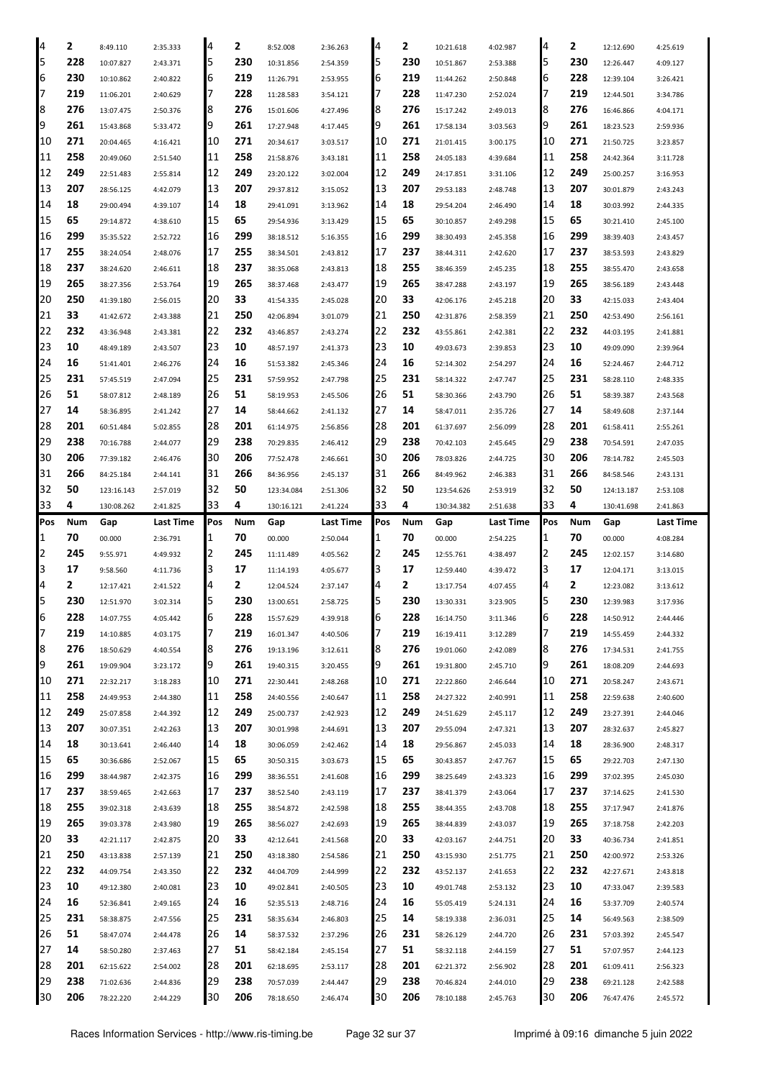| 4        | 2          | 8:49.110               | 2:35.333             | 4        | 2          | 8:52.008               | 2:36.263             | 14         | 2          | 10:21.618              | 4:02.987             | 4        | 2          | 12:12.690              | 4:25.619             |
|----------|------------|------------------------|----------------------|----------|------------|------------------------|----------------------|------------|------------|------------------------|----------------------|----------|------------|------------------------|----------------------|
| 5        | 228        | 10:07.827              | 2:43.371             | 5        | 230        | 10:31.856              | 2:54.359             | 15         | 230        | 10:51.867              | 2:53.388             | 5        | 230        | 12:26.447              | 4:09.127             |
| 6        | 230        | 10:10.862              | 2:40.822             | 6        | 219        | 11:26.791              | 2:53.955             | 6          | 219        | 11:44.262              | 2:50.848             | 6        | 228        | 12:39.104              | 3:26.421             |
| 17       | 219        | 11:06.201              | 2:40.629             | 7        | 228        | 11:28.583              | 3:54.121             | 17         | 228        | 11:47.230              | 2:52.024             | 7        | 219        | 12:44.501              | 3:34.786             |
| 8        | 276        | 13:07.475              | 2:50.376             | 8        | 276        | 15:01.606              | 4:27.496             | 8          | 276        | 15:17.242              | 2:49.013             | 8        | 276        | 16:46.866              | 4:04.171             |
| 9        | 261        | 15:43.868              | 5:33.472             | 9        | 261        | 17:27.948              | 4:17.445             | 19         | 261        | 17:58.134              | 3:03.563             | 9        | 261        | 18:23.523              | 2:59.936             |
| 10       | 271        | 20:04.465              | 4:16.421             | 10       | 271        | 20:34.617              | 3:03.517             | 10         | 271        | 21:01.415              | 3:00.175             | 10       | 271        | 21:50.725              | 3:23.857             |
| 11       | 258        | 20:49.060              | 2:51.540             | 11       | 258        | 21:58.876              | 3:43.181             | 11         | 258        | 24:05.183              | 4:39.684             | 11       | 258        | 24:42.364              | 3:11.728             |
| 12       | 249        |                        |                      | 12       | 249        |                        |                      | 12         | 249        |                        |                      | 12       | 249        |                        |                      |
|          |            | 22:51.483              | 2:55.814             |          |            | 23:20.122              | 3:02.004             |            |            | 24:17.851              | 3:31.106             |          |            | 25:00.257              | 3:16.953             |
| 13       | 207        | 28:56.125              | 4:42.079             | 13       | 207        | 29:37.812              | 3:15.052             | 13         | 207        | 29:53.183              | 2:48.748             | 13       | 207        | 30:01.879              | 2:43.243             |
| 14       | 18         | 29:00.494              | 4:39.107             | 14       | 18         | 29:41.091              | 3:13.962             | 14         | 18         | 29:54.204              | 2:46.490             | 14       | 18         | 30:03.992              | 2:44.335             |
| 15       | 65         | 29:14.872              | 4:38.610             | 15       | 65         | 29:54.936              | 3:13.429             | 15         | 65         | 30:10.857              | 2:49.298             | 15       | 65         | 30:21.410              | 2:45.100             |
| 16       | 299        | 35:35.522              | 2:52.722             | 16       | 299        | 38:18.512              | 5:16.355             | 16         | 299        | 38:30.493              | 2:45.358             | 16       | 299        | 38:39.403              | 2:43.457             |
| 17       | 255        | 38:24.054              | 2:48.076             | 17       | 255        | 38:34.501              | 2:43.812             | 17         | 237        | 38:44.311              | 2:42.620             | 17       | 237        | 38:53.593              | 2:43.829             |
| 18       | 237        | 38:24.620              | 2:46.611             | 18       | 237        | 38:35.068              | 2:43.813             | 18         | 255        | 38:46.359              | 2:45.235             | 18       | 255        | 38:55.470              | 2:43.658             |
| 19       | 265        | 38:27.356              | 2:53.764             | 19       | 265        | 38:37.468              | 2:43.477             | 19         | 265        | 38:47.288              | 2:43.197             | 19       | 265        | 38:56.189              | 2:43.448             |
| 20       | 250        | 41:39.180              | 2:56.015             | 20       | 33         | 41:54.335              | 2:45.028             | 20         | 33         | 42:06.176              | 2:45.218             | 20       | 33         | 42:15.033              | 2:43.404             |
| 21       | 33         | 41:42.672              | 2:43.388             | 21       | 250        | 42:06.894              | 3:01.079             | 21         | 250        | 42:31.876              | 2:58.359             | 21       | 250        | 42:53.490              | 2:56.161             |
| 22       | 232        | 43:36.948              | 2:43.381             | 22       | 232        | 43:46.857              | 2:43.274             | 22         | 232        | 43:55.861              | 2:42.381             | 22       | 232        | 44:03.195              | 2:41.881             |
| 23       | 10         | 48:49.189              | 2:43.507             | 23       | 10         | 48:57.197              | 2:41.373             | 23         | 10         | 49:03.673              | 2:39.853             | 23       | 10         | 49:09.090              | 2:39.964             |
| 24       | 16         | 51:41.401              | 2:46.276             | 24       | 16         | 51:53.382              | 2:45.346             | 24         | 16         | 52:14.302              | 2:54.297             | 24       | 16         | 52:24.467              | 2:44.712             |
| 25       | 231        | 57:45.519              | 2:47.094             | 25       | 231        | 57:59.952              | 2:47.798             | 25         | 231        | 58:14.322              | 2:47.747             | 25       | 231        | 58:28.110              | 2:48.335             |
| 26       | 51         | 58:07.812              | 2:48.189             | 26       | 51         | 58:19.953              | 2:45.506             | 26         | 51         | 58:30.366              | 2:43.790             | 26       | 51         | 58:39.387              | 2:43.568             |
| 27       | 14         | 58:36.895              | 2:41.242             | 27       | 14         | 58:44.662              | 2:41.132             | 27         | 14         | 58:47.011              | 2:35.726             | 27       | 14         | 58:49.608              | 2:37.144             |
| 28       | 201        | 60:51.484              | 5:02.855             | 28       | 201        | 61:14.975              | 2:56.856             | 28         | 201        | 61:37.697              | 2:56.099             | 28       | 201        | 61:58.411              | 2:55.261             |
| 29       | 238        | 70:16.788              | 2:44.077             | 29       | 238        | 70:29.835              | 2:46.412             | 29         | 238        | 70:42.103              | 2:45.645             | 29       | 238        | 70:54.591              | 2:47.035             |
| 30       | 206        | 77:39.182              | 2:46.476             | 30       | 206        | 77:52.478              | 2:46.661             | 30         | 206        | 78:03.826              | 2:44.725             | 30       | 206        | 78:14.782              | 2:45.503             |
| 31       | 266        | 84:25.184              | 2:44.141             | 31       | 266        | 84:36.956              | 2:45.137             | 31         | 266        | 84:49.962              | 2:46.383             | 31       | 266        | 84:58.546              | 2:43.131             |
| 32       | 50         | 123:16.143             | 2:57.019             | 32       | 50         | 123:34.084             | 2:51.306             | 32         | 50         | 123:54.626             | 2:53.919             | 32       | 50         | 124:13.187             | 2:53.108             |
| 33       | 4          | 130:08.262             | 2:41.825             | 33       | 4          | 130:16.121             | 2:41.224             | 33         | 4          | 130:34.382             | 2:51.638             | 33       | 4          | 130:41.698             | 2:41.863             |
|          |            | Gap                    |                      | Pos      |            |                        |                      |            |            |                        |                      |          |            |                        |                      |
|          |            |                        |                      |          |            |                        |                      |            |            |                        |                      |          |            |                        |                      |
| Pos      | Num        |                        | Last Time            |          | Num        | Gap                    | Last Time            | <b>Pos</b> | Num        | Gap                    | Last Time            | Pos      | Num        | Gap                    | Last Time            |
| 1        | 70         | 00.000                 | 2:36.791             | 1        | 70         | 00.000                 | 2:50.044             | 11         | 70         | 00.000                 | 2:54.225             | 1        | 70         | 00.000                 | 4:08.284             |
| 2        | 245        | 9:55.971               | 4:49.932             | 2        | 245        | 11:11.489              | 4:05.562             | 12         | 245        | 12:55.761              | 4:38.497             | 2        | 245        | 12:02.157              | 3:14.680             |
| 3        | 17         | 9:58.560               | 4:11.736             | 3        | 17         | 11:14.193              | 4:05.677             | 13         | 17         | 12:59.440              | 4:39.472             | 3        | 17         | 12:04.171              | 3:13.015             |
| 4        | 2          | 12:17.421              | 2:41.522             | 4        | 2          | 12:04.524              | 2:37.147             | Ι4         | 2          | 13:17.754              | 4:07.455             | 4        | 2          | 12:23.082              | 3:13.612             |
| 5        | 230        | 12:51.970              | 3:02.314             | 5        | 230        | 13:00.651              | 2:58.725             | 15         | 230        | 13:30.331              | 3:23.905             | 5        | 230        | 12:39.983              | 3:17.936             |
| IЮ       | 228        | 14:07.755              | 4:05.442             | b        | 228        | 15:57.629              | 4:39.918             | Iр         | 228        | 16:14.750              | 3:11.346             | b        | 228        | 14:50.912              | 2:44.446             |
| 17       | 219        | 14:10.885              | 4:03.175             | 7        | 219        | 16:01.347              | 4:40.506             | 17         | 219        | 16:19.411              | 3:12.289             | 7        | 219        | 14:55.459              | 2:44.332             |
| 8        | 276        | 18:50.629              | 4:40.554             | 18       | 276        | 19:13.196              | 3:12.611             | 8          | 276        | 19:01.060              | 2:42.089             | 8        | 276        | 17:34.531              | 2:41.755             |
| 9        | 261        | 19:09.904              | 3:23.172             | 9        | 261        | 19:40.315              | 3:20.455             | 19         | 261        | 19:31.800              | 2:45.710             | 9        | 261        | 18:08.209              | 2:44.693             |
| 10       | 271        | 22:32.217              | 3:18.283             | 10       | 271        | 22:30.441              | 2:48.268             | 10         | 271        | 22:22.860              | 2:46.644             | 10       | 271        | 20:58.247              | 2:43.671             |
| 11       | 258        | 24:49.953              | 2:44.380             | 11       | 258        | 24:40.556              | 2:40.647             | 11         | 258        | 24:27.322              | 2:40.991             | 11       | 258        | 22:59.638              | 2:40.600             |
| 12       | 249        | 25:07.858              | 2:44.392             | 12       | 249        | 25:00.737              | 2:42.923             | 12         | 249        | 24:51.629              | 2:45.117             | 12       | 249        | 23:27.391              | 2:44.046             |
| 13       | 207        | 30:07.351              | 2:42.263             | 13       | 207        | 30:01.998              | 2:44.691             | 13         | 207        | 29:55.094              | 2:47.321             | 13       | 207        | 28:32.637              | 2:45.827             |
| 14       | 18         | 30:13.641              | 2:46.440             | 14       | 18         | 30:06.059              | 2:42.462             | 14         | 18         | 29:56.867              | 2:45.033             | 14       | 18         | 28:36.900              | 2:48.317             |
| 15       | 65         | 30:36.686              | 2:52.067             | 15       | 65         | 30:50.315              | 3:03.673             | 15         | 65         | 30:43.857              | 2:47.767             | 15       | 65         | 29:22.703              | 2:47.130             |
| 16       | 299        | 38:44.987              | 2:42.375             | 16       | 299        | 38:36.551              | 2:41.608             | 16         | 299        | 38:25.649              | 2:43.323             | 16       | 299        | 37:02.395              | 2:45.030             |
| 17       | 237        | 38:59.465              | 2:42.663             | 17       | 237        | 38:52.540              | 2:43.119             | 17         | 237        | 38:41.379              | 2:43.064             | 17       | 237        | 37:14.625              | 2:41.530             |
| 18       | 255        | 39:02.318              | 2:43.639             | 18       | 255        | 38:54.872              | 2:42.598             | 18         | 255        | 38:44.355              | 2:43.708             | 18       | 255        | 37:17.947              | 2:41.876             |
| 19       | 265        | 39:03.378              | 2:43.980             | 19       | 265        | 38:56.027              | 2:42.693             | 19         | 265        | 38:44.839              | 2:43.037             | 19       | 265        | 37:18.758              | 2:42.203             |
| 20       | 33         |                        |                      | 20       | 33         | 42:12.641              | 2:41.568             | 20         | 33         | 42:03.167              |                      | 20       | 33         | 40:36.734              |                      |
|          | 250        | 42:21.117              | 2:42.875             |          |            |                        |                      | 21         | 250        |                        | 2:44.751             |          |            |                        | 2:41.851             |
| 21       | 232        | 43:13.838              | 2:57.139             | 21       | 250        | 43:18.380              | 2:54.586             | 22         |            | 43:15.930              | 2:51.775             | 21       | 250        | 42:00.972              | 2:53.326             |
| 22       |            | 44:09.754              | 2:43.350             | 22       | 232        | 44:04.709              | 2:44.999             |            | 232        | 43:52.137              | 2:41.653             | 22       | 232        | 42:27.671              | 2:43.818             |
| 23       | 10         | 49:12.380              | 2:40.081             | 23       | 10         | 49:02.841              | 2:40.505             | 23         | 10         | 49:01.748              | 2:53.132             | 23       | 10         | 47:33.047              | 2:39.583             |
| 24       | 16         | 52:36.841              | 2:49.165             | 24       | 16         | 52:35.513              | 2:48.716             | 24         | 16         | 55:05.419              | 5:24.131             | 24       | 16         | 53:37.709              | 2:40.574             |
| 25       | 231        | 58:38.875              | 2:47.556             | 25       | 231        | 58:35.634              | 2:46.803             | 25         | 14         | 58:19.338              | 2:36.031             | 25       | 14         | 56:49.563              | 2:38.509             |
| 26       | 51         | 58:47.074              | 2:44.478             | 26       | 14         | 58:37.532              | 2:37.296             | 26         | 231        | 58:26.129              | 2:44.720             | 26       | 231        | 57:03.392              | 2:45.547             |
| 27       | 14         | 58:50.280              | 2:37.463             | 27       | 51         | 58:42.184              | 2:45.154             | 27         | 51         | 58:32.118              | 2:44.159             | 27       | 51         | 57:07.957              | 2:44.123             |
| 28       | 201        | 62:15.622              | 2:54.002             | 28       | 201        | 62:18.695              | 2:53.117             | 28         | 201        | 62:21.372              | 2:56.902             | 28       | 201        | 61:09.411              | 2:56.323             |
| 29<br>30 | 238<br>206 | 71:02.636<br>78:22.220 | 2:44.836<br>2:44.229 | 29<br>30 | 238<br>206 | 70:57.039<br>78:18.650 | 2:44.447<br>2:46.474 | 29<br>30   | 238<br>206 | 70:46.824<br>78:10.188 | 2:44.010<br>2:45.763 | 29<br>30 | 238<br>206 | 69:21.128<br>76:47.476 | 2:42.588<br>2:45.572 |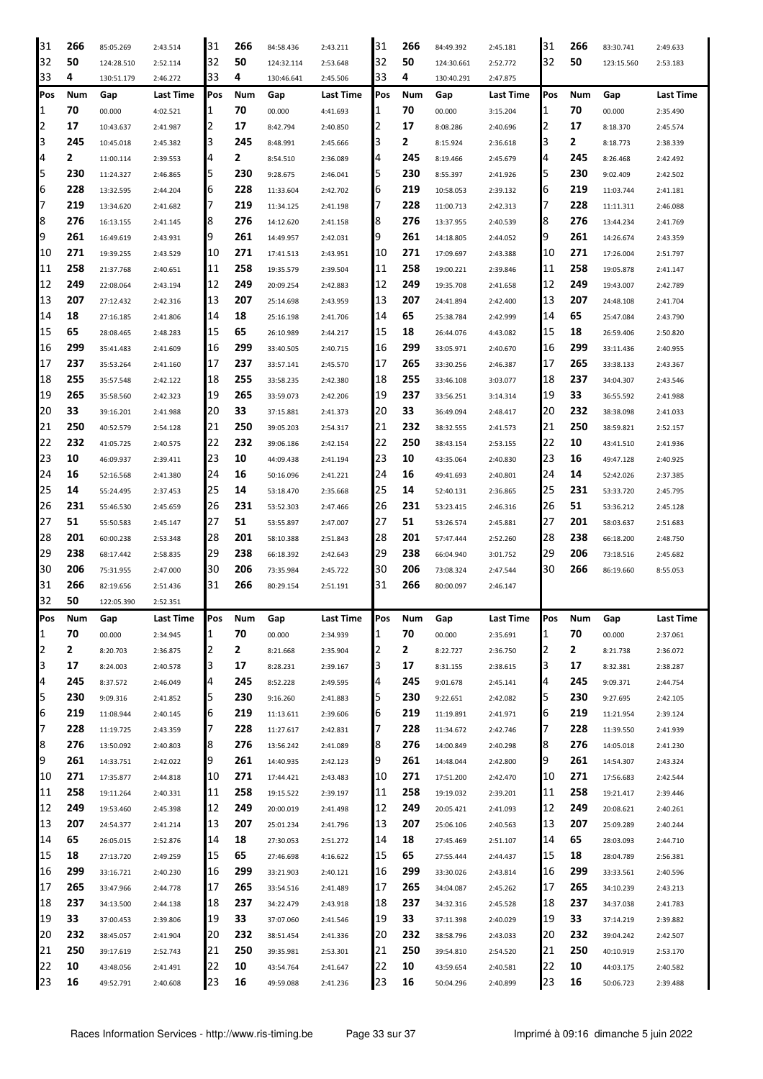| 31             | 266          | 85:05.269              | 2:43.514             | 31         | 266      | 84:58.436              | 2:43.211             | 31       | 266      | 84:49.392              | 2:45.181             | 31          | 266      | 83:30.741              | 2:49.633             |
|----------------|--------------|------------------------|----------------------|------------|----------|------------------------|----------------------|----------|----------|------------------------|----------------------|-------------|----------|------------------------|----------------------|
| 32             | 50           | 124:28.510             | 2:52.114             | 32         | 50       | 124:32.114             | 2:53.648             | 32       | 50       | 124:30.661             | 2:52.772             | 32          | 50       | 123:15.560             | 2:53.183             |
| 33             | 4            | 130:51.179             | 2:46.272             | 33         | 4        | 130:46.641             | 2:45.506             | 33       | 4        | 130:40.291             | 2:47.875             |             |          |                        |                      |
| Pos            | Num          | Gap                    | Last Time            | Pos        | Num      | Gap                    | Last Time            | Pos      | Num      | Gap                    | Last Time            | Pos         | Num      | Gap                    | <b>Last Time</b>     |
| 1              | 70           | 00.000                 | 4:02.521             | 1          | 70       | 00.000                 | 4:41.693             | 1        | 70       | 00.000                 | 3:15.204             | 1           | 70       | 00.000                 | 2:35.490             |
| 2              | 17           | 10:43.637              | 2:41.987             | 2          | 17       | 8:42.794               | 2:40.850             | 2        | 17       | 8:08.286               | 2:40.696             | 2           | 17       | 8:18.370               | 2:45.574             |
| 3              | 245          | 10:45.018              | 2:45.382             | 3          | 245      | 8:48.991               | 2:45.666             | 3        | 2        | 8:15.924               | 2:36.618             | 3           | 2        | 8:18.773               | 2:38.339             |
| 4              | 2            |                        |                      | 4          | 2        |                        |                      | 4        | 245      |                        |                      | 4           | 245      |                        |                      |
|                | 230          | 11:00.114              | 2:39.553             | 5          | 230      | 8:54.510               | 2:36.089             |          |          | 8:19.466               | 2:45.679             | 5           | 230      | 8:26.468               | 2:42.492             |
| 5              |              | 11:24.327              | 2:46.865             |            |          | 9:28.675               | 2:46.041             | 15       | 230      | 8:55.397               | 2:41.926             |             |          | 9:02.409               | 2:42.502             |
| 6              | 228          | 13:32.595              | 2:44.204             | 6          | 228      | 11:33.604              | 2:42.702             | 6        | 219      | 10:58.053              | 2:39.132             | 6           | 219      | 11:03.744              | 2:41.181             |
| 17             | 219          | 13:34.620              | 2:41.682             | 7          | 219      | 11:34.125              | 2:41.198             | 7        | 228      | 11:00.713              | 2:42.313             | 7           | 228      | 11:11.311              | 2:46.088             |
| 8              | 276          | 16:13.155              | 2:41.145             | 8          | 276      | 14:12.620              | 2:41.158             | 18       | 276      | 13:37.955              | 2:40.539             | 8           | 276      | 13:44.234              | 2:41.769             |
| 9              | 261          | 16:49.619              | 2:43.931             | 9          | 261      | 14:49.957              | 2:42.031             | 19       | 261      | 14:18.805              | 2:44.052             | 9           | 261      | 14:26.674              | 2:43.359             |
| 10             | 271          | 19:39.255              | 2:43.529             | 10         | 271      | 17:41.513              | 2:43.951             | 10       | 271      | 17:09.697              | 2:43.388             | 10          | 271      | 17:26.004              | 2:51.797             |
| 11             | 258          | 21:37.768              | 2:40.651             | 11         | 258      | 19:35.579              | 2:39.504             | 11       | 258      | 19:00.221              | 2:39.846             | 11          | 258      | 19:05.878              | 2:41.147             |
| 12             | 249          | 22:08.064              | 2:43.194             | 12         | 249      | 20:09.254              | 2:42.883             | 12       | 249      | 19:35.708              | 2:41.658             | 12          | 249      | 19:43.007              | 2:42.789             |
| 13             | 207          | 27:12.432              | 2:42.316             | 13         | 207      | 25:14.698              | 2:43.959             | 13       | 207      | 24:41.894              | 2:42.400             | 13          | 207      | 24:48.108              | 2:41.704             |
| 14             | 18           | 27:16.185              | 2:41.806             | 14         | 18       | 25:16.198              | 2:41.706             | 14       | 65       | 25:38.784              | 2:42.999             | 14          | 65       | 25:47.084              | 2:43.790             |
| 15             | 65           | 28:08.465              | 2:48.283             | 15         | 65       | 26:10.989              | 2:44.217             | 15       | 18       | 26:44.076              | 4:43.082             | 15          | 18       | 26:59.406              | 2:50.820             |
| 16             | 299          | 35:41.483              | 2:41.609             | 16         | 299      | 33:40.505              | 2:40.715             | 16       | 299      | 33:05.971              | 2:40.670             | 16          | 299      | 33:11.436              | 2:40.955             |
| 17             | 237          | 35:53.264              | 2:41.160             | 17         | 237      | 33:57.141              | 2:45.570             | 17       | 265      | 33:30.256              | 2:46.387             | 17          | 265      | 33:38.133              | 2:43.367             |
| 18             | 255          | 35:57.548              | 2:42.122             | 18         | 255      | 33:58.235              | 2:42.380             | 18       | 255      | 33:46.108              | 3:03.077             | 18          | 237      | 34:04.307              | 2:43.546             |
| 19             | 265          | 35:58.560              | 2:42.323             | 19         | 265      | 33:59.073              | 2:42.206             | 19       | 237      | 33:56.251              | 3:14.314             | 19          | 33       | 36:55.592              | 2:41.988             |
| 20             | 33           | 39:16.201              | 2:41.988             | 20         | 33       | 37:15.881              | 2:41.373             | 20       | 33       | 36:49.094              | 2:48.417             | 20          | 232      | 38:38.098              | 2:41.033             |
| 21             | 250          |                        |                      | 21         | 250      |                        |                      | 21       | 232      |                        |                      | 21          | 250      |                        |                      |
|                | 232          | 40:52.579              | 2:54.128             |            | 232      | 39:05.203              | 2:54.317             |          |          | 38:32.555              | 2:41.573             | 22          |          | 38:59.821              | 2:52.157             |
| 22             |              | 41:05.725              | 2:40.575             | 22         |          | 39:06.186              | 2:42.154             | 22       | 250      | 38:43.154              | 2:53.155             |             | 10       | 43:41.510              | 2:41.936             |
| 23             | 10           | 46:09.937              | 2:39.411             | 23         | 10       | 44:09.438              | 2:41.194             | 23       | 10       | 43:35.064              | 2:40.830             | 23          | 16       | 49:47.128              | 2:40.925             |
| 24             | 16           | 52:16.568              | 2:41.380             | 24         | 16       | 50:16.096              | 2:41.221             | 24       | 16       | 49:41.693              | 2:40.801             | 24          | 14       | 52:42.026              | 2:37.385             |
| 25             | 14           | 55:24.495              | 2:37.453             | 25         | 14       | 53:18.470              | 2:35.668             | 25       | 14       | 52:40.131              | 2:36.865             | 25          | 231      | 53:33.720              | 2:45.795             |
| 26             | 231          | 55:46.530              | 2:45.659             | 26         | 231      | 53:52.303              | 2:47.466             | 26       | 231      | 53:23.415              | 2:46.316             | 26          | 51       | 53:36.212              | 2:45.128             |
| 27             | 51           | 55:50.583              | 2:45.147             | 27         | 51       | 53:55.897              | 2:47.007             | 27       | 51       | 53:26.574              | 2:45.881             | 27          | 201      | 58:03.637              | 2:51.683             |
| 128            | 201          | 60:00.238              | 2:53.348             | 28         | 201      | 58:10.388              | 2:51.843             | 28       | 201      | 57:47.444              | 2:52.260             | 28          | 238      | 66:18.200              | 2:48.750             |
| 29             |              |                        |                      |            |          |                        |                      |          |          |                        |                      |             |          |                        |                      |
|                | 238          | 68:17.442              | 2:58.835             | 29         | 238      | 66:18.392              | 2:42.643             | 29       | 238      | 66:04.940              | 3:01.752             | 29          | 206      | 73:18.516              | 2:45.682             |
| 30             | 206          | 75:31.955              | 2:47.000             | 30         | 206      | 73:35.984              | 2:45.722             | 30       | 206      | 73:08.324              | 2:47.544             | 30          | 266      | 86:19.660              | 8:55.053             |
| 31             | 266          | 82:19.656              | 2:51.436             | 31         | 266      | 80:29.154              | 2:51.191             | 31       | 266      | 80:00.097              | 2:46.147             |             |          |                        |                      |
| 32             | 50           | 122:05.390             | 2:52.351             |            |          |                        |                      |          |          |                        |                      |             |          |                        |                      |
| <b>Pos</b>     | Num          | Gap                    | Last Time            | <b>Pos</b> | Num      | Gap                    | Last Time            | Pos      | Num      | Gap                    | Last Time            | <b>IPos</b> | Num      | Gap                    | Last Time            |
| 1              | 70           | 00.000                 | 2:34.945             | 1          | 70       | 00.000                 | 2:34.939             | 11       | 70       | 00.000                 | 2:35.691             | 1           | 70       | 00.000                 | 2:37.061             |
|                |              |                        |                      |            |          |                        |                      | 12       | 2        |                        |                      |             |          |                        |                      |
| $\overline{2}$ | $\mathbf{2}$ | 8:20.703               | 2:36.875             | 2          | 2        | 8:21.668               | 2:35.904             |          |          | 8:22.727               | 2:36.750             | 2           | 2        | 8:21.738               | 2:36.072             |
| 3              | 17           | 8:24.003               | 2:40.578             | 3          | 17       | 8:28.231               | 2:39.167             | 3        | 17       | 8:31.155               | 2:38.615             | 3           | 17       | 8:32.381               | 2:38.287             |
| 4              | 245          | 8:37.572               | 2:46.049             | 4          | 245      | 8:52.228               | 2:49.595             | 4        | 245      | 9:01.678               | 2:45.141             | 4           | 245      | 9:09.371               | 2:44.754             |
| 5              | 230          | 9:09.316               | 2:41.852             | 5          | 230      | 9:16.260               | 2:41.883             | I5       | 230      | 9:22.651               | 2:42.082             | 5           | 230      | 9:27.695               | 2:42.105             |
| 6              | 219          | 11:08.944              | 2:40.145             | 6          | 219      | 11:13.611              | 2:39.606             | 6        | 219      | 11:19.891              | 2:41.971             | 6           | 219      | 11:21.954              | 2:39.124             |
| 17             | 228          | 11:19.725              | 2:43.359             | 7          | 228      | 11:27.617              | 2:42.831             | 17       | 228      | 11:34.672              | 2:42.746             | 7           | 228      | 11:39.550              | 2:41.939             |
| 8              | 276          | 13:50.092              | 2:40.803             | 18         | 276      | 13:56.242              | 2:41.089             | 8        | 276      | 14:00.849              | 2:40.298             | 8           | 276      | 14:05.018              | 2:41.230             |
| 9              | 261          | 14:33.751              | 2:42.022             | 9          | 261      | 14:40.935              | 2:42.123             | 19       | 261      | 14:48.044              | 2:42.800             | 9           | 261      | 14:54.307              | 2:43.324             |
| 10             | 271          | 17:35.877              | 2:44.818             | 10         | 271      | 17:44.421              | 2:43.483             | 10       | 271      | 17:51.200              | 2:42.470             | 10          | 271      | 17:56.683              | 2:42.544             |
| 11             | 258          | 19:11.264              | 2:40.331             | 11         | 258      | 19:15.522              | 2:39.197             | 11       | 258      | 19:19.032              | 2:39.201             | 11          | 258      | 19:21.417              | 2:39.446             |
| 12             | 249          | 19:53.460              | 2:45.398             | 12         | 249      | 20:00.019              | 2:41.498             | 12       | 249      | 20:05.421              | 2:41.093             | 12          | 249      | 20:08.621              | 2:40.261             |
| 13             | 207          | 24:54.377              | 2:41.214             | 13         | 207      | 25:01.234              | 2:41.796             | 13       | 207      | 25:06.106              | 2:40.563             | 13          | 207      | 25:09.289              | 2:40.244             |
| 14             | 65           | 26:05.015              | 2:52.876             | 14         | 18       | 27:30.053              | 2:51.272             | 14       | 18       | 27:45.469              | 2:51.107             | 14          | 65       | 28:03.093              | 2:44.710             |
| 15             | 18           | 27:13.720              | 2:49.259             | 15         | 65       | 27:46.698              | 4:16.622             | 15       | 65       | 27:55.444              | 2:44.437             | 15          | 18       | 28:04.789              | 2:56.381             |
| 16             | 299          | 33:16.721              | 2:40.230             | 16         | 299      | 33:21.903              | 2:40.121             | 16       | 299      | 33:30.026              | 2:43.814             | 16          | 299      | 33:33.561              | 2:40.596             |
| 17             | 265          | 33:47.966              | 2:44.778             | 17         | 265      | 33:54.516              | 2:41.489             | 17       | 265      | 34:04.087              | 2:45.262             | 17          | 265      | 34:10.239              | 2:43.213             |
| 18             | 237          | 34:13.500              | 2:44.138             | 18         | 237      | 34:22.479              | 2:43.918             | 18       | 237      | 34:32.316              | 2:45.528             | 18          | 237      | 34:37.038              | 2:41.783             |
| 19             | 33           | 37:00.453              | 2:39.806             | 19         | 33       | 37:07.060              | 2:41.546             | 19       | 33       | 37:11.398              | 2:40.029             | 19          | 33       | 37:14.219              | 2:39.882             |
| 20             | 232          | 38:45.057              | 2:41.904             | 20         | 232      | 38:51.454              |                      | 20       | 232      | 38:58.796              | 2:43.033             | 20          | 232      | 39:04.242              | 2:42.507             |
|                | 250          |                        |                      |            | 250      |                        | 2:41.336             |          |          |                        |                      |             | 250      |                        |                      |
| 21             |              | 39:17.619              | 2:52.743             | 21         |          | 39:35.981              | 2:53.301             | 21       | 250      | 39:54.810              | 2:54.520             | 21          |          | 40:10.919              | 2:53.170             |
| 22<br>23       | 10<br>16     | 43:48.056<br>49:52.791 | 2:41.491<br>2:40.608 | 22<br>23   | 10<br>16 | 43:54.764<br>49:59.088 | 2:41.647<br>2:41.236 | 22<br>23 | 10<br>16 | 43:59.654<br>50:04.296 | 2:40.581<br>2:40.899 | 22<br>23    | 10<br>16 | 44:03.175<br>50:06.723 | 2:40.582<br>2:39.488 |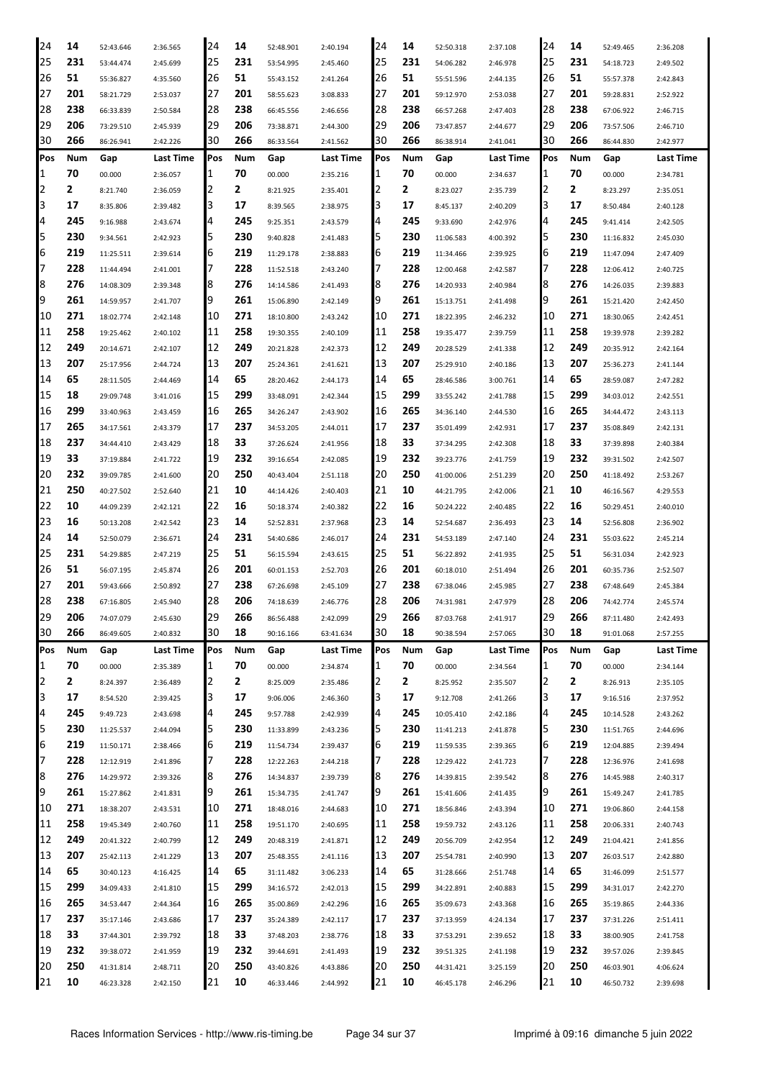|     | 14  | 52:43.646 | 2:36.565  | 24  | 14  | 52:48.901 | 2:40.194  | 24  | 14  | 52:50.318 | 2:37.108         | 24         | 14  | 52:49.465 | 2:36.208  |
|-----|-----|-----------|-----------|-----|-----|-----------|-----------|-----|-----|-----------|------------------|------------|-----|-----------|-----------|
| 25  | 231 | 53:44.474 | 2:45.699  | 25  | 231 | 53:54.995 | 2:45.460  | 25  | 231 | 54:06.282 | 2:46.978         | 25         | 231 | 54:18.723 | 2:49.502  |
| 26  | 51  | 55:36.827 | 4:35.560  | 26  | 51  | 55:43.152 | 2:41.264  | 26  | 51  | 55:51.596 | 2:44.135         | 26         | 51  | 55:57.378 | 2:42.843  |
| 27  | 201 | 58:21.729 | 2:53.037  | 27  | 201 | 58:55.623 | 3:08.833  | 27  | 201 | 59:12.970 | 2:53.038         | 27         | 201 | 59:28.831 | 2:52.922  |
| 28  | 238 | 66:33.839 | 2:50.584  | 28  | 238 | 66:45.556 | 2:46.656  | 28  | 238 | 66:57.268 | 2:47.403         | 28         | 238 | 67:06.922 | 2:46.715  |
| 29  | 206 | 73:29.510 | 2:45.939  | 29  | 206 | 73:38.871 | 2:44.300  | 29  | 206 | 73:47.857 | 2:44.677         | 29         | 206 | 73:57.506 | 2:46.710  |
| 30  | 266 | 86:26.941 | 2:42.226  | 30  | 266 | 86:33.564 | 2:41.562  | 30  | 266 | 86:38.914 | 2:41.041         | 30         | 266 | 86:44.830 | 2:42.977  |
| Pos | Num | Gap       | Last Time | Pos | Num | Gap       | Last Time | Pos | Num | Gap       | <b>Last Time</b> | Pos        | Num | Gap       | Last Time |
| 1   | 70  | 00.000    | 2:36.057  | 1   | 70  | 00.000    | 2:35.216  | 1   | 70  | 00.000    | 2:34.637         | 1          | 70  | 00.000    | 2:34.781  |
| 2   | 2   | 8:21.740  | 2:36.059  | 2   | 2   | 8:21.925  | 2:35.401  | 2   | 2   | 8:23.027  | 2:35.739         | 12         | 2   | 8:23.297  | 2:35.051  |
| 3   | 17  | 8:35.806  | 2:39.482  | 3   | 17  | 8:39.565  | 2:38.975  | З   | 17  | 8:45.137  | 2:40.209         | 3          | 17  | 8:50.484  | 2:40.128  |
| 4   | 245 | 9:16.988  | 2:43.674  | 4   | 245 | 9:25.351  | 2:43.579  | 4   | 245 | 9:33.690  | 2:42.976         | 4          | 245 | 9:41.414  | 2:42.505  |
| 5   | 230 | 9:34.561  | 2:42.923  | 5   | 230 | 9:40.828  | 2:41.483  | 5   | 230 | 11:06.583 | 4:00.392         | 5          | 230 | 11:16.832 | 2:45.030  |
| 6   | 219 | 11:25.511 | 2:39.614  | 6   | 219 | 11:29.178 | 2:38.883  | 6   | 219 | 11:34.466 | 2:39.925         | 6          | 219 | 11:47.094 | 2:47.409  |
| 7   | 228 | 11:44.494 | 2:41.001  | 7   | 228 | 11:52.518 | 2:43.240  | 7   | 228 | 12:00.468 | 2:42.587         | 17         | 228 | 12:06.412 | 2:40.725  |
| 8   | 276 | 14:08.309 | 2:39.348  | 8   | 276 | 14:14.586 | 2:41.493  | 8   | 276 | 14:20.933 | 2:40.984         | 8          | 276 | 14:26.035 | 2:39.883  |
| 9   | 261 | 14:59.957 | 2:41.707  | 9   | 261 | 15:06.890 | 2:42.149  | 9   | 261 | 15:13.751 | 2:41.498         | 9          | 261 | 15:21.420 | 2:42.450  |
| 10  | 271 | 18:02.774 | 2:42.148  | 10  | 271 | 18:10.800 | 2:43.242  | 10  | 271 | 18:22.395 | 2:46.232         | 10         | 271 | 18:30.065 | 2:42.451  |
| 11  | 258 | 19:25.462 | 2:40.102  | 11  | 258 | 19:30.355 | 2:40.109  | 11  | 258 | 19:35.477 | 2:39.759         | 11         | 258 | 19:39.978 | 2:39.282  |
| 12  | 249 | 20:14.671 | 2:42.107  | 12  | 249 | 20:21.828 | 2:42.373  | 12  | 249 | 20:28.529 | 2:41.338         | 12         | 249 | 20:35.912 | 2:42.164  |
| 13  | 207 | 25:17.956 | 2:44.724  | 13  | 207 | 25:24.361 | 2:41.621  | 13  | 207 | 25:29.910 | 2:40.186         | 13         | 207 | 25:36.273 | 2:41.144  |
| 14  | 65  | 28:11.505 | 2:44.469  | 14  | 65  | 28:20.462 | 2:44.173  | 14  | 65  | 28:46.586 | 3:00.761         | 14         | 65  | 28:59.087 | 2:47.282  |
| 15  | 18  | 29:09.748 | 3:41.016  | 15  | 299 | 33:48.091 | 2:42.344  | 15  | 299 | 33:55.242 | 2:41.788         | 15         | 299 | 34:03.012 | 2:42.551  |
| 16  | 299 | 33:40.963 | 2:43.459  | 16  | 265 | 34:26.247 | 2:43.902  | 16  | 265 | 34:36.140 | 2:44.530         | 16         | 265 | 34:44.472 | 2:43.113  |
| 17  | 265 | 34:17.561 | 2:43.379  | 17  | 237 | 34:53.205 | 2:44.011  | 17  | 237 | 35:01.499 | 2:42.931         | 17         | 237 | 35:08.849 | 2:42.131  |
| 18  | 237 | 34:44.410 | 2:43.429  | 18  | 33  | 37:26.624 | 2:41.956  | 18  | 33  | 37:34.295 | 2:42.308         | 18         | 33  | 37:39.898 | 2:40.384  |
| 19  | 33  | 37:19.884 | 2:41.722  | 19  | 232 | 39:16.654 | 2:42.085  | 19  | 232 | 39:23.776 | 2:41.759         | 19         | 232 | 39:31.502 | 2:42.507  |
| 20  | 232 | 39:09.785 | 2:41.600  | 20  | 250 | 40:43.404 | 2:51.118  | 20  | 250 | 41:00.006 | 2:51.239         | 20         | 250 | 41:18.492 | 2:53.267  |
| 21  | 250 | 40:27.502 | 2:52.640  | 21  | 10  | 44:14.426 | 2:40.403  | 21  | 10  | 44:21.795 | 2:42.006         | 21         | 10  | 46:16.567 | 4:29.553  |
| 22  | 10  | 44:09.239 | 2:42.121  | 22  | 16  | 50:18.374 | 2:40.382  | 22  | 16  | 50:24.222 | 2:40.485         | 22         | 16  | 50:29.451 | 2:40.010  |
| 23  |     |           |           |     |     |           |           |     |     |           |                  |            |     |           |           |
|     | 16  | 50:13.208 | 2:42.542  | 23  | 14  | 52:52.831 | 2:37.968  | 23  | 14  | 52:54.687 | 2:36.493         | 23         | 14  | 52:56.808 | 2:36.902  |
| 24  | 14  | 52:50.079 | 2:36.671  | 24  | 231 | 54:40.686 | 2:46.017  | 24  | 231 | 54:53.189 | 2:47.140         | 24         | 231 | 55:03.622 | 2:45.214  |
| 25  | 231 | 54:29.885 | 2:47.219  | 25  | 51  | 56:15.594 | 2:43.615  | 25  | 51  | 56:22.892 | 2:41.935         | 25         | 51  | 56:31.034 | 2:42.923  |
| 26  | 51  | 56:07.195 | 2:45.874  | 26  | 201 | 60:01.153 | 2:52.703  | 26  | 201 | 60:18.010 | 2:51.494         | 26         | 201 | 60:35.736 | 2:52.507  |
| 27  | 201 | 59:43.666 | 2:50.892  | 27  | 238 | 67:26.698 | 2:45.109  | 27  | 238 | 67:38.046 | 2:45.985         | 27         | 238 | 67:48.649 | 2:45.384  |
| 28  | 238 | 67:16.805 | 2:45.940  | 28  | 206 | 74:18.639 | 2:46.776  | 28  | 206 | 74:31.981 | 2:47.979         | 28         | 206 | 74:42.774 | 2:45.574  |
| 29  | 206 | 74:07.079 | 2:45.630  | 29  | 266 | 86:56.488 | 2:42.099  | 29  | 266 | 87:03.768 | 2:41.917         | 29         | 266 | 87:11.480 | 2:42.493  |
| 30  | 266 | 86:49.605 | 2:40.832  | 30  | 18  | 90:16.166 | 63:41.634 | 30  | 18  | 90:38.594 | 2:57.065         | 30         | 18  | 91:01.068 | 2:57.255  |
| Pos | Num | Gap       | Last Time | Pos | Num | Gap       | Last Time | Pos | Num | Gap       | Last Time        | <b>Pos</b> | Num | Gap       | Last Time |
| 1   | 70  | 00.000    | 2:35.389  | 1   | 70  | 00.000    | 2:34.874  | 1   | 70  | 00.000    | 2:34.564         | 1          | 70  | 00.000    | 2:34.144  |
| 2   | 2   | 8:24.397  | 2:36.489  | 2   | 2   | 8:25.009  | 2:35.486  | 2   | 2   | 8:25.952  | 2:35.507         | 12         | 2   | 8:26.913  | 2:35.105  |
| 3   | 17  | 8:54.520  | 2:39.425  | 3   | 17  | 9:06.006  | 2:46.360  | 3   | 17  | 9:12.708  | 2:41.266         | 3          | 17  | 9:16.516  | 2:37.952  |
| 4   | 245 | 9:49.723  | 2:43.698  | 4   | 245 | 9:57.788  | 2:42.939  | 4   | 245 | 10:05.410 | 2:42.186         | 4          | 245 | 10:14.528 | 2:43.262  |
| 5   | 230 | 11:25.537 | 2:44.094  | 5   | 230 | 11:33.899 | 2:43.236  | 5   | 230 | 11:41.213 | 2:41.878         | 5          | 230 | 11:51.765 | 2:44.696  |
| 6   | 219 | 11:50.171 | 2:38.466  | 6   | 219 | 11:54.734 | 2:39.437  | 6   | 219 | 11:59.535 | 2:39.365         | 16         | 219 | 12:04.885 | 2:39.494  |
| 7   | 228 | 12:12.919 | 2:41.896  | 17  | 228 | 12:22.263 | 2:44.218  | 17  | 228 | 12:29.422 | 2:41.723         | 17         | 228 | 12:36.976 | 2:41.698  |
| 8   | 276 | 14:29.972 | 2:39.326  | 18  | 276 | 14:34.837 | 2:39.739  | 8   | 276 | 14:39.815 | 2:39.542         | 8          | 276 | 14:45.988 | 2:40.317  |
| 9   | 261 | 15:27.862 | 2:41.831  | 9   | 261 | 15:34.735 | 2:41.747  | 9   | 261 | 15:41.606 | 2:41.435         | 9          | 261 | 15:49.247 | 2:41.785  |
| 10  | 271 | 18:38.207 | 2:43.531  | 10  | 271 | 18:48.016 | 2:44.683  | 10  | 271 | 18:56.846 | 2:43.394         | 10         | 271 | 19:06.860 | 2:44.158  |
| 11  | 258 | 19:45.349 | 2:40.760  | 11  | 258 | 19:51.170 | 2:40.695  | 11  | 258 | 19:59.732 | 2:43.126         | 11         | 258 | 20:06.331 | 2:40.743  |
| 12  | 249 | 20:41.322 | 2:40.799  | 12  | 249 | 20:48.319 | 2:41.871  | 12  | 249 | 20:56.709 | 2:42.954         | 12         | 249 | 21:04.421 | 2:41.856  |
| 13  | 207 | 25:42.113 | 2:41.229  | 13  | 207 | 25:48.355 | 2:41.116  | 13  | 207 | 25:54.781 | 2:40.990         | 13         | 207 | 26:03.517 | 2:42.880  |
| 14  | 65  | 30:40.123 | 4:16.425  | 14  | 65  | 31:11.482 | 3:06.233  | 14  | 65  | 31:28.666 | 2:51.748         | 14         | 65  | 31:46.099 | 2:51.577  |
| 15  | 299 | 34:09.433 | 2:41.810  | 15  | 299 | 34:16.572 | 2:42.013  | 15  | 299 | 34:22.891 | 2:40.883         | 15         | 299 | 34:31.017 | 2:42.270  |
| 16  | 265 | 34:53.447 | 2:44.364  | 16  | 265 | 35:00.869 | 2:42.296  | 16  | 265 | 35:09.673 | 2:43.368         | 16         | 265 | 35:19.865 | 2:44.336  |
| 17  | 237 | 35:17.146 | 2:43.686  | 17  | 237 | 35:24.389 | 2:42.117  | 17  | 237 | 37:13.959 | 4:24.134         | 17         | 237 | 37:31.226 | 2:51.411  |
| 18  | 33  | 37:44.301 | 2:39.792  | 18  | 33  | 37:48.203 | 2:38.776  | 18  | 33  | 37:53.291 | 2:39.652         | 18         | 33  | 38:00.905 | 2:41.758  |
| 19  | 232 | 39:38.072 | 2:41.959  | 19  | 232 | 39:44.691 | 2:41.493  | 19  | 232 | 39:51.325 | 2:41.198         | 19         | 232 | 39:57.026 | 2:39.845  |
| 20  | 250 | 41:31.814 | 2:48.711  | 20  | 250 | 43:40.826 | 4:43.886  | 20  | 250 | 44:31.421 | 3:25.159         | 20         | 250 | 46:03.901 | 4:06.624  |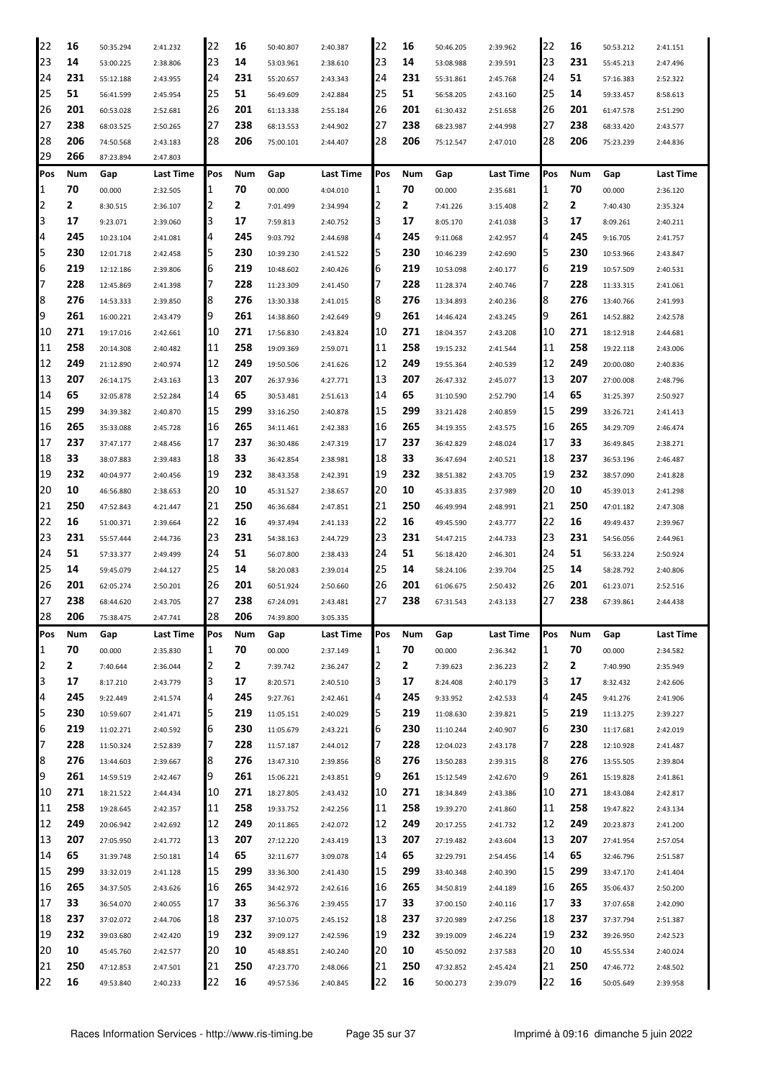| 22  | 16  | 50:35.294 | 2:41.232  | 22      | 16  | 50:40.807 | 2:40.387         | 22  | 16  | 50:46.205 | 2:39.962  | 22         | 16  | 50:53.212 | 2:41.151  |
|-----|-----|-----------|-----------|---------|-----|-----------|------------------|-----|-----|-----------|-----------|------------|-----|-----------|-----------|
| 23  | 14  | 53:00.225 | 2:38.806  | 23      | 14  | 53:03.961 | 2:38.610         | 23  | 14  | 53:08.988 | 2:39.591  | 23         | 231 | 55:45.213 | 2:47.496  |
| 24  | 231 | 55:12.188 | 2:43.955  | 24      | 231 | 55:20.657 | 2:43.343         | 24  | 231 | 55:31.861 | 2:45.768  | 24         | 51  | 57:16.383 | 2:52.322  |
| 25  | 51  | 56:41.599 | 2:45.954  | 25      | 51  | 56:49.609 | 2:42.884         | 25  | 51  | 56:58.205 | 2:43.160  | 25         | 14  | 59:33.457 | 8:58.613  |
| 26  | 201 | 60:53.028 | 2:52.681  | 26      | 201 | 61:13.338 | 2:55.184         | 26  | 201 | 61:30.432 | 2:51.658  | 26         | 201 | 61:47.578 | 2:51.290  |
| 27  | 238 | 68:03.525 | 2:50.265  | 27      | 238 | 68:13.553 | 2:44.902         | 27  | 238 | 68:23.987 | 2:44.998  | 27         | 238 | 68:33.420 | 2:43.577  |
| 28  | 206 | 74:50.568 | 2:43.183  | 28      | 206 | 75:00.101 | 2:44.407         | 28  | 206 | 75:12.547 | 2:47.010  | 28         | 206 | 75:23.239 | 2:44.836  |
| 29  | 266 | 87:23.894 |           |         |     |           |                  |     |     |           |           |            |     |           |           |
|     |     |           | 2:47.803  |         |     |           |                  |     |     |           |           |            |     |           |           |
| Pos | Num | Gap       | Last Time | Pos     | Num | Gap       | <b>Last Time</b> | Pos | Num | Gap       | Last Time | <b>Pos</b> | Num | Gap       | Last Time |
| 1   | 70  | 00.000    | 2:32.505  | 1       | 70  | 00.000    | 4:04.010         | 1   | 70  | 00.000    | 2:35.681  | 1          | 70  | 00.000    | 2:36.120  |
| 2   | 2   | 8:30.515  | 2:36.107  | 2       | 2   | 7:01.499  | 2:34.994         |     | 2   | 7:41.226  | 3:15.408  | 2          | 2   | 7:40.430  | 2:35.324  |
| 3   | 17  | 9:23.071  | 2:39.060  | 3       | 17  | 7:59.813  | 2:40.752         | З   | 17  | 8:05.170  | 2:41.038  | 3          | 17  | 8:09.261  | 2:40.211  |
| 4   | 245 | 10:23.104 | 2:41.081  | 4       | 245 | 9:03.792  | 2:44.698         | 4   | 245 | 9:11.068  | 2:42.957  | 4          | 245 | 9:16.705  | 2:41.757  |
| 5   | 230 | 12:01.718 | 2:42.458  | 5       | 230 | 10:39.230 | 2:41.522         | 5   | 230 | 10:46.239 | 2:42.690  | 5          | 230 | 10:53.966 | 2:43.847  |
| 6   | 219 | 12:12.186 | 2:39.806  | 16      | 219 | 10:48.602 | 2:40.426         | 6   | 219 | 10:53.098 | 2:40.177  | 6          | 219 | 10:57.509 | 2:40.531  |
| 7   | 228 | 12:45.869 | 2:41.398  | 7       | 228 | 11:23.309 | 2:41.450         |     | 228 | 11:28.374 | 2:40.746  | 7          | 228 | 11:33.315 | 2:41.061  |
| 8   | 276 | 14:53.333 | 2:39.850  | 8       | 276 | 13:30.338 | 2:41.015         | 8   | 276 | 13:34.893 | 2:40.236  | 8          | 276 | 13:40.766 | 2:41.993  |
| 9   | 261 | 16:00.221 | 2:43.479  | 19      | 261 | 14:38.860 | 2:42.649         | 9   | 261 | 14:46.424 | 2:43.245  | 9          | 261 | 14:52.882 | 2:42.578  |
| 10  | 271 | 19:17.016 | 2:42.661  | 10      | 271 | 17:56.830 | 2:43.824         | 10  | 271 | 18:04.357 | 2:43.208  | 10         | 271 | 18:12.918 | 2:44.681  |
| 11  | 258 | 20:14.308 | 2:40.482  | 11      | 258 | 19:09.369 | 2:59.071         | 11  | 258 | 19:15.232 | 2:41.544  | 11         | 258 | 19:22.118 | 2:43.006  |
| 12  | 249 | 21:12.890 | 2:40.974  | 12      | 249 | 19:50.506 | 2:41.626         | 12  | 249 | 19:55.364 | 2:40.539  | 12         | 249 | 20:00.080 | 2:40.836  |
| 13  | 207 | 26:14.175 | 2:43.163  | 13      | 207 | 26:37.936 | 4:27.771         | 13  | 207 | 26:47.332 | 2:45.077  | 13         | 207 | 27:00.008 | 2:48.796  |
| 14  | 65  | 32:05.878 | 2:52.284  | 14      | 65  | 30:53.481 | 2:51.613         | 14  | 65  | 31:10.590 | 2:52.790  | 14         | 65  | 31:25.397 | 2:50.927  |
| 15  | 299 | 34:39.382 | 2:40.870  | 15      | 299 | 33:16.250 | 2:40.878         | 15  | 299 | 33:21.428 | 2:40.859  | 15         | 299 | 33:26.721 | 2:41.413  |
| 16  | 265 | 35:33.088 | 2:45.728  | 16      | 265 | 34:11.461 | 2:42.383         | 16  | 265 | 34:19.355 | 2:43.575  | 16         | 265 | 34:29.709 | 2:46.474  |
| 17  | 237 | 37:47.177 | 2:48.456  | 17      | 237 | 36:30.486 | 2:47.319         | 17  | 237 | 36:42.829 | 2:48.024  | 17         | 33  | 36:49.845 | 2:38.271  |
| 18  | 33  | 38:07.883 | 2:39.483  | 18      | 33  | 36:42.854 | 2:38.981         | 18  | 33  | 36:47.694 | 2:40.521  | 18         | 237 | 36:53.196 | 2:46.487  |
| 19  | 232 | 40:04.977 | 2:40.456  | 19      | 232 | 38:43.358 | 2:42.391         | 19  | 232 | 38:51.382 | 2:43.705  | 19         | 232 | 38:57.090 | 2:41.828  |
| 20  | 10  | 46:56.880 | 2:38.653  | 20      | 10  | 45:31.527 | 2:38.657         | 20  | 10  | 45:33.835 | 2:37.989  | 20         | 10  | 45:39.013 | 2:41.298  |
| 21  | 250 | 47:52.843 | 4:21.447  | 21      | 250 | 46:36.684 | 2:47.851         | 21  | 250 | 46:49.994 | 2:48.991  | 21         | 250 | 47:01.182 | 2:47.308  |
| 22  | 16  | 51:00.371 | 2:39.664  | 22      | 16  | 49:37.494 | 2:41.133         | 22  | 16  | 49:45.590 | 2:43.777  | 22         | 16  | 49:49.437 | 2:39.967  |
| 23  | 231 | 55:57.444 | 2:44.736  | 23      | 231 | 54:38.163 | 2:44.729         | 23  | 231 | 54:47.215 | 2:44.733  | 23         | 231 | 54:56.056 | 2:44.961  |
| 24  | 51  | 57:33.377 | 2:49.499  | 24      | 51  | 56:07.800 | 2:38.433         | 24  | 51  | 56:18.420 | 2:46.301  | 24         | 51  | 56:33.224 | 2:50.924  |
| 25  | 14  | 59:45.079 | 2:44.127  | 25      | 14  | 58:20.083 | 2:39.014         | 25  | 14  | 58:24.106 | 2:39.704  | 25         | 14  | 58:28.792 | 2:40.806  |
| 26  | 201 | 62:05.274 | 2:50.201  | 26      | 201 | 60:51.924 | 2:50.660         | 26  | 201 | 61:06.675 | 2:50.432  | 26         | 201 | 61:23.071 | 2:52.516  |
| 27  | 238 | 68:44.620 | 2:43.705  | 27      | 238 | 67:24.091 | 2:43.481         | 27  | 238 | 67:31.543 | 2:43.133  | 27         | 238 | 67:39.861 | 2:44.438  |
| 28  | 206 | 75:38.475 | 2:47.741  | 28      | 206 | 74:39.800 | 3:05.335         |     |     |           |           |            |     |           |           |
| Pos | Num | Gap       | Last Time | Pos     | Num | Gap       | Last Time        | Pos | Num | Gap       | Last Time | Pos        | Num | Gap       | Last Time |
| 1   | 70  | 00.000    | 2:35.830  | 1       | 70  | 00.000    | 2:37.149         | 1   | 70  | 00.000    | 2:36.342  | 1          | 70  | 00.000    | 2:34.582  |
| 2   | 2   |           | 2:36.044  | 2       | 2   |           |                  | 2   | 2   |           |           | 2          | 2   | 7:40.990  | 2:35.949  |
| 3   | 17  | 7:40.644  |           | 3       | 17  | 7:39.742  | 2:36.247         | з   | 17  | 7:39.623  | 2:36.223  | 3          | 17  |           |           |
| 4   | 245 | 8:17.210  | 2:43.779  |         | 245 | 8:20.571  | 2:40.510         |     | 245 | 8:24.408  | 2:40.179  | 4          | 245 | 8:32.432  | 2:42.606  |
| 5   | 230 | 9:22.449  | 2:41.574  | 14<br>5 | 219 | 9:27.761  | 2:42.461         | 4   |     | 9:33.952  | 2:42.533  | 5          | 219 | 9:41.276  | 2:41.906  |
|     |     | 10:59.607 | 2:41.471  |         |     | 11:05.151 | 2:40.029         | 5   | 219 | 11:08.630 | 2:39.821  |            |     | 11:13.275 | 2:39.227  |
| 6   | 219 | 11:02.271 | 2:40.592  | 6       | 230 | 11:05.679 | 2:43.221         | 16  | 230 | 11:10.244 | 2:40.907  | 6          | 230 | 11:17.681 | 2:42.019  |
| 7   | 228 | 11:50.324 | 2:52.839  | 7       | 228 | 11:57.187 | 2:44.012         | 7   | 228 | 12:04.023 | 2:43.178  | 7          | 228 | 12:10.928 | 2:41.487  |
| 8   | 276 | 13:44.603 | 2:39.667  | 18      | 276 | 13:47.310 | 2:39.856         | 8   | 276 | 13:50.283 | 2:39.315  | 8          | 276 | 13:55.505 | 2:39.804  |
| 9   | 261 | 14:59.519 | 2:42.467  | 19      | 261 | 15:06.221 | 2:43.851         | 9   | 261 | 15:12.549 | 2:42.670  | 9          | 261 | 15:19.828 | 2:41.861  |
| 10  | 271 | 18:21.522 | 2:44.434  | 10      | 271 | 18:27.805 | 2:43.432         | 10  | 271 | 18:34.849 | 2:43.386  | 10         | 271 | 18:43.084 | 2:42.817  |
| 11  | 258 | 19:28.645 | 2:42.357  | 11      | 258 | 19:33.752 | 2:42.256         | 11  | 258 | 19:39.270 | 2:41.860  | 11         | 258 | 19:47.822 | 2:43.134  |
| 12  | 249 | 20:06.942 | 2:42.692  | 12      | 249 | 20:11.865 | 2:42.072         | 12  | 249 | 20:17.255 | 2:41.732  | 12         | 249 | 20:23.873 | 2:41.200  |
| 13  | 207 | 27:05.950 | 2:41.772  | 13      | 207 | 27:12.220 | 2:43.419         | 13  | 207 | 27:19.482 | 2:43.604  | 13         | 207 | 27:41.954 | 2:57.054  |
| 14  | 65  | 31:39.748 | 2:50.181  | 14      | 65  | 32:11.677 | 3:09.078         | 14  | 65  | 32:29.791 | 2:54.456  | 14         | 65  | 32:46.796 | 2:51.587  |
| 15  | 299 | 33:32.019 | 2:41.128  | 15      | 299 | 33:36.300 | 2:41.430         | 15  | 299 | 33:40.348 | 2:40.390  | 15         | 299 | 33:47.170 | 2:41.404  |
| 16  | 265 | 34:37.505 | 2:43.626  | 16      | 265 | 34:42.972 | 2:42.616         | 16  | 265 | 34:50.819 | 2:44.189  | 16         | 265 | 35:06.437 | 2:50.200  |
| 17  | 33  | 36:54.070 | 2:40.055  | 17      | 33  | 36:56.376 | 2:39.455         | 17  | 33  | 37:00.150 | 2:40.116  | 17         | 33  | 37:07.658 | 2:42.090  |
| 18  | 237 | 37:02.072 | 2:44.706  | 18      | 237 | 37:10.075 | 2:45.152         | 18  | 237 | 37:20.989 | 2:47.256  | 18         | 237 | 37:37.794 | 2:51.387  |
| 19  | 232 | 39:03.680 | 2:42.420  | 19      | 232 | 39:09.127 | 2:42.596         | 19  | 232 | 39:19.009 | 2:46.224  | 19         | 232 | 39:26.950 | 2:42.523  |
| 20  | 10  | 45:45.760 | 2:42.577  | 20      | 10  | 45:48.851 | 2:40.240         | 20  | 10  | 45:50.092 | 2:37.583  | 20         | 10  | 45:55.534 | 2:40.024  |
| 21  | 250 | 47:12.853 | 2:47.501  | 21      | 250 | 47:23.770 | 2:48.066         | 21  | 250 | 47:32.852 | 2:45.424  | 21         | 250 | 47:46.772 | 2:48.502  |
| 22  | 16  | 49:53.840 | 2:40.233  | 22      | 16  | 49:57.536 | 2:40.845         | 22  | 16  | 50:00.273 | 2:39.079  | 22         | 16  | 50:05.649 | 2:39.958  |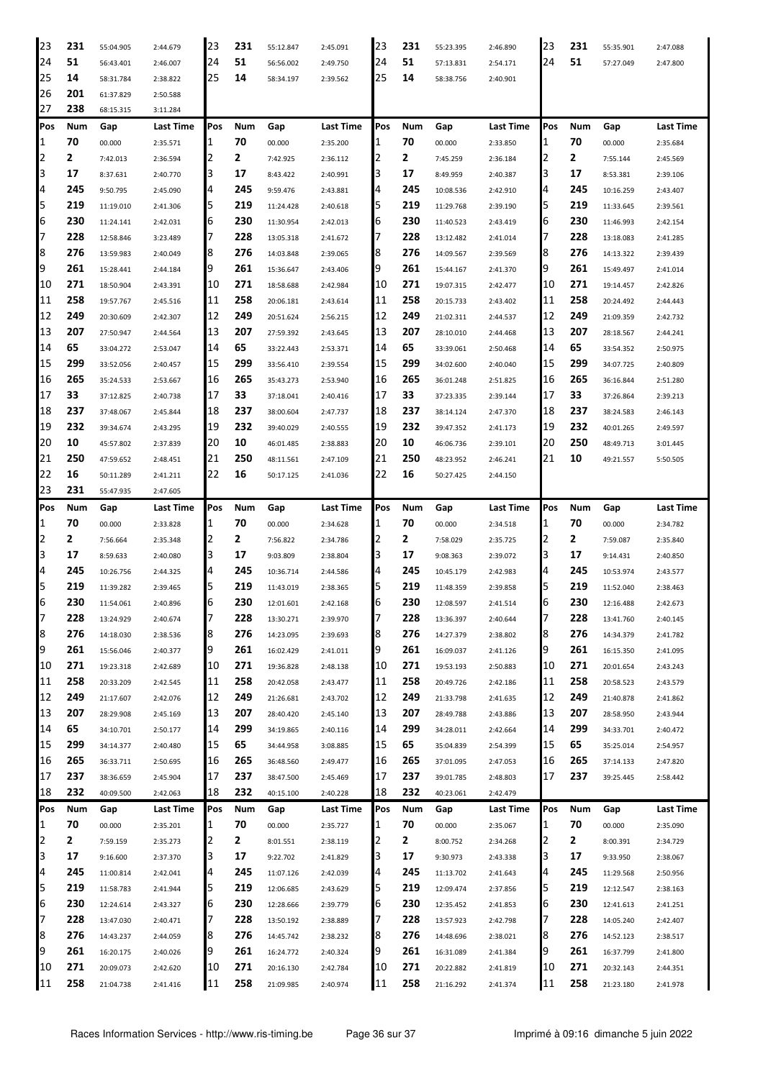| 23       | 231        | 55:04.905 | 2:44.679         | 23       | 231        | 55:12.847 | 2:45.091         | 23       | 231        | 55:23.395 | 2:46.890         | 23       | 231        | 55:35.901 | 2:47.088  |
|----------|------------|-----------|------------------|----------|------------|-----------|------------------|----------|------------|-----------|------------------|----------|------------|-----------|-----------|
| 24       | 51         | 56:43.401 | 2:46.007         | 24       | 51         | 56:56.002 | 2:49.750         | 24       | 51         | 57:13.831 | 2:54.171         | 24       | 51         | 57:27.049 | 2:47.800  |
| 25       | 14         | 58:31.784 | 2:38.822         | 25       | 14         | 58:34.197 | 2:39.562         | 25       | 14         | 58:38.756 | 2:40.901         |          |            |           |           |
| 26       | 201        | 61:37.829 | 2:50.588         |          |            |           |                  |          |            |           |                  |          |            |           |           |
| 27       | 238        | 68:15.315 | 3:11.284         |          |            |           |                  |          |            |           |                  |          |            |           |           |
| Pos      | Num        | Gap       | <b>Last Time</b> | Pos      | Num        | Gap       | <b>Last Time</b> | Pos      | Num        | Gap       | <b>Last Time</b> | Pos      | Num        | Gap       | Last Time |
| 1        | 70         | 00.000    | 2:35.571         | 1        | 70         | 00.000    | 2:35.200         | 1        | 70         | 00.000    | 2:33.850         | 1        | 70         | 00.000    | 2:35.684  |
| 2        | 2          |           |                  | 2        | 2          |           |                  | 2        | 2          |           |                  | 2        | 2          |           |           |
|          |            | 7:42.013  | 2:36.594         |          |            | 7:42.925  | 2:36.112         |          |            | 7:45.259  | 2:36.184         |          |            | 7:55.144  | 2:45.569  |
| 3        | 17         | 8:37.631  | 2:40.770         | 3        | 17         | 8:43.422  | 2:40.991         | 3        | 17         | 8:49.959  | 2:40.387         | 3        | 17         | 8:53.381  | 2:39.106  |
| 4        | 245        | 9:50.795  | 2:45.090         | 4        | 245        | 9:59.476  | 2:43.881         | 4        | 245        | 10:08.536 | 2:42.910         | 4        | 245        | 10:16.259 | 2:43.407  |
| 5        | 219        | 11:19.010 | 2:41.306         | 5        | 219        | 11:24.428 | 2:40.618         | 5        | 219        | 11:29.768 | 2:39.190         | 5        | 219        | 11:33.645 | 2:39.561  |
| 6        | 230        | 11:24.141 | 2:42.031         | 6        | 230        | 11:30.954 | 2:42.013         | 6        | 230        | 11:40.523 | 2:43.419         | 6        | 230        | 11:46.993 | 2:42.154  |
| 7        | 228        | 12:58.846 | 3:23.489         | 7        | 228        | 13:05.318 | 2:41.672         | 7        | 228        | 13:12.482 | 2:41.014         | 7        | 228        | 13:18.083 | 2:41.285  |
| 8        | 276        | 13:59.983 | 2:40.049         | 8        | 276        | 14:03.848 | 2:39.065         | 8        | 276        | 14:09.567 | 2:39.569         | 8        | 276        | 14:13.322 | 2:39.439  |
| 9        | 261        | 15:28.441 | 2:44.184         | 9        | 261        | 15:36.647 | 2:43.406         | 9        | 261        | 15:44.167 | 2:41.370         | 9        | 261        | 15:49.497 | 2:41.014  |
| 10       | 271        | 18:50.904 | 2:43.391         | 10       | 271        | 18:58.688 | 2:42.984         | 10       | 271        | 19:07.315 | 2:42.477         | 10       | 271        | 19:14.457 | 2:42.826  |
| 11       | 258        | 19:57.767 | 2:45.516         | 11       | 258        | 20:06.181 | 2:43.614         | 11       | 258        | 20:15.733 | 2:43.402         | 11       | 258        | 20:24.492 | 2:44.443  |
| 12       | 249        | 20:30.609 | 2:42.307         | 12       | 249        | 20:51.624 | 2:56.215         | 12       | 249        | 21:02.311 | 2:44.537         | 12       | 249        | 21:09.359 | 2:42.732  |
| 13       | 207        | 27:50.947 | 2:44.564         | 13       | 207        | 27:59.392 | 2:43.645         | 13       | 207        | 28:10.010 | 2:44.468         | 13       | 207        | 28:18.567 | 2:44.241  |
| 14       | 65         | 33:04.272 | 2:53.047         | 14       | 65         | 33:22.443 | 2:53.371         | 14       | 65         | 33:39.061 | 2:50.468         | 14       | 65         | 33:54.352 | 2:50.975  |
| 15       | 299        | 33:52.056 | 2:40.457         | 15       | 299        | 33:56.410 | 2:39.554         | 15       | 299        | 34:02.600 | 2:40.040         | 15       | 299        | 34:07.725 | 2:40.809  |
| 16       | 265        |           |                  | 16       | 265        |           |                  | 16       | 265        |           |                  | 16       | 265        |           |           |
|          |            | 35:24.533 | 2:53.667         |          |            | 35:43.273 | 2:53.940         |          |            | 36:01.248 | 2:51.825         |          |            | 36:16.844 | 2:51.280  |
| 17       | 33         | 37:12.825 | 2:40.738         | 17       | 33         | 37:18.041 | 2:40.416         | 17       | 33         | 37:23.335 | 2:39.144         | 17       | 33         | 37:26.864 | 2:39.213  |
| 18       | 237        | 37:48.067 | 2:45.844         | 18       | 237        | 38:00.604 | 2:47.737         | 18       | 237        | 38:14.124 | 2:47.370         | 18       | 237        | 38:24.583 | 2:46.143  |
| 19       | 232        | 39:34.674 | 2:43.295         | 19       | 232        | 39:40.029 | 2:40.555         | 19       | 232        | 39:47.352 | 2:41.173         | 19       | 232        | 40:01.265 | 2:49.597  |
| 20       | 10         | 45:57.802 | 2:37.839         | 20       | 10         | 46:01.485 | 2:38.883         | 20       | 10         | 46:06.736 | 2:39.101         | 20       | 250        | 48:49.713 | 3:01.445  |
| 21       | 250        | 47:59.652 | 2:48.451         | 21       | 250        | 48:11.561 | 2:47.109         | 21       | 250        | 48:23.952 | 2:46.241         | 21       | 10         | 49:21.557 | 5:50.505  |
| 22       | 16         | 50:11.289 | 2:41.211         | 22       | 16         | 50:17.125 | 2:41.036         | 22       | 16         | 50:27.425 | 2:44.150         |          |            |           |           |
| 23       | 231        | 55:47.935 | 2:47.605         |          |            |           |                  |          |            |           |                  |          |            |           |           |
|          | Num        | Gap       | Last Time        | Pos      | Num        | Gap       | <b>Last Time</b> | Pos      | Num        | Gap       | <b>Last Time</b> | Pos      | <b>Num</b> | Gap       | Last Time |
| Pos      |            |           |                  |          |            |           |                  |          |            |           |                  |          |            |           |           |
| 1        | 70         | 00.000    | 2:33.828         | 1        | 70         | 00.000    | 2:34.628         | 1        | 70         | 00.000    | 2:34.518         | 1        | 70         | 00.000    | 2:34.782  |
| 2        | 2          | 7:56.664  | 2:35.348         | 2        | 2          | 7:56.822  | 2:34.786         | 2        | 2          | 7:58.029  | 2:35.725         | 2        | 2          | 7:59.087  | 2:35.840  |
| 3        | 17         | 8:59.633  | 2:40.080         | 3        | 17         | 9:03.809  | 2:38.804         | 3        | 17         | 9:08.363  | 2:39.072         | 3        | 17         | 9:14.431  | 2:40.850  |
| 4        | 245        | 10:26.756 |                  | 4        | 245        | 10:36.714 |                  | 4        | 245        | 10:45.179 |                  | 4        | 245        | 10:53.974 |           |
|          |            |           | 2:44.325         |          |            |           | 2:44.586         |          |            |           | 2:42.983         |          |            |           | 2:43.577  |
| 5        | 219        | 11:39.282 | 2:39.465         | 5        | 219        | 11:43.019 | 2:38.365         | 5        | 219        | 11:48.359 | 2:39.858         | 5        | 219        | 11:52.040 | 2:38.463  |
| 6        | 230        | 11:54.061 | 2:40.896         | 6        | 230        | 12:01.601 | 2:42.168         | 6        | 230        | 12:08.597 | 2:41.514         | 6        | 230        | 12:16.488 | 2:42.673  |
|          | 228        | 13:24.929 | 2:40.674         | 7        | 228        | 13:30.271 | 2:39.970         | 7        | 228        | 13:36.397 | 2:40.644         | 7        | 228        | 13:41.760 | 2:40.145  |
| 8        | 276        | 14:18.030 | 2:38.536         | 8        | 276        | 14:23.095 | 2:39.693         | 8        | 276        | 14:27.379 | 2:38.802         | 8        | 276        | 14:34.379 | 2:41.782  |
| 9        | 261        | 15:56.046 | 2:40.377         | 9        | 261        | 16:02.429 | 2:41.011         | 9        | 261        | 16:09.037 | 2:41.126         | 9        | 261        | 16:15.350 | 2:41.095  |
| 10       | 271        | 19:23.318 | 2:42.689         | 10       | 271        | 19:36.828 | 2:48.138         | 10       | 271        | 19:53.193 | 2:50.883         | 10       | 271        | 20:01.654 | 2:43.243  |
| 11       | 258        | 20:33.209 | 2:42.545         | 11       | 258        | 20:42.058 | 2:43.477         | 11       | 258        | 20:49.726 | 2:42.186         | 11       | 258        | 20:58.523 | 2:43.579  |
| 12       | 249        | 21:17.607 | 2:42.076         | 12       | 249        | 21:26.681 | 2:43.702         | 12       | 249        | 21:33.798 | 2:41.635         | 12       | 249        | 21:40.878 | 2:41.862  |
| 13       | 207        | 28:29.908 | 2:45.169         | 13       | 207        | 28:40.420 | 2:45.140         | 13       | 207        | 28:49.788 | 2:43.886         | 13       | 207        | 28:58.950 | 2:43.944  |
| 14       | 65         | 34:10.701 | 2:50.177         | 14       | 299        | 34:19.865 | 2:40.116         | 14       | 299        | 34:28.011 | 2:42.664         | 14       | 299        | 34:33.701 | 2:40.472  |
| 15       | 299        | 34:14.377 | 2:40.480         | 15       | 65         | 34:44.958 | 3:08.885         | 15       | 65         | 35:04.839 | 2:54.399         | 15       | 65         | 35:25.014 | 2:54.957  |
| 16       | 265        | 36:33.711 | 2:50.695         | 16       | 265        | 36:48.560 | 2:49.477         | 16       | 265        | 37:01.095 | 2:47.053         | 16       | 265        | 37:14.133 | 2:47.820  |
| 17       | 237        | 38:36.659 | 2:45.904         | 17       | 237        | 38:47.500 | 2:45.469         | 17       | 237        | 39:01.785 | 2:48.803         | 17       | 237        | 39:25.445 | 2:58.442  |
| 18       | 232        | 40:09.500 | 2:42.063         | 18       | 232        | 40:15.100 | 2:40.228         | 18       | 232        | 40:23.061 | 2:42.479         |          |            |           |           |
| Pos      | Num        | Gap       | Last Time        | Pos      | Num        | Gap       | Last Time        | Pos      | Num        | Gap       | Last Time        | Pos      | Num        | Gap       | Last Time |
| 1        | 70         | 00.000    | 2:35.201         | 1        | 70         | 00.000    | 2:35.727         | 1        | 70         | 00.000    | 2:35.067         | 1        | 70         | 00.000    | 2:35.090  |
| 2        | 2          | 7:59.159  | 2:35.273         | 2        | 2          | 8:01.551  | 2:38.119         | 2        | 2          | 8:00.752  | 2:34.268         | 2        | 2          | 8:00.391  | 2:34.729  |
| 3        |            |           |                  | 3        |            |           |                  | 3        | 17         |           |                  | 3        |            |           |           |
|          | 17         | 9:16.600  | 2:37.370         |          | 17         | 9:22.702  | 2:41.829         |          |            | 9:30.973  | 2:43.338         |          | 17         | 9:33.950  | 2:38.067  |
| 4        | 245        | 11:00.814 | 2:42.041         | 4        | 245        | 11:07.126 | 2:42.039         | 4        | 245        | 11:13.702 | 2:41.643         | 4        | 245        | 11:29.568 | 2:50.956  |
| 5        | 219        | 11:58.783 | 2:41.944         | 5        | 219        | 12:06.685 | 2:43.629         | 5        | 219        | 12:09.474 | 2:37.856         | 5        | 219        | 12:12.547 | 2:38.163  |
| 6        | 230        | 12:24.614 | 2:43.327         | 6        | 230        | 12:28.666 | 2:39.779         | 6        | 230        | 12:35.452 | 2:41.853         | 6        | 230        | 12:41.613 | 2:41.251  |
| 7        | 228        | 13:47.030 | 2:40.471         | 7        | 228        | 13:50.192 | 2:38.889         | 7        | 228        | 13:57.923 | 2:42.798         | 7        | 228        | 14:05.240 | 2:42.407  |
| 8        | 276        | 14:43.237 | 2:44.059         | 8        | 276        | 14:45.742 | 2:38.232         | 8        | 276        | 14:48.696 | 2:38.021         | 8        | 276        | 14:52.123 | 2:38.517  |
| 9        | 261        | 16:20.175 | 2:40.026         | 9        | 261        | 16:24.772 | 2:40.324         | 9        | 261        | 16:31.089 | 2:41.384         | 9        | 261        | 16:37.799 | 2:41.800  |
| 10<br>11 | 271<br>258 | 20:09.073 | 2:42.620         | 10<br>11 | 271<br>258 | 20:16.130 | 2:42.784         | 10<br>11 | 271<br>258 | 20:22.882 | 2:41.819         | 10<br>11 | 271<br>258 | 20:32.143 | 2:44.351  |